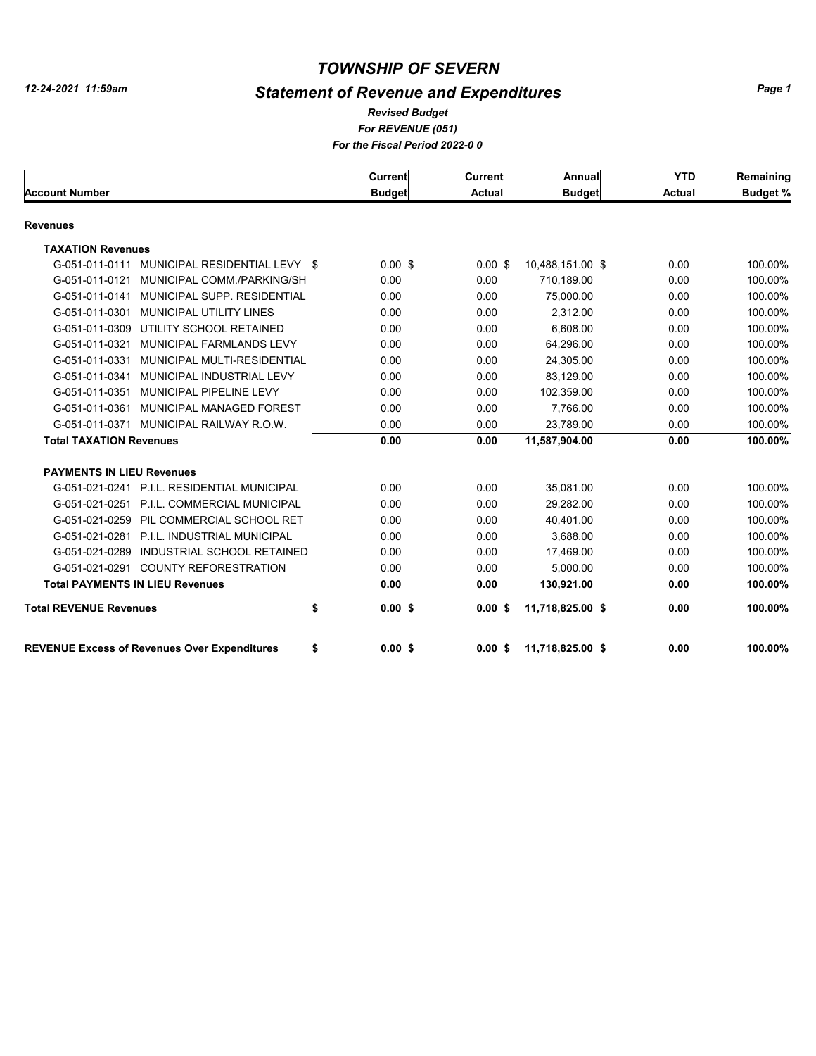# *Statement of Revenue and Expenditures*

#### *For REVENUE (051) For the Fiscal Period 2022-0 0 Revised Budget*

|                                                     | Current         | <b>Current</b> | Annual           | <b>YTD</b>    | Remaining       |
|-----------------------------------------------------|-----------------|----------------|------------------|---------------|-----------------|
| <b>Account Number</b>                               | <b>Budget</b>   | <b>Actual</b>  | <b>Budget</b>    | <b>Actual</b> | <b>Budget %</b> |
| <b>Revenues</b>                                     |                 |                |                  |               |                 |
| <b>TAXATION Revenues</b>                            |                 |                |                  |               |                 |
| MUNICIPAL RESIDENTIAL LEVY \$<br>G-051-011-0111     | $0.00$ \$       | $0.00$ \$      | 10,488,151.00 \$ | 0.00          | 100.00%         |
| MUNICIPAL COMM./PARKING/SH<br>G-051-011-0121        | 0.00            | 0.00           | 710.189.00       | 0.00          | 100.00%         |
| MUNICIPAL SUPP, RESIDENTIAL<br>G-051-011-0141       | 0.00            | 0.00           | 75,000.00        | 0.00          | 100.00%         |
| MUNICIPAL UTILITY LINES<br>G-051-011-0301           | 0.00            | 0.00           | 2,312.00         | 0.00          | 100.00%         |
| G-051-011-0309 UTILITY SCHOOL RETAINED              | 0.00            | 0.00           | 6,608.00         | 0.00          | 100.00%         |
| G-051-011-0321<br>MUNICIPAL FARMLANDS LEVY          | 0.00            | 0.00           | 64.296.00        | 0.00          | 100.00%         |
| G-051-011-0331 MUNICIPAL MULTI-RESIDENTIAL          | 0.00            | 0.00           | 24,305.00        | 0.00          | 100.00%         |
| MUNICIPAL INDUSTRIAL LEVY<br>G-051-011-0341         | 0.00            | 0.00           | 83,129.00        | 0.00          | 100.00%         |
| MUNICIPAL PIPELINE LEVY<br>G-051-011-0351           | 0.00            | 0.00           | 102,359.00       | 0.00          | 100.00%         |
| G-051-011-0361<br>MUNICIPAL MANAGED FOREST          | 0.00            | 0.00           | 7,766.00         | 0.00          | 100.00%         |
| G-051-011-0371 MUNICIPAL RAILWAY R.O.W.             | 0.00            | 0.00           | 23,789.00        | 0.00          | 100.00%         |
| <b>Total TAXATION Revenues</b>                      | 0.00            | 0.00           | 11,587,904.00    | 0.00          | 100.00%         |
| <b>PAYMENTS IN LIEU Revenues</b>                    |                 |                |                  |               |                 |
| G-051-021-0241 P.I.L. RESIDENTIAL MUNICIPAL         | 0.00            | 0.00           | 35.081.00        | 0.00          | 100.00%         |
| G-051-021-0251 P.I.L. COMMERCIAL MUNICIPAL          | 0.00            | 0.00           | 29,282.00        | 0.00          | 100.00%         |
| G-051-021-0259 PIL COMMERCIAL SCHOOL RET            | 0.00            | 0.00           | 40,401.00        | 0.00          | 100.00%         |
| G-051-021-0281 P.I.L. INDUSTRIAL MUNICIPAL          | 0.00            | 0.00           | 3.688.00         | 0.00          | 100.00%         |
| G-051-021-0289 INDUSTRIAL SCHOOL RETAINED           | 0.00            | 0.00           | 17,469.00        | 0.00          | 100.00%         |
| G-051-021-0291 COUNTY REFORESTRATION                | 0.00            | 0.00           | 5,000.00         | 0.00          | 100.00%         |
| <b>Total PAYMENTS IN LIEU Revenues</b>              | 0.00            | 0.00           | 130,921.00       | 0.00          | 100.00%         |
| <b>Total REVENUE Revenues</b>                       | \$<br>$0.00$ \$ | 0.00S          | 11,718,825.00 \$ | 0.00          | 100.00%         |
|                                                     |                 |                |                  |               |                 |
| <b>REVENUE Excess of Revenues Over Expenditures</b> | \$<br>0.00S     | 0.00S          | 11,718,825.00 \$ | 0.00          | 100.00%         |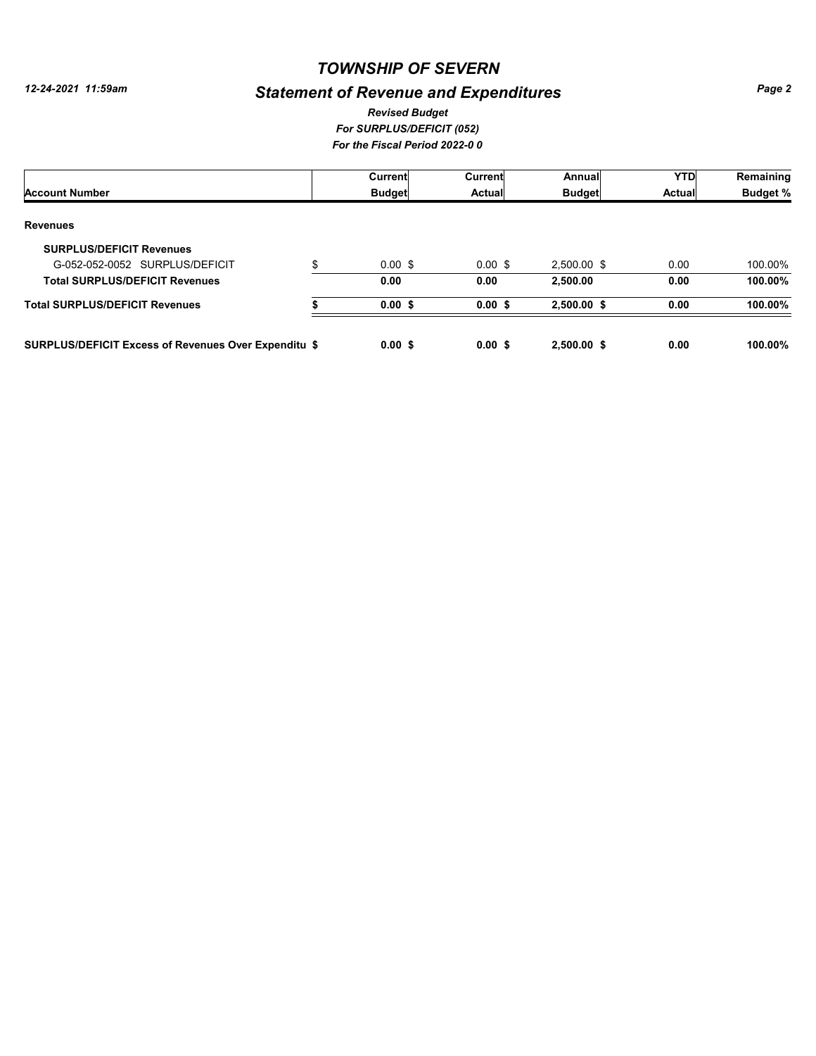# *Statement of Revenue and Expenditures*

#### *For SURPLUS/DEFICIT (052) For the Fiscal Period 2022-0 0 Revised Budget*

|                                                             |    | <b>Current</b>     | Current   | Annual        | <b>YTD</b>    | Remaining       |
|-------------------------------------------------------------|----|--------------------|-----------|---------------|---------------|-----------------|
| <b>Account Number</b>                                       |    | <b>Budget</b>      | Actual    | <b>Budget</b> | <b>Actual</b> | <b>Budget %</b> |
| <b>Revenues</b>                                             |    |                    |           |               |               |                 |
| <b>SURPLUS/DEFICIT Revenues</b>                             |    |                    |           |               |               |                 |
| G-052-052-0052 SURPLUS/DEFICIT                              | \$ | $0.00 \text{ }$ \$ | $0.00$ \$ | 2,500.00 \$   | 0.00          | 100.00%         |
| <b>Total SURPLUS/DEFICIT Revenues</b>                       |    | 0.00               | 0.00      | 2,500.00      | 0.00          | 100.00%         |
| <b>Total SURPLUS/DEFICIT Revenues</b>                       |    | $0.00$ \$          | $0.00$ \$ | $2,500.00$ \$ | 0.00          | 100.00%         |
| <b>SURPLUS/DEFICIT Excess of Revenues Over Expenditu \$</b> |    | 0.00S              | 0.00S     | 2,500.00 \$   | 0.00          | $100.00\%$      |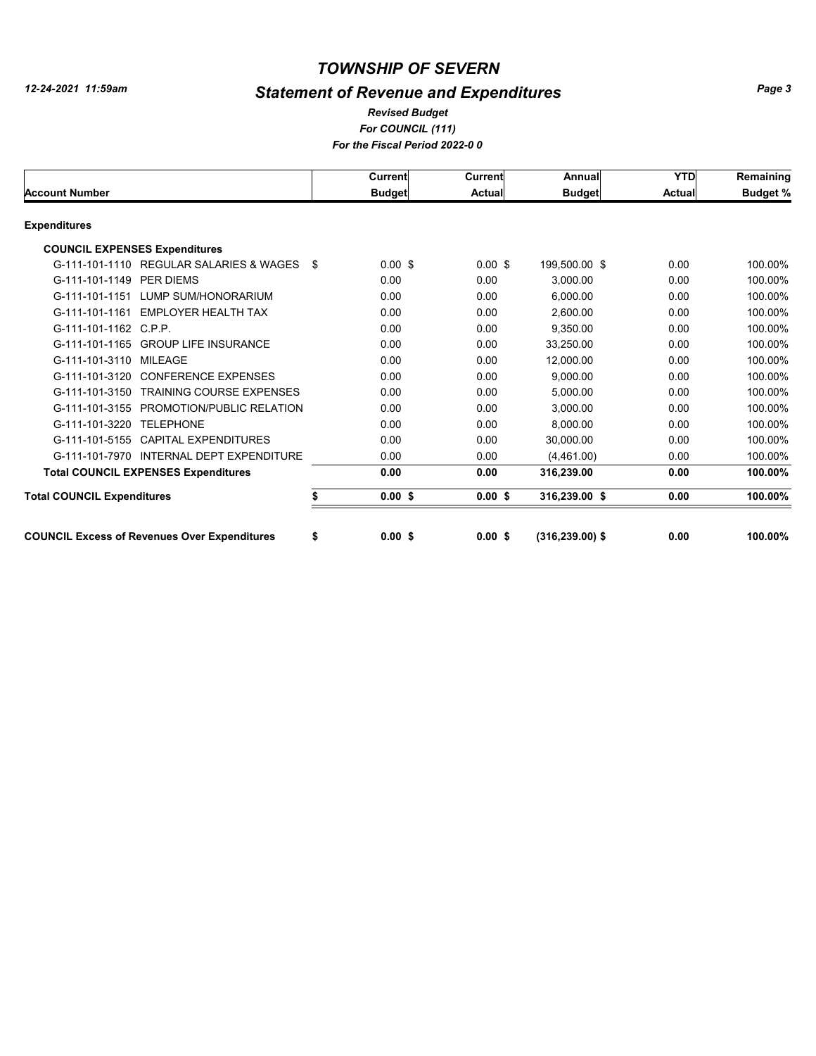# *Statement of Revenue and Expenditures*

#### *For COUNCIL (111) For the Fiscal Period 2022-0 0 Revised Budget*

|                                                     |      | Current       | <b>Current</b> | Annual            | <b>YTD</b>    | Remaining       |
|-----------------------------------------------------|------|---------------|----------------|-------------------|---------------|-----------------|
| <b>Account Number</b>                               |      | <b>Budget</b> | <b>Actual</b>  | <b>Budget</b>     | <b>Actual</b> | <b>Budget %</b> |
| <b>Expenditures</b>                                 |      |               |                |                   |               |                 |
| <b>COUNCIL EXPENSES Expenditures</b>                |      |               |                |                   |               |                 |
| G-111-101-1110 REGULAR SALARIES & WAGES             | - \$ | $0.00$ \$     | $0.00$ \$      | 199,500.00 \$     | 0.00          | 100.00%         |
| G-111-101-1149 PER DIEMS                            |      | 0.00          | 0.00           | 3,000.00          | 0.00          | 100.00%         |
| G-111-101-1151<br>LUMP SUM/HONORARIUM               |      | 0.00          | 0.00           | 6.000.00          | 0.00          | 100.00%         |
| G-111-101-1161 EMPLOYER HEALTH TAX                  |      | 0.00          | 0.00           | 2.600.00          | 0.00          | 100.00%         |
| G-111-101-1162 C.P.P.                               |      | 0.00          | 0.00           | 9,350.00          | 0.00          | 100.00%         |
| G-111-101-1165<br><b>GROUP LIFE INSURANCE</b>       |      | 0.00          | 0.00           | 33.250.00         | 0.00          | 100.00%         |
| G-111-101-3110<br><b>MILEAGE</b>                    |      | 0.00          | 0.00           | 12,000.00         | 0.00          | 100.00%         |
| G-111-101-3120<br><b>CONFERENCE EXPENSES</b>        |      | 0.00          | 0.00           | 9,000.00          | 0.00          | 100.00%         |
| <b>TRAINING COURSE EXPENSES</b><br>G-111-101-3150   |      | 0.00          | 0.00           | 5.000.00          | 0.00          | 100.00%         |
| PROMOTION/PUBLIC RELATION<br>G-111-101-3155         |      | 0.00          | 0.00           | 3,000.00          | 0.00          | 100.00%         |
| G-111-101-3220<br><b>TELEPHONE</b>                  |      | 0.00          | 0.00           | 8,000.00          | 0.00          | 100.00%         |
| G-111-101-5155 CAPITAL EXPENDITURES                 |      | 0.00          | 0.00           | 30.000.00         | 0.00          | 100.00%         |
| INTERNAL DEPT EXPENDITURE<br>G-111-101-7970         |      | 0.00          | 0.00           | (4,461.00)        | 0.00          | 100.00%         |
| <b>Total COUNCIL EXPENSES Expenditures</b>          |      | 0.00          | 0.00           | 316,239.00        | 0.00          | 100.00%         |
| <b>Total COUNCIL Expenditures</b>                   |      | $0.00$ \$     | $0.00$ \$      | 316,239.00 \$     | 0.00          | 100.00%         |
| <b>COUNCIL Excess of Revenues Over Expenditures</b> | \$   | 0.00S         | 0.00S          | $(316.239.00)$ \$ | 0.00          | 100.00%         |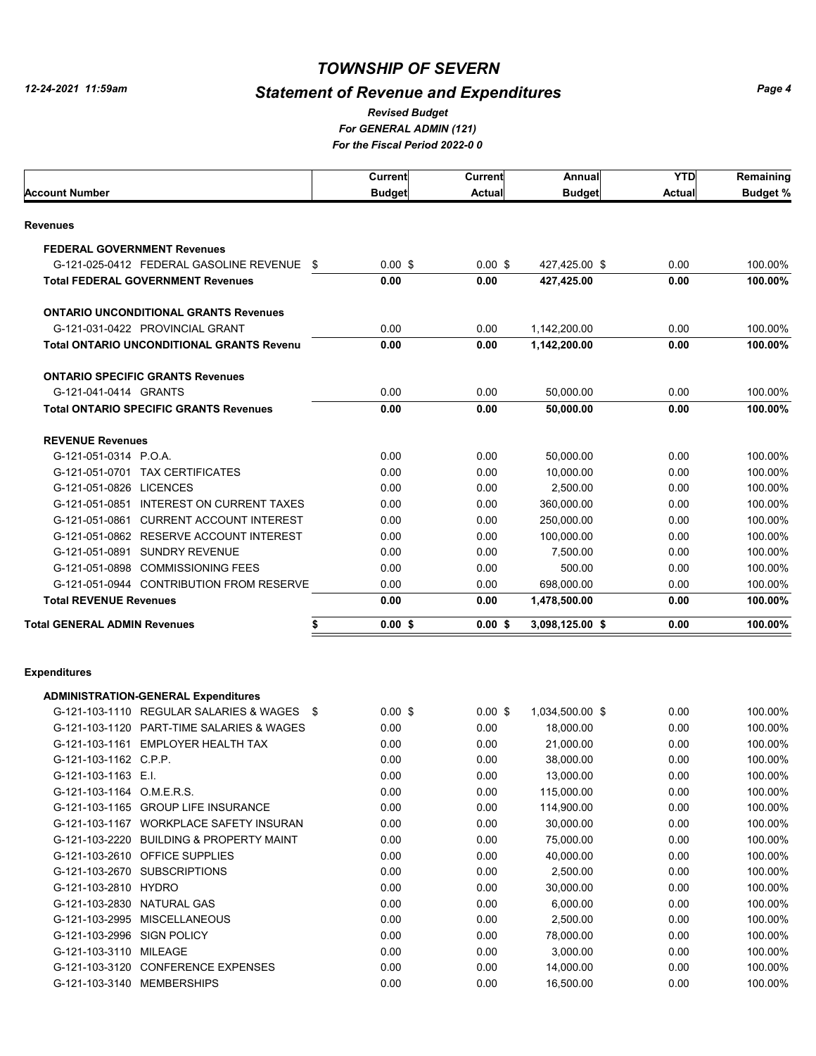$\Gamma$ 

## *TOWNSHIP OF SEVERN*

# *Statement of Revenue and Expenditures*

*For GENERAL ADMIN (121) For the Fiscal Period 2022-0 0 Revised Budget*

|                                                  | <b>Current</b> | Current       | Annual          | YTD           | Remaining       |
|--------------------------------------------------|----------------|---------------|-----------------|---------------|-----------------|
| Account Number                                   | <b>Budget</b>  | <b>Actual</b> | <b>Budget</b>   | <b>Actual</b> | <b>Budget %</b> |
| Revenues                                         |                |               |                 |               |                 |
| <b>FEDERAL GOVERNMENT Revenues</b>               |                |               |                 |               |                 |
| G-121-025-0412 FEDERAL GASOLINE REVENUE \$       | $0.00$ \$      | $0.00$ \$     | 427,425.00 \$   | 0.00          | 100.00%         |
| <b>Total FEDERAL GOVERNMENT Revenues</b>         | 0.00           | 0.00          | 427,425.00      | 0.00          | 100.00%         |
|                                                  |                |               |                 |               |                 |
| <b>ONTARIO UNCONDITIONAL GRANTS Revenues</b>     |                |               |                 |               |                 |
| G-121-031-0422 PROVINCIAL GRANT                  | 0.00           | 0.00          | 1,142,200.00    | 0.00          | 100.00%         |
| <b>Total ONTARIO UNCONDITIONAL GRANTS Revenu</b> | 0.00           | 0.00          | 1,142,200.00    | 0.00          | 100.00%         |
| <b>ONTARIO SPECIFIC GRANTS Revenues</b>          |                |               |                 |               |                 |
| G-121-041-0414 GRANTS                            | 0.00           | 0.00          | 50,000.00       | 0.00          | 100.00%         |
| <b>Total ONTARIO SPECIFIC GRANTS Revenues</b>    | 0.00           | 0.00          | 50,000.00       | 0.00          | 100.00%         |
|                                                  |                |               |                 |               |                 |
| <b>REVENUE Revenues</b><br>G-121-051-0314 P.O.A. | 0.00           | 0.00          | 50,000.00       | 0.00          | 100.00%         |
| G-121-051-0701 TAX CERTIFICATES                  | 0.00           | 0.00          | 10,000.00       | 0.00          | 100.00%         |
| G-121-051-0826 LICENCES                          | 0.00           | 0.00          | 2,500.00        | 0.00          | 100.00%         |
| G-121-051-0851 INTEREST ON CURRENT TAXES         | 0.00           | 0.00          | 360,000.00      | 0.00          | 100.00%         |
| G-121-051-0861 CURRENT ACCOUNT INTEREST          | 0.00           | 0.00          | 250,000.00      | 0.00          | 100.00%         |
| G-121-051-0862 RESERVE ACCOUNT INTEREST          | 0.00           | 0.00          | 100,000.00      | 0.00          | 100.00%         |
| G-121-051-0891 SUNDRY REVENUE                    | 0.00           | 0.00          | 7,500.00        | 0.00          | 100.00%         |
| G-121-051-0898 COMMISSIONING FEES                | 0.00           | 0.00          | 500.00          | 0.00          | 100.00%         |
| G-121-051-0944 CONTRIBUTION FROM RESERVE         | 0.00           | 0.00          | 698,000.00      | 0.00          | 100.00%         |
| <b>Total REVENUE Revenues</b>                    | 0.00           | 0.00          | 1,478,500.00    | 0.00          | 100.00%         |
| Total GENERAL ADMIN Revenues<br>\$               | $0.00$ \$      | $0.00$ \$     | 3,098,125.00 \$ | 0.00          | 100.00%         |
|                                                  |                |               |                 |               |                 |
| <b>Expenditures</b>                              |                |               |                 |               |                 |
| <b>ADMINISTRATION-GENERAL Expenditures</b>       |                |               |                 |               |                 |
| G-121-103-1110 REGULAR SALARIES & WAGES \$       | $0.00$ \$      | $0.00$ \$     | 1,034,500.00 \$ | 0.00          | 100.00%         |
| G-121-103-1120 PART-TIME SALARIES & WAGES        | 0.00           | 0.00          | 18,000.00       | 0.00          | 100.00%         |
| G-121-103-1161 EMPLOYER HEALTH TAX               | 0.00           | 0.00          | 21,000.00       | 0.00          | 100.00%         |
| G-121-103-1162 C.P.P.                            | 0.00           | 0.00          | 38,000.00       | 0.00          | 100.00%         |
| G-121-103-1163 E.I.                              | 0.00           | 0.00          | 13,000.00       | 0.00          | 100.00%         |
| G-121-103-1164 O.M.E.R.S.                        | 0.00           | 0.00          | 115,000.00      | 0.00          | 100.00%         |
| G-121-103-1165 GROUP LIFE INSURANCE              | 0.00           | 0.00          | 114,900.00      | 0.00          | 100.00%         |
| G-121-103-1167 WORKPLACE SAFETY INSURAN          | 0.00           | 0.00          | 30,000.00       | 0.00          | 100.00%         |
| G-121-103-2220 BUILDING & PROPERTY MAINT         | 0.00           | 0.00          | 75,000.00       | 0.00          | 100.00%         |
| G-121-103-2610 OFFICE SUPPLIES                   | 0.00           | 0.00          | 40,000.00       | 0.00          | 100.00%         |
| G-121-103-2670 SUBSCRIPTIONS                     | 0.00           | 0.00          | 2,500.00        | 0.00          | 100.00%         |
| G-121-103-2810 HYDRO                             | 0.00           | 0.00          | 30,000.00       | 0.00          | 100.00%         |
| G-121-103-2830 NATURAL GAS                       | 0.00           | 0.00          | 6,000.00        | 0.00          | 100.00%         |
| G-121-103-2995 MISCELLANEOUS                     | 0.00           | 0.00          | 2,500.00        | 0.00          | 100.00%         |
| G-121-103-2996 SIGN POLICY                       | 0.00           | 0.00          | 78,000.00       | 0.00          | 100.00%         |
| G-121-103-3110 MILEAGE                           | 0.00           | 0.00          | 3,000.00        | 0.00          | 100.00%         |
| G-121-103-3120 CONFERENCE EXPENSES               | 0.00           | 0.00          | 14,000.00       | 0.00          | 100.00%         |
| G-121-103-3140 MEMBERSHIPS                       | 0.00           | 0.00          | 16,500.00       | 0.00          | 100.00%         |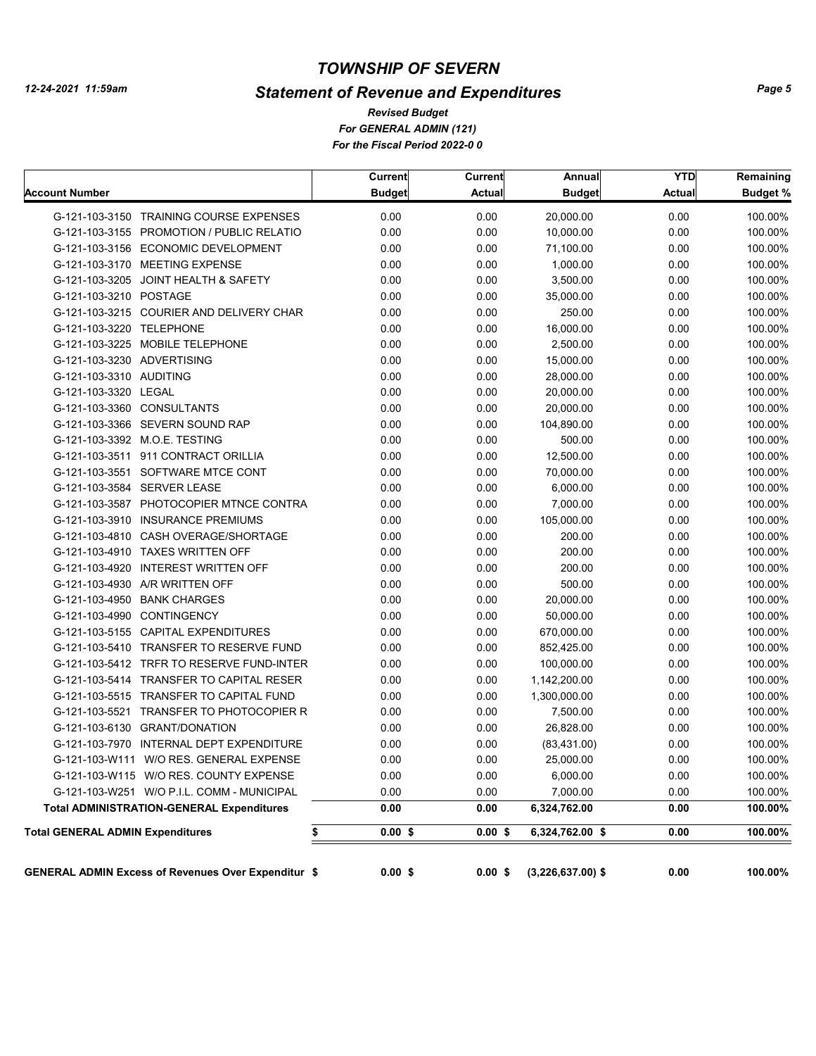*12-24-2021 11:59am*

## *TOWNSHIP OF SEVERN*

# *Statement of Revenue and Expenditures*

*For GENERAL ADMIN (121) For the Fiscal Period 2022-0 0 Revised Budget*

| <b>Account Number</b>                                      | Current<br><b>Budget</b> | Current<br><b>Actual</b> | Annual<br><b>Budget</b> | <b>YTD</b><br><b>Actual</b> | Remaining<br>Budget % |
|------------------------------------------------------------|--------------------------|--------------------------|-------------------------|-----------------------------|-----------------------|
| G-121-103-3150 TRAINING COURSE EXPENSES                    | 0.00                     |                          |                         | 0.00                        | 100.00%               |
| G-121-103-3155 PROMOTION / PUBLIC RELATIO                  | 0.00                     | 0.00<br>0.00             | 20,000.00<br>10,000.00  | 0.00                        | 100.00%               |
| G-121-103-3156 ECONOMIC DEVELOPMENT                        | 0.00                     | 0.00                     | 71,100.00               | 0.00                        | 100.00%               |
| G-121-103-3170 MEETING EXPENSE                             | 0.00                     | 0.00                     | 1,000.00                | 0.00                        | 100.00%               |
| G-121-103-3205 JOINT HEALTH & SAFETY                       | 0.00                     | 0.00                     | 3,500.00                | 0.00                        | 100.00%               |
| G-121-103-3210 POSTAGE                                     | 0.00                     | 0.00                     | 35,000.00               | 0.00                        | 100.00%               |
| G-121-103-3215 COURIER AND DELIVERY CHAR                   | 0.00                     | 0.00                     | 250.00                  | 0.00                        | 100.00%               |
| G-121-103-3220 TELEPHONE                                   | 0.00                     | 0.00                     | 16,000.00               | 0.00                        | 100.00%               |
| G-121-103-3225 MOBILE TELEPHONE                            | 0.00                     | 0.00                     | 2,500.00                | 0.00                        | 100.00%               |
| G-121-103-3230 ADVERTISING                                 | 0.00                     | 0.00                     | 15,000.00               | 0.00                        | 100.00%               |
| G-121-103-3310 AUDITING                                    | 0.00                     | 0.00                     | 28,000.00               | 0.00                        | 100.00%               |
| G-121-103-3320 LEGAL                                       | 0.00                     | 0.00                     | 20,000.00               | 0.00                        | 100.00%               |
| G-121-103-3360 CONSULTANTS                                 | 0.00                     | 0.00                     | 20,000.00               | 0.00                        | 100.00%               |
| G-121-103-3366 SEVERN SOUND RAP                            | 0.00                     | 0.00                     | 104,890.00              | 0.00                        | 100.00%               |
| G-121-103-3392 M.O.E. TESTING                              | 0.00                     | 0.00                     | 500.00                  | 0.00                        | 100.00%               |
| G-121-103-3511 911 CONTRACT ORILLIA                        | 0.00                     | 0.00                     | 12,500.00               | 0.00                        | 100.00%               |
| G-121-103-3551 SOFTWARE MTCE CONT                          | 0.00                     | 0.00                     | 70,000.00               | 0.00                        | 100.00%               |
| G-121-103-3584 SERVER LEASE                                | 0.00                     | 0.00                     | 6,000.00                | 0.00                        | 100.00%               |
| G-121-103-3587 PHOTOCOPIER MTNCE CONTRA                    | 0.00                     | 0.00                     | 7,000.00                | 0.00                        | 100.00%               |
| G-121-103-3910 INSURANCE PREMIUMS                          | 0.00                     | 0.00                     | 105,000.00              | 0.00                        | 100.00%               |
| G-121-103-4810 CASH OVERAGE/SHORTAGE                       | 0.00                     | 0.00                     | 200.00                  | 0.00                        | 100.00%               |
| G-121-103-4910 TAXES WRITTEN OFF                           | 0.00                     | 0.00                     | 200.00                  | 0.00                        | 100.00%               |
| G-121-103-4920 INTEREST WRITTEN OFF                        | 0.00                     | 0.00                     | 200.00                  | 0.00                        | 100.00%               |
| G-121-103-4930 A/R WRITTEN OFF                             | 0.00                     | 0.00                     | 500.00                  | 0.00                        | 100.00%               |
| G-121-103-4950 BANK CHARGES                                | 0.00                     | 0.00                     | 20,000.00               | 0.00                        | 100.00%               |
| G-121-103-4990 CONTINGENCY                                 | 0.00                     | 0.00                     | 50,000.00               | 0.00                        | 100.00%               |
| G-121-103-5155 CAPITAL EXPENDITURES                        | 0.00                     | 0.00                     | 670,000.00              | 0.00                        | 100.00%               |
| G-121-103-5410 TRANSFER TO RESERVE FUND                    | 0.00                     | 0.00                     | 852,425.00              | 0.00                        | 100.00%               |
| G-121-103-5412 TRFR TO RESERVE FUND-INTER                  | 0.00                     | 0.00                     | 100,000.00              | 0.00                        | 100.00%               |
| G-121-103-5414 TRANSFER TO CAPITAL RESER                   | 0.00                     | 0.00                     | 1,142,200.00            | 0.00                        | 100.00%               |
| G-121-103-5515 TRANSFER TO CAPITAL FUND                    | 0.00                     | 0.00                     | 1,300,000.00            | 0.00                        | 100.00%               |
| G-121-103-5521 TRANSFER TO PHOTOCOPIER R                   | 0.00                     | 0.00                     | 7,500.00                | 0.00                        | 100.00%               |
| G-121-103-6130 GRANT/DONATION                              | 0.00                     | 0.00                     | 26,828.00               | 0.00                        | 100.00%               |
| G-121-103-7970 INTERNAL DEPT EXPENDITURE                   | 0.00                     | 0.00                     | (83, 431.00)            | 0.00                        | 100.00%               |
| G-121-103-W111 W/O RES. GENERAL EXPENSE                    | 0.00                     | 0.00                     | 25,000.00               | 0.00                        | 100.00%               |
| G-121-103-W115 W/O RES. COUNTY EXPENSE                     | 0.00                     | 0.00                     | 6,000.00                | 0.00                        | 100.00%               |
| G-121-103-W251 W/O P.I.L. COMM - MUNICIPAL                 | 0.00                     | 0.00                     | 7,000.00                | 0.00                        | 100.00%               |
| <b>Total ADMINISTRATION-GENERAL Expenditures</b>           | 0.00                     | 0.00                     | 6,324,762.00            | 0.00                        | 100.00%               |
| <b>Total GENERAL ADMIN Expenditures</b><br>\$              | $0.00$ \$                | $0.00$ \$                | 6,324,762.00 \$         | 0.00                        | 100.00%               |
|                                                            |                          |                          |                         |                             |                       |
| <b>GENERAL ADMIN Excess of Revenues Over Expenditur \$</b> | $0.00$ \$                | $0.00$ \$                | $(3,226,637.00)$ \$     | 0.00                        | 100.00%               |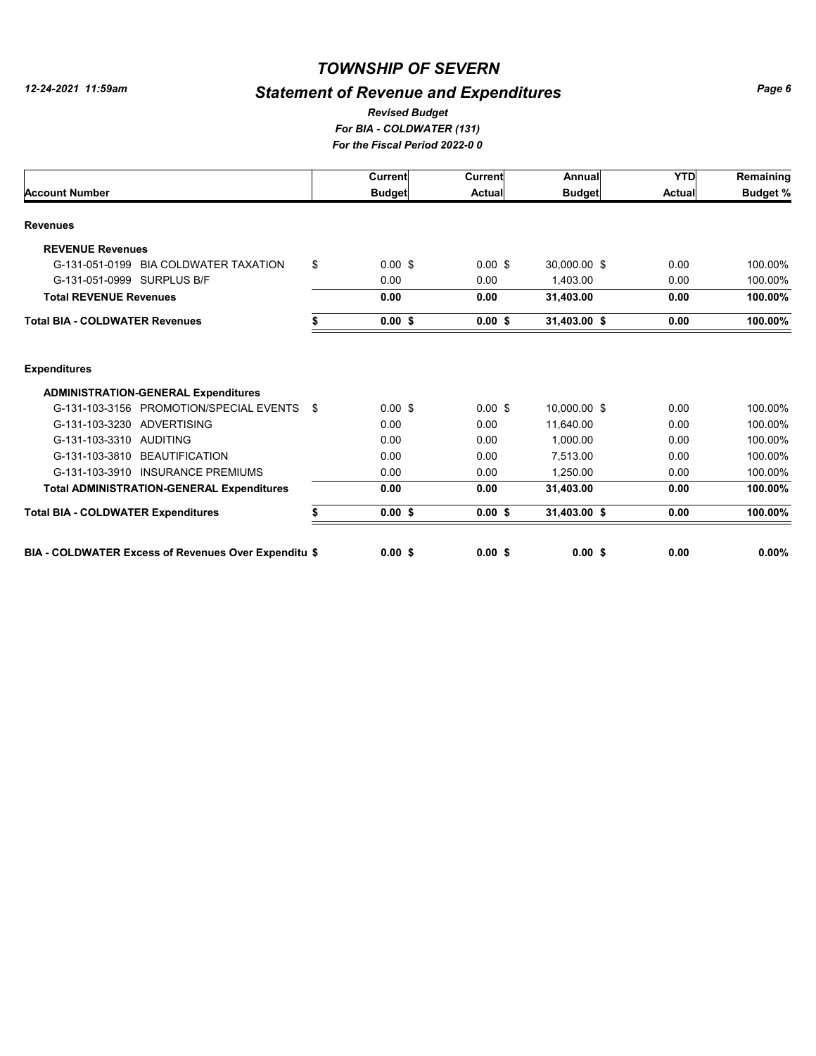# *Statement of Revenue and Expenditures*

#### *For BIA - COLDWATER (131) For the Fiscal Period 2022-0 0 Revised Budget*

|                                                      |      | Current            | <b>Current</b> | Annual        | <b>YTD</b>    | Remaining       |
|------------------------------------------------------|------|--------------------|----------------|---------------|---------------|-----------------|
| <b>Account Number</b>                                |      | <b>Budget</b>      | <b>Actual</b>  | <b>Budget</b> | <b>Actual</b> | <b>Budget %</b> |
| <b>Revenues</b>                                      |      |                    |                |               |               |                 |
| <b>REVENUE Revenues</b>                              |      |                    |                |               |               |                 |
| G-131-051-0199<br><b>BIA COLDWATER TAXATION</b>      | \$   | $0.00 \text{ }$ \$ | $0.00$ \$      | 30,000.00 \$  | 0.00          | 100.00%         |
| G-131-051-0999 SURPLUS B/F                           |      | 0.00               | 0.00           | 1.403.00      | 0.00          | 100.00%         |
| <b>Total REVENUE Revenues</b>                        |      | 0.00               | 0.00           | 31,403.00     | 0.00          | 100.00%         |
| <b>Total BIA - COLDWATER Revenues</b>                |      | $0.00$ \$          | $0.00$ \$      | 31,403.00 \$  | 0.00          | 100.00%         |
| <b>Expenditures</b>                                  |      |                    |                |               |               |                 |
| <b>ADMINISTRATION-GENERAL Expenditures</b>           |      |                    |                |               |               |                 |
| G-131-103-3156 PROMOTION/SPECIAL EVENTS              | - \$ | $0.00$ \$          | $0.00$ \$      | 10.000.00 \$  | 0.00          | 100.00%         |
| G-131-103-3230 ADVERTISING                           |      | 0.00               | 0.00           | 11.640.00     | 0.00          | 100.00%         |
| G-131-103-3310 AUDITING                              |      | 0.00               | 0.00           | 1.000.00      | 0.00          | 100.00%         |
| G-131-103-3810 BEAUTIFICATION                        |      | 0.00               | 0.00           | 7.513.00      | 0.00          | 100.00%         |
| G-131-103-3910 INSURANCE PREMIUMS                    |      | 0.00               | 0.00           | 1.250.00      | 0.00          | 100.00%         |
| <b>Total ADMINISTRATION-GENERAL Expenditures</b>     |      | 0.00               | 0.00           | 31,403.00     | 0.00          | 100.00%         |
| <b>Total BIA - COLDWATER Expenditures</b>            | S    | 0.00S              | 0.00S          | 31,403.00 \$  | 0.00          | 100.00%         |
| BIA - COLDWATER Excess of Revenues Over Expenditu \$ |      | 0.00S              | $0.00$ \$      | $0.00$ \$     | 0.00          | $0.00\%$        |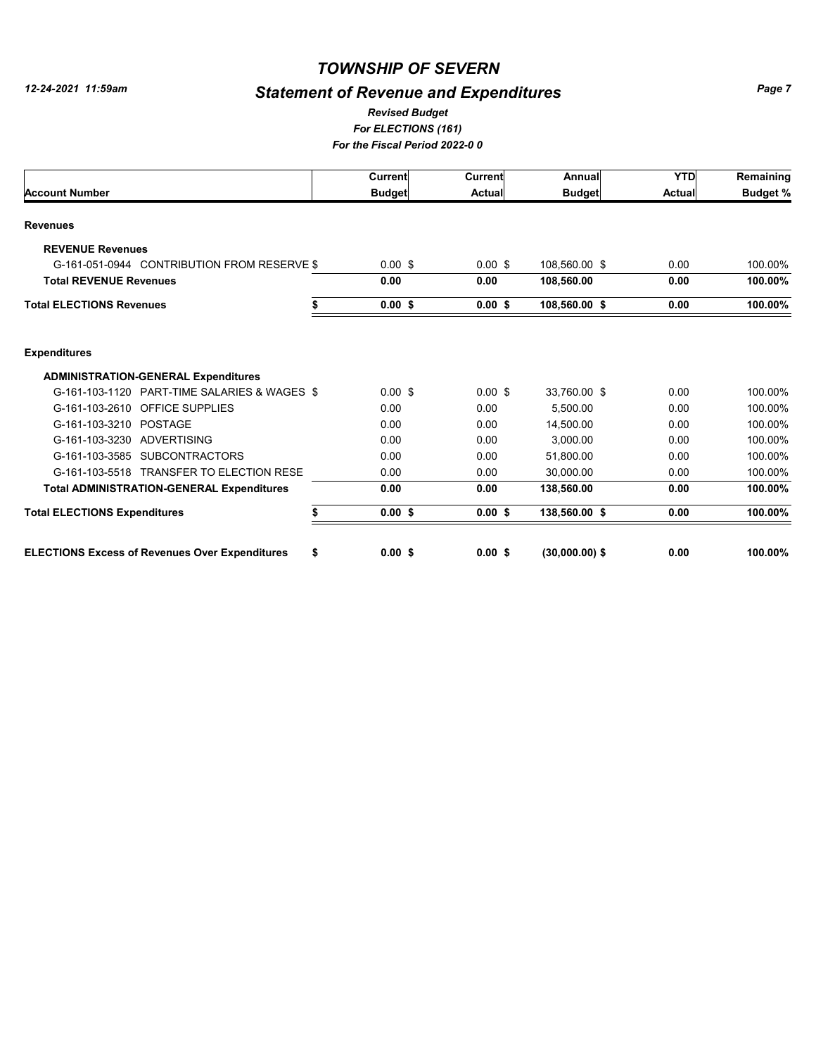# *Statement of Revenue and Expenditures*

#### *For ELECTIONS (161) For the Fiscal Period 2022-0 0 Revised Budget*

|                                                             | Current       | Current       | Annual           | <b>YTD</b>    | Remaining       |
|-------------------------------------------------------------|---------------|---------------|------------------|---------------|-----------------|
| <b>Account Number</b>                                       | <b>Budget</b> | <b>Actual</b> | <b>Budget</b>    | <b>Actual</b> | <b>Budget %</b> |
| <b>Revenues</b>                                             |               |               |                  |               |                 |
| <b>REVENUE Revenues</b>                                     |               |               |                  |               |                 |
| G-161-051-0944 CONTRIBUTION FROM RESERVE \$                 | $0.00$ \$     | $0.00$ \$     | 108.560.00 \$    | 0.00          | 100.00%         |
| <b>Total REVENUE Revenues</b>                               | 0.00          | 0.00          | 108,560.00       | 0.00          | 100.00%         |
| <b>Total ELECTIONS Revenues</b>                             | 0.00S         | 0.00S         | 108,560.00 \$    | 0.00          | 100.00%         |
| <b>Expenditures</b>                                         |               |               |                  |               |                 |
| <b>ADMINISTRATION-GENERAL Expenditures</b>                  |               |               |                  |               |                 |
| G-161-103-1120 PART-TIME SALARIES & WAGES \$                | $0.00$ \$     | $0.00$ \$     | 33,760.00 \$     | 0.00          | 100.00%         |
| G-161-103-2610<br><b>OFFICE SUPPLIES</b>                    | 0.00          | 0.00          | 5.500.00         | 0.00          | 100.00%         |
| G-161-103-3210 POSTAGE                                      | 0.00          | 0.00          | 14,500.00        | 0.00          | 100.00%         |
| G-161-103-3230 ADVERTISING                                  | 0.00          | 0.00          | 3,000.00         | 0.00          | 100.00%         |
| G-161-103-3585 SUBCONTRACTORS                               | 0.00          | 0.00          | 51,800.00        | 0.00          | 100.00%         |
| G-161-103-5518 TRANSFER TO ELECTION RESE                    | 0.00          | 0.00          | 30,000.00        | 0.00          | 100.00%         |
| <b>Total ADMINISTRATION-GENERAL Expenditures</b>            | 0.00          | 0.00          | 138,560.00       | 0.00          | 100.00%         |
| <b>Total ELECTIONS Expenditures</b><br>S                    | 0.00S         | 0.00S         | 138,560.00 \$    | 0.00          | 100.00%         |
| \$<br><b>ELECTIONS Excess of Revenues Over Expenditures</b> | 0.00S         | $0.00$ \$     | $(30.000.00)$ \$ | 0.00          | 100.00%         |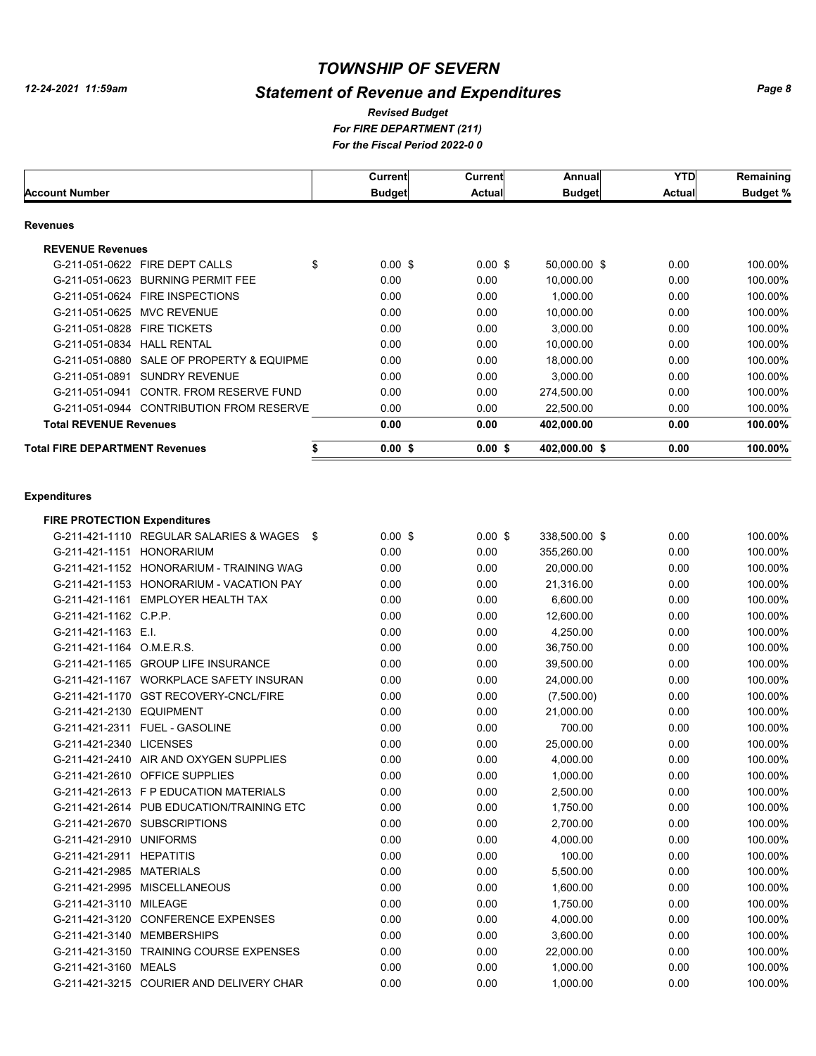# *Statement of Revenue and Expenditures*

#### *For FIRE DEPARTMENT (211) For the Fiscal Period 2022-0 0 Revised Budget*

|                                              | Current         | Current       | Annual        | <b>YTD</b>    | Remaining       |
|----------------------------------------------|-----------------|---------------|---------------|---------------|-----------------|
| Account Number                               | <b>Budget</b>   | <b>Actual</b> | <b>Budget</b> | <b>Actual</b> | <b>Budget %</b> |
| Revenues                                     |                 |               |               |               |                 |
| <b>REVENUE Revenues</b>                      |                 |               |               |               |                 |
| G-211-051-0622<br>FIRE DEPT CALLS            | \$<br>$0.00$ \$ | $0.00$ \$     | 50,000.00 \$  | 0.00          | 100.00%         |
| <b>BURNING PERMIT FEE</b><br>G-211-051-0623  | 0.00            | 0.00          | 10,000.00     | 0.00          | 100.00%         |
| G-211-051-0624 FIRE INSPECTIONS              | 0.00            | 0.00          | 1,000.00      | 0.00          | 100.00%         |
| <b>MVC REVENUE</b><br>G-211-051-0625         | 0.00            | 0.00          | 10.000.00     | 0.00          | 100.00%         |
| <b>FIRE TICKETS</b><br>G-211-051-0828        | 0.00            | 0.00          | 3,000.00      | 0.00          | 100.00%         |
| G-211-051-0834<br><b>HALL RENTAL</b>         | 0.00            | 0.00          | 10,000.00     | 0.00          | 100.00%         |
| SALE OF PROPERTY & EQUIPME<br>G-211-051-0880 | 0.00            | 0.00          | 18,000.00     | 0.00          | 100.00%         |
| G-211-051-0891<br><b>SUNDRY REVENUE</b>      | 0.00            | 0.00          | 3,000.00      | 0.00          | 100.00%         |
| CONTR. FROM RESERVE FUND<br>G-211-051-0941   | 0.00            | 0.00          | 274,500.00    | 0.00          | 100.00%         |
| G-211-051-0944 CONTRIBUTION FROM RESERVE     | 0.00            | 0.00          | 22,500.00     | 0.00          | 100.00%         |
| <b>Total REVENUE Revenues</b>                | 0.00            | 0.00          | 402,000.00    | 0.00          | 100.00%         |
| <b>Total FIRE DEPARTMENT Revenues</b>        | 0.00S           | $0.00$ \$     | 402,000.00 \$ | 0.00          | 100.00%         |
|                                              |                 |               |               |               |                 |

#### **Expenditures**

| <b>FIRE PROTECTION Expenditures</b> |                                           |                 |           |               |      |         |
|-------------------------------------|-------------------------------------------|-----------------|-----------|---------------|------|---------|
|                                     | G-211-421-1110 REGULAR SALARIES & WAGES   | \$<br>$0.00$ \$ | $0.00$ \$ | 338,500.00 \$ | 0.00 | 100.00% |
| G-211-421-1151                      | <b>HONORARIUM</b>                         | 0.00            | 0.00      | 355,260.00    | 0.00 | 100.00% |
|                                     | G-211-421-1152 HONORARIUM - TRAINING WAG  | 0.00            | 0.00      | 20,000.00     | 0.00 | 100.00% |
|                                     | G-211-421-1153 HONORARIUM - VACATION PAY  | 0.00            | 0.00      | 21,316.00     | 0.00 | 100.00% |
|                                     | G-211-421-1161 EMPLOYER HEALTH TAX        | 0.00            | 0.00      | 6,600.00      | 0.00 | 100.00% |
| G-211-421-1162 C.P.P.               |                                           | 0.00            | 0.00      | 12,600.00     | 0.00 | 100.00% |
| G-211-421-1163 E.I.                 |                                           | 0.00            | 0.00      | 4,250.00      | 0.00 | 100.00% |
| G-211-421-1164 O.M.E.R.S.           |                                           | 0.00            | 0.00      | 36,750.00     | 0.00 | 100.00% |
|                                     | G-211-421-1165 GROUP LIFE INSURANCE       | 0.00            | 0.00      | 39,500.00     | 0.00 | 100.00% |
|                                     | G-211-421-1167 WORKPLACE SAFETY INSURAN   | 0.00            | 0.00      | 24,000.00     | 0.00 | 100.00% |
|                                     | G-211-421-1170 GST RECOVERY-CNCL/FIRE     | 0.00            | 0.00      | (7,500.00)    | 0.00 | 100.00% |
| G-211-421-2130 EQUIPMENT            |                                           | 0.00            | 0.00      | 21,000.00     | 0.00 | 100.00% |
|                                     | G-211-421-2311 FUEL - GASOLINE            | 0.00            | 0.00      | 700.00        | 0.00 | 100.00% |
| G-211-421-2340 LICENSES             |                                           | 0.00            | 0.00      | 25,000.00     | 0.00 | 100.00% |
|                                     | G-211-421-2410 AIR AND OXYGEN SUPPLIES    | 0.00            | 0.00      | 4,000.00      | 0.00 | 100.00% |
|                                     | G-211-421-2610 OFFICE SUPPLIES            | 0.00            | 0.00      | 1,000.00      | 0.00 | 100.00% |
|                                     | G-211-421-2613 F P EDUCATION MATERIALS    | 0.00            | 0.00      | 2,500.00      | 0.00 | 100.00% |
|                                     | G-211-421-2614 PUB EDUCATION/TRAINING ETC | 0.00            | 0.00      | 1,750.00      | 0.00 | 100.00% |
|                                     | G-211-421-2670 SUBSCRIPTIONS              | 0.00            | 0.00      | 2,700.00      | 0.00 | 100.00% |
| G-211-421-2910 UNIFORMS             |                                           | 0.00            | 0.00      | 4,000.00      | 0.00 | 100.00% |
| G-211-421-2911                      | <b>HEPATITIS</b>                          | 0.00            | 0.00      | 100.00        | 0.00 | 100.00% |
| G-211-421-2985                      | <b>MATERIALS</b>                          | 0.00            | 0.00      | 5,500.00      | 0.00 | 100.00% |
| G-211-421-2995                      | <b>MISCELLANEOUS</b>                      | 0.00            | 0.00      | 1,600.00      | 0.00 | 100.00% |
| G-211-421-3110                      | MILEAGE                                   | 0.00            | 0.00      | 1,750.00      | 0.00 | 100.00% |
|                                     | G-211-421-3120 CONFERENCE EXPENSES        | 0.00            | 0.00      | 4,000.00      | 0.00 | 100.00% |
|                                     | G-211-421-3140 MEMBERSHIPS                | 0.00            | 0.00      | 3,600.00      | 0.00 | 100.00% |
|                                     | G-211-421-3150 TRAINING COURSE EXPENSES   | 0.00            | 0.00      | 22,000.00     | 0.00 | 100.00% |
| G-211-421-3160 MEALS                |                                           | 0.00            | 0.00      | 1,000.00      | 0.00 | 100.00% |
|                                     | G-211-421-3215 COURIER AND DELIVERY CHAR  | 0.00            | 0.00      | 1,000.00      | 0.00 | 100.00% |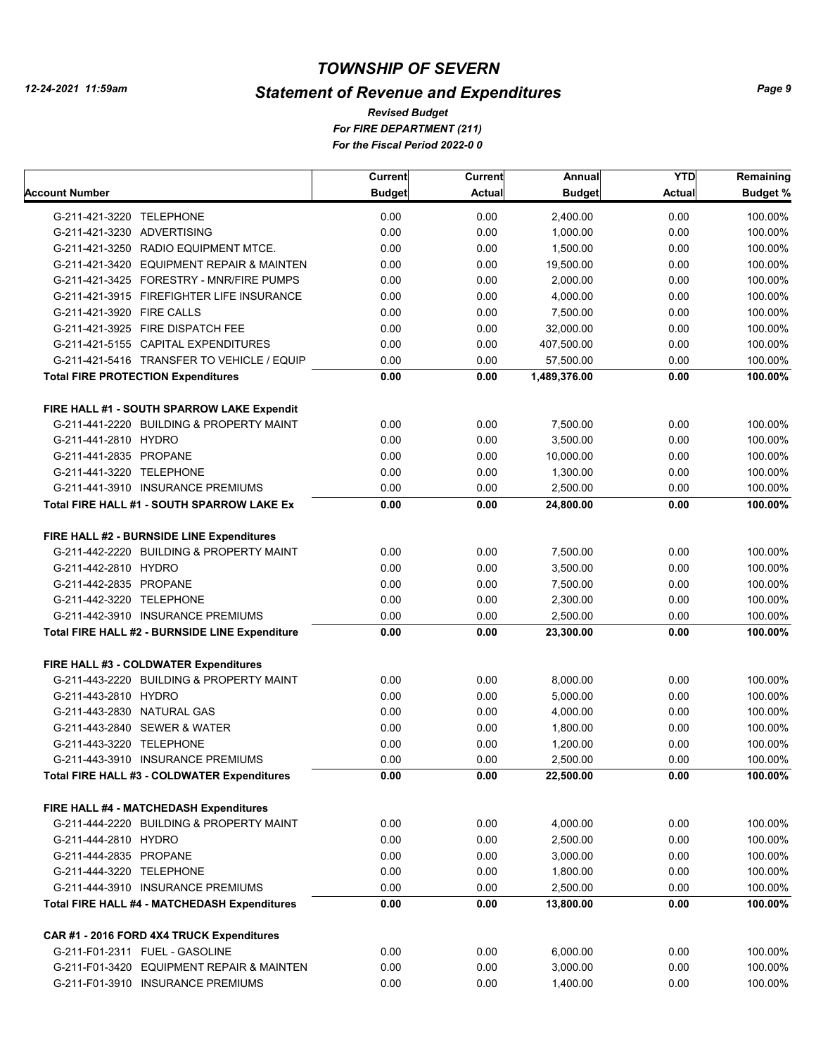# *Statement of Revenue and Expenditures*

*For FIRE DEPARTMENT (211) For the Fiscal Period 2022-0 0 Revised Budget*

|                                                     | Current       | Current       | Annual        | <b>YTD</b>    | Remaining       |
|-----------------------------------------------------|---------------|---------------|---------------|---------------|-----------------|
| Account Number                                      | <b>Budget</b> | <b>Actual</b> | <b>Budget</b> | <b>Actual</b> | <b>Budget %</b> |
| G-211-421-3220 TELEPHONE                            | 0.00          | 0.00          | 2,400.00      | 0.00          | 100.00%         |
| G-211-421-3230 ADVERTISING                          | 0.00          | 0.00          | 1,000.00      | 0.00          | 100.00%         |
| G-211-421-3250 RADIO EQUIPMENT MTCE.                | 0.00          | 0.00          | 1,500.00      | 0.00          | 100.00%         |
| G-211-421-3420 EQUIPMENT REPAIR & MAINTEN           | 0.00          | 0.00          | 19,500.00     | 0.00          | 100.00%         |
| G-211-421-3425 FORESTRY - MNR/FIRE PUMPS            | 0.00          | 0.00          | 2,000.00      | 0.00          | 100.00%         |
| G-211-421-3915 FIREFIGHTER LIFE INSURANCE           | 0.00          | 0.00          | 4,000.00      | 0.00          | 100.00%         |
| G-211-421-3920 FIRE CALLS                           | 0.00          | 0.00          | 7,500.00      | 0.00          | 100.00%         |
| G-211-421-3925 FIRE DISPATCH FEE                    | 0.00          | 0.00          | 32,000.00     | 0.00          | 100.00%         |
| G-211-421-5155 CAPITAL EXPENDITURES                 | 0.00          | 0.00          | 407,500.00    | 0.00          | 100.00%         |
| G-211-421-5416 TRANSFER TO VEHICLE / EQUIP          | 0.00          | 0.00          | 57,500.00     | 0.00          | 100.00%         |
| <b>Total FIRE PROTECTION Expenditures</b>           | 0.00          | 0.00          | 1,489,376.00  | 0.00          | 100.00%         |
| FIRE HALL #1 - SOUTH SPARROW LAKE Expendit          |               |               |               |               |                 |
| G-211-441-2220 BUILDING & PROPERTY MAINT            | 0.00          | 0.00          | 7,500.00      | 0.00          | 100.00%         |
| G-211-441-2810 HYDRO                                | 0.00          | 0.00          | 3,500.00      | 0.00          | 100.00%         |
| G-211-441-2835 PROPANE                              | 0.00          | 0.00          | 10,000.00     | 0.00          | 100.00%         |
| G-211-441-3220 TELEPHONE                            | 0.00          | 0.00          | 1,300.00      | 0.00          | 100.00%         |
| G-211-441-3910 INSURANCE PREMIUMS                   | 0.00          | 0.00          | 2,500.00      | 0.00          | 100.00%         |
| Total FIRE HALL #1 - SOUTH SPARROW LAKE Ex          | 0.00          | 0.00          | 24,800.00     | 0.00          | 100.00%         |
|                                                     |               |               |               |               |                 |
| FIRE HALL #2 - BURNSIDE LINE Expenditures           |               |               |               |               |                 |
| G-211-442-2220 BUILDING & PROPERTY MAINT            | 0.00          | 0.00          | 7,500.00      | 0.00          | 100.00%         |
| G-211-442-2810 HYDRO                                | 0.00          | 0.00          | 3,500.00      | 0.00          | 100.00%         |
| G-211-442-2835 PROPANE                              | 0.00          | 0.00          | 7,500.00      | 0.00          | 100.00%         |
| G-211-442-3220 TELEPHONE                            | 0.00          | 0.00          | 2,300.00      | 0.00          | 100.00%         |
| G-211-442-3910 INSURANCE PREMIUMS                   | 0.00          | 0.00          | 2,500.00      | 0.00          | 100.00%         |
| Total FIRE HALL #2 - BURNSIDE LINE Expenditure      | 0.00          | 0.00          | 23,300.00     | 0.00          | 100.00%         |
| FIRE HALL #3 - COLDWATER Expenditures               |               |               |               |               |                 |
| G-211-443-2220 BUILDING & PROPERTY MAINT            | 0.00          | 0.00          | 8,000.00      | 0.00          | 100.00%         |
| G-211-443-2810 HYDRO                                | 0.00          | 0.00          | 5,000.00      | 0.00          | 100.00%         |
| G-211-443-2830 NATURAL GAS                          | 0.00          | 0.00          | 4,000.00      | 0.00          | 100.00%         |
| G-211-443-2840 SEWER & WATER                        | 0.00          | 0.00          | 1,800.00      | 0.00          | 100.00%         |
| G-211-443-3220 TELEPHONE                            | 0.00          | 0.00          | 1,200.00      | 0.00          | 100.00%         |
| G-211-443-3910 INSURANCE PREMIUMS                   | 0.00          | 0.00          | 2,500.00      | 0.00          | 100.00%         |
| Total FIRE HALL #3 - COLDWATER Expenditures         | 0.00          | 0.00          | 22,500.00     | 0.00          | 100.00%         |
| FIRE HALL #4 - MATCHEDASH Expenditures              |               |               |               |               |                 |
| G-211-444-2220 BUILDING & PROPERTY MAINT            | 0.00          | 0.00          | 4,000.00      | 0.00          | 100.00%         |
| G-211-444-2810 HYDRO                                | 0.00          | 0.00          | 2,500.00      | 0.00          | 100.00%         |
| G-211-444-2835 PROPANE                              | 0.00          | 0.00          | 3,000.00      | 0.00          | 100.00%         |
| G-211-444-3220 TELEPHONE                            | 0.00          | 0.00          | 1,800.00      | 0.00          | 100.00%         |
| G-211-444-3910 INSURANCE PREMIUMS                   | 0.00          | 0.00          | 2,500.00      | 0.00          | 100.00%         |
| <b>Total FIRE HALL #4 - MATCHEDASH Expenditures</b> | 0.00          | 0.00          | 13,800.00     | 0.00          | 100.00%         |
|                                                     |               |               |               |               |                 |
| CAR #1 - 2016 FORD 4X4 TRUCK Expenditures           |               |               |               |               |                 |
| G-211-F01-2311 FUEL - GASOLINE                      | 0.00          | 0.00          | 6,000.00      | 0.00          | 100.00%         |
| G-211-F01-3420 EQUIPMENT REPAIR & MAINTEN           | 0.00          | 0.00          | 3,000.00      | 0.00          | 100.00%         |
| G-211-F01-3910 INSURANCE PREMIUMS                   | 0.00          | 0.00          | 1,400.00      | 0.00          | 100.00%         |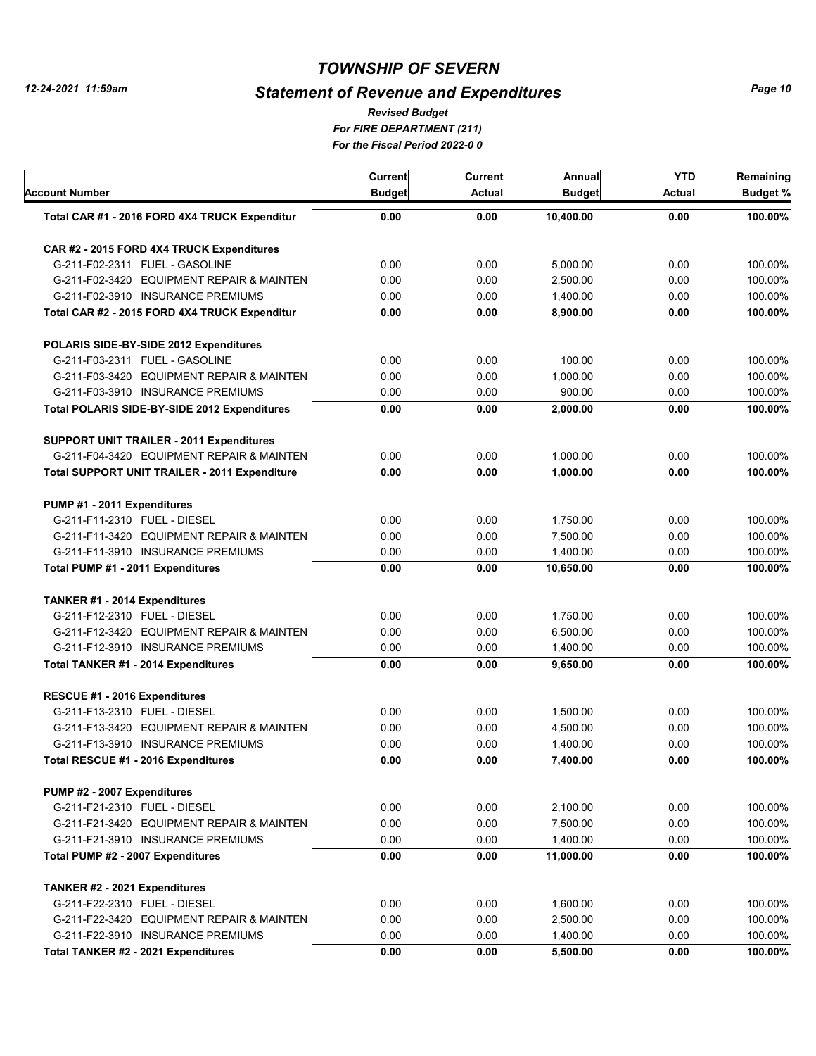# *Statement of Revenue and Expenditures*

*For FIRE DEPARTMENT (211) For the Fiscal Period 2022-0 0 Revised Budget*

| Account Number                                       | Current<br><b>Budget</b> | Current<br>Actual | Annual<br><b>Budget</b> | <b>YTD</b><br><b>Actual</b> | Remaining<br><b>Budget %</b> |
|------------------------------------------------------|--------------------------|-------------------|-------------------------|-----------------------------|------------------------------|
| Total CAR #1 - 2016 FORD 4X4 TRUCK Expenditur        | 0.00                     | 0.00              | 10,400.00               | 0.00                        | 100.00%                      |
| CAR #2 - 2015 FORD 4X4 TRUCK Expenditures            |                          |                   |                         |                             |                              |
| G-211-F02-2311 FUEL - GASOLINE                       | 0.00                     | 0.00              | 5,000.00                | 0.00                        | 100.00%                      |
| G-211-F02-3420 EQUIPMENT REPAIR & MAINTEN            | 0.00                     | 0.00              | 2,500.00                | 0.00                        | 100.00%                      |
| G-211-F02-3910 INSURANCE PREMIUMS                    | 0.00                     | 0.00              | 1,400.00                | 0.00                        | 100.00%                      |
| Total CAR #2 - 2015 FORD 4X4 TRUCK Expenditur        | 0.00                     | 0.00              | 8,900.00                | 0.00                        | 100.00%                      |
| POLARIS SIDE-BY-SIDE 2012 Expenditures               |                          |                   |                         |                             |                              |
| G-211-F03-2311 FUEL - GASOLINE                       | 0.00                     | 0.00              | 100.00                  | 0.00                        | 100.00%                      |
| G-211-F03-3420 EQUIPMENT REPAIR & MAINTEN            | 0.00                     | 0.00              | 1,000.00                | 0.00                        | 100.00%                      |
| G-211-F03-3910 INSURANCE PREMIUMS                    | 0.00                     | 0.00              | 900.00                  | 0.00                        | 100.00%                      |
| Total POLARIS SIDE-BY-SIDE 2012 Expenditures         | 0.00                     | 0.00              | 2,000.00                | 0.00                        | 100.00%                      |
| <b>SUPPORT UNIT TRAILER - 2011 Expenditures</b>      |                          |                   |                         |                             |                              |
| G-211-F04-3420 EQUIPMENT REPAIR & MAINTEN            | 0.00                     | 0.00              | 1,000.00                | 0.00                        | 100.00%                      |
| <b>Total SUPPORT UNIT TRAILER - 2011 Expenditure</b> | 0.00                     | 0.00              | 1,000.00                | 0.00                        | 100.00%                      |
| PUMP #1 - 2011 Expenditures                          |                          |                   |                         |                             |                              |
| G-211-F11-2310 FUEL - DIESEL                         | 0.00                     | 0.00              | 1.750.00                | 0.00                        | 100.00%                      |
| G-211-F11-3420 EQUIPMENT REPAIR & MAINTEN            | 0.00                     | 0.00              | 7,500.00                | 0.00                        | 100.00%                      |
| G-211-F11-3910 INSURANCE PREMIUMS                    | 0.00                     | 0.00              | 1,400.00                | 0.00                        | 100.00%                      |
| Total PUMP #1 - 2011 Expenditures                    | 0.00                     | 0.00              | 10,650.00               | 0.00                        | 100.00%                      |
| TANKER #1 - 2014 Expenditures                        |                          |                   |                         |                             |                              |
| G-211-F12-2310 FUEL - DIESEL                         | 0.00                     | 0.00              | 1,750.00                | 0.00                        | 100.00%                      |
| G-211-F12-3420 EQUIPMENT REPAIR & MAINTEN            | 0.00                     | 0.00              | 6,500.00                | 0.00                        | 100.00%                      |
| G-211-F12-3910 INSURANCE PREMIUMS                    | 0.00                     | 0.00              | 1,400.00                | 0.00                        | 100.00%                      |
| Total TANKER #1 - 2014 Expenditures                  | 0.00                     | 0.00              | 9,650.00                | 0.00                        | 100.00%                      |
| RESCUE #1 - 2016 Expenditures                        |                          |                   |                         |                             |                              |
| G-211-F13-2310 FUEL - DIESEL                         | 0.00                     | 0.00              | 1,500.00                | 0.00                        | 100.00%                      |
| G-211-F13-3420 EQUIPMENT REPAIR & MAINTEN            | 0.00                     | 0.00              | 4,500.00                | 0.00                        | 100.00%                      |
| G-211-F13-3910 INSURANCE PREMIUMS                    | 0.00                     | 0.00              | 1,400.00                | 0.00                        | 100.00%                      |
| Total RESCUE #1 - 2016 Expenditures                  | 0.00                     | 0.00              | 7,400.00                | 0.00                        | 100.00%                      |
| PUMP #2 - 2007 Expenditures                          |                          |                   |                         |                             |                              |
| G-211-F21-2310 FUEL - DIESEL                         | 0.00                     | 0.00              | 2,100.00                | 0.00                        | 100.00%                      |
| G-211-F21-3420 EQUIPMENT REPAIR & MAINTEN            | 0.00                     | 0.00              | 7,500.00                | 0.00                        | 100.00%                      |
| G-211-F21-3910 INSURANCE PREMIUMS                    | 0.00                     | 0.00              | 1,400.00                | 0.00                        | 100.00%                      |
| Total PUMP #2 - 2007 Expenditures                    | 0.00                     | 0.00              | 11,000.00               | 0.00                        | 100.00%                      |
| TANKER #2 - 2021 Expenditures                        |                          |                   |                         |                             |                              |
| G-211-F22-2310 FUEL - DIESEL                         | 0.00                     | 0.00              | 1,600.00                | 0.00                        | 100.00%                      |
| G-211-F22-3420 EQUIPMENT REPAIR & MAINTEN            | 0.00                     | 0.00              | 2,500.00                | 0.00                        | 100.00%                      |
| G-211-F22-3910 INSURANCE PREMIUMS                    | 0.00                     | 0.00              | 1,400.00                | 0.00                        | 100.00%                      |
| Total TANKER #2 - 2021 Expenditures                  | 0.00                     | 0.00              | 5,500.00                | 0.00                        | 100.00%                      |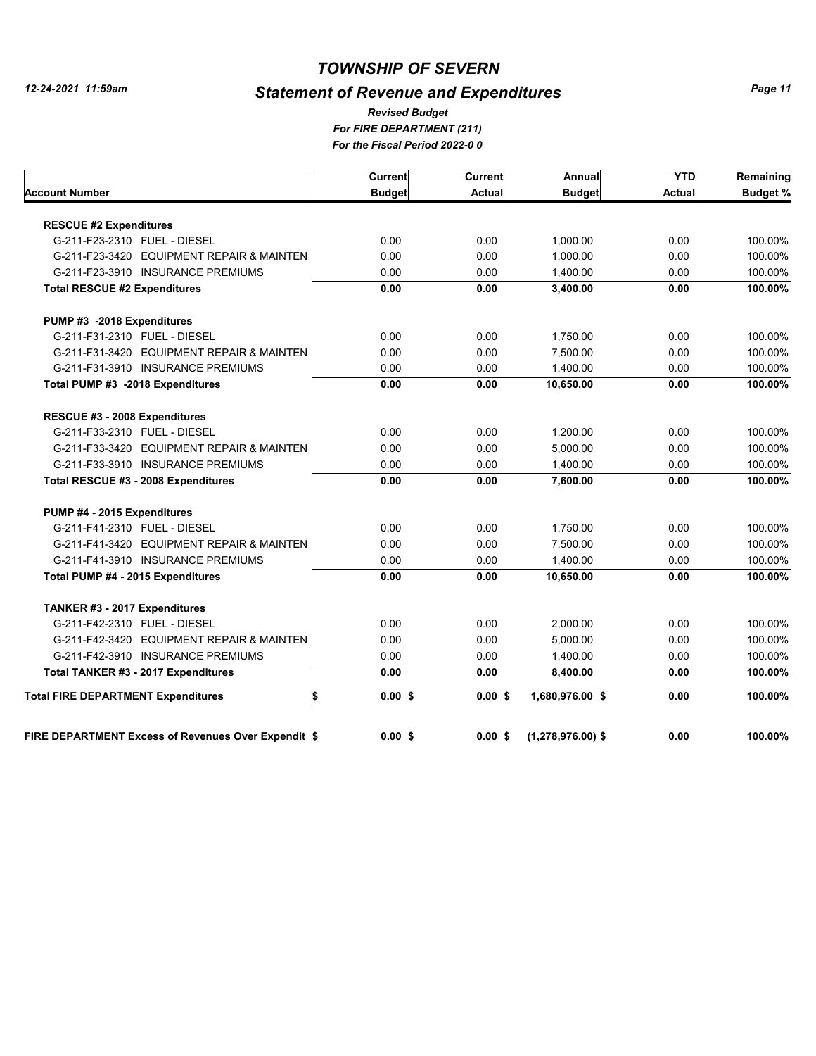# *Statement of Revenue and Expenditures*

*For FIRE DEPARTMENT (211) For the Fiscal Period 2022-0 0 Revised Budget*

|                                                     | Current       | Current       | Annual              | <b>YTD</b>    | Remaining       |
|-----------------------------------------------------|---------------|---------------|---------------------|---------------|-----------------|
| Account Number                                      | <b>Budget</b> | <b>Actual</b> | <b>Budget</b>       | <b>Actual</b> | <b>Budget %</b> |
|                                                     |               |               |                     |               |                 |
| <b>RESCUE #2 Expenditures</b>                       |               |               |                     |               |                 |
| G-211-F23-2310 FUEL - DIESEL                        | 0.00          | 0.00          | 1,000.00            | 0.00          | 100.00%         |
| G-211-F23-3420 EQUIPMENT REPAIR & MAINTEN           | 0.00          | 0.00          | 1.000.00            | 0.00          | 100.00%         |
| G-211-F23-3910 INSURANCE PREMIUMS                   | 0.00          | 0.00          | 1,400.00            | 0.00          | 100.00%         |
| <b>Total RESCUE #2 Expenditures</b>                 | 0.00          | 0.00          | 3,400.00            | 0.00          | 100.00%         |
| PUMP #3 -2018 Expenditures                          |               |               |                     |               |                 |
| G-211-F31-2310 FUEL - DIESEL                        | 0.00          | 0.00          | 1,750.00            | 0.00          | 100.00%         |
| G-211-F31-3420 EQUIPMENT REPAIR & MAINTEN           | 0.00          | 0.00          | 7,500.00            | 0.00          | 100.00%         |
| G-211-F31-3910 INSURANCE PREMIUMS                   | 0.00          | 0.00          | 1,400.00            | 0.00          | 100.00%         |
| Total PUMP #3 -2018 Expenditures                    | 0.00          | 0.00          | 10,650.00           | 0.00          | 100.00%         |
| RESCUE #3 - 2008 Expenditures                       |               |               |                     |               |                 |
| G-211-F33-2310 FUEL - DIESEL                        | 0.00          | 0.00          | 1,200.00            | 0.00          | 100.00%         |
| G-211-F33-3420 EQUIPMENT REPAIR & MAINTEN           | 0.00          | 0.00          | 5.000.00            | 0.00          | 100.00%         |
| G-211-F33-3910 INSURANCE PREMIUMS                   | 0.00          | 0.00          | 1,400.00            | 0.00          | 100.00%         |
| Total RESCUE #3 - 2008 Expenditures                 | 0.00          | 0.00          | 7.600.00            | 0.00          | 100.00%         |
| PUMP #4 - 2015 Expenditures                         |               |               |                     |               |                 |
| G-211-F41-2310 FUEL - DIESEL                        | 0.00          | 0.00          | 1,750.00            | 0.00          | 100.00%         |
| G-211-F41-3420 EQUIPMENT REPAIR & MAINTEN           | 0.00          | 0.00          | 7,500.00            | 0.00          | 100.00%         |
| G-211-F41-3910 INSURANCE PREMIUMS                   | 0.00          | 0.00          | 1,400.00            | 0.00          | 100.00%         |
| Total PUMP #4 - 2015 Expenditures                   | 0.00          | 0.00          | 10,650.00           | 0.00          | 100.00%         |
| TANKER #3 - 2017 Expenditures                       |               |               |                     |               |                 |
| G-211-F42-2310 FUEL - DIESEL                        | 0.00          | 0.00          | 2,000.00            | 0.00          | 100.00%         |
| G-211-F42-3420 EQUIPMENT REPAIR & MAINTEN           | 0.00          | 0.00          | 5,000.00            | 0.00          | 100.00%         |
| G-211-F42-3910 INSURANCE PREMIUMS                   | 0.00          | 0.00          | 1,400.00            | 0.00          | 100.00%         |
| Total TANKER #3 - 2017 Expenditures                 | 0.00          | 0.00          | 8,400.00            | 0.00          | 100.00%         |
| <b>Total FIRE DEPARTMENT Expenditures</b><br>\$     | $0.00$ \$     | 0.00S         | 1,680,976.00 \$     | 0.00          | 100.00%         |
|                                                     |               |               |                     |               |                 |
| FIRE DEPARTMENT Excess of Revenues Over Expendit \$ | 0.00S         | $0.00$ \$     | $(1,278,976.00)$ \$ | 0.00          | 100.00%         |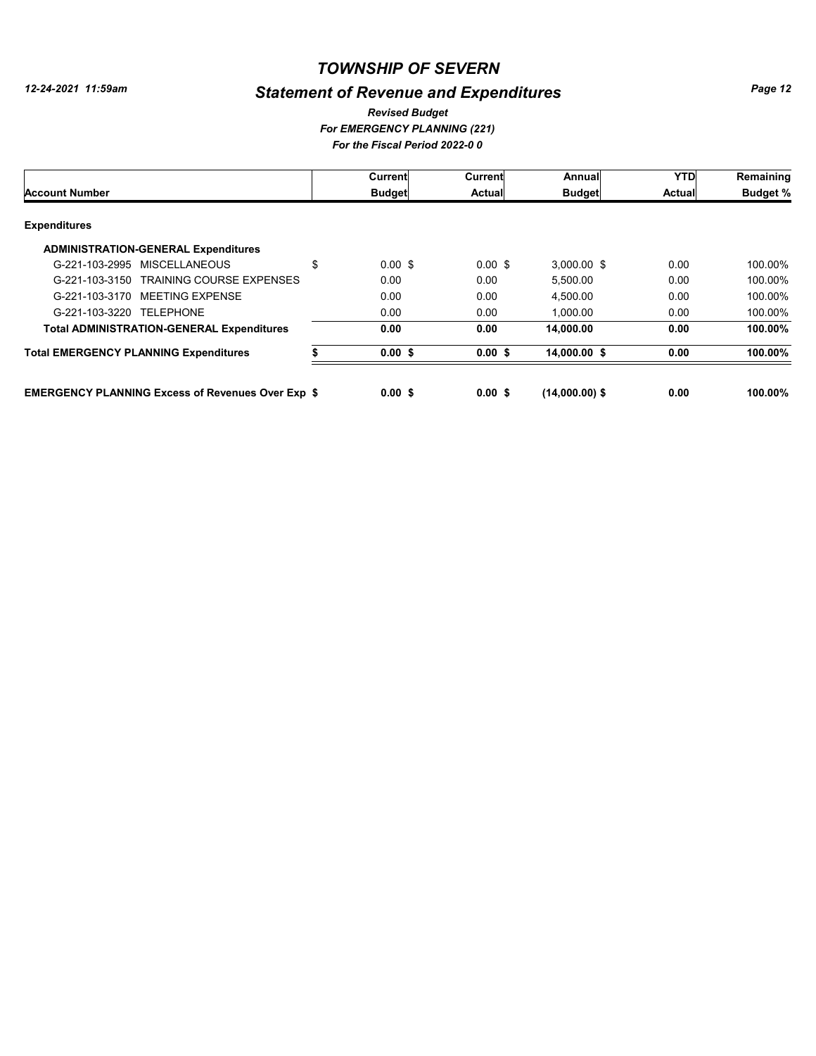# *Statement of Revenue and Expenditures*

*For EMERGENCY PLANNING (221) For the Fiscal Period 2022-0 0 Revised Budget*

| <b>Account Number</b>                                    |    | Current            | Current   | Annual           | <b>YTD</b> | Remaining       |
|----------------------------------------------------------|----|--------------------|-----------|------------------|------------|-----------------|
|                                                          |    | <b>Budget</b>      | Actual    | <b>Budget</b>    | Actual     | <b>Budget %</b> |
| <b>Expenditures</b>                                      |    |                    |           |                  |            |                 |
| <b>ADMINISTRATION-GENERAL Expenditures</b>               |    |                    |           |                  |            |                 |
| G-221-103-2995 MISCELLANEOUS                             | \$ | $0.00 \text{ }$ \$ | $0.00$ \$ | $3.000.00$ \$    | 0.00       | 100.00%         |
| <b>TRAINING COURSE EXPENSES</b><br>G-221-103-3150        |    | 0.00               | 0.00      | 5.500.00         | 0.00       | 100.00%         |
| G-221-103-3170 MEETING EXPENSE                           |    | 0.00               | 0.00      | 4.500.00         | 0.00       | 100.00%         |
| G-221-103-3220<br><b>TELEPHONE</b>                       |    | 0.00               | 0.00      | 1.000.00         | 0.00       | 100.00%         |
| <b>Total ADMINISTRATION-GENERAL Expenditures</b>         |    | 0.00               | 0.00      | 14.000.00        | 0.00       | 100.00%         |
| <b>Total EMERGENCY PLANNING Expenditures</b>             |    | 0.00S              | 0.00S     | 14.000.00 \$     | 0.00       | 100.00%         |
| <b>EMERGENCY PLANNING Excess of Revenues Over Exp \$</b> |    | 0.00S              | 0.00 S    | $(14,000.00)$ \$ | 0.00       | 100.00%         |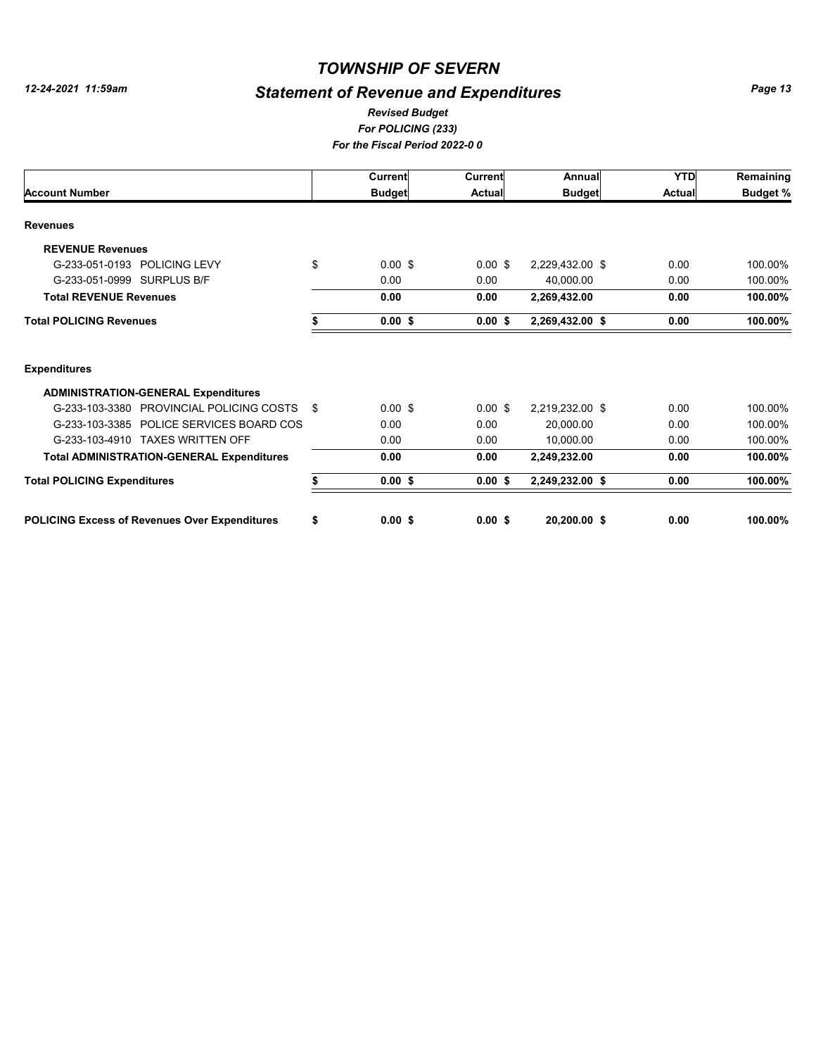# *Statement of Revenue and Expenditures*

#### *For POLICING (233) For the Fiscal Period 2022-0 0 Revised Budget*

|                                                      |    | Current            | <b>Current</b> | Annual          | <b>YTD</b>    | Remaining       |
|------------------------------------------------------|----|--------------------|----------------|-----------------|---------------|-----------------|
| <b>Account Number</b>                                |    | <b>Budget</b>      | <b>Actual</b>  | <b>Budget</b>   | <b>Actual</b> | <b>Budget %</b> |
| <b>Revenues</b>                                      |    |                    |                |                 |               |                 |
| <b>REVENUE Revenues</b>                              |    |                    |                |                 |               |                 |
| G-233-051-0193 POLICING LEVY                         | \$ | $0.00 \text{ }$ \$ | $0.00$ \$      | 2,229,432.00 \$ | 0.00          | 100.00%         |
| G-233-051-0999 SURPLUS B/F                           |    | 0.00               | 0.00           | 40,000.00       | 0.00          | 100.00%         |
| <b>Total REVENUE Revenues</b>                        |    | 0.00               | 0.00           | 2,269,432.00    | 0.00          | 100.00%         |
| <b>Total POLICING Revenues</b>                       |    | $0.00$ \$          | $0.00$ \$      | 2,269,432.00 \$ | 0.00          | 100.00%         |
| <b>Expenditures</b>                                  |    |                    |                |                 |               |                 |
| <b>ADMINISTRATION-GENERAL Expenditures</b>           |    |                    |                |                 |               |                 |
| G-233-103-3380 PROVINCIAL POLICING COSTS             | \$ | $0.00$ \$          | $0.00$ \$      | 2,219,232.00 \$ | 0.00          | 100.00%         |
| G-233-103-3385 POLICE SERVICES BOARD COS             |    | 0.00               | 0.00           | 20,000.00       | 0.00          | 100.00%         |
| G-233-103-4910 TAXES WRITTEN OFF                     |    | 0.00               | 0.00           | 10,000.00       | 0.00          | 100.00%         |
| <b>Total ADMINISTRATION-GENERAL Expenditures</b>     |    | 0.00               | 0.00           | 2,249,232.00    | 0.00          | 100.00%         |
| <b>Total POLICING Expenditures</b>                   | \$ | $0.00$ \$          | $0.00$ \$      | 2,249,232.00 \$ | 0.00          | 100.00%         |
| <b>POLICING Excess of Revenues Over Expenditures</b> | \$ | 0.00S              | $0.00$ \$      | 20,200.00 \$    | 0.00          | 100.00%         |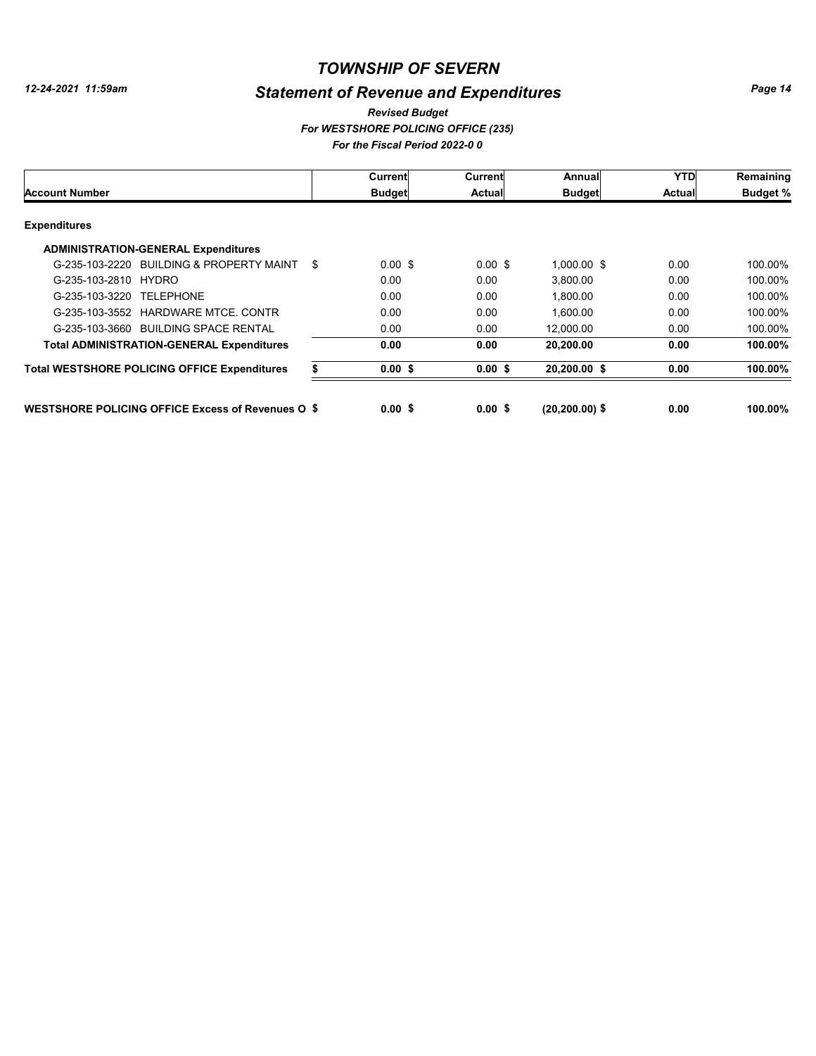# *Statement of Revenue and Expenditures*

#### *For WESTSHORE POLICING OFFICE (235) For the Fiscal Period 2022-0 0 Revised Budget*

|                                                          |    | Current       | Current            | Annual            | <b>YTD</b>    | Remaining       |
|----------------------------------------------------------|----|---------------|--------------------|-------------------|---------------|-----------------|
| <b>Account Number</b>                                    |    | <b>Budget</b> | Actual             | <b>Budget</b>     | <b>Actual</b> | <b>Budget %</b> |
| <b>Expenditures</b>                                      |    |               |                    |                   |               |                 |
| <b>ADMINISTRATION-GENERAL Expenditures</b>               |    |               |                    |                   |               |                 |
| G-235-103-2220 BUILDING & PROPERTY MAINT                 | \$ | $0.00$ \$     | $0.00 \text{ }$ \$ | $1.000.00$ \$     | 0.00          | 100.00%         |
| G-235-103-2810 HYDRO                                     |    | 0.00          | 0.00               | 3,800.00          | 0.00          | 100.00%         |
| G-235-103-3220 TELEPHONE                                 |    | 0.00          | 0.00               | 1,800.00          | 0.00          | 100.00%         |
| G-235-103-3552 HARDWARE MTCE, CONTR                      |    | 0.00          | 0.00               | 1.600.00          | 0.00          | 100.00%         |
| G-235-103-3660 BUILDING SPACE RENTAL                     |    | 0.00          | 0.00               | 12.000.00         | 0.00          | 100.00%         |
| <b>Total ADMINISTRATION-GENERAL Expenditures</b>         |    | 0.00          | 0.00               | 20,200.00         | 0.00          | 100.00%         |
| <b>Total WESTSHORE POLICING OFFICE Expenditures</b>      |    | $0.00$ \$     | 0.00S              | 20,200.00 \$      | 0.00          | 100.00%         |
| <b>WESTSHORE POLICING OFFICE Excess of Revenues O \$</b> |    | 0.00S         | 0.00 S             | $(20, 200.00)$ \$ | 0.00          | 100.00%         |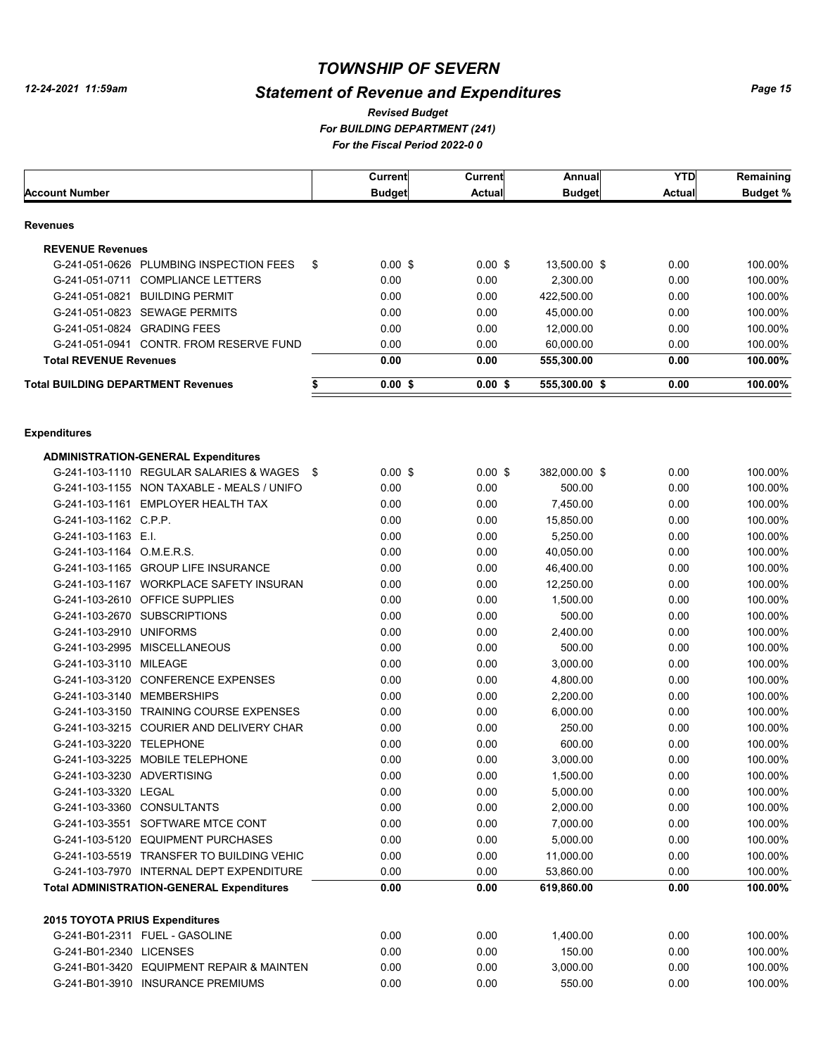# *Statement of Revenue and Expenditures*

*For BUILDING DEPARTMENT (241) For the Fiscal Period 2022-0 0 Revised Budget*

| <b>Budget %</b><br><b>Budget</b><br><b>Actual</b><br><b>Budget</b><br>Actual<br><b>Revenues</b><br><b>REVENUE Revenues</b><br>\$<br>$0.00$ \$<br>G-241-051-0626 PLUMBING INSPECTION FEES<br>$0.00$ \$<br>13,500.00 \$<br>0.00<br>100.00%<br>0.00<br>0.00<br>G-241-051-0711 COMPLIANCE LETTERS<br>0.00<br>2,300.00<br>100.00%<br>G-241-051-0821 BUILDING PERMIT<br>0.00<br>0.00<br>422,500.00<br>0.00<br>100.00%<br>G-241-051-0823 SEWAGE PERMITS<br>0.00<br>0.00<br>45,000.00<br>0.00<br>100.00%<br>G-241-051-0824 GRADING FEES<br>0.00<br>0.00<br>0.00<br>100.00%<br>12,000.00<br>G-241-051-0941 CONTR, FROM RESERVE FUND<br>0.00<br>0.00<br>60,000.00<br>0.00<br>100.00%<br><b>Total REVENUE Revenues</b><br>100.00%<br>0.00<br>0.00<br>555,300.00<br>0.00<br>\$<br>$0.00$ \$<br>$0.00$ \$<br>100.00%<br><b>Total BUILDING DEPARTMENT Revenues</b><br>555,300.00 \$<br>0.00<br><b>Expenditures</b><br><b>ADMINISTRATION-GENERAL Expenditures</b><br>$0.00$ \$<br>$0.00$ \$<br>0.00<br>G-241-103-1110 REGULAR SALARIES & WAGES \$<br>382,000.00 \$<br>100.00%<br>G-241-103-1155 NON TAXABLE - MEALS / UNIFO<br>0.00<br>0.00<br>500.00<br>0.00<br>100.00%<br>G-241-103-1161 EMPLOYER HEALTH TAX<br>0.00<br>0.00<br>0.00<br>7,450.00<br>100.00%<br>G-241-103-1162 C.P.P.<br>0.00<br>0.00<br>0.00<br>15,850.00<br>100.00%<br>G-241-103-1163 E.I.<br>0.00<br>0.00<br>0.00<br>5,250.00<br>100.00%<br>G-241-103-1164 O.M.E.R.S.<br>0.00<br>0.00<br>0.00<br>40,050.00<br>100.00%<br>G-241-103-1165 GROUP LIFE INSURANCE<br>0.00<br>0.00<br>0.00<br>46,400.00<br>100.00%<br>G-241-103-1167 WORKPLACE SAFETY INSURAN<br>0.00<br>0.00<br>0.00<br>12,250.00<br>100.00%<br>G-241-103-2610 OFFICE SUPPLIES<br>0.00<br>0.00<br>0.00<br>1,500.00<br>100.00%<br>G-241-103-2670 SUBSCRIPTIONS<br>0.00<br>500.00<br>0.00<br>0.00<br>100.00%<br>G-241-103-2910 UNIFORMS<br>0.00<br>0.00<br>0.00<br>2,400.00<br>100.00%<br>G-241-103-2995 MISCELLANEOUS<br>0.00<br>0.00<br>0.00<br>500.00<br>100.00%<br>G-241-103-3110 MILEAGE<br>0.00<br>0.00<br>0.00<br>3,000.00<br>100.00%<br>G-241-103-3120 CONFERENCE EXPENSES<br>0.00<br>0.00<br>0.00<br>4,800.00<br>100.00%<br>G-241-103-3140 MEMBERSHIPS<br>0.00<br>0.00<br>0.00<br>2,200.00<br>100.00%<br>G-241-103-3150 TRAINING COURSE EXPENSES<br>0.00<br>0.00<br>0.00<br>6,000.00<br>100.00%<br>G-241-103-3215 COURIER AND DELIVERY CHAR<br>0.00<br>0.00<br>0.00<br>250.00<br>100.00%<br>G-241-103-3220 TELEPHONE<br>0.00<br>0.00<br>0.00<br>600.00<br>100.00%<br>G-241-103-3225 MOBILE TELEPHONE<br>0.00<br>0.00<br>3,000.00<br>0.00<br>100.00%<br>0.00<br>G-241-103-3230 ADVERTISING<br>0.00<br>0.00<br>1,500.00<br>100.00%<br>G-241-103-3320 LEGAL<br>0.00<br>0.00<br>0.00<br>5,000.00<br>100.00%<br>G-241-103-3360 CONSULTANTS<br>0.00<br>0.00<br>0.00<br>2,000.00<br>100.00%<br>0.00<br>G-241-103-3551 SOFTWARE MTCE CONT<br>0.00<br>0.00<br>7,000.00<br>100.00%<br>0.00<br>G-241-103-5120 EQUIPMENT PURCHASES<br>0.00<br>0.00<br>5,000.00<br>100.00%<br>0.00<br>G-241-103-5519 TRANSFER TO BUILDING VEHIC<br>0.00<br>0.00<br>11,000.00<br>100.00%<br>0.00<br>G-241-103-7970 INTERNAL DEPT EXPENDITURE<br>0.00<br>0.00<br>53,860.00<br>100.00%<br>100.00%<br><b>Total ADMINISTRATION-GENERAL Expenditures</b><br>0.00<br>0.00<br>619,860.00<br>0.00<br>2015 TOYOTA PRIUS Expenditures<br>G-241-B01-2311 FUEL - GASOLINE<br>0.00<br>0.00<br>1,400.00<br>0.00<br>100.00%<br>0.00<br>0.00<br>G-241-B01-2340 LICENSES<br>0.00<br>150.00<br>100.00%<br>0.00<br>G-241-B01-3420 EQUIPMENT REPAIR & MAINTEN<br>0.00<br>0.00<br>3,000.00<br>100.00%<br>G-241-B01-3910 INSURANCE PREMIUMS |                |  | <b>Current</b> | <b>Current</b> | Annual | <b>YTD</b> | Remaining |
|----------------------------------------------------------------------------------------------------------------------------------------------------------------------------------------------------------------------------------------------------------------------------------------------------------------------------------------------------------------------------------------------------------------------------------------------------------------------------------------------------------------------------------------------------------------------------------------------------------------------------------------------------------------------------------------------------------------------------------------------------------------------------------------------------------------------------------------------------------------------------------------------------------------------------------------------------------------------------------------------------------------------------------------------------------------------------------------------------------------------------------------------------------------------------------------------------------------------------------------------------------------------------------------------------------------------------------------------------------------------------------------------------------------------------------------------------------------------------------------------------------------------------------------------------------------------------------------------------------------------------------------------------------------------------------------------------------------------------------------------------------------------------------------------------------------------------------------------------------------------------------------------------------------------------------------------------------------------------------------------------------------------------------------------------------------------------------------------------------------------------------------------------------------------------------------------------------------------------------------------------------------------------------------------------------------------------------------------------------------------------------------------------------------------------------------------------------------------------------------------------------------------------------------------------------------------------------------------------------------------------------------------------------------------------------------------------------------------------------------------------------------------------------------------------------------------------------------------------------------------------------------------------------------------------------------------------------------------------------------------------------------------------------------------------------------------------------------------------------------------------------------------------------------------------------------------------------------------------------------------------------------------------------------------------------------------------------------------------------------------------------------------------------------------------------------------------------------------------------------------------------------------------------------------------------------------------------------------------------------|----------------|--|----------------|----------------|--------|------------|-----------|
|                                                                                                                                                                                                                                                                                                                                                                                                                                                                                                                                                                                                                                                                                                                                                                                                                                                                                                                                                                                                                                                                                                                                                                                                                                                                                                                                                                                                                                                                                                                                                                                                                                                                                                                                                                                                                                                                                                                                                                                                                                                                                                                                                                                                                                                                                                                                                                                                                                                                                                                                                                                                                                                                                                                                                                                                                                                                                                                                                                                                                                                                                                                                                                                                                                                                                                                                                                                                                                                                                                                                                                                                                | Account Number |  |                |                |        |            |           |
|                                                                                                                                                                                                                                                                                                                                                                                                                                                                                                                                                                                                                                                                                                                                                                                                                                                                                                                                                                                                                                                                                                                                                                                                                                                                                                                                                                                                                                                                                                                                                                                                                                                                                                                                                                                                                                                                                                                                                                                                                                                                                                                                                                                                                                                                                                                                                                                                                                                                                                                                                                                                                                                                                                                                                                                                                                                                                                                                                                                                                                                                                                                                                                                                                                                                                                                                                                                                                                                                                                                                                                                                                |                |  |                |                |        |            |           |
|                                                                                                                                                                                                                                                                                                                                                                                                                                                                                                                                                                                                                                                                                                                                                                                                                                                                                                                                                                                                                                                                                                                                                                                                                                                                                                                                                                                                                                                                                                                                                                                                                                                                                                                                                                                                                                                                                                                                                                                                                                                                                                                                                                                                                                                                                                                                                                                                                                                                                                                                                                                                                                                                                                                                                                                                                                                                                                                                                                                                                                                                                                                                                                                                                                                                                                                                                                                                                                                                                                                                                                                                                |                |  |                |                |        |            |           |
|                                                                                                                                                                                                                                                                                                                                                                                                                                                                                                                                                                                                                                                                                                                                                                                                                                                                                                                                                                                                                                                                                                                                                                                                                                                                                                                                                                                                                                                                                                                                                                                                                                                                                                                                                                                                                                                                                                                                                                                                                                                                                                                                                                                                                                                                                                                                                                                                                                                                                                                                                                                                                                                                                                                                                                                                                                                                                                                                                                                                                                                                                                                                                                                                                                                                                                                                                                                                                                                                                                                                                                                                                |                |  |                |                |        |            |           |
|                                                                                                                                                                                                                                                                                                                                                                                                                                                                                                                                                                                                                                                                                                                                                                                                                                                                                                                                                                                                                                                                                                                                                                                                                                                                                                                                                                                                                                                                                                                                                                                                                                                                                                                                                                                                                                                                                                                                                                                                                                                                                                                                                                                                                                                                                                                                                                                                                                                                                                                                                                                                                                                                                                                                                                                                                                                                                                                                                                                                                                                                                                                                                                                                                                                                                                                                                                                                                                                                                                                                                                                                                |                |  |                |                |        |            |           |
|                                                                                                                                                                                                                                                                                                                                                                                                                                                                                                                                                                                                                                                                                                                                                                                                                                                                                                                                                                                                                                                                                                                                                                                                                                                                                                                                                                                                                                                                                                                                                                                                                                                                                                                                                                                                                                                                                                                                                                                                                                                                                                                                                                                                                                                                                                                                                                                                                                                                                                                                                                                                                                                                                                                                                                                                                                                                                                                                                                                                                                                                                                                                                                                                                                                                                                                                                                                                                                                                                                                                                                                                                |                |  |                |                |        |            |           |
|                                                                                                                                                                                                                                                                                                                                                                                                                                                                                                                                                                                                                                                                                                                                                                                                                                                                                                                                                                                                                                                                                                                                                                                                                                                                                                                                                                                                                                                                                                                                                                                                                                                                                                                                                                                                                                                                                                                                                                                                                                                                                                                                                                                                                                                                                                                                                                                                                                                                                                                                                                                                                                                                                                                                                                                                                                                                                                                                                                                                                                                                                                                                                                                                                                                                                                                                                                                                                                                                                                                                                                                                                |                |  |                |                |        |            |           |
|                                                                                                                                                                                                                                                                                                                                                                                                                                                                                                                                                                                                                                                                                                                                                                                                                                                                                                                                                                                                                                                                                                                                                                                                                                                                                                                                                                                                                                                                                                                                                                                                                                                                                                                                                                                                                                                                                                                                                                                                                                                                                                                                                                                                                                                                                                                                                                                                                                                                                                                                                                                                                                                                                                                                                                                                                                                                                                                                                                                                                                                                                                                                                                                                                                                                                                                                                                                                                                                                                                                                                                                                                |                |  |                |                |        |            |           |
|                                                                                                                                                                                                                                                                                                                                                                                                                                                                                                                                                                                                                                                                                                                                                                                                                                                                                                                                                                                                                                                                                                                                                                                                                                                                                                                                                                                                                                                                                                                                                                                                                                                                                                                                                                                                                                                                                                                                                                                                                                                                                                                                                                                                                                                                                                                                                                                                                                                                                                                                                                                                                                                                                                                                                                                                                                                                                                                                                                                                                                                                                                                                                                                                                                                                                                                                                                                                                                                                                                                                                                                                                |                |  |                |                |        |            |           |
|                                                                                                                                                                                                                                                                                                                                                                                                                                                                                                                                                                                                                                                                                                                                                                                                                                                                                                                                                                                                                                                                                                                                                                                                                                                                                                                                                                                                                                                                                                                                                                                                                                                                                                                                                                                                                                                                                                                                                                                                                                                                                                                                                                                                                                                                                                                                                                                                                                                                                                                                                                                                                                                                                                                                                                                                                                                                                                                                                                                                                                                                                                                                                                                                                                                                                                                                                                                                                                                                                                                                                                                                                |                |  |                |                |        |            |           |
|                                                                                                                                                                                                                                                                                                                                                                                                                                                                                                                                                                                                                                                                                                                                                                                                                                                                                                                                                                                                                                                                                                                                                                                                                                                                                                                                                                                                                                                                                                                                                                                                                                                                                                                                                                                                                                                                                                                                                                                                                                                                                                                                                                                                                                                                                                                                                                                                                                                                                                                                                                                                                                                                                                                                                                                                                                                                                                                                                                                                                                                                                                                                                                                                                                                                                                                                                                                                                                                                                                                                                                                                                |                |  |                |                |        |            |           |
|                                                                                                                                                                                                                                                                                                                                                                                                                                                                                                                                                                                                                                                                                                                                                                                                                                                                                                                                                                                                                                                                                                                                                                                                                                                                                                                                                                                                                                                                                                                                                                                                                                                                                                                                                                                                                                                                                                                                                                                                                                                                                                                                                                                                                                                                                                                                                                                                                                                                                                                                                                                                                                                                                                                                                                                                                                                                                                                                                                                                                                                                                                                                                                                                                                                                                                                                                                                                                                                                                                                                                                                                                |                |  |                |                |        |            |           |
|                                                                                                                                                                                                                                                                                                                                                                                                                                                                                                                                                                                                                                                                                                                                                                                                                                                                                                                                                                                                                                                                                                                                                                                                                                                                                                                                                                                                                                                                                                                                                                                                                                                                                                                                                                                                                                                                                                                                                                                                                                                                                                                                                                                                                                                                                                                                                                                                                                                                                                                                                                                                                                                                                                                                                                                                                                                                                                                                                                                                                                                                                                                                                                                                                                                                                                                                                                                                                                                                                                                                                                                                                |                |  |                |                |        |            |           |
|                                                                                                                                                                                                                                                                                                                                                                                                                                                                                                                                                                                                                                                                                                                                                                                                                                                                                                                                                                                                                                                                                                                                                                                                                                                                                                                                                                                                                                                                                                                                                                                                                                                                                                                                                                                                                                                                                                                                                                                                                                                                                                                                                                                                                                                                                                                                                                                                                                                                                                                                                                                                                                                                                                                                                                                                                                                                                                                                                                                                                                                                                                                                                                                                                                                                                                                                                                                                                                                                                                                                                                                                                |                |  |                |                |        |            |           |
|                                                                                                                                                                                                                                                                                                                                                                                                                                                                                                                                                                                                                                                                                                                                                                                                                                                                                                                                                                                                                                                                                                                                                                                                                                                                                                                                                                                                                                                                                                                                                                                                                                                                                                                                                                                                                                                                                                                                                                                                                                                                                                                                                                                                                                                                                                                                                                                                                                                                                                                                                                                                                                                                                                                                                                                                                                                                                                                                                                                                                                                                                                                                                                                                                                                                                                                                                                                                                                                                                                                                                                                                                |                |  |                |                |        |            |           |
|                                                                                                                                                                                                                                                                                                                                                                                                                                                                                                                                                                                                                                                                                                                                                                                                                                                                                                                                                                                                                                                                                                                                                                                                                                                                                                                                                                                                                                                                                                                                                                                                                                                                                                                                                                                                                                                                                                                                                                                                                                                                                                                                                                                                                                                                                                                                                                                                                                                                                                                                                                                                                                                                                                                                                                                                                                                                                                                                                                                                                                                                                                                                                                                                                                                                                                                                                                                                                                                                                                                                                                                                                |                |  |                |                |        |            |           |
|                                                                                                                                                                                                                                                                                                                                                                                                                                                                                                                                                                                                                                                                                                                                                                                                                                                                                                                                                                                                                                                                                                                                                                                                                                                                                                                                                                                                                                                                                                                                                                                                                                                                                                                                                                                                                                                                                                                                                                                                                                                                                                                                                                                                                                                                                                                                                                                                                                                                                                                                                                                                                                                                                                                                                                                                                                                                                                                                                                                                                                                                                                                                                                                                                                                                                                                                                                                                                                                                                                                                                                                                                |                |  |                |                |        |            |           |
|                                                                                                                                                                                                                                                                                                                                                                                                                                                                                                                                                                                                                                                                                                                                                                                                                                                                                                                                                                                                                                                                                                                                                                                                                                                                                                                                                                                                                                                                                                                                                                                                                                                                                                                                                                                                                                                                                                                                                                                                                                                                                                                                                                                                                                                                                                                                                                                                                                                                                                                                                                                                                                                                                                                                                                                                                                                                                                                                                                                                                                                                                                                                                                                                                                                                                                                                                                                                                                                                                                                                                                                                                |                |  |                |                |        |            |           |
|                                                                                                                                                                                                                                                                                                                                                                                                                                                                                                                                                                                                                                                                                                                                                                                                                                                                                                                                                                                                                                                                                                                                                                                                                                                                                                                                                                                                                                                                                                                                                                                                                                                                                                                                                                                                                                                                                                                                                                                                                                                                                                                                                                                                                                                                                                                                                                                                                                                                                                                                                                                                                                                                                                                                                                                                                                                                                                                                                                                                                                                                                                                                                                                                                                                                                                                                                                                                                                                                                                                                                                                                                |                |  |                |                |        |            |           |
|                                                                                                                                                                                                                                                                                                                                                                                                                                                                                                                                                                                                                                                                                                                                                                                                                                                                                                                                                                                                                                                                                                                                                                                                                                                                                                                                                                                                                                                                                                                                                                                                                                                                                                                                                                                                                                                                                                                                                                                                                                                                                                                                                                                                                                                                                                                                                                                                                                                                                                                                                                                                                                                                                                                                                                                                                                                                                                                                                                                                                                                                                                                                                                                                                                                                                                                                                                                                                                                                                                                                                                                                                |                |  |                |                |        |            |           |
|                                                                                                                                                                                                                                                                                                                                                                                                                                                                                                                                                                                                                                                                                                                                                                                                                                                                                                                                                                                                                                                                                                                                                                                                                                                                                                                                                                                                                                                                                                                                                                                                                                                                                                                                                                                                                                                                                                                                                                                                                                                                                                                                                                                                                                                                                                                                                                                                                                                                                                                                                                                                                                                                                                                                                                                                                                                                                                                                                                                                                                                                                                                                                                                                                                                                                                                                                                                                                                                                                                                                                                                                                |                |  |                |                |        |            |           |
|                                                                                                                                                                                                                                                                                                                                                                                                                                                                                                                                                                                                                                                                                                                                                                                                                                                                                                                                                                                                                                                                                                                                                                                                                                                                                                                                                                                                                                                                                                                                                                                                                                                                                                                                                                                                                                                                                                                                                                                                                                                                                                                                                                                                                                                                                                                                                                                                                                                                                                                                                                                                                                                                                                                                                                                                                                                                                                                                                                                                                                                                                                                                                                                                                                                                                                                                                                                                                                                                                                                                                                                                                |                |  |                |                |        |            |           |
|                                                                                                                                                                                                                                                                                                                                                                                                                                                                                                                                                                                                                                                                                                                                                                                                                                                                                                                                                                                                                                                                                                                                                                                                                                                                                                                                                                                                                                                                                                                                                                                                                                                                                                                                                                                                                                                                                                                                                                                                                                                                                                                                                                                                                                                                                                                                                                                                                                                                                                                                                                                                                                                                                                                                                                                                                                                                                                                                                                                                                                                                                                                                                                                                                                                                                                                                                                                                                                                                                                                                                                                                                |                |  |                |                |        |            |           |
|                                                                                                                                                                                                                                                                                                                                                                                                                                                                                                                                                                                                                                                                                                                                                                                                                                                                                                                                                                                                                                                                                                                                                                                                                                                                                                                                                                                                                                                                                                                                                                                                                                                                                                                                                                                                                                                                                                                                                                                                                                                                                                                                                                                                                                                                                                                                                                                                                                                                                                                                                                                                                                                                                                                                                                                                                                                                                                                                                                                                                                                                                                                                                                                                                                                                                                                                                                                                                                                                                                                                                                                                                |                |  |                |                |        |            |           |
|                                                                                                                                                                                                                                                                                                                                                                                                                                                                                                                                                                                                                                                                                                                                                                                                                                                                                                                                                                                                                                                                                                                                                                                                                                                                                                                                                                                                                                                                                                                                                                                                                                                                                                                                                                                                                                                                                                                                                                                                                                                                                                                                                                                                                                                                                                                                                                                                                                                                                                                                                                                                                                                                                                                                                                                                                                                                                                                                                                                                                                                                                                                                                                                                                                                                                                                                                                                                                                                                                                                                                                                                                |                |  |                |                |        |            |           |
|                                                                                                                                                                                                                                                                                                                                                                                                                                                                                                                                                                                                                                                                                                                                                                                                                                                                                                                                                                                                                                                                                                                                                                                                                                                                                                                                                                                                                                                                                                                                                                                                                                                                                                                                                                                                                                                                                                                                                                                                                                                                                                                                                                                                                                                                                                                                                                                                                                                                                                                                                                                                                                                                                                                                                                                                                                                                                                                                                                                                                                                                                                                                                                                                                                                                                                                                                                                                                                                                                                                                                                                                                |                |  |                |                |        |            |           |
|                                                                                                                                                                                                                                                                                                                                                                                                                                                                                                                                                                                                                                                                                                                                                                                                                                                                                                                                                                                                                                                                                                                                                                                                                                                                                                                                                                                                                                                                                                                                                                                                                                                                                                                                                                                                                                                                                                                                                                                                                                                                                                                                                                                                                                                                                                                                                                                                                                                                                                                                                                                                                                                                                                                                                                                                                                                                                                                                                                                                                                                                                                                                                                                                                                                                                                                                                                                                                                                                                                                                                                                                                |                |  |                |                |        |            |           |
|                                                                                                                                                                                                                                                                                                                                                                                                                                                                                                                                                                                                                                                                                                                                                                                                                                                                                                                                                                                                                                                                                                                                                                                                                                                                                                                                                                                                                                                                                                                                                                                                                                                                                                                                                                                                                                                                                                                                                                                                                                                                                                                                                                                                                                                                                                                                                                                                                                                                                                                                                                                                                                                                                                                                                                                                                                                                                                                                                                                                                                                                                                                                                                                                                                                                                                                                                                                                                                                                                                                                                                                                                |                |  |                |                |        |            |           |
|                                                                                                                                                                                                                                                                                                                                                                                                                                                                                                                                                                                                                                                                                                                                                                                                                                                                                                                                                                                                                                                                                                                                                                                                                                                                                                                                                                                                                                                                                                                                                                                                                                                                                                                                                                                                                                                                                                                                                                                                                                                                                                                                                                                                                                                                                                                                                                                                                                                                                                                                                                                                                                                                                                                                                                                                                                                                                                                                                                                                                                                                                                                                                                                                                                                                                                                                                                                                                                                                                                                                                                                                                |                |  |                |                |        |            |           |
|                                                                                                                                                                                                                                                                                                                                                                                                                                                                                                                                                                                                                                                                                                                                                                                                                                                                                                                                                                                                                                                                                                                                                                                                                                                                                                                                                                                                                                                                                                                                                                                                                                                                                                                                                                                                                                                                                                                                                                                                                                                                                                                                                                                                                                                                                                                                                                                                                                                                                                                                                                                                                                                                                                                                                                                                                                                                                                                                                                                                                                                                                                                                                                                                                                                                                                                                                                                                                                                                                                                                                                                                                |                |  |                |                |        |            |           |
|                                                                                                                                                                                                                                                                                                                                                                                                                                                                                                                                                                                                                                                                                                                                                                                                                                                                                                                                                                                                                                                                                                                                                                                                                                                                                                                                                                                                                                                                                                                                                                                                                                                                                                                                                                                                                                                                                                                                                                                                                                                                                                                                                                                                                                                                                                                                                                                                                                                                                                                                                                                                                                                                                                                                                                                                                                                                                                                                                                                                                                                                                                                                                                                                                                                                                                                                                                                                                                                                                                                                                                                                                |                |  |                |                |        |            |           |
|                                                                                                                                                                                                                                                                                                                                                                                                                                                                                                                                                                                                                                                                                                                                                                                                                                                                                                                                                                                                                                                                                                                                                                                                                                                                                                                                                                                                                                                                                                                                                                                                                                                                                                                                                                                                                                                                                                                                                                                                                                                                                                                                                                                                                                                                                                                                                                                                                                                                                                                                                                                                                                                                                                                                                                                                                                                                                                                                                                                                                                                                                                                                                                                                                                                                                                                                                                                                                                                                                                                                                                                                                |                |  |                |                |        |            |           |
|                                                                                                                                                                                                                                                                                                                                                                                                                                                                                                                                                                                                                                                                                                                                                                                                                                                                                                                                                                                                                                                                                                                                                                                                                                                                                                                                                                                                                                                                                                                                                                                                                                                                                                                                                                                                                                                                                                                                                                                                                                                                                                                                                                                                                                                                                                                                                                                                                                                                                                                                                                                                                                                                                                                                                                                                                                                                                                                                                                                                                                                                                                                                                                                                                                                                                                                                                                                                                                                                                                                                                                                                                |                |  |                |                |        |            |           |
|                                                                                                                                                                                                                                                                                                                                                                                                                                                                                                                                                                                                                                                                                                                                                                                                                                                                                                                                                                                                                                                                                                                                                                                                                                                                                                                                                                                                                                                                                                                                                                                                                                                                                                                                                                                                                                                                                                                                                                                                                                                                                                                                                                                                                                                                                                                                                                                                                                                                                                                                                                                                                                                                                                                                                                                                                                                                                                                                                                                                                                                                                                                                                                                                                                                                                                                                                                                                                                                                                                                                                                                                                |                |  |                |                |        |            |           |
|                                                                                                                                                                                                                                                                                                                                                                                                                                                                                                                                                                                                                                                                                                                                                                                                                                                                                                                                                                                                                                                                                                                                                                                                                                                                                                                                                                                                                                                                                                                                                                                                                                                                                                                                                                                                                                                                                                                                                                                                                                                                                                                                                                                                                                                                                                                                                                                                                                                                                                                                                                                                                                                                                                                                                                                                                                                                                                                                                                                                                                                                                                                                                                                                                                                                                                                                                                                                                                                                                                                                                                                                                |                |  |                |                |        |            |           |
|                                                                                                                                                                                                                                                                                                                                                                                                                                                                                                                                                                                                                                                                                                                                                                                                                                                                                                                                                                                                                                                                                                                                                                                                                                                                                                                                                                                                                                                                                                                                                                                                                                                                                                                                                                                                                                                                                                                                                                                                                                                                                                                                                                                                                                                                                                                                                                                                                                                                                                                                                                                                                                                                                                                                                                                                                                                                                                                                                                                                                                                                                                                                                                                                                                                                                                                                                                                                                                                                                                                                                                                                                |                |  |                |                |        |            |           |
|                                                                                                                                                                                                                                                                                                                                                                                                                                                                                                                                                                                                                                                                                                                                                                                                                                                                                                                                                                                                                                                                                                                                                                                                                                                                                                                                                                                                                                                                                                                                                                                                                                                                                                                                                                                                                                                                                                                                                                                                                                                                                                                                                                                                                                                                                                                                                                                                                                                                                                                                                                                                                                                                                                                                                                                                                                                                                                                                                                                                                                                                                                                                                                                                                                                                                                                                                                                                                                                                                                                                                                                                                |                |  |                |                |        |            |           |
|                                                                                                                                                                                                                                                                                                                                                                                                                                                                                                                                                                                                                                                                                                                                                                                                                                                                                                                                                                                                                                                                                                                                                                                                                                                                                                                                                                                                                                                                                                                                                                                                                                                                                                                                                                                                                                                                                                                                                                                                                                                                                                                                                                                                                                                                                                                                                                                                                                                                                                                                                                                                                                                                                                                                                                                                                                                                                                                                                                                                                                                                                                                                                                                                                                                                                                                                                                                                                                                                                                                                                                                                                |                |  |                |                |        |            |           |
|                                                                                                                                                                                                                                                                                                                                                                                                                                                                                                                                                                                                                                                                                                                                                                                                                                                                                                                                                                                                                                                                                                                                                                                                                                                                                                                                                                                                                                                                                                                                                                                                                                                                                                                                                                                                                                                                                                                                                                                                                                                                                                                                                                                                                                                                                                                                                                                                                                                                                                                                                                                                                                                                                                                                                                                                                                                                                                                                                                                                                                                                                                                                                                                                                                                                                                                                                                                                                                                                                                                                                                                                                |                |  |                |                |        |            |           |
|                                                                                                                                                                                                                                                                                                                                                                                                                                                                                                                                                                                                                                                                                                                                                                                                                                                                                                                                                                                                                                                                                                                                                                                                                                                                                                                                                                                                                                                                                                                                                                                                                                                                                                                                                                                                                                                                                                                                                                                                                                                                                                                                                                                                                                                                                                                                                                                                                                                                                                                                                                                                                                                                                                                                                                                                                                                                                                                                                                                                                                                                                                                                                                                                                                                                                                                                                                                                                                                                                                                                                                                                                |                |  |                |                |        |            |           |
|                                                                                                                                                                                                                                                                                                                                                                                                                                                                                                                                                                                                                                                                                                                                                                                                                                                                                                                                                                                                                                                                                                                                                                                                                                                                                                                                                                                                                                                                                                                                                                                                                                                                                                                                                                                                                                                                                                                                                                                                                                                                                                                                                                                                                                                                                                                                                                                                                                                                                                                                                                                                                                                                                                                                                                                                                                                                                                                                                                                                                                                                                                                                                                                                                                                                                                                                                                                                                                                                                                                                                                                                                |                |  |                |                |        |            |           |
|                                                                                                                                                                                                                                                                                                                                                                                                                                                                                                                                                                                                                                                                                                                                                                                                                                                                                                                                                                                                                                                                                                                                                                                                                                                                                                                                                                                                                                                                                                                                                                                                                                                                                                                                                                                                                                                                                                                                                                                                                                                                                                                                                                                                                                                                                                                                                                                                                                                                                                                                                                                                                                                                                                                                                                                                                                                                                                                                                                                                                                                                                                                                                                                                                                                                                                                                                                                                                                                                                                                                                                                                                |                |  |                |                |        |            |           |
|                                                                                                                                                                                                                                                                                                                                                                                                                                                                                                                                                                                                                                                                                                                                                                                                                                                                                                                                                                                                                                                                                                                                                                                                                                                                                                                                                                                                                                                                                                                                                                                                                                                                                                                                                                                                                                                                                                                                                                                                                                                                                                                                                                                                                                                                                                                                                                                                                                                                                                                                                                                                                                                                                                                                                                                                                                                                                                                                                                                                                                                                                                                                                                                                                                                                                                                                                                                                                                                                                                                                                                                                                |                |  |                |                |        |            |           |
|                                                                                                                                                                                                                                                                                                                                                                                                                                                                                                                                                                                                                                                                                                                                                                                                                                                                                                                                                                                                                                                                                                                                                                                                                                                                                                                                                                                                                                                                                                                                                                                                                                                                                                                                                                                                                                                                                                                                                                                                                                                                                                                                                                                                                                                                                                                                                                                                                                                                                                                                                                                                                                                                                                                                                                                                                                                                                                                                                                                                                                                                                                                                                                                                                                                                                                                                                                                                                                                                                                                                                                                                                |                |  |                |                |        |            |           |
|                                                                                                                                                                                                                                                                                                                                                                                                                                                                                                                                                                                                                                                                                                                                                                                                                                                                                                                                                                                                                                                                                                                                                                                                                                                                                                                                                                                                                                                                                                                                                                                                                                                                                                                                                                                                                                                                                                                                                                                                                                                                                                                                                                                                                                                                                                                                                                                                                                                                                                                                                                                                                                                                                                                                                                                                                                                                                                                                                                                                                                                                                                                                                                                                                                                                                                                                                                                                                                                                                                                                                                                                                |                |  |                |                |        |            |           |
|                                                                                                                                                                                                                                                                                                                                                                                                                                                                                                                                                                                                                                                                                                                                                                                                                                                                                                                                                                                                                                                                                                                                                                                                                                                                                                                                                                                                                                                                                                                                                                                                                                                                                                                                                                                                                                                                                                                                                                                                                                                                                                                                                                                                                                                                                                                                                                                                                                                                                                                                                                                                                                                                                                                                                                                                                                                                                                                                                                                                                                                                                                                                                                                                                                                                                                                                                                                                                                                                                                                                                                                                                |                |  |                |                |        |            |           |
|                                                                                                                                                                                                                                                                                                                                                                                                                                                                                                                                                                                                                                                                                                                                                                                                                                                                                                                                                                                                                                                                                                                                                                                                                                                                                                                                                                                                                                                                                                                                                                                                                                                                                                                                                                                                                                                                                                                                                                                                                                                                                                                                                                                                                                                                                                                                                                                                                                                                                                                                                                                                                                                                                                                                                                                                                                                                                                                                                                                                                                                                                                                                                                                                                                                                                                                                                                                                                                                                                                                                                                                                                |                |  |                |                |        |            |           |
|                                                                                                                                                                                                                                                                                                                                                                                                                                                                                                                                                                                                                                                                                                                                                                                                                                                                                                                                                                                                                                                                                                                                                                                                                                                                                                                                                                                                                                                                                                                                                                                                                                                                                                                                                                                                                                                                                                                                                                                                                                                                                                                                                                                                                                                                                                                                                                                                                                                                                                                                                                                                                                                                                                                                                                                                                                                                                                                                                                                                                                                                                                                                                                                                                                                                                                                                                                                                                                                                                                                                                                                                                |                |  | 0.00           | 0.00           | 550.00 | 0.00       | 100.00%   |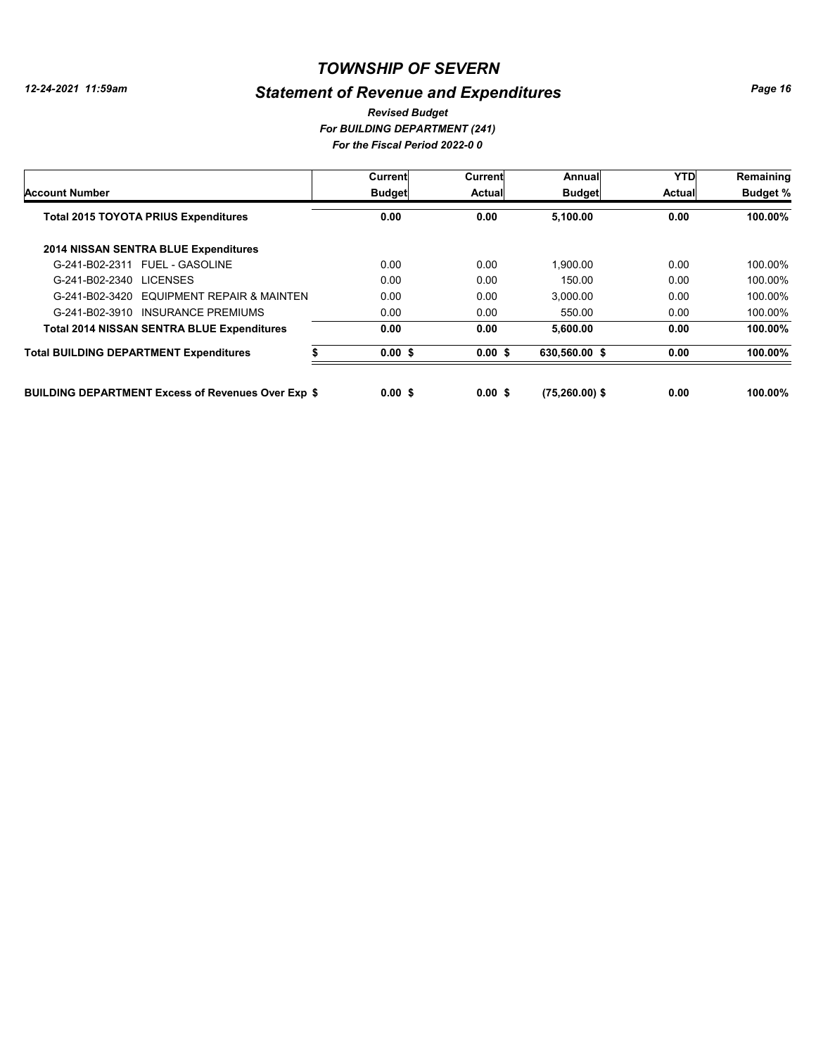# *Statement of Revenue and Expenditures*

*For BUILDING DEPARTMENT (241) For the Fiscal Period 2022-0 0 Revised Budget*

|                                                           | Current       | Current       | Annual            | <b>YTD</b>    | Remaining       |
|-----------------------------------------------------------|---------------|---------------|-------------------|---------------|-----------------|
| <b>Account Number</b>                                     | <b>Budget</b> | <b>Actual</b> | <b>Budget</b>     | <b>Actual</b> | <b>Budget %</b> |
| <b>Total 2015 TOYOTA PRIUS Expenditures</b>               | 0.00          | 0.00          | 5,100.00          | 0.00          | 100.00%         |
| 2014 NISSAN SENTRA BLUE Expenditures                      |               |               |                   |               |                 |
| G-241-B02-2311 FUEL - GASOLINE                            | 0.00          | 0.00          | 1.900.00          | 0.00          | 100.00%         |
| G-241-B02-2340 LICENSES                                   | 0.00          | 0.00          | 150.00            | 0.00          | 100.00%         |
| G-241-B02-3420 EQUIPMENT REPAIR & MAINTEN                 | 0.00          | 0.00          | 3.000.00          | 0.00          | 100.00%         |
| INSURANCE PREMIUMS<br>G-241-B02-3910                      | 0.00          | 0.00          | 550.00            | 0.00          | 100.00%         |
| <b>Total 2014 NISSAN SENTRA BLUE Expenditures</b>         | 0.00          | 0.00          | 5,600.00          | 0.00          | 100.00%         |
| <b>Total BUILDING DEPARTMENT Expenditures</b>             | 0.00S         | 0.00S         | 630,560.00 \$     | 0.00          | 100.00%         |
| <b>BUILDING DEPARTMENT Excess of Revenues Over Exp \$</b> | 0.00 S        | 0.00 S        | $(75, 260.00)$ \$ | 0.00          | 100.00%         |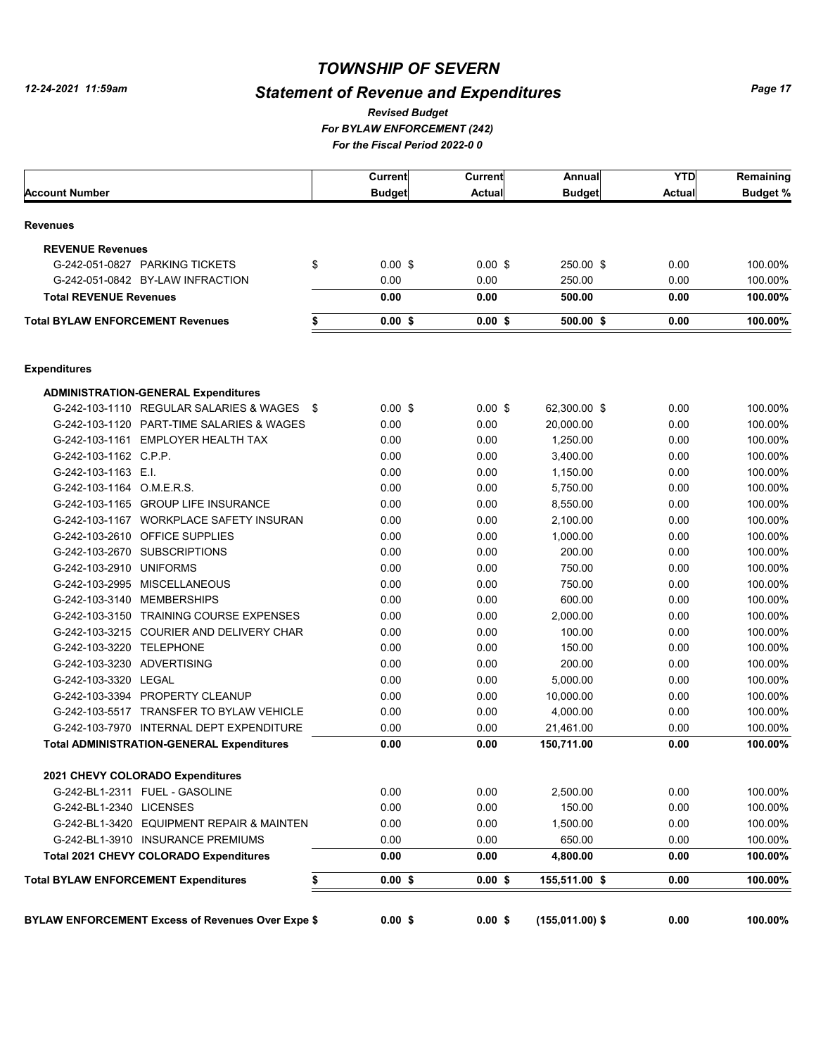# *Statement of Revenue and Expenditures*

*For BYLAW ENFORCEMENT (242) For the Fiscal Period 2022-0 0 Revised Budget*

|                                                          | Current       | <b>Current</b> | <b>Annual</b>     | <b>YTD</b>    | Remaining       |
|----------------------------------------------------------|---------------|----------------|-------------------|---------------|-----------------|
| <b>Account Number</b>                                    | <b>Budget</b> | <b>Actual</b>  | <b>Budget</b>     | <b>Actual</b> | <b>Budget %</b> |
| <b>Revenues</b>                                          |               |                |                   |               |                 |
| <b>REVENUE Revenues</b>                                  |               |                |                   |               |                 |
| \$<br>G-242-051-0827 PARKING TICKETS                     | $0.00$ \$     | $0.00$ \$      | 250.00 \$         | 0.00          | 100.00%         |
| G-242-051-0842 BY-LAW INFRACTION                         | 0.00          | 0.00           | 250.00            | 0.00          | 100.00%         |
| <b>Total REVENUE Revenues</b>                            | 0.00          | 0.00           | 500.00            | 0.00          | 100.00%         |
| <b>Total BYLAW ENFORCEMENT Revenues</b><br>\$            | $0.00$ \$     | $0.00$ \$      | 500.00 \$         | 0.00          | 100.00%         |
|                                                          |               |                |                   |               |                 |
| <b>Expenditures</b>                                      |               |                |                   |               |                 |
| <b>ADMINISTRATION-GENERAL Expenditures</b>               |               |                |                   |               |                 |
| G-242-103-1110 REGULAR SALARIES & WAGES \$               | $0.00$ \$     | $0.00$ \$      | 62,300.00 \$      | 0.00          | 100.00%         |
| G-242-103-1120 PART-TIME SALARIES & WAGES                | 0.00          | 0.00           | 20,000.00         | 0.00          | 100.00%         |
| G-242-103-1161 EMPLOYER HEALTH TAX                       | 0.00          | 0.00           | 1,250.00          | 0.00          | 100.00%         |
| G-242-103-1162 C.P.P.                                    | 0.00          | 0.00           | 3,400.00          | 0.00          | 100.00%         |
| G-242-103-1163 E.I.                                      | 0.00          | 0.00           | 1,150.00          | 0.00          | 100.00%         |
| G-242-103-1164 O.M.E.R.S.                                | 0.00          | 0.00           | 5,750.00          | 0.00          | 100.00%         |
| G-242-103-1165 GROUP LIFE INSURANCE                      | 0.00          | 0.00           | 8,550.00          | 0.00          | 100.00%         |
| G-242-103-1167 WORKPLACE SAFETY INSURAN                  | 0.00          | 0.00           | 2,100.00          | 0.00          | 100.00%         |
| G-242-103-2610 OFFICE SUPPLIES                           | 0.00          | 0.00           | 1,000.00          | 0.00          | 100.00%         |
| G-242-103-2670 SUBSCRIPTIONS                             | 0.00          | 0.00           | 200.00            | 0.00          | 100.00%         |
| G-242-103-2910 UNIFORMS                                  | 0.00          | 0.00           | 750.00            | 0.00          | 100.00%         |
| G-242-103-2995 MISCELLANEOUS                             | 0.00          | 0.00           | 750.00            | 0.00          | 100.00%         |
| G-242-103-3140 MEMBERSHIPS                               | 0.00          | 0.00           | 600.00            | 0.00          | 100.00%         |
| G-242-103-3150 TRAINING COURSE EXPENSES                  | 0.00          | 0.00           | 2,000.00          | 0.00          | 100.00%         |
| G-242-103-3215 COURIER AND DELIVERY CHAR                 | 0.00          | 0.00           | 100.00            | 0.00          | 100.00%         |
| G-242-103-3220 TELEPHONE                                 | 0.00          | 0.00           | 150.00            | 0.00          | 100.00%         |
| G-242-103-3230 ADVERTISING                               | 0.00          | 0.00           | 200.00            | 0.00          | 100.00%         |
| G-242-103-3320 LEGAL                                     | 0.00          | 0.00           | 5,000.00          | 0.00          | 100.00%         |
| G-242-103-3394 PROPERTY CLEANUP                          | 0.00          | 0.00           | 10,000.00         | 0.00          | 100.00%         |
| G-242-103-5517 TRANSFER TO BYLAW VEHICLE                 | 0.00          | 0.00           | 4,000.00          | 0.00          | 100.00%         |
| G-242-103-7970 INTERNAL DEPT EXPENDITURE                 | 0.00          | 0.00           | 21,461.00         | 0.00          | 100.00%         |
| <b>Total ADMINISTRATION-GENERAL Expenditures</b>         | 0.00          | 0.00           | 150,711.00        | 0.00          | 100.00%         |
| 2021 CHEVY COLORADO Expenditures                         |               |                |                   |               |                 |
| G-242-BL1-2311 FUEL - GASOLINE                           | 0.00          | 0.00           | 2,500.00          | 0.00          | 100.00%         |
| G-242-BL1-2340 LICENSES                                  | 0.00          | 0.00           | 150.00            | 0.00          | 100.00%         |
| G-242-BL1-3420 EQUIPMENT REPAIR & MAINTEN                | 0.00          | 0.00           | 1,500.00          | 0.00          | 100.00%         |
| G-242-BL1-3910 INSURANCE PREMIUMS                        | 0.00          | 0.00           | 650.00            | 0.00          | 100.00%         |
| Total 2021 CHEVY COLORADO Expenditures                   | 0.00          | 0.00           | 4,800.00          | 0.00          | 100.00%         |
| <b>Total BYLAW ENFORCEMENT Expenditures</b>              | $0.00$ \$     | $0.00$ \$      | 155,511.00 \$     | 0.00          | 100.00%         |
|                                                          |               |                |                   |               |                 |
| <b>BYLAW ENFORCEMENT Excess of Revenues Over Expe \$</b> | $0.00$ \$     | $0.00$ \$      | $(155,011.00)$ \$ | 0.00          | 100.00%         |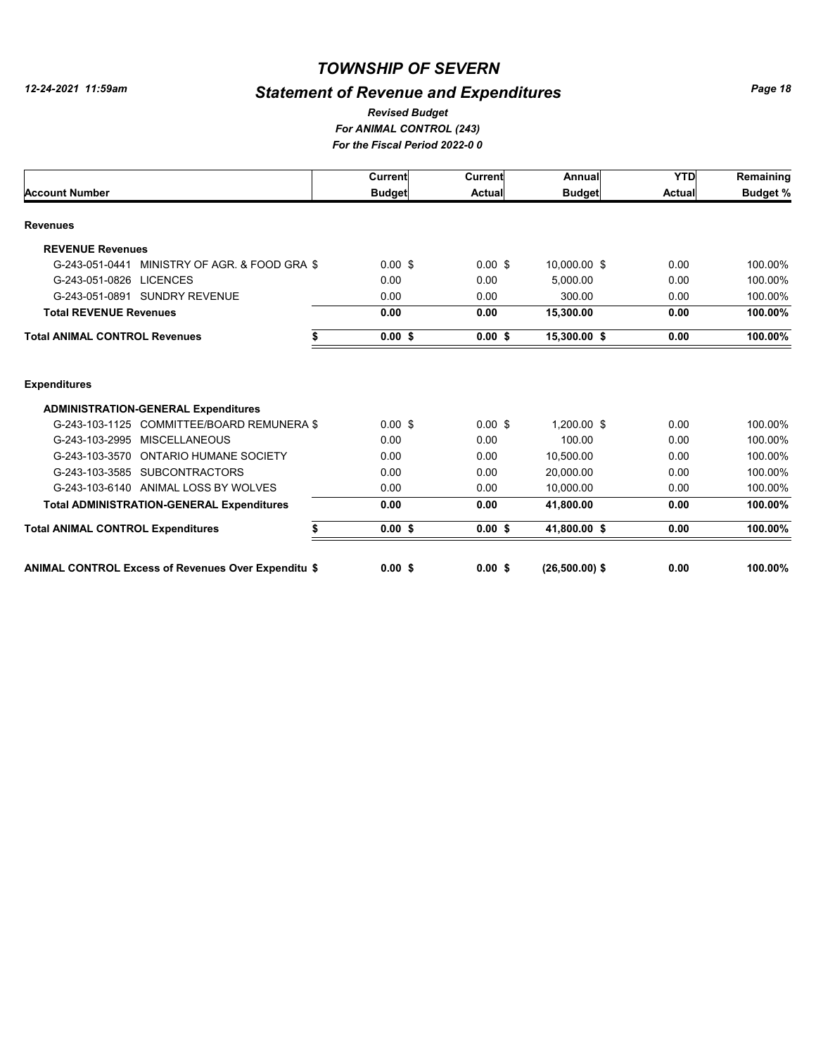# *Statement of Revenue and Expenditures*

*For ANIMAL CONTROL (243) For the Fiscal Period 2022-0 0 Revised Budget*

|                                                                                          | Current       | Current           | Annual                | <b>YTD</b>    | Remaining       |
|------------------------------------------------------------------------------------------|---------------|-------------------|-----------------------|---------------|-----------------|
| <b>Account Number</b>                                                                    | <b>Budget</b> | Actual            | <b>Budget</b>         | <b>Actual</b> | <b>Budget %</b> |
| <b>Revenues</b>                                                                          |               |                   |                       |               |                 |
| <b>REVENUE Revenues</b>                                                                  |               |                   |                       |               |                 |
| G-243-051-0441 MINISTRY OF AGR. & FOOD GRA \$                                            | $0.00$ \$     | $0.00$ \$         | 10,000.00 \$          | 0.00          | 100.00%         |
| G-243-051-0826 LICENCES                                                                  | 0.00          | 0.00              | 5.000.00              | 0.00          | 100.00%         |
| G-243-051-0891 SUNDRY REVENUE                                                            | 0.00          | 0.00              | 300.00                | 0.00          | 100.00%         |
| <b>Total REVENUE Revenues</b>                                                            | 0.00          | 0.00              | 15,300.00             | 0.00          | 100.00%         |
| <b>Total ANIMAL CONTROL Revenues</b>                                                     | 0.00S         | 0.00S             | 15,300.00 \$          | 0.00          | 100.00%         |
| <b>Expenditures</b>                                                                      |               |                   |                       |               |                 |
|                                                                                          |               |                   |                       |               |                 |
| <b>ADMINISTRATION-GENERAL Expenditures</b><br>G-243-103-1125 COMMITTEE/BOARD REMUNERA \$ | $0.00$ \$     |                   |                       | 0.00          | 100.00%         |
| G-243-103-2995 MISCELLANEOUS                                                             | 0.00          | $0.00$ \$<br>0.00 | 1.200.00 \$<br>100.00 | 0.00          | 100.00%         |
| G-243-103-3570 ONTARIO HUMANE SOCIETY                                                    | 0.00          | 0.00              | 10.500.00             | 0.00          | 100.00%         |
| G-243-103-3585 SUBCONTRACTORS                                                            | 0.00          | 0.00              | 20.000.00             | 0.00          | 100.00%         |
| G-243-103-6140 ANIMAL LOSS BY WOLVES                                                     | 0.00          | 0.00              | 10,000.00             | 0.00          | 100.00%         |
| <b>Total ADMINISTRATION-GENERAL Expenditures</b>                                         | 0.00          | 0.00              | 41,800.00             | 0.00          | 100.00%         |
|                                                                                          |               |                   |                       |               |                 |
| <b>Total ANIMAL CONTROL Expenditures</b>                                                 | 0.00S         | 0.00S             | 41,800.00 \$          | 0.00          | 100.00%         |
| <b>ANIMAL CONTROL Excess of Revenues Over Expenditu \$</b>                               | 0.00S         | 0.00S             | $(26.500.00)$ \$      | 0.00          | 100.00%         |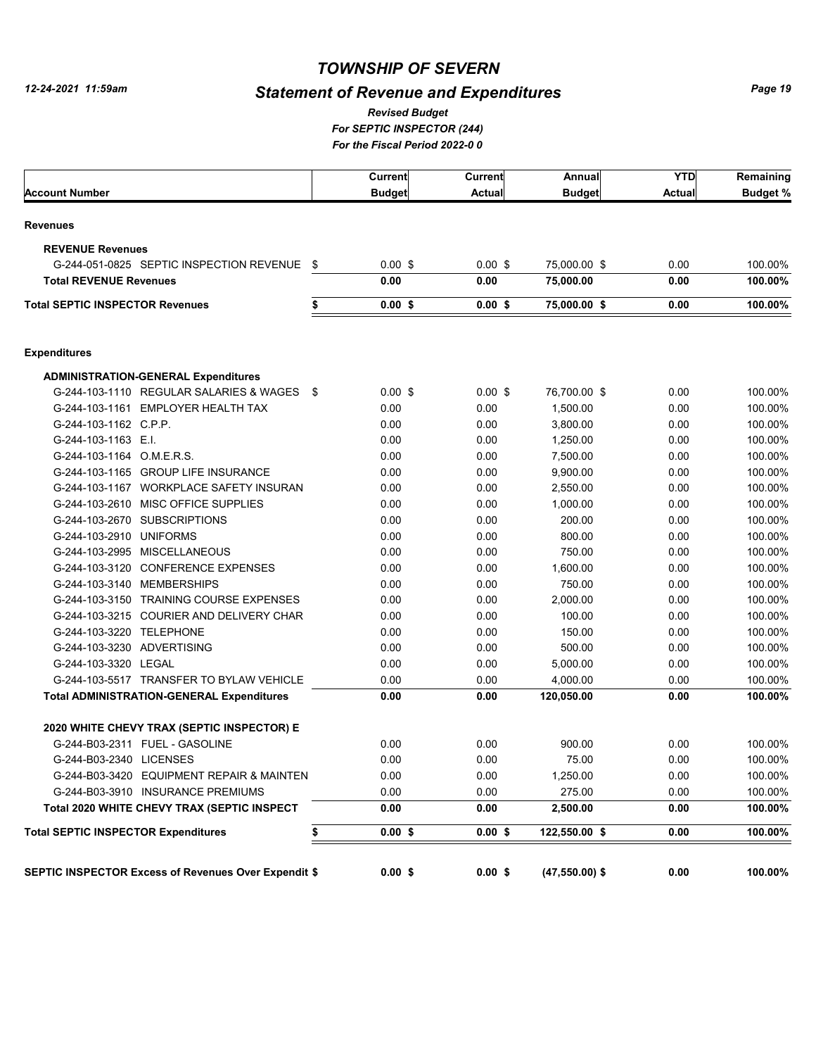# *Statement of Revenue and Expenditures*

*For SEPTIC INSPECTOR (244) For the Fiscal Period 2022-0 0 Revised Budget*

|                                                             |     | Current       | <b>Current</b> | Annual           | <b>YTD</b>    | Remaining |
|-------------------------------------------------------------|-----|---------------|----------------|------------------|---------------|-----------|
| <b>Account Number</b>                                       |     | <b>Budget</b> | <b>Actual</b>  | <b>Budget</b>    | <b>Actual</b> | Budget %  |
| <b>Revenues</b>                                             |     |               |                |                  |               |           |
| <b>REVENUE Revenues</b>                                     |     |               |                |                  |               |           |
| G-244-051-0825 SEPTIC INSPECTION REVENUE                    | \$  | $0.00$ \$     | $0.00$ \$      | 75,000.00 \$     | 0.00          | 100.00%   |
| <b>Total REVENUE Revenues</b>                               |     | 0.00          | 0.00           | 75,000.00        | 0.00          | 100.00%   |
| <b>Total SEPTIC INSPECTOR Revenues</b>                      | \$  | $0.00$ \$     | 0.00S          | 75,000.00 \$     | 0.00          | 100.00%   |
| <b>Expenditures</b>                                         |     |               |                |                  |               |           |
| <b>ADMINISTRATION-GENERAL Expenditures</b>                  |     |               |                |                  |               |           |
| G-244-103-1110 REGULAR SALARIES & WAGES                     | -\$ | $0.00$ \$     | $0.00$ \$      | 76,700.00 \$     | 0.00          | 100.00%   |
| G-244-103-1161 EMPLOYER HEALTH TAX                          |     | 0.00          | 0.00           | 1,500.00         | 0.00          | 100.00%   |
| G-244-103-1162 C.P.P.                                       |     | 0.00          | 0.00           | 3,800.00         | 0.00          | 100.00%   |
| G-244-103-1163 E.I.                                         |     | 0.00          | 0.00           | 1,250.00         | 0.00          | 100.00%   |
| G-244-103-1164 O.M.E.R.S.                                   |     | 0.00          | 0.00           | 7,500.00         | 0.00          | 100.00%   |
| G-244-103-1165 GROUP LIFE INSURANCE                         |     | 0.00          | 0.00           | 9,900.00         | 0.00          | 100.00%   |
| G-244-103-1167 WORKPLACE SAFETY INSURAN                     |     | 0.00          | 0.00           | 2.550.00         | 0.00          | 100.00%   |
| G-244-103-2610 MISC OFFICE SUPPLIES                         |     | 0.00          | 0.00           | 1,000.00         | 0.00          | 100.00%   |
| G-244-103-2670 SUBSCRIPTIONS                                |     | 0.00          | 0.00           | 200.00           | 0.00          | 100.00%   |
| G-244-103-2910 UNIFORMS                                     |     | 0.00          | 0.00           | 800.00           | 0.00          | 100.00%   |
| G-244-103-2995 MISCELLANEOUS                                |     | 0.00          | 0.00           | 750.00           | 0.00          | 100.00%   |
| G-244-103-3120 CONFERENCE EXPENSES                          |     | 0.00          | 0.00           | 1,600.00         | 0.00          | 100.00%   |
| G-244-103-3140 MEMBERSHIPS                                  |     | 0.00          | 0.00           | 750.00           | 0.00          | 100.00%   |
| G-244-103-3150 TRAINING COURSE EXPENSES                     |     | 0.00          | 0.00           | 2,000.00         | 0.00          | 100.00%   |
| G-244-103-3215 COURIER AND DELIVERY CHAR                    |     | 0.00          | 0.00           | 100.00           | 0.00          | 100.00%   |
| G-244-103-3220 TELEPHONE                                    |     | 0.00          | 0.00           | 150.00           | 0.00          | 100.00%   |
| G-244-103-3230 ADVERTISING                                  |     | 0.00          | 0.00           | 500.00           | 0.00          | 100.00%   |
| G-244-103-3320 LEGAL                                        |     | 0.00          | 0.00           | 5,000.00         | 0.00          | 100.00%   |
| G-244-103-5517 TRANSFER TO BYLAW VEHICLE                    |     | 0.00          | 0.00           | 4,000.00         | 0.00          | 100.00%   |
| <b>Total ADMINISTRATION-GENERAL Expenditures</b>            |     | 0.00          | 0.00           | 120,050.00       | 0.00          | 100.00%   |
| 2020 WHITE CHEVY TRAX (SEPTIC INSPECTOR) E                  |     |               |                |                  |               |           |
| G-244-B03-2311 FUEL - GASOLINE                              |     | 0.00          | 0.00           | 900.00           | 0.00          | 100.00%   |
| G-244-B03-2340 LICENSES                                     |     | 0.00          | 0.00           | 75.00            | 0.00          | 100.00%   |
| G-244-B03-3420 EQUIPMENT REPAIR & MAINTEN                   |     | 0.00          | 0.00           | 1,250.00         | 0.00          | 100.00%   |
| G-244-B03-3910 INSURANCE PREMIUMS                           |     | 0.00          | 0.00           | 275.00           | 0.00          | 100.00%   |
| Total 2020 WHITE CHEVY TRAX (SEPTIC INSPECT                 |     | 0.00          | 0.00           | 2,500.00         | 0.00          | 100.00%   |
| <b>Total SEPTIC INSPECTOR Expenditures</b>                  | \$  | $0.00$ \$     | $0.00$ \$      | 122,550.00 \$    | 0.00          | 100.00%   |
| <b>SEPTIC INSPECTOR Excess of Revenues Over Expendit \$</b> |     | $0.00$ \$     | $0.00$ \$      | $(47,550.00)$ \$ | 0.00          | 100.00%   |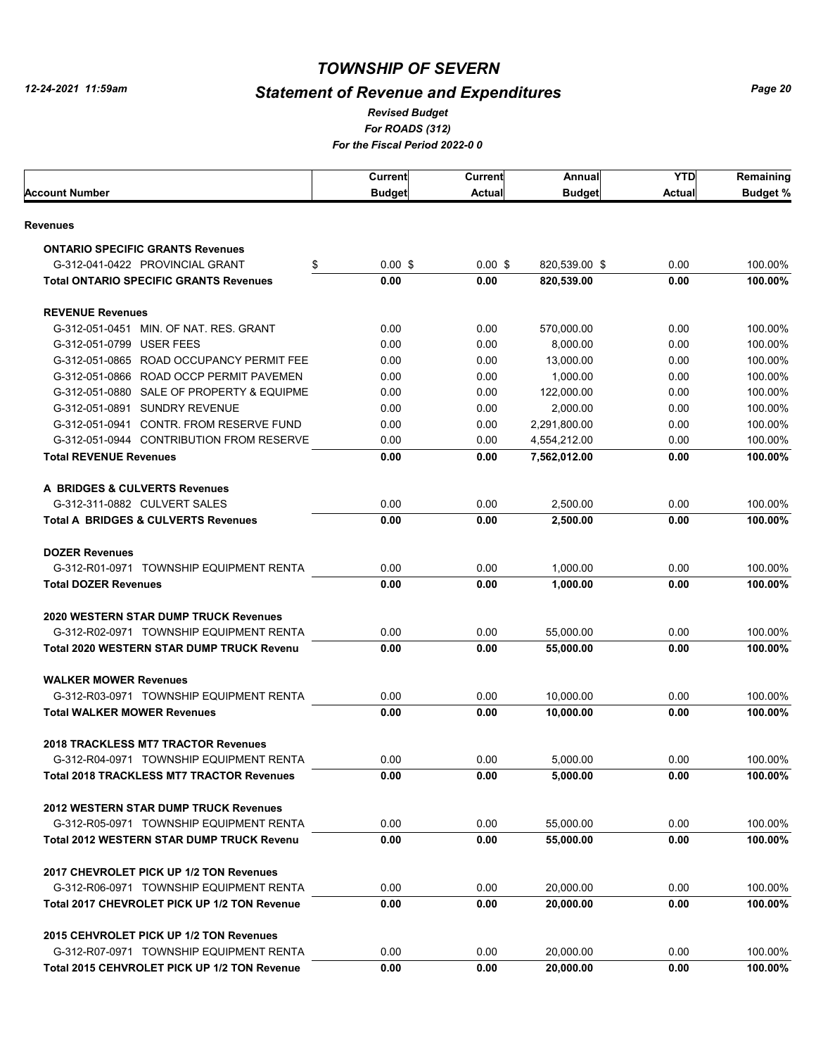# *Statement of Revenue and Expenditures*

*For ROADS (312) For the Fiscal Period 2022-0 0 Revised Budget*

|                                                  | Current       | <b>Current</b> | Annual        | <b>YTD</b> | Remaining       |
|--------------------------------------------------|---------------|----------------|---------------|------------|-----------------|
| <b>Account Number</b>                            | <b>Budget</b> | Actual         | <b>Budget</b> | Actual     | <b>Budget %</b> |
| <b>Revenues</b>                                  |               |                |               |            |                 |
| <b>ONTARIO SPECIFIC GRANTS Revenues</b>          |               |                |               |            |                 |
| G-312-041-0422 PROVINCIAL GRANT<br>\$            | $0.00$ \$     | $0.00$ \$      | 820,539.00 \$ | 0.00       | 100.00%         |
| <b>Total ONTARIO SPECIFIC GRANTS Revenues</b>    | 0.00          | 0.00           | 820,539.00    | 0.00       | 100.00%         |
| <b>REVENUE Revenues</b>                          |               |                |               |            |                 |
| G-312-051-0451 MIN. OF NAT. RES. GRANT           | 0.00          | 0.00           | 570,000.00    | 0.00       | 100.00%         |
| G-312-051-0799 USER FEES                         | 0.00          | 0.00           | 8.000.00      | 0.00       | 100.00%         |
| G-312-051-0865 ROAD OCCUPANCY PERMIT FEE         | 0.00          | 0.00           | 13.000.00     | 0.00       | 100.00%         |
| G-312-051-0866 ROAD OCCP PERMIT PAVEMEN          | 0.00          | 0.00           | 1,000.00      | 0.00       | 100.00%         |
| G-312-051-0880 SALE OF PROPERTY & EQUIPME        | 0.00          | 0.00           | 122,000.00    | 0.00       | 100.00%         |
| G-312-051-0891 SUNDRY REVENUE                    | 0.00          | 0.00           | 2,000.00      | 0.00       | 100.00%         |
| G-312-051-0941 CONTR. FROM RESERVE FUND          | 0.00          | 0.00           | 2,291,800.00  | 0.00       | 100.00%         |
| G-312-051-0944 CONTRIBUTION FROM RESERVE         | 0.00          | 0.00           | 4,554,212.00  | 0.00       | 100.00%         |
| <b>Total REVENUE Revenues</b>                    | 0.00          | 0.00           | 7.562.012.00  | 0.00       | 100.00%         |
| A BRIDGES & CULVERTS Revenues                    |               |                |               |            |                 |
| G-312-311-0882 CULVERT SALES                     | 0.00          | 0.00           | 2.500.00      | 0.00       | 100.00%         |
| <b>Total A BRIDGES &amp; CULVERTS Revenues</b>   | 0.00          | 0.00           | 2,500.00      | 0.00       | 100.00%         |
|                                                  |               |                |               |            |                 |
| <b>DOZER Revenues</b>                            |               |                |               |            |                 |
| G-312-R01-0971 TOWNSHIP EQUIPMENT RENTA          | 0.00          | 0.00           | 1,000.00      | 0.00       | 100.00%         |
| <b>Total DOZER Revenues</b>                      | 0.00          | 0.00           | 1,000.00      | 0.00       | 100.00%         |
| 2020 WESTERN STAR DUMP TRUCK Revenues            |               |                |               |            |                 |
| G-312-R02-0971 TOWNSHIP EQUIPMENT RENTA          | 0.00          | 0.00           | 55,000.00     | 0.00       | 100.00%         |
| <b>Total 2020 WESTERN STAR DUMP TRUCK Revenu</b> | 0.00          | 0.00           | 55,000.00     | 0.00       | 100.00%         |
| <b>WALKER MOWER Revenues</b>                     |               |                |               |            |                 |
| G-312-R03-0971 TOWNSHIP EQUIPMENT RENTA          | 0.00          | 0.00           | 10,000.00     | 0.00       | 100.00%         |
| <b>Total WALKER MOWER Revenues</b>               | 0.00          | 0.00           | 10.000.00     | 0.00       | 100.00%         |
| 2018 TRACKLESS MT7 TRACTOR Revenues              |               |                |               |            |                 |
| G-312-R04-0971 TOWNSHIP EQUIPMENT RENTA          | 0.00          | 0.00           | 5.000.00      | 0.00       | 100.00%         |
| <b>Total 2018 TRACKLESS MT7 TRACTOR Revenues</b> | 0.00          | 0.00           | 5,000.00      | 0.00       | 100.00%         |
| <b>2012 WESTERN STAR DUMP TRUCK Revenues</b>     |               |                |               |            |                 |
| G-312-R05-0971 TOWNSHIP EQUIPMENT RENTA          | 0.00          | 0.00           | 55,000.00     | 0.00       | 100.00%         |
| <b>Total 2012 WESTERN STAR DUMP TRUCK Revenu</b> | 0.00          | 0.00           | 55,000.00     | 0.00       | 100.00%         |
|                                                  |               |                |               |            |                 |
| 2017 CHEVROLET PICK UP 1/2 TON Revenues          |               |                |               |            |                 |
| G-312-R06-0971 TOWNSHIP EQUIPMENT RENTA          | 0.00          | 0.00           | 20,000.00     | 0.00       | 100.00%         |
| Total 2017 CHEVROLET PICK UP 1/2 TON Revenue     | 0.00          | 0.00           | 20,000.00     | 0.00       | 100.00%         |
| 2015 CEHVROLET PICK UP 1/2 TON Revenues          |               |                |               |            |                 |
| G-312-R07-0971 TOWNSHIP EQUIPMENT RENTA          | 0.00          | 0.00           | 20,000.00     | 0.00       | 100.00%         |
| Total 2015 CEHVROLET PICK UP 1/2 TON Revenue     | 0.00          | 0.00           | 20,000.00     | 0.00       | 100.00%         |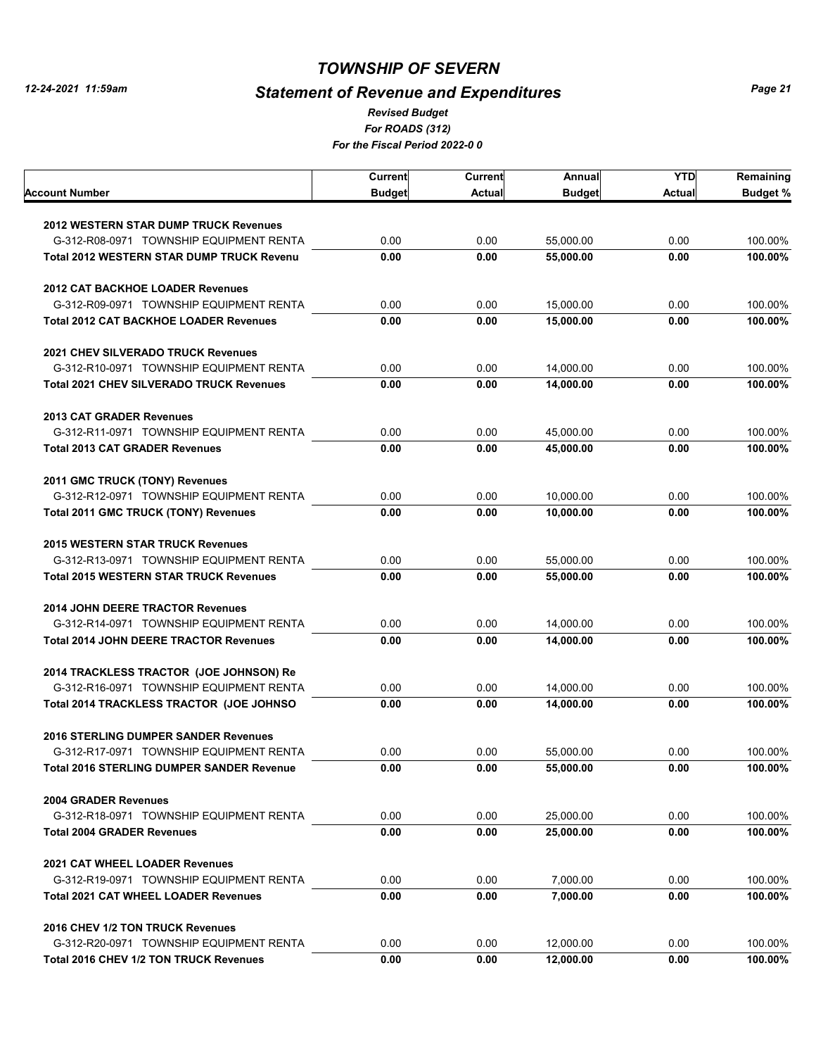# *Statement of Revenue and Expenditures*

*For ROADS (312) For the Fiscal Period 2022-0 0 Revised Budget*

|                                                  | Current       | <b>Current</b> | Annual        | <b>YTD</b>    | Remaining       |
|--------------------------------------------------|---------------|----------------|---------------|---------------|-----------------|
| Account Number                                   | <b>Budget</b> | <b>Actual</b>  | <b>Budget</b> | <b>Actual</b> | <b>Budget %</b> |
|                                                  |               |                |               |               |                 |
| <b>2012 WESTERN STAR DUMP TRUCK Revenues</b>     |               |                |               |               |                 |
| G-312-R08-0971 TOWNSHIP EQUIPMENT RENTA          | 0.00          | 0.00           | 55.000.00     | 0.00          | 100.00%         |
| <b>Total 2012 WESTERN STAR DUMP TRUCK Revenu</b> | 0.00          | 0.00           | 55,000.00     | 0.00          | 100.00%         |
| <b>2012 CAT BACKHOE LOADER Revenues</b>          |               |                |               |               |                 |
| G-312-R09-0971 TOWNSHIP EQUIPMENT RENTA          | 0.00          | 0.00           | 15,000.00     | 0.00          | 100.00%         |
| <b>Total 2012 CAT BACKHOE LOADER Revenues</b>    | 0.00          | 0.00           | 15,000.00     | 0.00          | 100.00%         |
| <b>2021 CHEV SILVERADO TRUCK Revenues</b>        |               |                |               |               |                 |
| G-312-R10-0971 TOWNSHIP EQUIPMENT RENTA          | 0.00          | 0.00           | 14,000.00     | 0.00          | 100.00%         |
| <b>Total 2021 CHEV SILVERADO TRUCK Revenues</b>  | 0.00          | 0.00           | 14,000.00     | 0.00          | 100.00%         |
| <b>2013 CAT GRADER Revenues</b>                  |               |                |               |               |                 |
| G-312-R11-0971 TOWNSHIP EQUIPMENT RENTA          | 0.00          | 0.00           | 45.000.00     | 0.00          | 100.00%         |
| <b>Total 2013 CAT GRADER Revenues</b>            | 0.00          | 0.00           | 45,000.00     | 0.00          | 100.00%         |
| 2011 GMC TRUCK (TONY) Revenues                   |               |                |               |               |                 |
| G-312-R12-0971 TOWNSHIP EQUIPMENT RENTA          | 0.00          | 0.00           | 10,000.00     | 0.00          | 100.00%         |
| <b>Total 2011 GMC TRUCK (TONY) Revenues</b>      | 0.00          | 0.00           | 10,000.00     | 0.00          | 100.00%         |
| <b>2015 WESTERN STAR TRUCK Revenues</b>          |               |                |               |               |                 |
| G-312-R13-0971 TOWNSHIP EQUIPMENT RENTA          | 0.00          | 0.00           | 55,000.00     | 0.00          | 100.00%         |
| <b>Total 2015 WESTERN STAR TRUCK Revenues</b>    | 0.00          | 0.00           | 55,000.00     | 0.00          | 100.00%         |
| <b>2014 JOHN DEERE TRACTOR Revenues</b>          |               |                |               |               |                 |
| G-312-R14-0971 TOWNSHIP EQUIPMENT RENTA          | 0.00          | 0.00           | 14,000.00     | 0.00          | 100.00%         |
| <b>Total 2014 JOHN DEERE TRACTOR Revenues</b>    | 0.00          | 0.00           | 14,000.00     | 0.00          | 100.00%         |
| 2014 TRACKLESS TRACTOR (JOE JOHNSON) Re          |               |                |               |               |                 |
| G-312-R16-0971 TOWNSHIP EQUIPMENT RENTA          | 0.00          | 0.00           | 14,000.00     | 0.00          | 100.00%         |
| Total 2014 TRACKLESS TRACTOR (JOE JOHNSO         | 0.00          | 0.00           | 14,000.00     | 0.00          | 100.00%         |
| <b>2016 STERLING DUMPER SANDER Revenues</b>      |               |                |               |               |                 |
| G-312-R17-0971 TOWNSHIP EQUIPMENT RENTA          | 0.00          | 0.00           | 55.000.00     | 0.00          | 100.00%         |
| Total 2016 STERLING DUMPER SANDER Revenue        | 0.00          | 0.00           | 55,000.00     | 0.00          | 100.00%         |
| <b>2004 GRADER Revenues</b>                      |               |                |               |               |                 |
| G-312-R18-0971 TOWNSHIP EQUIPMENT RENTA          | 0.00          | 0.00           | 25,000.00     | 0.00          | 100.00%         |
| <b>Total 2004 GRADER Revenues</b>                | 0.00          | 0.00           | 25,000.00     | 0.00          | 100.00%         |
| 2021 CAT WHEEL LOADER Revenues                   |               |                |               |               |                 |
| G-312-R19-0971 TOWNSHIP EQUIPMENT RENTA          | 0.00          | 0.00           | 7,000.00      | 0.00          | 100.00%         |
| <b>Total 2021 CAT WHEEL LOADER Revenues</b>      | 0.00          | 0.00           | 7,000.00      | 0.00          | 100.00%         |
| 2016 CHEV 1/2 TON TRUCK Revenues                 |               |                |               |               |                 |
| G-312-R20-0971 TOWNSHIP EQUIPMENT RENTA          | 0.00          | 0.00           | 12,000.00     | 0.00          | 100.00%         |
| Total 2016 CHEV 1/2 TON TRUCK Revenues           | 0.00          | 0.00           | 12,000.00     | 0.00          | 100.00%         |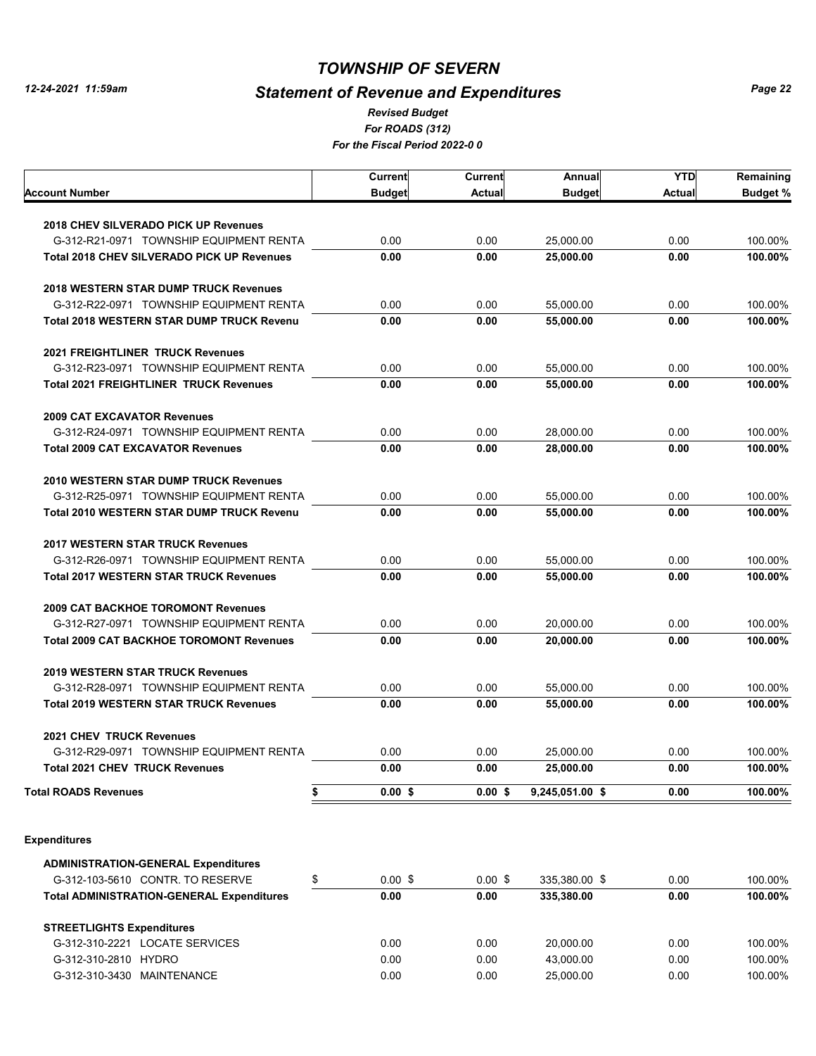# *Statement of Revenue and Expenditures*

*For ROADS (312) For the Fiscal Period 2022-0 0 Revised Budget*

|                                                   | Current         | Current       | Annual          | <b>YTD</b>    | Remaining       |
|---------------------------------------------------|-----------------|---------------|-----------------|---------------|-----------------|
| Account Number                                    | <b>Budget</b>   | <b>Actual</b> | <b>Budget</b>   | <b>Actual</b> | <b>Budget %</b> |
|                                                   |                 |               |                 |               |                 |
| 2018 CHEV SILVERADO PICK UP Revenues              |                 |               |                 |               |                 |
| G-312-R21-0971 TOWNSHIP EQUIPMENT RENTA           | 0.00            | 0.00          | 25,000.00       | 0.00          | 100.00%         |
| <b>Total 2018 CHEV SILVERADO PICK UP Revenues</b> | 0.00            | 0.00          | 25,000.00       | 0.00          | 100.00%         |
| <b>2018 WESTERN STAR DUMP TRUCK Revenues</b>      |                 |               |                 |               |                 |
| G-312-R22-0971 TOWNSHIP EQUIPMENT RENTA           | 0.00            | 0.00          | 55,000.00       | 0.00          | 100.00%         |
| <b>Total 2018 WESTERN STAR DUMP TRUCK Revenu</b>  | 0.00            | 0.00          | 55.000.00       | 0.00          | 100.00%         |
| <b>2021 FREIGHTLINER TRUCK Revenues</b>           |                 |               |                 |               |                 |
| G-312-R23-0971 TOWNSHIP EQUIPMENT RENTA           | 0.00            | 0.00          | 55,000.00       | 0.00          | 100.00%         |
| <b>Total 2021 FREIGHTLINER TRUCK Revenues</b>     | 0.00            | 0.00          | 55,000.00       | 0.00          | 100.00%         |
| <b>2009 CAT EXCAVATOR Revenues</b>                |                 |               |                 |               |                 |
| G-312-R24-0971 TOWNSHIP EQUIPMENT RENTA           | 0.00            | 0.00          | 28,000.00       | 0.00          | 100.00%         |
| <b>Total 2009 CAT EXCAVATOR Revenues</b>          | 0.00            | 0.00          | 28,000.00       | 0.00          | 100.00%         |
|                                                   |                 |               |                 |               |                 |
| <b>2010 WESTERN STAR DUMP TRUCK Revenues</b>      |                 |               |                 |               |                 |
| G-312-R25-0971 TOWNSHIP EQUIPMENT RENTA           | 0.00            | 0.00          | 55,000.00       | 0.00          | 100.00%         |
| <b>Total 2010 WESTERN STAR DUMP TRUCK Revenu</b>  | 0.00            | 0.00          | 55,000.00       | 0.00          | 100.00%         |
| <b>2017 WESTERN STAR TRUCK Revenues</b>           |                 |               |                 |               |                 |
| G-312-R26-0971 TOWNSHIP EQUIPMENT RENTA           | 0.00            | 0.00          | 55,000.00       | 0.00          | 100.00%         |
| <b>Total 2017 WESTERN STAR TRUCK Revenues</b>     | 0.00            | 0.00          | 55,000.00       | 0.00          | 100.00%         |
| <b>2009 CAT BACKHOE TOROMONT Revenues</b>         |                 |               |                 |               |                 |
| G-312-R27-0971 TOWNSHIP EQUIPMENT RENTA           | 0.00            | 0.00          | 20,000.00       | 0.00          | 100.00%         |
| <b>Total 2009 CAT BACKHOE TOROMONT Revenues</b>   | 0.00            | 0.00          | 20,000.00       | 0.00          | 100.00%         |
|                                                   |                 |               |                 |               |                 |
| <b>2019 WESTERN STAR TRUCK Revenues</b>           |                 |               |                 |               |                 |
| G-312-R28-0971 TOWNSHIP EQUIPMENT RENTA           | 0.00            | 0.00          | 55,000.00       | 0.00          | 100.00%         |
| <b>Total 2019 WESTERN STAR TRUCK Revenues</b>     | 0.00            | 0.00          | 55,000.00       | 0.00          | 100.00%         |
| <b>2021 CHEV TRUCK Revenues</b>                   |                 |               |                 |               |                 |
| G-312-R29-0971 TOWNSHIP EQUIPMENT RENTA           | 0.00            | 0.00          | 25,000.00       | 0.00          | 100.00%         |
| Total 2021 CHEV  TRUCK Revenues                   | 0.00            | 0.00          | 25,000.00       | 0.00          | 100.00%         |
| Total ROADS Revenues                              | \$<br>$0.00$ \$ | $0.00$ \$     | 9,245,051.00 \$ | 0.00          | 100.00%         |
|                                                   |                 |               |                 |               |                 |
| <b>Expenditures</b>                               |                 |               |                 |               |                 |
| <b>ADMINISTRATION-GENERAL Expenditures</b>        |                 |               |                 |               |                 |
| G-312-103-5610 CONTR. TO RESERVE                  | \$<br>$0.00$ \$ | $0.00$ \$     | 335,380.00 \$   | 0.00          | 100.00%         |
| <b>Total ADMINISTRATION-GENERAL Expenditures</b>  | 0.00            | 0.00          | 335,380.00      | 0.00          | 100.00%         |
| <b>STREETLIGHTS Expenditures</b>                  |                 |               |                 |               |                 |
| G-312-310-2221 LOCATE SERVICES                    | 0.00            | 0.00          | 20,000.00       | 0.00          | 100.00%         |
| G-312-310-2810 HYDRO                              | 0.00            | 0.00          | 43,000.00       | 0.00          | 100.00%         |
| G-312-310-3430 MAINTENANCE                        | 0.00            | 0.00          | 25,000.00       | 0.00          | 100.00%         |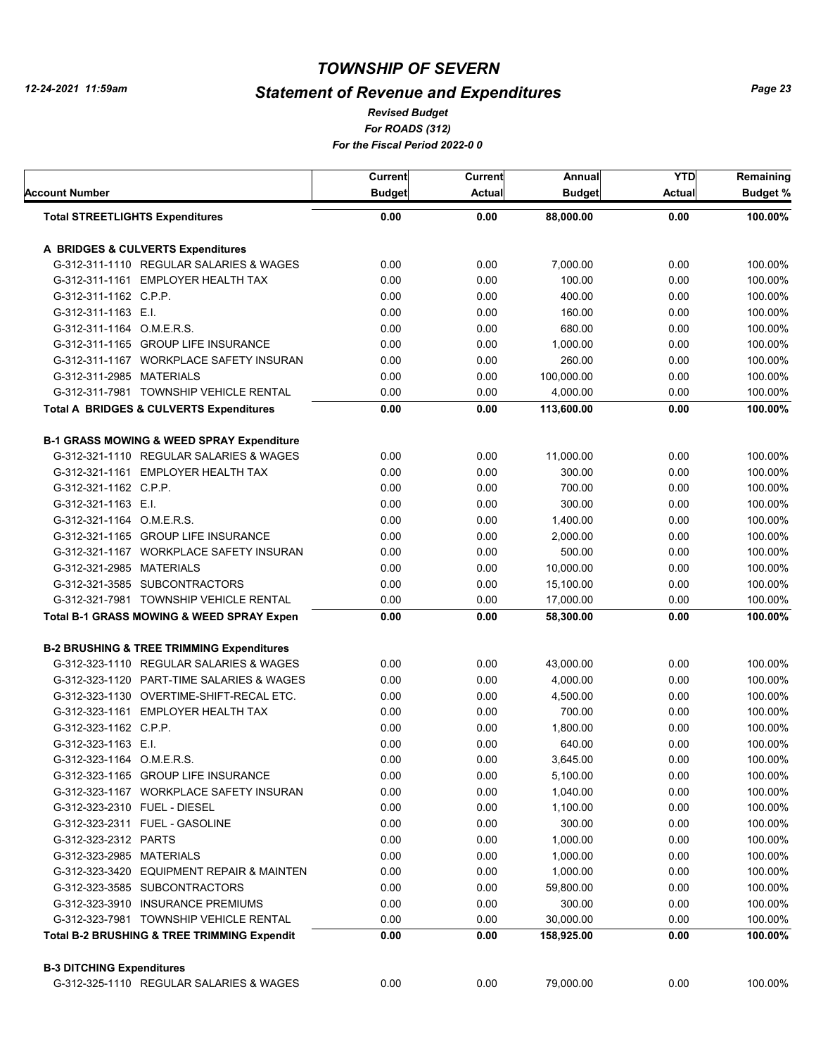# *Statement of Revenue and Expenditures*

*For ROADS (312) For the Fiscal Period 2022-0 0 Revised Budget*

| <b>Budget</b> |                      |                              |                                              |                 |
|---------------|----------------------|------------------------------|----------------------------------------------|-----------------|
|               | <b>Actual</b>        | <b>Budget</b>                | <b>Actual</b>                                | <b>Budget %</b> |
| 0.00          | 0.00                 | 88,000.00                    | 0.00                                         | 100.00%         |
|               |                      |                              |                                              |                 |
| 0.00          | 0.00                 | 7,000.00                     | 0.00                                         | 100.00%         |
| 0.00          | 0.00                 | 100.00                       | 0.00                                         | 100.00%         |
| 0.00          | 0.00                 | 400.00                       | 0.00                                         | 100.00%         |
| 0.00          | 0.00                 | 160.00                       | 0.00                                         | 100.00%         |
| 0.00          | 0.00                 | 680.00                       | 0.00                                         | 100.00%         |
| 0.00          | 0.00                 | 1,000.00                     | 0.00                                         | 100.00%         |
| 0.00          | 0.00                 | 260.00                       | 0.00                                         | 100.00%         |
| 0.00          | 0.00                 | 100,000.00                   | 0.00                                         | 100.00%         |
| 0.00          | 0.00                 | 4,000.00                     | 0.00                                         | 100.00%         |
| 0.00          | 0.00                 | 113,600.00                   | 0.00                                         | 100.00%         |
|               |                      |                              |                                              |                 |
| 0.00          | 0.00                 | 11,000.00                    | 0.00                                         | 100.00%         |
| 0.00          | 0.00                 | 300.00                       | 0.00                                         | 100.00%         |
| 0.00          | 0.00                 | 700.00                       | 0.00                                         | 100.00%         |
| 0.00          | 0.00                 | 300.00                       | 0.00                                         | 100.00%         |
| 0.00          | 0.00                 | 1,400.00                     | 0.00                                         | 100.00%         |
| 0.00          | 0.00                 | 2,000.00                     | 0.00                                         | 100.00%         |
| 0.00          | 0.00                 | 500.00                       | 0.00                                         | 100.00%         |
| 0.00          | 0.00                 | 10,000.00                    | 0.00                                         | 100.00%         |
| 0.00          | 0.00                 | 15,100.00                    | 0.00                                         | 100.00%         |
| 0.00          | 0.00                 | 17,000.00                    | 0.00                                         | 100.00%         |
| 0.00          | 0.00                 | 58,300.00                    | 0.00                                         | 100.00%         |
|               |                      |                              |                                              |                 |
| 0.00          | 0.00                 | 43,000.00                    | 0.00                                         | 100.00%         |
| 0.00          | 0.00                 | 4,000.00                     | 0.00                                         | 100.00%         |
| 0.00          | 0.00                 | 4,500.00                     | 0.00                                         | 100.00%         |
| 0.00          | 0.00                 | 700.00                       | 0.00                                         | 100.00%         |
| 0.00          | 0.00                 | 1,800.00                     | 0.00                                         | 100.00%         |
| 0.00          |                      | 640.00                       | 0.00                                         | 100.00%         |
| 0.00          | 0.00                 | 3,645.00                     | 0.00                                         | 100.00%         |
| 0.00          | 0.00                 | 5,100.00                     | 0.00                                         | 100.00%         |
| 0.00          | 0.00                 | 1,040.00                     | 0.00                                         | 100.00%         |
| 0.00          | 0.00                 | 1,100.00                     | 0.00                                         | 100.00%         |
| 0.00          | 0.00                 | 300.00                       | 0.00                                         | 100.00%         |
| 0.00          | 0.00                 | 1,000.00                     | 0.00                                         | 100.00%         |
| 0.00          | 0.00                 | 1,000.00                     | 0.00                                         | 100.00%         |
|               |                      |                              | 0.00                                         | 100.00%         |
| 0.00          | 0.00                 |                              | 0.00                                         | 100.00%         |
|               |                      |                              |                                              | 100.00%         |
|               |                      |                              |                                              | 100.00%         |
| 0.00          | 0.00                 | 158,925.00                   | 0.00                                         | 100.00%         |
|               |                      |                              |                                              |                 |
| 0.00          | 0.00                 | 79,000.00                    | 0.00                                         | 100.00%         |
|               | 0.00<br>0.00<br>0.00 | 0.00<br>0.00<br>0.00<br>0.00 | 1,000.00<br>59,800.00<br>300.00<br>30,000.00 | 0.00<br>0.00    |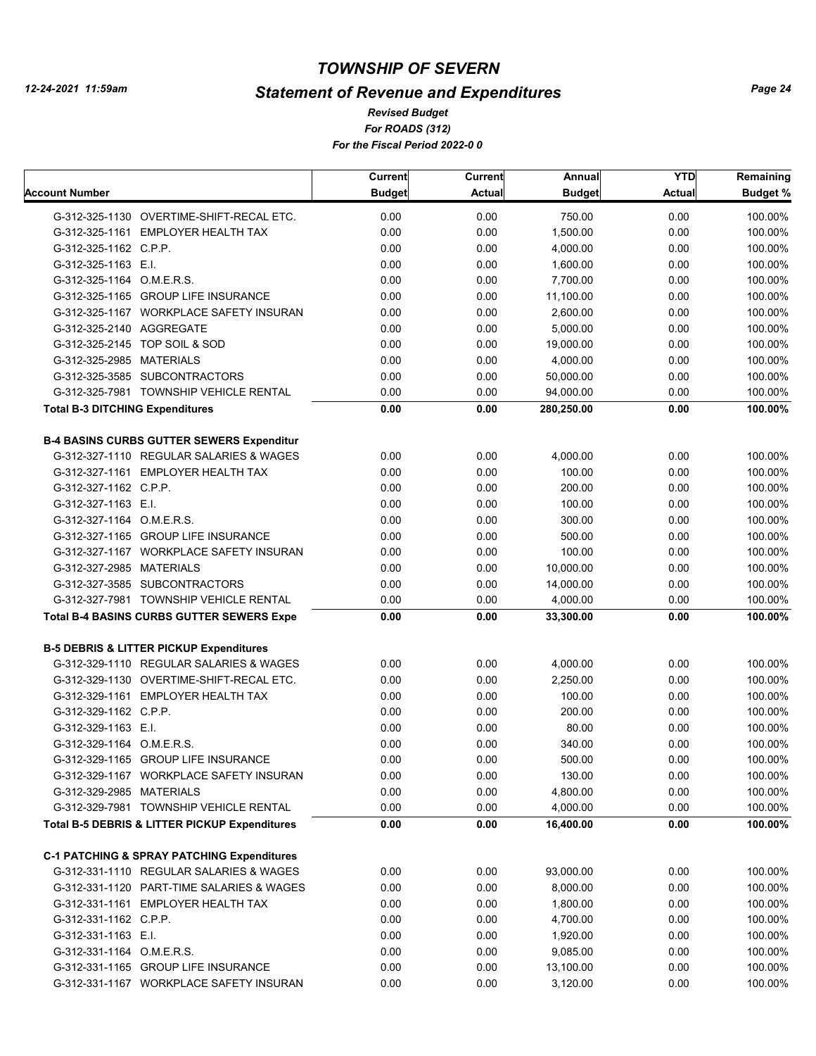# *Statement of Revenue and Expenditures*

*For ROADS (312) For the Fiscal Period 2022-0 0 Revised Budget*

|                                        |                                                          | Current       | Current       | Annual        | <b>YTD</b>    | Remaining |
|----------------------------------------|----------------------------------------------------------|---------------|---------------|---------------|---------------|-----------|
| <b>Account Number</b>                  |                                                          | <b>Budget</b> | <b>Actual</b> | <b>Budget</b> | <b>Actual</b> | Budget %  |
|                                        | G-312-325-1130 OVERTIME-SHIFT-RECAL ETC.                 | 0.00          | 0.00          | 750.00        | 0.00          | 100.00%   |
|                                        | G-312-325-1161 EMPLOYER HEALTH TAX                       | 0.00          | 0.00          | 1,500.00      | 0.00          | 100.00%   |
| G-312-325-1162 C.P.P.                  |                                                          | 0.00          | 0.00          | 4,000.00      | 0.00          | 100.00%   |
| G-312-325-1163 E.I.                    |                                                          | 0.00          | 0.00          | 1,600.00      | 0.00          | 100.00%   |
| G-312-325-1164 O.M.E.R.S.              |                                                          | 0.00          | 0.00          | 7,700.00      | 0.00          | 100.00%   |
|                                        | G-312-325-1165 GROUP LIFE INSURANCE                      | 0.00          | 0.00          | 11,100.00     | 0.00          | 100.00%   |
|                                        | G-312-325-1167 WORKPLACE SAFETY INSURAN                  | 0.00          | 0.00          | 2,600.00      | 0.00          | 100.00%   |
| G-312-325-2140 AGGREGATE               |                                                          | 0.00          | 0.00          | 5,000.00      | 0.00          | 100.00%   |
|                                        | G-312-325-2145 TOP SOIL & SOD                            | 0.00          | 0.00          | 19,000.00     | 0.00          | 100.00%   |
| G-312-325-2985 MATERIALS               |                                                          | 0.00          | 0.00          | 4,000.00      | 0.00          | 100.00%   |
|                                        | G-312-325-3585 SUBCONTRACTORS                            | 0.00          | 0.00          | 50,000.00     | 0.00          | 100.00%   |
|                                        | G-312-325-7981 TOWNSHIP VEHICLE RENTAL                   | 0.00          | 0.00          | 94,000.00     | 0.00          | 100.00%   |
| <b>Total B-3 DITCHING Expenditures</b> |                                                          | 0.00          | 0.00          | 280,250.00    | 0.00          | 100.00%   |
|                                        |                                                          |               |               |               |               |           |
|                                        | <b>B-4 BASINS CURBS GUTTER SEWERS Expenditur</b>         |               |               |               |               |           |
|                                        | G-312-327-1110 REGULAR SALARIES & WAGES                  | 0.00          | 0.00          | 4,000.00      | 0.00          | 100.00%   |
|                                        | G-312-327-1161 EMPLOYER HEALTH TAX                       | 0.00          | 0.00          | 100.00        | 0.00          | 100.00%   |
| G-312-327-1162 C.P.P.                  |                                                          | 0.00          | 0.00          | 200.00        | 0.00          | 100.00%   |
| G-312-327-1163 E.I.                    |                                                          | 0.00          | 0.00          | 100.00        | 0.00          | 100.00%   |
| G-312-327-1164 O.M.E.R.S.              |                                                          | 0.00          | 0.00          | 300.00        | 0.00          | 100.00%   |
|                                        | G-312-327-1165 GROUP LIFE INSURANCE                      | 0.00          | 0.00          | 500.00        | 0.00          | 100.00%   |
|                                        | G-312-327-1167 WORKPLACE SAFETY INSURAN                  | 0.00          | 0.00          | 100.00        | 0.00          | 100.00%   |
| G-312-327-2985 MATERIALS               |                                                          | 0.00          | 0.00          | 10,000.00     | 0.00          | 100.00%   |
|                                        | G-312-327-3585 SUBCONTRACTORS                            | 0.00          | 0.00          | 14,000.00     | 0.00          | 100.00%   |
|                                        | G-312-327-7981 TOWNSHIP VEHICLE RENTAL                   | 0.00          | 0.00          | 4,000.00      | 0.00          | 100.00%   |
|                                        | <b>Total B-4 BASINS CURBS GUTTER SEWERS Expe</b>         | 0.00          | 0.00          | 33,300.00     | 0.00          | 100.00%   |
|                                        | <b>B-5 DEBRIS &amp; LITTER PICKUP Expenditures</b>       |               |               |               |               |           |
|                                        | G-312-329-1110 REGULAR SALARIES & WAGES                  | 0.00          | 0.00          | 4,000.00      | 0.00          | 100.00%   |
|                                        | G-312-329-1130 OVERTIME-SHIFT-RECAL ETC.                 | 0.00          | 0.00          | 2,250.00      | 0.00          | 100.00%   |
|                                        | G-312-329-1161 EMPLOYER HEALTH TAX                       | 0.00          | 0.00          | 100.00        | 0.00          | 100.00%   |
| G-312-329-1162 C.P.P.                  |                                                          | 0.00          | 0.00          | 200.00        | 0.00          | 100.00%   |
| G-312-329-1163 E.I.                    |                                                          | 0.00          | 0.00          | 80.00         | 0.00          | 100.00%   |
| G-312-329-1164 O.M.E.R.S.              |                                                          | 0.00          | 0.00          | 340.00        | 0.00          | 100.00%   |
|                                        | G-312-329-1165 GROUP LIFE INSURANCE                      | 0.00          | 0.00          | 500.00        | 0.00          | 100.00%   |
|                                        | G-312-329-1167 WORKPLACE SAFETY INSURAN                  | 0.00          | 0.00          | 130.00        | 0.00          | 100.00%   |
| G-312-329-2985 MATERIALS               |                                                          | 0.00          | 0.00          | 4,800.00      | 0.00          | 100.00%   |
|                                        |                                                          |               |               |               | 0.00          |           |
|                                        | G-312-329-7981 TOWNSHIP VEHICLE RENTAL                   | 0.00          | 0.00          | 4,000.00      |               | 100.00%   |
|                                        | <b>Total B-5 DEBRIS &amp; LITTER PICKUP Expenditures</b> | 0.00          | 0.00          | 16,400.00     | 0.00          | 100.00%   |
|                                        | <b>C-1 PATCHING &amp; SPRAY PATCHING Expenditures</b>    |               |               |               |               |           |
|                                        | G-312-331-1110 REGULAR SALARIES & WAGES                  | 0.00          | 0.00          | 93,000.00     | 0.00          | 100.00%   |
|                                        | G-312-331-1120 PART-TIME SALARIES & WAGES                | 0.00          | 0.00          | 8,000.00      | 0.00          | 100.00%   |
|                                        | G-312-331-1161 EMPLOYER HEALTH TAX                       | 0.00          | 0.00          | 1,800.00      | 0.00          | 100.00%   |
| G-312-331-1162 C.P.P.                  |                                                          | 0.00          | 0.00          | 4,700.00      | 0.00          | 100.00%   |
| G-312-331-1163 E.I.                    |                                                          | 0.00          | 0.00          | 1,920.00      | 0.00          | 100.00%   |
| G-312-331-1164 O.M.E.R.S.              |                                                          | 0.00          | 0.00          | 9,085.00      | 0.00          | 100.00%   |
|                                        | G-312-331-1165 GROUP LIFE INSURANCE                      | 0.00          | 0.00          | 13,100.00     | 0.00          | 100.00%   |
|                                        | G-312-331-1167 WORKPLACE SAFETY INSURAN                  | 0.00          | 0.00          | 3,120.00      | 0.00          | 100.00%   |
|                                        |                                                          |               |               |               |               |           |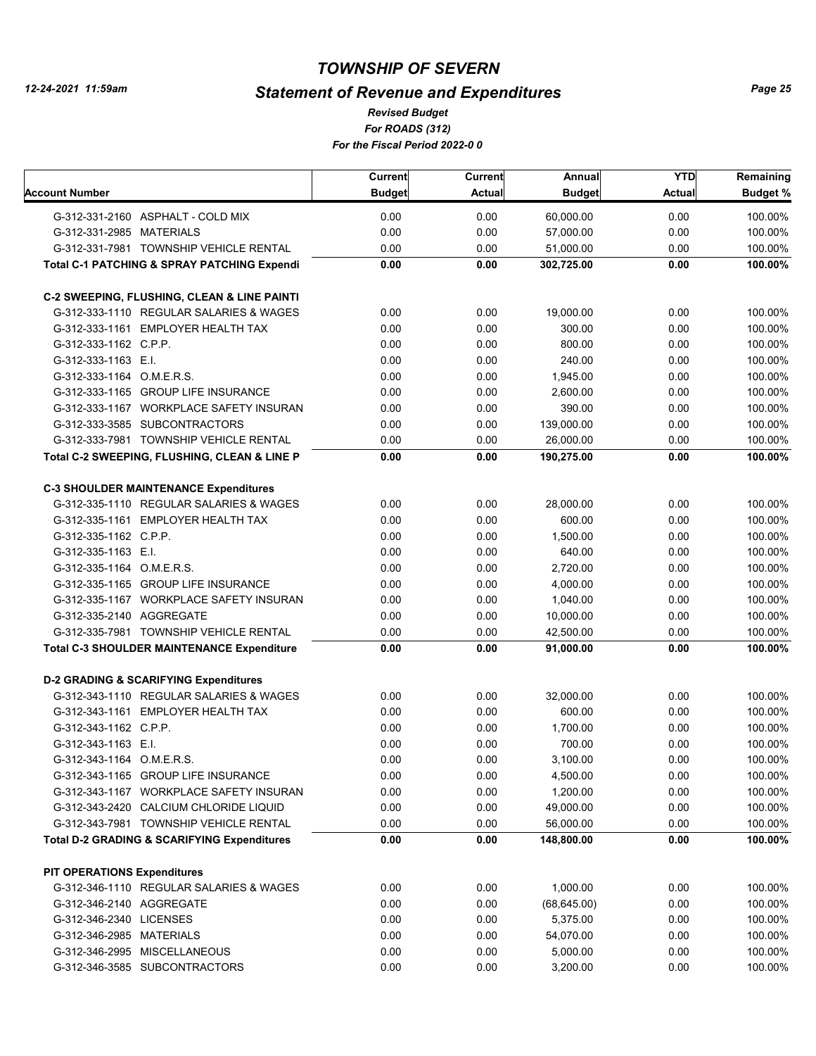# *Statement of Revenue and Expenditures*

*For ROADS (312) For the Fiscal Period 2022-0 0 Revised Budget*

|                                                        | Current       | Current       | Annual        | <b>YTD</b>    | Remaining       |
|--------------------------------------------------------|---------------|---------------|---------------|---------------|-----------------|
| Account Number                                         | <b>Budget</b> | <b>Actual</b> | <b>Budget</b> | <b>Actual</b> | <b>Budget %</b> |
| G-312-331-2160 ASPHALT - COLD MIX                      | 0.00          | 0.00          | 60,000.00     | 0.00          | 100.00%         |
| G-312-331-2985 MATERIALS                               | 0.00          | 0.00          | 57,000.00     | 0.00          | 100.00%         |
| G-312-331-7981 TOWNSHIP VEHICLE RENTAL                 | 0.00          | 0.00          | 51,000.00     | 0.00          | 100.00%         |
| <b>Total C-1 PATCHING &amp; SPRAY PATCHING Expendi</b> | 0.00          | 0.00          | 302,725.00    | 0.00          | 100.00%         |
| C-2 SWEEPING, FLUSHING, CLEAN & LINE PAINTI            |               |               |               |               |                 |
| G-312-333-1110 REGULAR SALARIES & WAGES                | 0.00          | 0.00          | 19,000.00     | 0.00          | 100.00%         |
| G-312-333-1161 EMPLOYER HEALTH TAX                     | 0.00          | 0.00          | 300.00        | 0.00          | 100.00%         |
| G-312-333-1162 C.P.P.                                  | 0.00          | 0.00          | 800.00        | 0.00          | 100.00%         |
| G-312-333-1163 E.I.                                    | 0.00          | 0.00          | 240.00        | 0.00          | 100.00%         |
| G-312-333-1164 O.M.E.R.S.                              | 0.00          | 0.00          | 1,945.00      | 0.00          | 100.00%         |
| G-312-333-1165 GROUP LIFE INSURANCE                    | 0.00          | 0.00          | 2,600.00      | 0.00          | 100.00%         |
| G-312-333-1167 WORKPLACE SAFETY INSURAN                | 0.00          | 0.00          | 390.00        | 0.00          | 100.00%         |
| G-312-333-3585 SUBCONTRACTORS                          | 0.00          | 0.00          | 139,000.00    | 0.00          | 100.00%         |
| G-312-333-7981 TOWNSHIP VEHICLE RENTAL                 | 0.00          | 0.00          | 26,000.00     | 0.00          | 100.00%         |
| Total C-2 SWEEPING, FLUSHING, CLEAN & LINE P           | 0.00          | 0.00          | 190,275.00    | 0.00          | 100.00%         |
|                                                        |               |               |               |               |                 |
| <b>C-3 SHOULDER MAINTENANCE Expenditures</b>           |               |               |               |               |                 |
| G-312-335-1110 REGULAR SALARIES & WAGES                | 0.00          | 0.00          | 28,000.00     | 0.00          | 100.00%         |
| G-312-335-1161 EMPLOYER HEALTH TAX                     | 0.00          | 0.00          | 600.00        | 0.00          | 100.00%         |
| G-312-335-1162 C.P.P.                                  | 0.00          | 0.00          | 1,500.00      | 0.00          | 100.00%         |
| G-312-335-1163 E.I.                                    | 0.00          | 0.00          | 640.00        | 0.00          | 100.00%         |
| G-312-335-1164 O.M.E.R.S.                              | 0.00          | 0.00          | 2,720.00      | 0.00          | 100.00%         |
| G-312-335-1165 GROUP LIFE INSURANCE                    | 0.00          | 0.00          | 4,000.00      | 0.00          | 100.00%         |
| G-312-335-1167 WORKPLACE SAFETY INSURAN                | 0.00          | 0.00          | 1,040.00      | 0.00          | 100.00%         |
| G-312-335-2140 AGGREGATE                               | 0.00          | 0.00          | 10,000.00     | 0.00          | 100.00%         |
| G-312-335-7981 TOWNSHIP VEHICLE RENTAL                 | 0.00          | 0.00          | 42,500.00     | 0.00          | 100.00%         |
| <b>Total C-3 SHOULDER MAINTENANCE Expenditure</b>      | 0.00          | 0.00          | 91,000.00     | 0.00          | 100.00%         |
| <b>D-2 GRADING &amp; SCARIFYING Expenditures</b>       |               |               |               |               |                 |
| G-312-343-1110 REGULAR SALARIES & WAGES                | 0.00          | 0.00          | 32,000.00     | 0.00          | 100.00%         |
| G-312-343-1161 EMPLOYER HEALTH TAX                     | 0.00          | 0.00          | 600.00        | 0.00          | 100.00%         |
| G-312-343-1162 C.P.P.                                  | 0.00          | 0.00          | 1,700.00      | 0.00          | 100.00%         |
| G-312-343-1163 E.I.                                    | 0.00          | 0.00          | 700.00        | 0.00          | 100.00%         |
| G-312-343-1164 O.M.E.R.S.                              | 0.00          | 0.00          | 3,100.00      | 0.00          | 100.00%         |
| G-312-343-1165 GROUP LIFE INSURANCE                    | 0.00          | 0.00          | 4,500.00      | 0.00          | 100.00%         |
| G-312-343-1167 WORKPLACE SAFETY INSURAN                | 0.00          | 0.00          | 1,200.00      | 0.00          | 100.00%         |
| G-312-343-2420 CALCIUM CHLORIDE LIQUID                 | 0.00          | 0.00          | 49,000.00     | 0.00          | 100.00%         |
| G-312-343-7981 TOWNSHIP VEHICLE RENTAL                 | 0.00          | 0.00          | 56,000.00     | 0.00          | 100.00%         |
| <b>Total D-2 GRADING &amp; SCARIFYING Expenditures</b> | 0.00          | 0.00          | 148,800.00    | 0.00          | 100.00%         |
| <b>PIT OPERATIONS Expenditures</b>                     |               |               |               |               |                 |
| G-312-346-1110 REGULAR SALARIES & WAGES                | 0.00          | 0.00          | 1,000.00      | 0.00          | 100.00%         |
| G-312-346-2140 AGGREGATE                               | 0.00          | 0.00          | (68, 645.00)  | 0.00          | 100.00%         |
| G-312-346-2340 LICENSES                                | 0.00          | 0.00          | 5,375.00      | 0.00          | 100.00%         |
| G-312-346-2985 MATERIALS                               | 0.00          | 0.00          | 54,070.00     | 0.00          | 100.00%         |
| G-312-346-2995 MISCELLANEOUS                           | 0.00          | 0.00          | 5,000.00      | 0.00          | 100.00%         |
| G-312-346-3585 SUBCONTRACTORS                          | 0.00          | 0.00          | 3,200.00      | 0.00          | 100.00%         |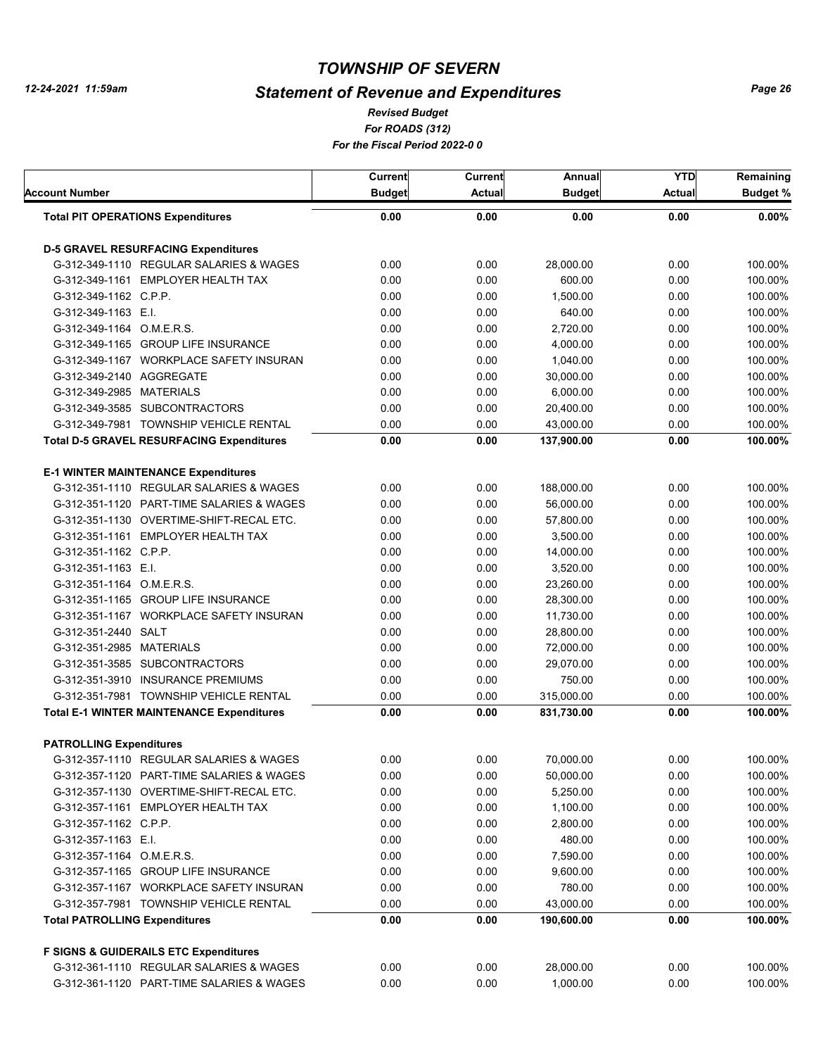# *Statement of Revenue and Expenditures*

*For ROADS (312) For the Fiscal Period 2022-0 0 Revised Budget*

| Account Number                       |                                                  | Current<br><b>Budget</b> | <b>Current</b><br><b>Actual</b> | Annual<br><b>Budget</b> | <b>YTD</b><br><b>Actual</b> | Remaining<br><b>Budget %</b> |
|--------------------------------------|--------------------------------------------------|--------------------------|---------------------------------|-------------------------|-----------------------------|------------------------------|
|                                      | <b>Total PIT OPERATIONS Expenditures</b>         | 0.00                     | 0.00                            | 0.00                    | 0.00                        | $0.00\%$                     |
|                                      | <b>D-5 GRAVEL RESURFACING Expenditures</b>       |                          |                                 |                         |                             |                              |
|                                      | G-312-349-1110 REGULAR SALARIES & WAGES          | 0.00                     | 0.00                            | 28.000.00               | 0.00                        | 100.00%                      |
|                                      | G-312-349-1161 EMPLOYER HEALTH TAX               | 0.00                     | 0.00                            | 600.00                  | 0.00                        | 100.00%                      |
| G-312-349-1162 C.P.P.                |                                                  | 0.00                     | 0.00                            | 1,500.00                | 0.00                        | 100.00%                      |
| G-312-349-1163 E.I.                  |                                                  | 0.00                     | 0.00                            | 640.00                  | 0.00                        | 100.00%                      |
| G-312-349-1164 O.M.E.R.S.            |                                                  | 0.00                     | 0.00                            | 2,720.00                | 0.00                        | 100.00%                      |
|                                      | G-312-349-1165 GROUP LIFE INSURANCE              | 0.00                     | 0.00                            | 4,000.00                | 0.00                        | 100.00%                      |
|                                      | G-312-349-1167 WORKPLACE SAFETY INSURAN          | 0.00                     | 0.00                            | 1.040.00                | 0.00                        | 100.00%                      |
| G-312-349-2140 AGGREGATE             |                                                  | 0.00                     | 0.00                            | 30,000.00               | 0.00                        | 100.00%                      |
| G-312-349-2985 MATERIALS             |                                                  | 0.00                     | 0.00                            | 6,000.00                | 0.00                        | 100.00%                      |
|                                      | G-312-349-3585 SUBCONTRACTORS                    | 0.00                     | 0.00                            | 20,400.00               | 0.00                        | 100.00%                      |
|                                      | G-312-349-7981 TOWNSHIP VEHICLE RENTAL           | 0.00                     | 0.00                            | 43,000.00               | 0.00                        | 100.00%                      |
|                                      | <b>Total D-5 GRAVEL RESURFACING Expenditures</b> | 0.00                     | 0.00                            | 137,900.00              | 0.00                        | 100.00%                      |
|                                      | <b>E-1 WINTER MAINTENANCE Expenditures</b>       |                          |                                 |                         |                             |                              |
|                                      | G-312-351-1110 REGULAR SALARIES & WAGES          | 0.00                     | 0.00                            | 188,000.00              | 0.00                        | 100.00%                      |
|                                      | G-312-351-1120 PART-TIME SALARIES & WAGES        | 0.00                     | 0.00                            | 56.000.00               | 0.00                        | 100.00%                      |
|                                      | G-312-351-1130 OVERTIME-SHIFT-RECAL ETC.         | 0.00                     | 0.00                            | 57,800.00               | 0.00                        | 100.00%                      |
|                                      | G-312-351-1161 EMPLOYER HEALTH TAX               | 0.00                     | 0.00                            | 3,500.00                | 0.00                        | 100.00%                      |
| G-312-351-1162 C.P.P.                |                                                  | 0.00                     | 0.00                            | 14,000.00               | 0.00                        | 100.00%                      |
| G-312-351-1163 E.I.                  |                                                  | 0.00                     | 0.00                            | 3,520.00                | 0.00                        | 100.00%                      |
| G-312-351-1164 O.M.E.R.S.            |                                                  | 0.00                     | 0.00                            | 23,260.00               | 0.00                        | 100.00%                      |
|                                      | G-312-351-1165 GROUP LIFE INSURANCE              | 0.00                     | 0.00                            | 28,300.00               | 0.00                        | 100.00%                      |
|                                      | G-312-351-1167 WORKPLACE SAFETY INSURAN          | 0.00                     | 0.00                            | 11,730.00               | 0.00                        | 100.00%                      |
| G-312-351-2440 SALT                  |                                                  | 0.00                     | 0.00                            | 28,800.00               | 0.00                        | 100.00%                      |
| G-312-351-2985 MATERIALS             |                                                  | 0.00                     | 0.00                            | 72,000.00               | 0.00                        | 100.00%                      |
|                                      | G-312-351-3585 SUBCONTRACTORS                    | 0.00                     | 0.00                            | 29,070.00               | 0.00                        | 100.00%                      |
|                                      | G-312-351-3910 INSURANCE PREMIUMS                | 0.00                     | 0.00                            | 750.00                  | 0.00                        | 100.00%                      |
|                                      | G-312-351-7981 TOWNSHIP VEHICLE RENTAL           | 0.00                     | 0.00                            | 315,000.00              | 0.00                        | 100.00%                      |
|                                      | <b>Total E-1 WINTER MAINTENANCE Expenditures</b> | 0.00                     | 0.00                            | 831,730.00              | 0.00                        | 100.00%                      |
| <b>PATROLLING Expenditures</b>       |                                                  |                          |                                 |                         |                             |                              |
|                                      | G-312-357-1110 REGULAR SALARIES & WAGES          | 0.00                     | 0.00                            | 70,000.00               | 0.00                        | 100.00%                      |
|                                      | G-312-357-1120 PART-TIME SALARIES & WAGES        | 0.00                     | 0.00                            | 50,000.00               | 0.00                        | 100.00%                      |
|                                      | G-312-357-1130 OVERTIME-SHIFT-RECAL ETC.         | 0.00                     | 0.00                            | 5,250.00                | 0.00                        | 100.00%                      |
|                                      | G-312-357-1161 EMPLOYER HEALTH TAX               | 0.00                     | 0.00                            | 1,100.00                | 0.00                        | 100.00%                      |
| G-312-357-1162 C.P.P.                |                                                  | 0.00                     | 0.00                            | 2,800.00                | 0.00                        | 100.00%                      |
| G-312-357-1163 E.I.                  |                                                  | 0.00                     | 0.00                            | 480.00                  | 0.00                        | 100.00%                      |
| G-312-357-1164 O.M.E.R.S.            |                                                  | 0.00                     | 0.00                            | 7,590.00                | 0.00                        | 100.00%                      |
|                                      | G-312-357-1165 GROUP LIFE INSURANCE              | 0.00                     | 0.00                            | 9,600.00                | 0.00                        | 100.00%                      |
|                                      | G-312-357-1167 WORKPLACE SAFETY INSURAN          | 0.00                     | 0.00                            | 780.00                  | 0.00                        | 100.00%                      |
|                                      | G-312-357-7981 TOWNSHIP VEHICLE RENTAL           | 0.00                     | 0.00                            | 43,000.00               | 0.00                        | 100.00%                      |
| <b>Total PATROLLING Expenditures</b> |                                                  | 0.00                     | 0.00                            | 190,600.00              | 0.00                        | 100.00%                      |
|                                      | <b>F SIGNS &amp; GUIDERAILS ETC Expenditures</b> |                          |                                 |                         |                             |                              |
|                                      | G-312-361-1110 REGULAR SALARIES & WAGES          | 0.00                     | 0.00                            | 28,000.00               | 0.00                        | 100.00%                      |
|                                      | G-312-361-1120 PART-TIME SALARIES & WAGES        | 0.00                     | 0.00                            | 1,000.00                | 0.00                        | 100.00%                      |
|                                      |                                                  |                          |                                 |                         |                             |                              |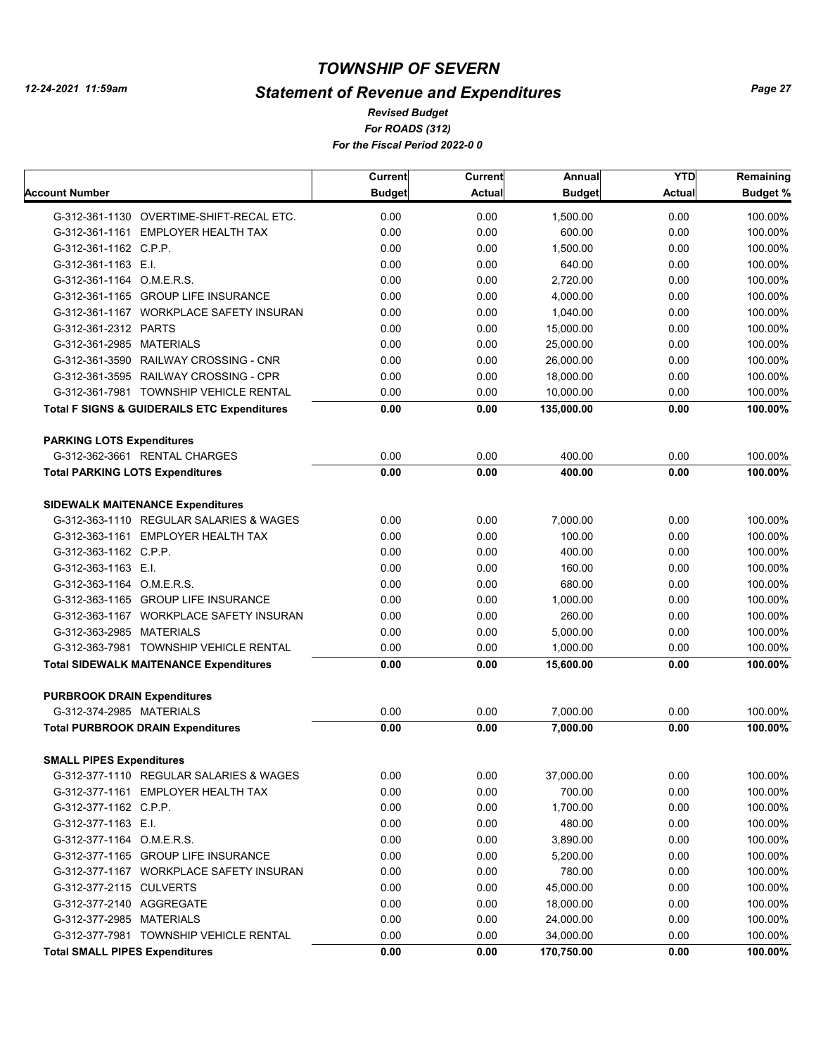# *Statement of Revenue and Expenditures*

*For ROADS (312) For the Fiscal Period 2022-0 0 Revised Budget*

|                                                        | Current       | <b>Current</b> | Annual              | <b>YTD</b> | Remaining       |
|--------------------------------------------------------|---------------|----------------|---------------------|------------|-----------------|
| Account Number                                         | <b>Budget</b> | <b>Actual</b>  | <b>Budget</b>       | Actual     | <b>Budget %</b> |
| G-312-361-1130 OVERTIME-SHIFT-RECAL ETC.               | 0.00          | 0.00           | 1.500.00            | 0.00       | 100.00%         |
| G-312-361-1161 EMPLOYER HEALTH TAX                     | 0.00          | 0.00           | 600.00              | 0.00       | 100.00%         |
| G-312-361-1162 C.P.P.                                  | 0.00          | 0.00           | 1,500.00            | 0.00       | 100.00%         |
| G-312-361-1163 E.I.                                    | 0.00          | 0.00           | 640.00              | 0.00       | 100.00%         |
| G-312-361-1164 O.M.E.R.S.                              | 0.00          | 0.00           | 2,720.00            | 0.00       | 100.00%         |
| G-312-361-1165 GROUP LIFE INSURANCE                    | 0.00          | 0.00           | 4,000.00            | 0.00       | 100.00%         |
| G-312-361-1167 WORKPLACE SAFETY INSURAN                | 0.00          | 0.00           | 1.040.00            | 0.00       | 100.00%         |
| G-312-361-2312 PARTS                                   | 0.00          | 0.00           | 15,000.00           | 0.00       | 100.00%         |
| G-312-361-2985 MATERIALS                               | 0.00          | 0.00           | 25,000.00           | 0.00       | 100.00%         |
| G-312-361-3590 RAILWAY CROSSING - CNR                  | 0.00          | 0.00           | 26.000.00           | 0.00       | 100.00%         |
| G-312-361-3595 RAILWAY CROSSING - CPR                  | 0.00          | 0.00           | 18,000.00           | 0.00       | 100.00%         |
| G-312-361-7981 TOWNSHIP VEHICLE RENTAL                 | 0.00          | 0.00           | 10,000.00           | 0.00       | 100.00%         |
| <b>Total F SIGNS &amp; GUIDERAILS ETC Expenditures</b> | 0.00          | 0.00           | 135,000.00          | 0.00       | 100.00%         |
|                                                        |               |                |                     |            |                 |
| <b>PARKING LOTS Expenditures</b>                       |               |                |                     |            |                 |
| G-312-362-3661 RENTAL CHARGES                          | 0.00          | 0.00           | 400.00              | 0.00       | 100.00%         |
| <b>Total PARKING LOTS Expenditures</b>                 | 0.00          | 0.00           | 400.00              | 0.00       | 100.00%         |
| <b>SIDEWALK MAITENANCE Expenditures</b>                |               |                |                     |            |                 |
| G-312-363-1110 REGULAR SALARIES & WAGES                | 0.00          | 0.00           | 7.000.00            | 0.00       | 100.00%         |
| G-312-363-1161 EMPLOYER HEALTH TAX                     | 0.00          | 0.00           | 100.00              | 0.00       | 100.00%         |
| G-312-363-1162 C.P.P.                                  | 0.00          | 0.00           | 400.00              | 0.00       | 100.00%         |
| G-312-363-1163 E.I.                                    | 0.00          | 0.00           | 160.00              | 0.00       | 100.00%         |
| G-312-363-1164 O.M.E.R.S.                              | 0.00          | 0.00           | 680.00              | 0.00       | 100.00%         |
| G-312-363-1165 GROUP LIFE INSURANCE                    | 0.00          | 0.00           | 1,000.00            | 0.00       | 100.00%         |
| G-312-363-1167 WORKPLACE SAFETY INSURAN                | 0.00          | 0.00           | 260.00              | 0.00       | 100.00%         |
| G-312-363-2985 MATERIALS                               | 0.00          | 0.00           | 5,000.00            | 0.00       | 100.00%         |
| G-312-363-7981 TOWNSHIP VEHICLE RENTAL                 | 0.00          | 0.00           | 1,000.00            | 0.00       | 100.00%         |
| <b>Total SIDEWALK MAITENANCE Expenditures</b>          | 0.00          | 0.00           | 15,600.00           | 0.00       | 100.00%         |
| <b>PURBROOK DRAIN Expenditures</b>                     |               |                |                     |            |                 |
| G-312-374-2985 MATERIALS                               | 0.00          | 0.00           | 7,000.00            | 0.00       | 100.00%         |
| <b>Total PURBROOK DRAIN Expenditures</b>               | 0.00          | 0.00           | 7,000.00            | 0.00       | 100.00%         |
| <b>SMALL PIPES Expenditures</b>                        |               |                |                     |            |                 |
| G-312-377-1110 REGULAR SALARIES & WAGES                | 0.00          | 0.00           | 37,000.00           | 0.00       | 100.00%         |
| G-312-377-1161 EMPLOYER HEALTH TAX                     | 0.00          | 0.00           | 700.00              | 0.00       | 100.00%         |
| G-312-377-1162 C.P.P.                                  | 0.00          | 0.00           | 1,700.00            | 0.00       | 100.00%         |
| G-312-377-1163 E.I.                                    | 0.00          | 0.00           | 480.00              | 0.00       | 100.00%         |
| G-312-377-1164 O.M.E.R.S.                              | 0.00          | 0.00           | 3,890.00            | 0.00       | 100.00%         |
| G-312-377-1165 GROUP LIFE INSURANCE                    | 0.00          | 0.00           | 5,200.00            | 0.00       | 100.00%         |
|                                                        |               |                |                     |            |                 |
| G-312-377-1167 WORKPLACE SAFETY INSURAN                | 0.00          | 0.00           | 780.00<br>45,000.00 | 0.00       | 100.00%         |
| G-312-377-2115 CULVERTS<br>G-312-377-2140 AGGREGATE    | 0.00          | 0.00           |                     | 0.00       | 100.00%         |
|                                                        | 0.00          | 0.00           | 18,000.00           | 0.00       | 100.00%         |
| G-312-377-2985 MATERIALS                               | 0.00          | 0.00           | 24,000.00           | 0.00       | 100.00%         |
| G-312-377-7981 TOWNSHIP VEHICLE RENTAL                 | 0.00          | 0.00           | 34,000.00           | 0.00       | 100.00%         |
| <b>Total SMALL PIPES Expenditures</b>                  | 0.00          | 0.00           | 170,750.00          | 0.00       | 100.00%         |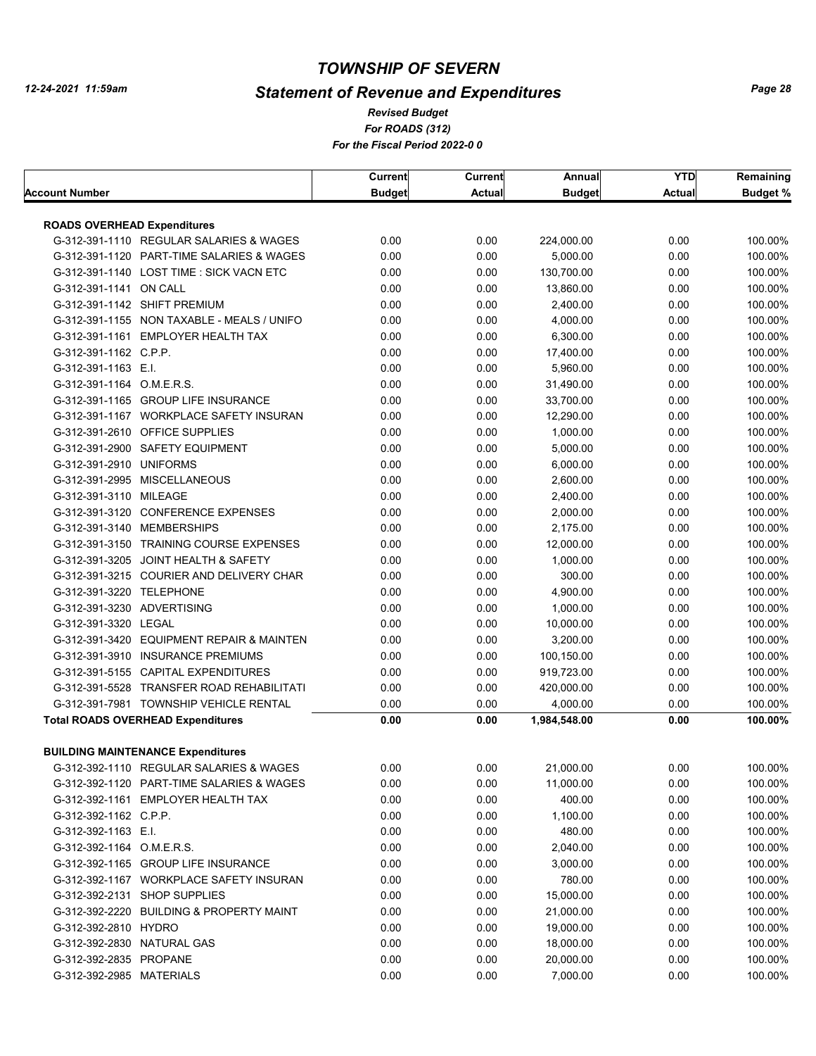# *Statement of Revenue and Expenditures*

*For ROADS (312) For the Fiscal Period 2022-0 0 Revised Budget*

|                                    |                                                                                      | Current       | Current       | Annual        | <b>YTD</b>    | Remaining       |
|------------------------------------|--------------------------------------------------------------------------------------|---------------|---------------|---------------|---------------|-----------------|
| <b>Account Number</b>              |                                                                                      | <b>Budget</b> | <b>Actual</b> | <b>Budget</b> | <b>Actual</b> | <b>Budget %</b> |
|                                    |                                                                                      |               |               |               |               |                 |
| <b>ROADS OVERHEAD Expenditures</b> |                                                                                      |               |               | 224,000.00    |               |                 |
|                                    | G-312-391-1110 REGULAR SALARIES & WAGES<br>G-312-391-1120 PART-TIME SALARIES & WAGES | 0.00<br>0.00  | 0.00          |               | 0.00<br>0.00  | 100.00%         |
|                                    |                                                                                      |               | 0.00          | 5,000.00      |               | 100.00%         |
|                                    | G-312-391-1140 LOST TIME: SICK VACN ETC                                              | 0.00          | 0.00          | 130,700.00    | 0.00          | 100.00%         |
| G-312-391-1141 ON CALL             |                                                                                      | 0.00          | 0.00          | 13,860.00     | 0.00          | 100.00%         |
|                                    | G-312-391-1142 SHIFT PREMIUM                                                         | 0.00          | 0.00          | 2,400.00      | 0.00          | 100.00%         |
|                                    | G-312-391-1155 NON TAXABLE - MEALS / UNIFO                                           | 0.00          | 0.00          | 4,000.00      | 0.00          | 100.00%         |
|                                    | G-312-391-1161 EMPLOYER HEALTH TAX                                                   | 0.00          | 0.00          | 6,300.00      | 0.00          | 100.00%         |
| G-312-391-1162 C.P.P.              |                                                                                      | 0.00          | 0.00          | 17,400.00     | 0.00          | 100.00%         |
| G-312-391-1163 E.I.                |                                                                                      | 0.00          | 0.00          | 5,960.00      | 0.00          | 100.00%         |
| G-312-391-1164 O.M.E.R.S.          |                                                                                      | 0.00          | 0.00          | 31,490.00     | 0.00          | 100.00%         |
|                                    | G-312-391-1165 GROUP LIFE INSURANCE                                                  | 0.00          | 0.00          | 33,700.00     | 0.00          | 100.00%         |
|                                    | G-312-391-1167 WORKPLACE SAFETY INSURAN                                              | 0.00          | 0.00          | 12,290.00     | 0.00          | 100.00%         |
|                                    | G-312-391-2610 OFFICE SUPPLIES                                                       | 0.00          | 0.00          | 1,000.00      | 0.00          | 100.00%         |
|                                    | G-312-391-2900 SAFETY EQUIPMENT                                                      | 0.00          | 0.00          | 5,000.00      | 0.00          | 100.00%         |
| G-312-391-2910 UNIFORMS            |                                                                                      | 0.00          | 0.00          | 6,000.00      | 0.00          | 100.00%         |
|                                    | G-312-391-2995 MISCELLANEOUS                                                         | 0.00          | 0.00          | 2,600.00      | 0.00          | 100.00%         |
| G-312-391-3110 MILEAGE             |                                                                                      | 0.00          | 0.00          | 2,400.00      | 0.00          | 100.00%         |
|                                    | G-312-391-3120 CONFERENCE EXPENSES                                                   | 0.00          | 0.00          | 2,000.00      | 0.00          | 100.00%         |
|                                    | G-312-391-3140 MEMBERSHIPS                                                           | 0.00          | 0.00          | 2,175.00      | 0.00          | 100.00%         |
|                                    | G-312-391-3150 TRAINING COURSE EXPENSES                                              | 0.00          | 0.00          | 12,000.00     | 0.00          | 100.00%         |
|                                    | G-312-391-3205 JOINT HEALTH & SAFETY                                                 | 0.00          | 0.00          | 1,000.00      | 0.00          | 100.00%         |
|                                    | G-312-391-3215 COURIER AND DELIVERY CHAR                                             | 0.00          | 0.00          | 300.00        | 0.00          | 100.00%         |
| G-312-391-3220 TELEPHONE           |                                                                                      | 0.00          | 0.00          | 4,900.00      | 0.00          | 100.00%         |
| G-312-391-3230 ADVERTISING         |                                                                                      | 0.00          | 0.00          | 1,000.00      | 0.00          | 100.00%         |
| G-312-391-3320 LEGAL               |                                                                                      | 0.00          | 0.00          | 10,000.00     | 0.00          | 100.00%         |
|                                    | G-312-391-3420 EQUIPMENT REPAIR & MAINTEN                                            | 0.00          | 0.00          | 3,200.00      | 0.00          | 100.00%         |
|                                    | G-312-391-3910 INSURANCE PREMIUMS                                                    | 0.00          | 0.00          | 100,150.00    | 0.00          | 100.00%         |
|                                    | G-312-391-5155 CAPITAL EXPENDITURES                                                  | 0.00          | 0.00          | 919,723.00    | 0.00          | 100.00%         |
|                                    | G-312-391-5528 TRANSFER ROAD REHABILITATI                                            | 0.00          | 0.00          | 420,000.00    | 0.00          | 100.00%         |
|                                    | G-312-391-7981 TOWNSHIP VEHICLE RENTAL                                               | 0.00          | 0.00          | 4,000.00      | 0.00          | 100.00%         |
|                                    | <b>Total ROADS OVERHEAD Expenditures</b>                                             | 0.00          | 0.00          | 1,984,548.00  | 0.00          | 100.00%         |
|                                    |                                                                                      |               |               |               |               |                 |
|                                    | <b>BUILDING MAINTENANCE Expenditures</b>                                             |               |               |               |               |                 |
|                                    | G-312-392-1110 REGULAR SALARIES & WAGES                                              | 0.00          | 0.00          | 21,000.00     | 0.00          | 100.00%         |
|                                    | G-312-392-1120 PART-TIME SALARIES & WAGES                                            | 0.00          | 0.00          | 11,000.00     | 0.00          | 100.00%         |
|                                    | G-312-392-1161 EMPLOYER HEALTH TAX                                                   | 0.00          | 0.00          | 400.00        | 0.00          | 100.00%         |
| G-312-392-1162 C.P.P.              |                                                                                      | 0.00          | 0.00          | 1,100.00      | 0.00          | 100.00%         |
| G-312-392-1163 E.I.                |                                                                                      | 0.00          | 0.00          | 480.00        | 0.00          | 100.00%         |
| G-312-392-1164 O.M.E.R.S.          |                                                                                      | 0.00          | 0.00          | 2,040.00      | 0.00          | 100.00%         |
|                                    | G-312-392-1165 GROUP LIFE INSURANCE                                                  | 0.00          | 0.00          | 3,000.00      | 0.00          | 100.00%         |
|                                    | G-312-392-1167 WORKPLACE SAFETY INSURAN                                              | 0.00          | 0.00          | 780.00        | 0.00          | 100.00%         |
|                                    | G-312-392-2131 SHOP SUPPLIES                                                         | 0.00          | 0.00          | 15,000.00     | 0.00          | 100.00%         |
|                                    | G-312-392-2220 BUILDING & PROPERTY MAINT                                             | 0.00          | 0.00          | 21,000.00     | 0.00          | 100.00%         |
| G-312-392-2810 HYDRO               |                                                                                      | 0.00          | 0.00          | 19,000.00     | 0.00          | 100.00%         |
| G-312-392-2830 NATURAL GAS         |                                                                                      | 0.00          | 0.00          | 18,000.00     | 0.00          | 100.00%         |
| G-312-392-2835 PROPANE             |                                                                                      | 0.00          | 0.00          | 20,000.00     | 0.00          | 100.00%         |
| G-312-392-2985 MATERIALS           |                                                                                      | 0.00          | 0.00          | 7,000.00      | 0.00          | 100.00%         |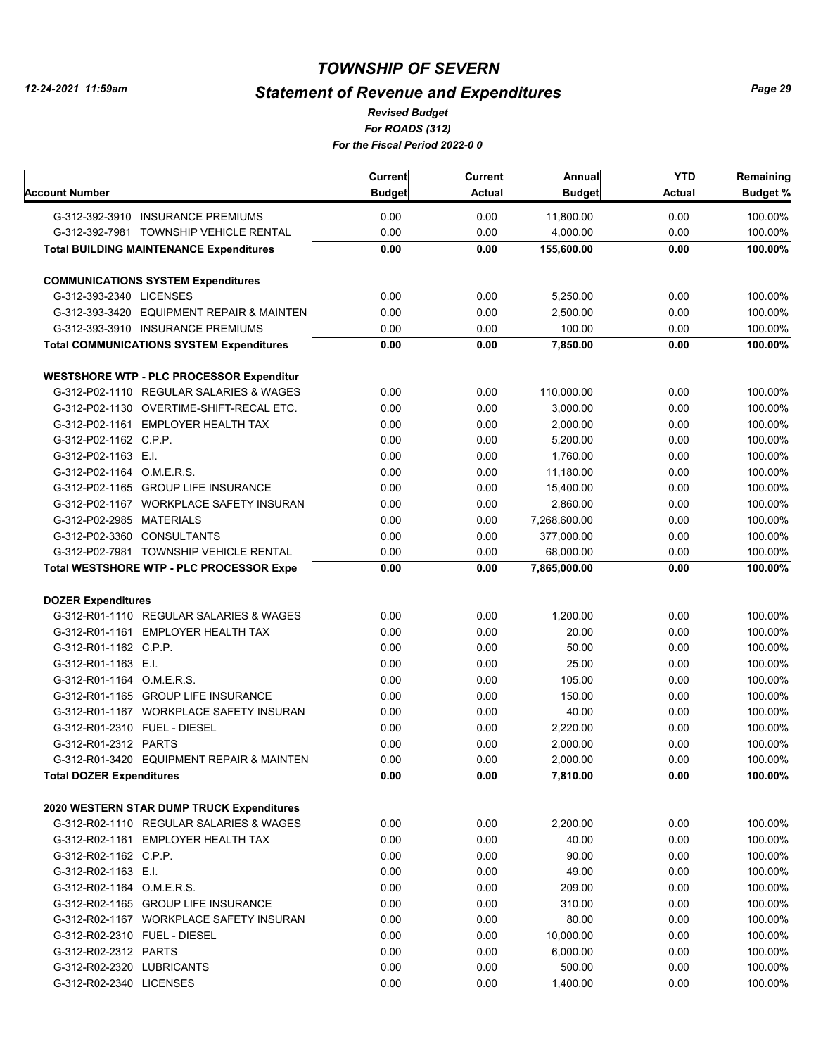# *Statement of Revenue and Expenditures*

*For ROADS (312) For the Fiscal Period 2022-0 0 Revised Budget*

|                                              |                                                 | <b>Current</b> | <b>Current</b> | Annual        | <b>YTD</b> | Remaining       |
|----------------------------------------------|-------------------------------------------------|----------------|----------------|---------------|------------|-----------------|
| Account Number                               |                                                 | <b>Budget</b>  | <b>Actual</b>  | <b>Budget</b> | Actual     | <b>Budget %</b> |
|                                              | G-312-392-3910 INSURANCE PREMIUMS               | 0.00           | 0.00           | 11,800.00     | 0.00       | 100.00%         |
|                                              | G-312-392-7981 TOWNSHIP VEHICLE RENTAL          | 0.00           | 0.00           | 4,000.00      | 0.00       | 100.00%         |
|                                              | <b>Total BUILDING MAINTENANCE Expenditures</b>  | 0.00           | 0.00           | 155,600.00    | 0.00       | 100.00%         |
|                                              | <b>COMMUNICATIONS SYSTEM Expenditures</b>       |                |                |               |            |                 |
| G-312-393-2340 LICENSES                      |                                                 | 0.00           | 0.00           | 5,250.00      | 0.00       | 100.00%         |
|                                              | G-312-393-3420 EQUIPMENT REPAIR & MAINTEN       | 0.00           | 0.00           | 2,500.00      | 0.00       | 100.00%         |
|                                              | G-312-393-3910 INSURANCE PREMIUMS               | 0.00           | 0.00           | 100.00        | 0.00       | 100.00%         |
|                                              | <b>Total COMMUNICATIONS SYSTEM Expenditures</b> | 0.00           | 0.00           | 7,850.00      | 0.00       | 100.00%         |
|                                              | <b>WESTSHORE WTP - PLC PROCESSOR Expenditur</b> |                |                |               |            |                 |
|                                              | G-312-P02-1110 REGULAR SALARIES & WAGES         | 0.00           | 0.00           | 110,000.00    | 0.00       | 100.00%         |
|                                              | G-312-P02-1130 OVERTIME-SHIFT-RECAL ETC.        | 0.00           | 0.00           | 3,000.00      | 0.00       | 100.00%         |
|                                              | G-312-P02-1161 EMPLOYER HEALTH TAX              | 0.00           | 0.00           | 2,000.00      | 0.00       | 100.00%         |
| G-312-P02-1162 C.P.P.                        |                                                 | 0.00           | 0.00           | 5,200.00      | 0.00       | 100.00%         |
| G-312-P02-1163 E.I.                          |                                                 | 0.00           | 0.00           | 1,760.00      | 0.00       | 100.00%         |
| G-312-P02-1164 O.M.E.R.S.                    |                                                 | 0.00           | 0.00           | 11,180.00     | 0.00       | 100.00%         |
|                                              | G-312-P02-1165 GROUP LIFE INSURANCE             | 0.00           | 0.00           | 15,400.00     | 0.00       | 100.00%         |
|                                              | G-312-P02-1167 WORKPLACE SAFETY INSURAN         | 0.00           | 0.00           | 2,860.00      | 0.00       | 100.00%         |
| G-312-P02-2985 MATERIALS                     |                                                 | 0.00           | 0.00           | 7,268,600.00  | 0.00       | 100.00%         |
|                                              | G-312-P02-3360 CONSULTANTS                      | 0.00           | 0.00           | 377,000.00    | 0.00       | 100.00%         |
|                                              | G-312-P02-7981 TOWNSHIP VEHICLE RENTAL          | 0.00           | 0.00           | 68,000.00     | 0.00       | 100.00%         |
|                                              |                                                 | 0.00           | 0.00           |               | 0.00       | 100.00%         |
|                                              | <b>Total WESTSHORE WTP - PLC PROCESSOR Expe</b> |                |                | 7,865,000.00  |            |                 |
| <b>DOZER Expenditures</b>                    |                                                 |                |                |               |            |                 |
|                                              | G-312-R01-1110 REGULAR SALARIES & WAGES         | 0.00           | 0.00           | 1,200.00      | 0.00       | 100.00%         |
|                                              | G-312-R01-1161 EMPLOYER HEALTH TAX              | 0.00           | 0.00           | 20.00         | 0.00       | 100.00%         |
| G-312-R01-1162 C.P.P.                        |                                                 | 0.00           | 0.00           | 50.00         | 0.00       | 100.00%         |
| G-312-R01-1163 E.I.                          |                                                 | 0.00           | 0.00           | 25.00         | 0.00       | 100.00%         |
| G-312-R01-1164 O.M.E.R.S.                    |                                                 | 0.00           | 0.00           | 105.00        | 0.00       | 100.00%         |
|                                              | G-312-R01-1165 GROUP LIFE INSURANCE             | 0.00           | 0.00           | 150.00        | 0.00       | 100.00%         |
|                                              | G-312-R01-1167 WORKPLACE SAFETY INSURAN         | 0.00           | 0.00           | 40.00         | 0.00       | 100.00%         |
| G-312-R01-2310 FUEL - DIESEL                 |                                                 | 0.00           | 0.00           | 2,220.00      | 0.00       | 100.00%         |
| G-312-R01-2312 PARTS                         |                                                 | 0.00           | 0.00           | 2,000.00      | 0.00       | 100.00%         |
|                                              | G-312-R01-3420 EQUIPMENT REPAIR & MAINTEN       | 0.00           | 0.00           | 2,000.00      | 0.00       | 100.00%         |
| <b>Total DOZER Expenditures</b>              |                                                 | 0.00           | 0.00           | 7,810.00      | 0.00       | 100.00%         |
|                                              | 2020 WESTERN STAR DUMP TRUCK Expenditures       |                |                |               |            |                 |
|                                              | G-312-R02-1110 REGULAR SALARIES & WAGES         | 0.00           | 0.00           | 2,200.00      | 0.00       | 100.00%         |
|                                              | G-312-R02-1161 EMPLOYER HEALTH TAX              | 0.00           | 0.00           | 40.00         | 0.00       | 100.00%         |
|                                              |                                                 |                |                |               | 0.00       |                 |
| G-312-R02-1162 C.P.P.<br>G-312-R02-1163 E.I. |                                                 | 0.00           | 0.00           | 90.00         | 0.00       | 100.00%         |
|                                              |                                                 | 0.00           | 0.00           | 49.00         |            | 100.00%         |
| G-312-R02-1164 O.M.E.R.S.                    |                                                 | 0.00           | 0.00           | 209.00        | 0.00       | 100.00%         |
|                                              | G-312-R02-1165 GROUP LIFE INSURANCE             | 0.00           | 0.00           | 310.00        | 0.00       | 100.00%         |
|                                              | G-312-R02-1167 WORKPLACE SAFETY INSURAN         | 0.00           | 0.00           | 80.00         | 0.00       | 100.00%         |
| G-312-R02-2310 FUEL - DIESEL                 |                                                 | 0.00           | 0.00           | 10,000.00     | 0.00       | 100.00%         |
| G-312-R02-2312 PARTS                         |                                                 | 0.00           | 0.00           | 6,000.00      | 0.00       | 100.00%         |
| G-312-R02-2320 LUBRICANTS                    |                                                 | 0.00           | 0.00           | 500.00        | 0.00       | 100.00%         |
| G-312-R02-2340 LICENSES                      |                                                 | 0.00           | 0.00           | 1,400.00      | 0.00       | 100.00%         |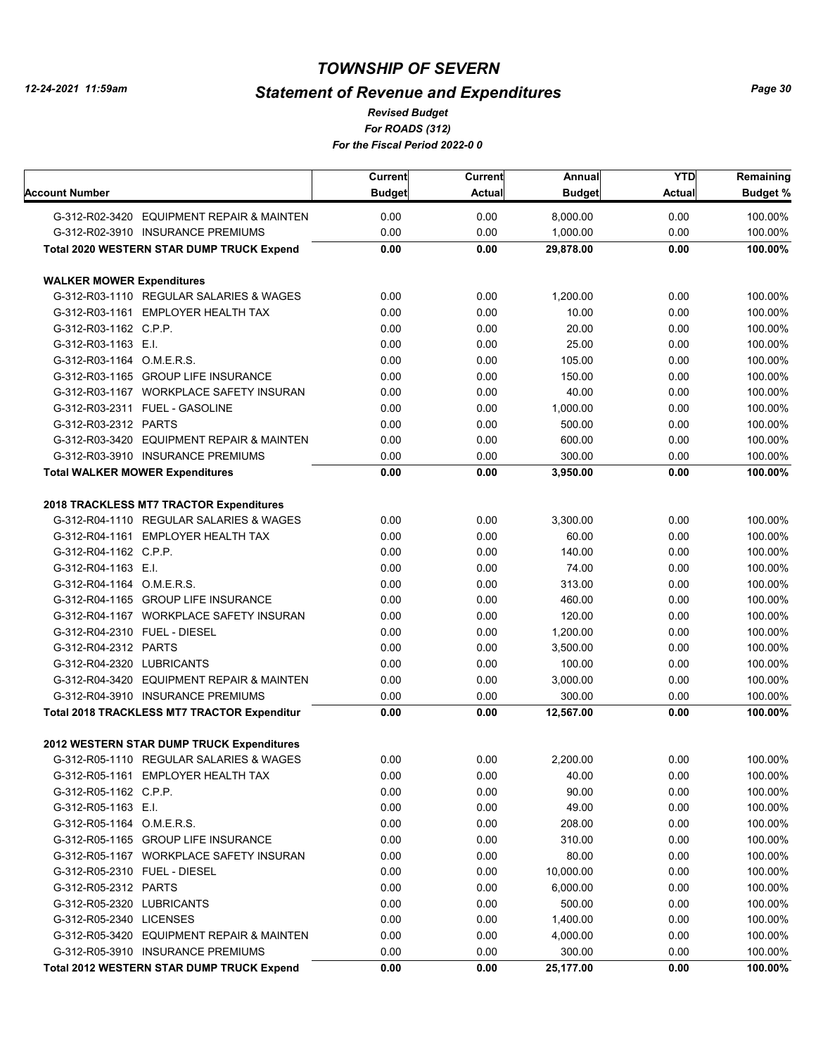# *Statement of Revenue and Expenditures*

*For ROADS (312) For the Fiscal Period 2022-0 0 Revised Budget*

|                                  |                                                    | Current       | <b>Current</b> | Annual        | <b>YTD</b>    | Remaining       |
|----------------------------------|----------------------------------------------------|---------------|----------------|---------------|---------------|-----------------|
| Account Number                   |                                                    | <b>Budget</b> | <b>Actual</b>  | <b>Budget</b> | <b>Actual</b> | <b>Budget %</b> |
|                                  | G-312-R02-3420 EQUIPMENT REPAIR & MAINTEN          | 0.00          | 0.00           | 8,000.00      | 0.00          | 100.00%         |
|                                  | G-312-R02-3910 INSURANCE PREMIUMS                  | 0.00          | 0.00           | 1,000.00      | 0.00          | 100.00%         |
|                                  | <b>Total 2020 WESTERN STAR DUMP TRUCK Expend</b>   | 0.00          | 0.00           | 29,878.00     | 0.00          | 100.00%         |
| <b>WALKER MOWER Expenditures</b> |                                                    |               |                |               |               |                 |
|                                  | G-312-R03-1110 REGULAR SALARIES & WAGES            | 0.00          | 0.00           | 1,200.00      | 0.00          | 100.00%         |
|                                  | G-312-R03-1161 EMPLOYER HEALTH TAX                 | 0.00          | 0.00           | 10.00         | 0.00          | 100.00%         |
| G-312-R03-1162 C.P.P.            |                                                    | 0.00          | 0.00           | 20.00         | 0.00          | 100.00%         |
| G-312-R03-1163 E.I.              |                                                    | 0.00          | 0.00           | 25.00         | 0.00          | 100.00%         |
| G-312-R03-1164 O.M.E.R.S.        |                                                    | 0.00          | 0.00           | 105.00        | 0.00          | 100.00%         |
|                                  | G-312-R03-1165 GROUP LIFE INSURANCE                | 0.00          | 0.00           | 150.00        | 0.00          | 100.00%         |
|                                  | G-312-R03-1167 WORKPLACE SAFETY INSURAN            | 0.00          | 0.00           | 40.00         | 0.00          | 100.00%         |
|                                  | G-312-R03-2311 FUEL - GASOLINE                     | 0.00          | 0.00           | 1,000.00      | 0.00          | 100.00%         |
| G-312-R03-2312 PARTS             |                                                    | 0.00          | 0.00           | 500.00        | 0.00          | 100.00%         |
|                                  | G-312-R03-3420 EQUIPMENT REPAIR & MAINTEN          | 0.00          | 0.00           | 600.00        | 0.00          | 100.00%         |
|                                  | G-312-R03-3910 INSURANCE PREMIUMS                  | 0.00          | 0.00           | 300.00        | 0.00          | 100.00%         |
|                                  | <b>Total WALKER MOWER Expenditures</b>             | 0.00          | 0.00           | 3,950.00      | 0.00          | 100.00%         |
|                                  | 2018 TRACKLESS MT7 TRACTOR Expenditures            |               |                |               |               |                 |
|                                  | G-312-R04-1110 REGULAR SALARIES & WAGES            | 0.00          | 0.00           | 3,300.00      | 0.00          | 100.00%         |
|                                  | G-312-R04-1161 EMPLOYER HEALTH TAX                 | 0.00          | 0.00           | 60.00         | 0.00          | 100.00%         |
| G-312-R04-1162 C.P.P.            |                                                    | 0.00          | 0.00           | 140.00        | 0.00          | 100.00%         |
| G-312-R04-1163 E.I.              |                                                    | 0.00          | 0.00           | 74.00         | 0.00          | 100.00%         |
| G-312-R04-1164 O.M.E.R.S.        |                                                    | 0.00          | 0.00           | 313.00        | 0.00          | 100.00%         |
|                                  | G-312-R04-1165 GROUP LIFE INSURANCE                | 0.00          | 0.00           | 460.00        | 0.00          | 100.00%         |
|                                  | G-312-R04-1167 WORKPLACE SAFETY INSURAN            | 0.00          | 0.00           | 120.00        | 0.00          | 100.00%         |
| G-312-R04-2310 FUEL - DIESEL     |                                                    | 0.00          | 0.00           | 1,200.00      | 0.00          | 100.00%         |
| G-312-R04-2312 PARTS             |                                                    | 0.00          | 0.00           | 3,500.00      | 0.00          | 100.00%         |
| G-312-R04-2320 LUBRICANTS        |                                                    | 0.00          | 0.00           | 100.00        | 0.00          | 100.00%         |
|                                  | G-312-R04-3420 EQUIPMENT REPAIR & MAINTEN          | 0.00          | 0.00           | 3,000.00      | 0.00          | 100.00%         |
|                                  | G-312-R04-3910 INSURANCE PREMIUMS                  | 0.00          | 0.00           | 300.00        | 0.00          | 100.00%         |
|                                  | <b>Total 2018 TRACKLESS MT7 TRACTOR Expenditur</b> | 0.00          | 0.00           | 12,567.00     | 0.00          | 100.00%         |
|                                  |                                                    |               |                |               |               |                 |
|                                  | 2012 WESTERN STAR DUMP TRUCK Expenditures          |               |                |               |               |                 |
|                                  | G-312-R05-1110 REGULAR SALARIES & WAGES            | 0.00          | 0.00           | 2,200.00      | 0.00          | 100.00%         |
|                                  | G-312-R05-1161 EMPLOYER HEALTH TAX                 | 0.00          | 0.00           | 40.00         | 0.00          | 100.00%         |
| G-312-R05-1162 C.P.P.            |                                                    | 0.00          | 0.00           | 90.00         | 0.00          | 100.00%         |
| G-312-R05-1163 E.I.              |                                                    | 0.00          | 0.00           | 49.00         | 0.00          | 100.00%         |
| G-312-R05-1164 O.M.E.R.S.        |                                                    | 0.00          | 0.00           | 208.00        | 0.00          | 100.00%         |
|                                  | G-312-R05-1165 GROUP LIFE INSURANCE                | 0.00          | 0.00           | 310.00        | 0.00          | 100.00%         |
|                                  | G-312-R05-1167 WORKPLACE SAFETY INSURAN            | 0.00          | 0.00           | 80.00         | 0.00          | 100.00%         |
| G-312-R05-2310 FUEL - DIESEL     |                                                    | 0.00          | 0.00           | 10,000.00     | 0.00          | 100.00%         |
| G-312-R05-2312 PARTS             |                                                    | 0.00          | 0.00           | 6,000.00      | 0.00          | 100.00%         |
| G-312-R05-2320 LUBRICANTS        |                                                    | 0.00          | 0.00           | 500.00        | 0.00          | 100.00%         |
| G-312-R05-2340 LICENSES          |                                                    | 0.00          | 0.00           | 1,400.00      | 0.00          | 100.00%         |
|                                  | G-312-R05-3420 EQUIPMENT REPAIR & MAINTEN          | 0.00          | 0.00           | 4,000.00      | 0.00          | 100.00%         |
|                                  | G-312-R05-3910 INSURANCE PREMIUMS                  | 0.00          | 0.00           | 300.00        | 0.00          | 100.00%         |
|                                  | <b>Total 2012 WESTERN STAR DUMP TRUCK Expend</b>   | 0.00          | 0.00           | 25,177.00     | 0.00          | 100.00%         |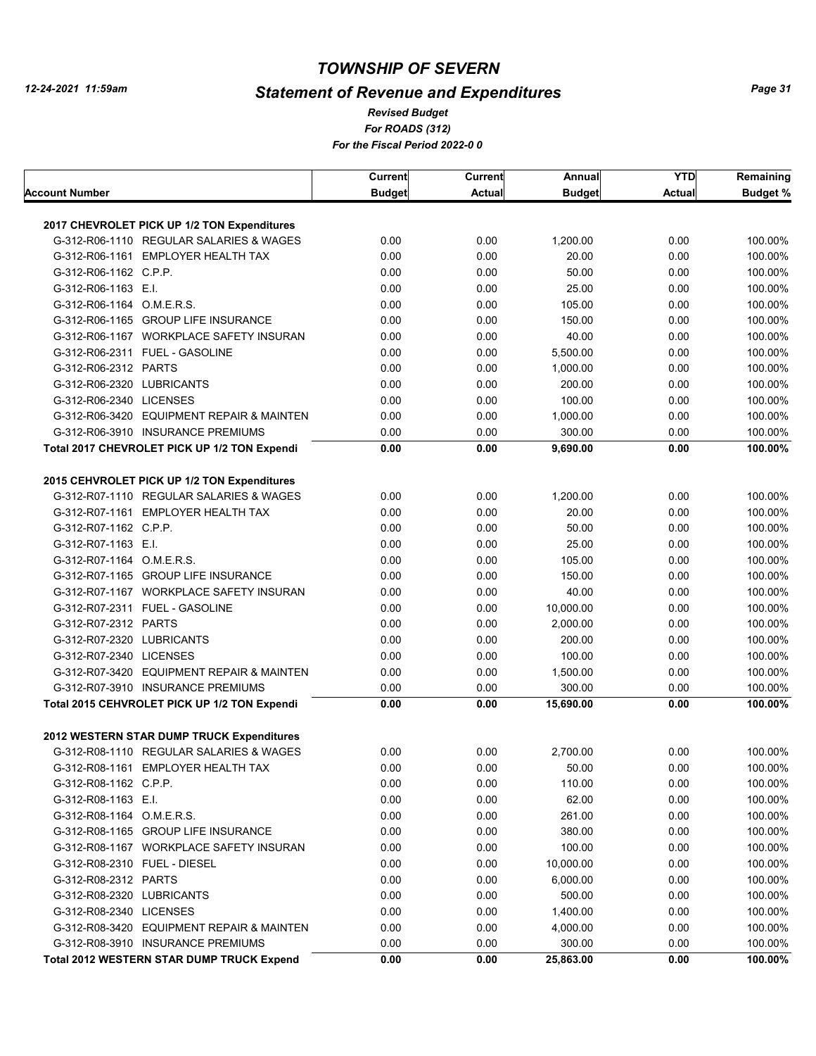# *Statement of Revenue and Expenditures*

*For ROADS (312) For the Fiscal Period 2022-0 0 Revised Budget*

|                              |                                                                                      | Current       | Current      | Annual        | <b>YTD</b>    | Remaining          |
|------------------------------|--------------------------------------------------------------------------------------|---------------|--------------|---------------|---------------|--------------------|
| Account Number               |                                                                                      | <b>Budget</b> | Actual       | <b>Budget</b> | <b>Actual</b> | <b>Budget %</b>    |
|                              |                                                                                      |               |              |               |               |                    |
|                              | 2017 CHEVROLET PICK UP 1/2 TON Expenditures                                          |               |              |               |               |                    |
|                              | G-312-R06-1110 REGULAR SALARIES & WAGES                                              | 0.00          | 0.00         | 1,200.00      | 0.00          | 100.00%            |
|                              | G-312-R06-1161 EMPLOYER HEALTH TAX                                                   | 0.00          | 0.00         | 20.00         | 0.00          | 100.00%            |
| G-312-R06-1162 C.P.P.        |                                                                                      | 0.00          | 0.00         | 50.00         | 0.00          | 100.00%            |
| G-312-R06-1163 E.I.          |                                                                                      | 0.00          | 0.00         | 25.00         | 0.00          | 100.00%            |
| G-312-R06-1164 O.M.E.R.S.    |                                                                                      | 0.00          | 0.00         | 105.00        | 0.00          | 100.00%            |
|                              | G-312-R06-1165 GROUP LIFE INSURANCE                                                  | 0.00          | 0.00         | 150.00        | 0.00          | 100.00%            |
|                              | G-312-R06-1167 WORKPLACE SAFETY INSURAN                                              | 0.00          | 0.00         | 40.00         | 0.00          | 100.00%            |
|                              | G-312-R06-2311 FUEL - GASOLINE                                                       | 0.00          | 0.00         | 5,500.00      | 0.00          | 100.00%            |
| G-312-R06-2312 PARTS         |                                                                                      | 0.00          | 0.00         | 1,000.00      | 0.00          | 100.00%            |
| G-312-R06-2320 LUBRICANTS    |                                                                                      | 0.00          | 0.00         | 200.00        | 0.00          | 100.00%            |
| G-312-R06-2340 LICENSES      |                                                                                      | 0.00          | 0.00         | 100.00        | 0.00          | 100.00%            |
|                              | G-312-R06-3420 EQUIPMENT REPAIR & MAINTEN                                            | 0.00          | 0.00         | 1,000.00      | 0.00          | 100.00%            |
|                              | G-312-R06-3910 INSURANCE PREMIUMS                                                    | 0.00          | 0.00         | 300.00        | 0.00          | 100.00%            |
|                              | Total 2017 CHEVROLET PICK UP 1/2 TON Expendi                                         | 0.00          | 0.00         | 9,690.00      | 0.00          | 100.00%            |
|                              |                                                                                      |               |              |               |               |                    |
|                              | 2015 CEHVROLET PICK UP 1/2 TON Expenditures                                          |               |              |               |               |                    |
|                              | G-312-R07-1110 REGULAR SALARIES & WAGES                                              | 0.00          | 0.00         | 1,200.00      | 0.00          | 100.00%            |
|                              | G-312-R07-1161 EMPLOYER HEALTH TAX                                                   | 0.00          | 0.00         | 20.00         | 0.00          | 100.00%            |
| G-312-R07-1162 C.P.P.        |                                                                                      | 0.00          | 0.00         | 50.00         | 0.00          | 100.00%            |
| G-312-R07-1163 E.I.          |                                                                                      | 0.00          | 0.00         | 25.00         | 0.00          | 100.00%            |
| G-312-R07-1164 O.M.E.R.S.    |                                                                                      | 0.00          | 0.00         | 105.00        | 0.00          | 100.00%            |
|                              | G-312-R07-1165 GROUP LIFE INSURANCE                                                  | 0.00          | 0.00         | 150.00        | 0.00          | 100.00%            |
|                              | G-312-R07-1167 WORKPLACE SAFETY INSURAN                                              | 0.00          | 0.00         | 40.00         | 0.00          | 100.00%            |
|                              | G-312-R07-2311 FUEL - GASOLINE                                                       | 0.00          | 0.00         | 10,000.00     | 0.00          | 100.00%            |
| G-312-R07-2312 PARTS         |                                                                                      | 0.00          | 0.00         | 2,000.00      | 0.00          | 100.00%            |
| G-312-R07-2320 LUBRICANTS    |                                                                                      | 0.00          | 0.00         | 200.00        | 0.00          | 100.00%            |
| G-312-R07-2340 LICENSES      |                                                                                      | 0.00          | 0.00         | 100.00        | 0.00          | 100.00%            |
|                              | G-312-R07-3420 EQUIPMENT REPAIR & MAINTEN                                            | 0.00          | 0.00         | 1,500.00      | 0.00          | 100.00%            |
|                              | G-312-R07-3910 INSURANCE PREMIUMS                                                    | 0.00          | 0.00         | 300.00        | 0.00          | 100.00%            |
|                              | Total 2015 CEHVROLET PICK UP 1/2 TON Expendi                                         | 0.00          | 0.00         | 15,690.00     | 0.00          | 100.00%            |
|                              |                                                                                      |               |              |               |               |                    |
|                              | 2012 WESTERN STAR DUMP TRUCK Expenditures<br>G-312-R08-1110 REGULAR SALARIES & WAGES |               |              |               |               |                    |
|                              | G-312-R08-1161 EMPLOYER HEALTH TAX                                                   | 0.00<br>0.00  | 0.00<br>0.00 | 2,700.00      | 0.00<br>0.00  | 100.00%<br>100.00% |
|                              |                                                                                      |               |              | 50.00         |               |                    |
| G-312-R08-1162 C.P.P.        |                                                                                      | 0.00          | 0.00         | 110.00        | 0.00          | 100.00%            |
| G-312-R08-1163 E.I.          |                                                                                      | 0.00          | 0.00         | 62.00         | 0.00          | 100.00%            |
| G-312-R08-1164 O.M.E.R.S.    |                                                                                      | 0.00          | 0.00         | 261.00        | 0.00          | 100.00%            |
|                              | G-312-R08-1165 GROUP LIFE INSURANCE                                                  | 0.00          | 0.00         | 380.00        | 0.00          | 100.00%            |
|                              | G-312-R08-1167 WORKPLACE SAFETY INSURAN                                              | 0.00          | 0.00         | 100.00        | 0.00          | 100.00%            |
| G-312-R08-2310 FUEL - DIESEL |                                                                                      | 0.00          | 0.00         | 10,000.00     | 0.00          | 100.00%            |
| G-312-R08-2312 PARTS         |                                                                                      | 0.00          | 0.00         | 6,000.00      | 0.00          | 100.00%            |
| G-312-R08-2320 LUBRICANTS    |                                                                                      | 0.00          | 0.00         | 500.00        | 0.00          | 100.00%            |
| G-312-R08-2340 LICENSES      |                                                                                      | 0.00          | 0.00         | 1,400.00      | 0.00          | 100.00%            |
|                              | G-312-R08-3420 EQUIPMENT REPAIR & MAINTEN                                            | 0.00          | 0.00         | 4,000.00      | 0.00          | 100.00%            |
|                              | G-312-R08-3910 INSURANCE PREMIUMS                                                    | 0.00          | 0.00         | 300.00        | 0.00          | 100.00%            |
|                              | <b>Total 2012 WESTERN STAR DUMP TRUCK Expend</b>                                     | 0.00          | 0.00         | 25,863.00     | 0.00          | 100.00%            |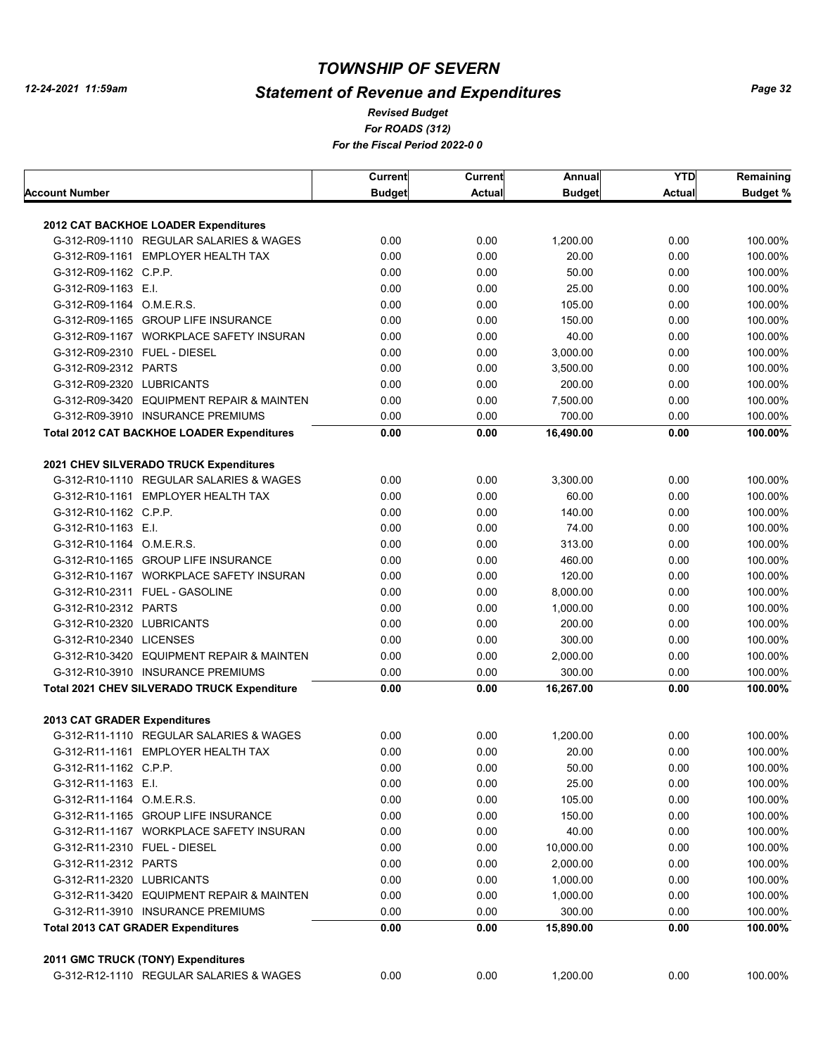# *Statement of Revenue and Expenditures*

*For ROADS (312) For the Fiscal Period 2022-0 0 Revised Budget*

|                              |                                                                                  | <b>Current</b> | Current       | Annual              | <b>YTD</b>   | Remaining          |
|------------------------------|----------------------------------------------------------------------------------|----------------|---------------|---------------------|--------------|--------------------|
| Account Number               |                                                                                  | <b>Budget</b>  | <b>Actual</b> | <b>Budget</b>       | Actual       | <b>Budget %</b>    |
|                              |                                                                                  |                |               |                     |              |                    |
|                              | 2012 CAT BACKHOE LOADER Expenditures<br>G-312-R09-1110 REGULAR SALARIES & WAGES  | 0.00           | 0.00          |                     | 0.00         |                    |
|                              |                                                                                  |                |               | 1,200.00            |              | 100.00%            |
|                              | G-312-R09-1161 EMPLOYER HEALTH TAX                                               | 0.00           | 0.00          | 20.00               | 0.00         | 100.00%            |
| G-312-R09-1162 C.P.P.        |                                                                                  | 0.00           | 0.00          | 50.00               | 0.00         | 100.00%            |
| G-312-R09-1163 E.I.          |                                                                                  | 0.00           | 0.00          | 25.00               | 0.00         | 100.00%            |
| G-312-R09-1164 O.M.E.R.S.    |                                                                                  | 0.00           | 0.00          | 105.00              | 0.00         | 100.00%            |
|                              | G-312-R09-1165 GROUP LIFE INSURANCE                                              | 0.00           | 0.00          | 150.00              | 0.00         | 100.00%            |
|                              | G-312-R09-1167 WORKPLACE SAFETY INSURAN                                          | 0.00           | 0.00          | 40.00               | 0.00         | 100.00%            |
| G-312-R09-2310 FUEL - DIESEL |                                                                                  | 0.00           | 0.00          | 3,000.00            | 0.00         | 100.00%            |
| G-312-R09-2312 PARTS         |                                                                                  | 0.00           | 0.00          | 3,500.00            | 0.00         | 100.00%            |
| G-312-R09-2320 LUBRICANTS    |                                                                                  | 0.00           | 0.00          | 200.00              | 0.00         | 100.00%            |
|                              | G-312-R09-3420 EQUIPMENT REPAIR & MAINTEN                                        | 0.00           | 0.00          | 7,500.00            | 0.00         | 100.00%            |
|                              | G-312-R09-3910 INSURANCE PREMIUMS                                                | 0.00           | 0.00          | 700.00              | 0.00         | 100.00%            |
|                              | <b>Total 2012 CAT BACKHOE LOADER Expenditures</b>                                | 0.00           | 0.00          | 16,490.00           | 0.00         | 100.00%            |
|                              | 2021 CHEV SILVERADO TRUCK Expenditures                                           |                |               |                     |              |                    |
|                              | G-312-R10-1110 REGULAR SALARIES & WAGES                                          | 0.00           | 0.00          | 3,300.00            | 0.00         | 100.00%            |
|                              | G-312-R10-1161 EMPLOYER HEALTH TAX                                               | 0.00           | 0.00          | 60.00               | 0.00         | 100.00%            |
| G-312-R10-1162 C.P.P.        |                                                                                  | 0.00           | 0.00          | 140.00              | 0.00         | 100.00%            |
| G-312-R10-1163 E.I.          |                                                                                  | 0.00           | 0.00          | 74.00               | 0.00         | 100.00%            |
| G-312-R10-1164 O.M.E.R.S.    |                                                                                  | 0.00           | 0.00          | 313.00              | 0.00         | 100.00%            |
|                              | G-312-R10-1165 GROUP LIFE INSURANCE                                              | 0.00           | 0.00          | 460.00              | 0.00         | 100.00%            |
|                              | G-312-R10-1167 WORKPLACE SAFETY INSURAN                                          | 0.00           | 0.00          | 120.00              | 0.00         | 100.00%            |
|                              | G-312-R10-2311 FUEL - GASOLINE                                                   | 0.00           | 0.00          | 8,000.00            | 0.00         | 100.00%            |
| G-312-R10-2312 PARTS         |                                                                                  | 0.00           | 0.00          | 1,000.00            | 0.00         | 100.00%            |
| G-312-R10-2320 LUBRICANTS    |                                                                                  | 0.00           | 0.00          | 200.00              | 0.00         | 100.00%            |
| G-312-R10-2340 LICENSES      |                                                                                  | 0.00           |               | 300.00              | 0.00         |                    |
|                              |                                                                                  |                | 0.00          |                     |              | 100.00%            |
|                              | G-312-R10-3420 EQUIPMENT REPAIR & MAINTEN                                        | 0.00           | 0.00          | 2,000.00            | 0.00         | 100.00%            |
|                              | G-312-R10-3910 INSURANCE PREMIUMS<br>Total 2021 CHEV SILVERADO TRUCK Expenditure | 0.00<br>0.00   | 0.00<br>0.00  | 300.00<br>16,267.00 | 0.00<br>0.00 | 100.00%<br>100.00% |
|                              |                                                                                  |                |               |                     |              |                    |
| 2013 CAT GRADER Expenditures |                                                                                  |                |               |                     |              |                    |
|                              | G-312-R11-1110 REGULAR SALARIES & WAGES                                          | 0.00           | 0.00          | 1,200.00            | 0.00         | 100.00%            |
|                              | G-312-R11-1161 EMPLOYER HEALTH TAX                                               | 0.00           | 0.00          | 20.00               | 0.00         | 100.00%            |
| G-312-R11-1162 C.P.P.        |                                                                                  | 0.00           | 0.00          | 50.00               | 0.00         | 100.00%            |
| G-312-R11-1163 E.I.          |                                                                                  | 0.00           | 0.00          | 25.00               | 0.00         | 100.00%            |
| G-312-R11-1164 O.M.E.R.S.    |                                                                                  | 0.00           | 0.00          | 105.00              | 0.00         | 100.00%            |
|                              | G-312-R11-1165 GROUP LIFE INSURANCE                                              | 0.00           | 0.00          | 150.00              | 0.00         | 100.00%            |
|                              | G-312-R11-1167 WORKPLACE SAFETY INSURAN                                          | 0.00           | 0.00          | 40.00               | 0.00         | 100.00%            |
| G-312-R11-2310 FUEL - DIESEL |                                                                                  | 0.00           | 0.00          | 10,000.00           | 0.00         | 100.00%            |
| G-312-R11-2312 PARTS         |                                                                                  | 0.00           | 0.00          | 2,000.00            | 0.00         | 100.00%            |
| G-312-R11-2320 LUBRICANTS    |                                                                                  | 0.00           | 0.00          | 1,000.00            | 0.00         | 100.00%            |
|                              | G-312-R11-3420 EQUIPMENT REPAIR & MAINTEN                                        | 0.00           | 0.00          | 1,000.00            | 0.00         | 100.00%            |
|                              | G-312-R11-3910 INSURANCE PREMIUMS                                                | 0.00           | 0.00          | 300.00              | 0.00         | 100.00%            |
|                              | <b>Total 2013 CAT GRADER Expenditures</b>                                        | 0.00           | 0.00          | 15,890.00           | 0.00         | 100.00%            |
|                              |                                                                                  |                |               |                     |              |                    |
|                              | 2011 GMC TRUCK (TONY) Expenditures<br>G-312-R12-1110 REGULAR SALARIES & WAGES    | 0.00           | 0.00          | 1,200.00            | 0.00         | 100.00%            |
|                              |                                                                                  |                |               |                     |              |                    |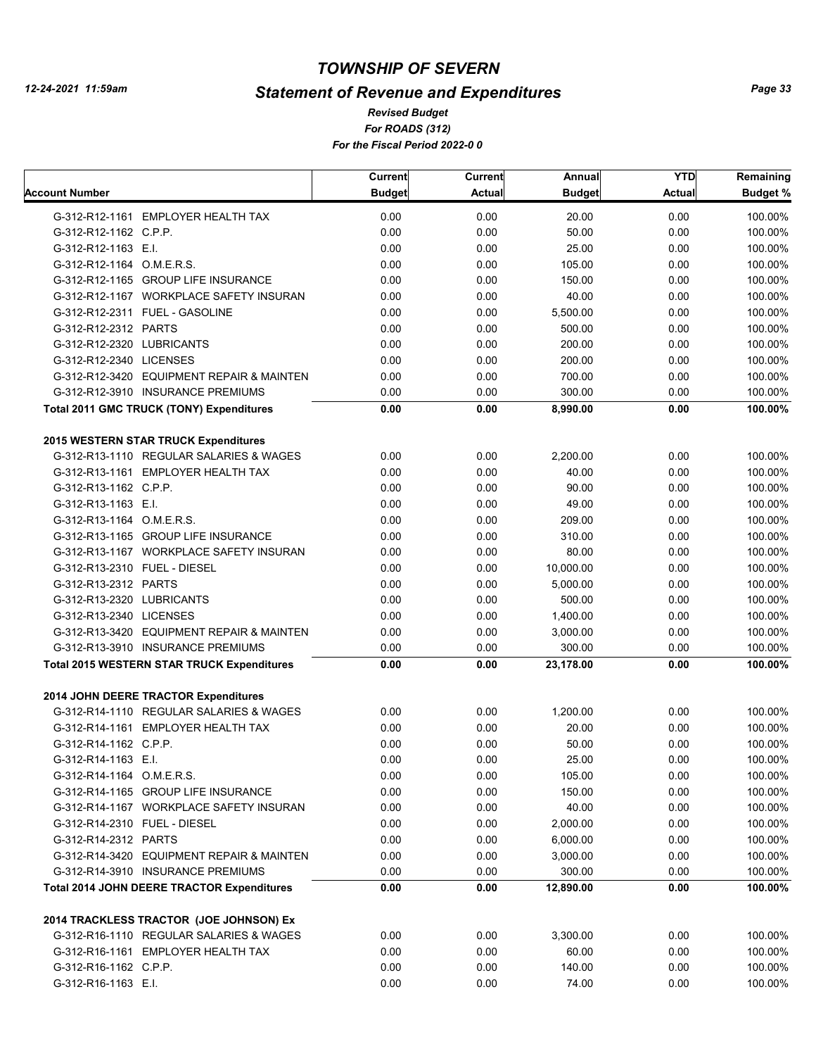# *Statement of Revenue and Expenditures*

*For ROADS (312) For the Fiscal Period 2022-0 0 Revised Budget*

|                                                   | <b>Current</b> | <b>Current</b> | Annual        | <b>YTD</b>    | Remaining       |
|---------------------------------------------------|----------------|----------------|---------------|---------------|-----------------|
| Account Number                                    | <b>Budget</b>  | <b>Actual</b>  | <b>Budget</b> | <b>Actual</b> | <b>Budget %</b> |
| G-312-R12-1161 EMPLOYER HEALTH TAX                | 0.00           | 0.00           | 20.00         | 0.00          | 100.00%         |
| G-312-R12-1162 C.P.P.                             | 0.00           | 0.00           | 50.00         | 0.00          | 100.00%         |
| G-312-R12-1163 E.I.                               | 0.00           | 0.00           | 25.00         | 0.00          | 100.00%         |
| G-312-R12-1164 O.M.E.R.S.                         | 0.00           | 0.00           | 105.00        | 0.00          | 100.00%         |
| G-312-R12-1165 GROUP LIFE INSURANCE               | 0.00           | 0.00           | 150.00        | 0.00          | 100.00%         |
| G-312-R12-1167 WORKPLACE SAFETY INSURAN           | 0.00           | 0.00           | 40.00         | 0.00          | 100.00%         |
| G-312-R12-2311 FUEL - GASOLINE                    | 0.00           | 0.00           | 5,500.00      | 0.00          | 100.00%         |
| G-312-R12-2312 PARTS                              | 0.00           | 0.00           | 500.00        | 0.00          | 100.00%         |
| G-312-R12-2320 LUBRICANTS                         | 0.00           | 0.00           | 200.00        | 0.00          | 100.00%         |
| G-312-R12-2340 LICENSES                           | 0.00           | 0.00           | 200.00        | 0.00          | 100.00%         |
| G-312-R12-3420 EQUIPMENT REPAIR & MAINTEN         | 0.00           | 0.00           | 700.00        | 0.00          | 100.00%         |
| G-312-R12-3910 INSURANCE PREMIUMS                 | 0.00           | 0.00           | 300.00        | 0.00          | 100.00%         |
| Total 2011 GMC TRUCK (TONY) Expenditures          | 0.00           | 0.00           | 8,990.00      | 0.00          | 100.00%         |
| 2015 WESTERN STAR TRUCK Expenditures              |                |                |               |               |                 |
| G-312-R13-1110 REGULAR SALARIES & WAGES           | 0.00           | 0.00           | 2,200.00      | 0.00          | 100.00%         |
| G-312-R13-1161 EMPLOYER HEALTH TAX                | 0.00           | 0.00           | 40.00         | 0.00          | 100.00%         |
| G-312-R13-1162 C.P.P.                             | 0.00           | 0.00           | 90.00         | 0.00          | 100.00%         |
| G-312-R13-1163 E.I.                               | 0.00           | 0.00           | 49.00         | 0.00          | 100.00%         |
| G-312-R13-1164 O.M.E.R.S.                         | 0.00           | 0.00           | 209.00        | 0.00          | 100.00%         |
| G-312-R13-1165 GROUP LIFE INSURANCE               | 0.00           | 0.00           | 310.00        | 0.00          | 100.00%         |
| G-312-R13-1167 WORKPLACE SAFETY INSURAN           | 0.00           | 0.00           | 80.00         | 0.00          | 100.00%         |
| G-312-R13-2310 FUEL - DIESEL                      | 0.00           | 0.00           | 10,000.00     | 0.00          | 100.00%         |
| G-312-R13-2312 PARTS                              | 0.00           | 0.00           | 5,000.00      | 0.00          | 100.00%         |
| G-312-R13-2320 LUBRICANTS                         | 0.00           | 0.00           | 500.00        | 0.00          | 100.00%         |
| G-312-R13-2340 LICENSES                           | 0.00           | 0.00           | 1,400.00      | 0.00          | 100.00%         |
| G-312-R13-3420 EQUIPMENT REPAIR & MAINTEN         | 0.00           | 0.00           | 3,000.00      | 0.00          | 100.00%         |
| G-312-R13-3910 INSURANCE PREMIUMS                 | 0.00           | 0.00           | 300.00        | 0.00          | 100.00%         |
| <b>Total 2015 WESTERN STAR TRUCK Expenditures</b> | 0.00           | 0.00           | 23,178.00     | 0.00          | 100.00%         |
|                                                   |                |                |               |               |                 |
| 2014 JOHN DEERE TRACTOR Expenditures              |                |                |               |               |                 |
| G-312-R14-1110 REGULAR SALARIES & WAGES           | 0.00           | 0.00           | 1,200.00      | 0.00          | 100.00%         |
| G-312-R14-1161 EMPLOYER HEALTH TAX                | 0.00           | 0.00           | 20.00         | 0.00          | 100.00%         |
| G-312-R14-1162 C.P.P.                             | 0.00           | 0.00           | 50.00         | 0.00          | 100.00%         |
| G-312-R14-1163 E.I.                               | 0.00           | 0.00           | 25.00         | 0.00          | 100.00%         |
| G-312-R14-1164 O.M.E.R.S.                         | 0.00           | 0.00           | 105.00        | 0.00          | 100.00%         |
| G-312-R14-1165 GROUP LIFE INSURANCE               | 0.00           | 0.00           | 150.00        | 0.00          | 100.00%         |
| G-312-R14-1167 WORKPLACE SAFETY INSURAN           | 0.00           | 0.00           | 40.00         | 0.00          | 100.00%         |
| G-312-R14-2310 FUEL - DIESEL                      | 0.00           | 0.00           | 2,000.00      | 0.00          | 100.00%         |
| G-312-R14-2312 PARTS                              | 0.00           | 0.00           | 6,000.00      | 0.00          | 100.00%         |
| G-312-R14-3420 EQUIPMENT REPAIR & MAINTEN         | 0.00           | 0.00           | 3,000.00      | 0.00          | 100.00%         |
| G-312-R14-3910 INSURANCE PREMIUMS                 | 0.00           | 0.00           | 300.00        | 0.00          | 100.00%         |
| <b>Total 2014 JOHN DEERE TRACTOR Expenditures</b> | 0.00           | 0.00           | 12,890.00     | 0.00          | 100.00%         |
| 2014 TRACKLESS TRACTOR (JOE JOHNSON) Ex           |                |                |               |               |                 |
| G-312-R16-1110 REGULAR SALARIES & WAGES           | 0.00           | 0.00           | 3,300.00      | 0.00          | 100.00%         |
| G-312-R16-1161 EMPLOYER HEALTH TAX                | 0.00           | 0.00           | 60.00         | 0.00          | 100.00%         |
| G-312-R16-1162 C.P.P.                             | 0.00           | 0.00           | 140.00        | 0.00          | 100.00%         |
| G-312-R16-1163 E.I.                               | 0.00           | 0.00           | 74.00         | 0.00          | 100.00%         |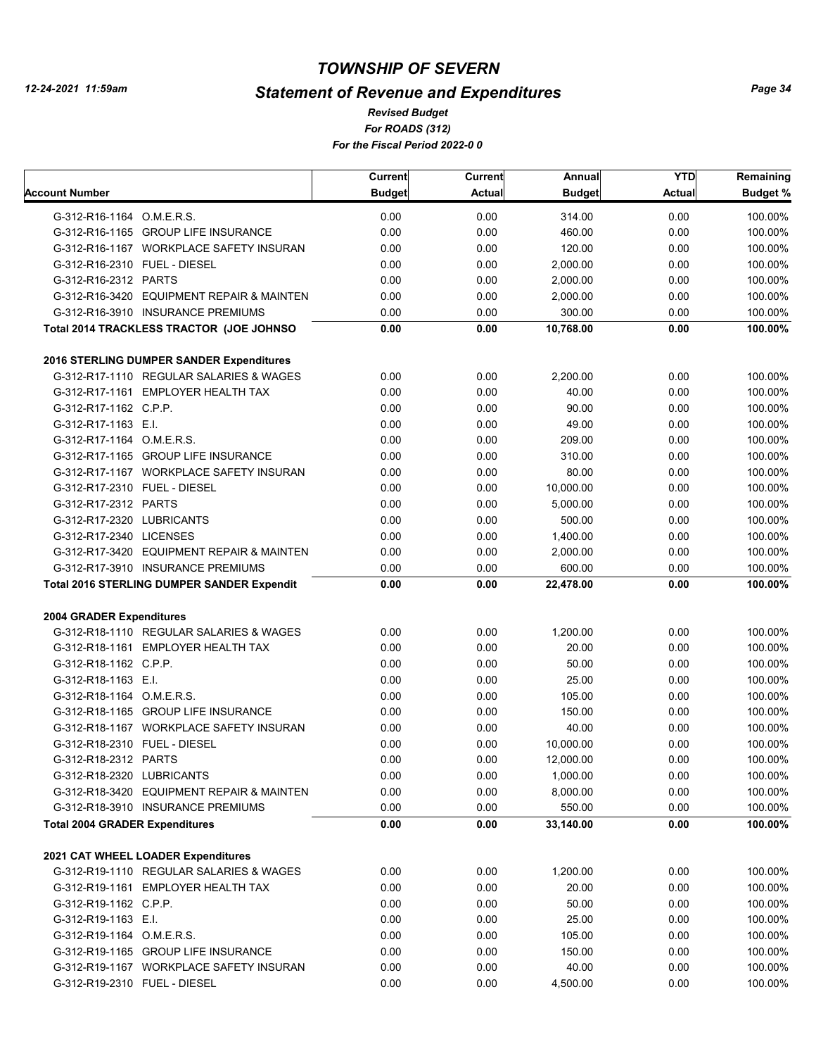# *Statement of Revenue and Expenditures*

*For ROADS (312) For the Fiscal Period 2022-0 0 Revised Budget*

|                                                                                     | Current       | Current       | Annual        | <b>YTD</b>    | Remaining       |
|-------------------------------------------------------------------------------------|---------------|---------------|---------------|---------------|-----------------|
| Account Number                                                                      | <b>Budget</b> | <b>Actual</b> | <b>Budget</b> | <b>Actual</b> | <b>Budget %</b> |
| G-312-R16-1164 O.M.E.R.S.                                                           | 0.00          | 0.00          | 314.00        | 0.00          | 100.00%         |
| G-312-R16-1165 GROUP LIFE INSURANCE                                                 | 0.00          | 0.00          | 460.00        | 0.00          | 100.00%         |
| G-312-R16-1167 WORKPLACE SAFETY INSURAN                                             | 0.00          | 0.00          | 120.00        | 0.00          | 100.00%         |
| G-312-R16-2310 FUEL - DIESEL                                                        | 0.00          | 0.00          | 2,000.00      | 0.00          | 100.00%         |
| G-312-R16-2312 PARTS                                                                | 0.00          | 0.00          | 2,000.00      | 0.00          | 100.00%         |
| G-312-R16-3420 EQUIPMENT REPAIR & MAINTEN                                           | 0.00          | 0.00          | 2,000.00      | 0.00          | 100.00%         |
| G-312-R16-3910 INSURANCE PREMIUMS                                                   | 0.00          | 0.00          | 300.00        | 0.00          | 100.00%         |
| Total 2014 TRACKLESS TRACTOR (JOE JOHNSO                                            | 0.00          | 0.00          | 10,768.00     | 0.00          | 100.00%         |
|                                                                                     |               |               |               |               |                 |
| 2016 STERLING DUMPER SANDER Expenditures<br>G-312-R17-1110 REGULAR SALARIES & WAGES | 0.00          | 0.00          | 2,200.00      | 0.00          | 100.00%         |
| G-312-R17-1161 EMPLOYER HEALTH TAX                                                  | 0.00          | 0.00          | 40.00         | 0.00          | 100.00%         |
|                                                                                     | 0.00          |               | 90.00         | 0.00          |                 |
| G-312-R17-1162 C.P.P.                                                               |               | 0.00          |               |               | 100.00%         |
| G-312-R17-1163 E.I.                                                                 | 0.00          | 0.00          | 49.00         | 0.00          | 100.00%         |
| G-312-R17-1164 O.M.E.R.S.                                                           | 0.00          | 0.00          | 209.00        | 0.00          | 100.00%         |
| G-312-R17-1165 GROUP LIFE INSURANCE                                                 | 0.00          | 0.00          | 310.00        | 0.00          | 100.00%         |
| G-312-R17-1167 WORKPLACE SAFETY INSURAN                                             | 0.00          | 0.00          | 80.00         | 0.00          | 100.00%         |
| G-312-R17-2310 FUEL - DIESEL                                                        | 0.00          | 0.00          | 10,000.00     | 0.00          | 100.00%         |
| G-312-R17-2312 PARTS                                                                | 0.00          | 0.00          | 5,000.00      | 0.00          | 100.00%         |
| G-312-R17-2320 LUBRICANTS                                                           | 0.00          | 0.00          | 500.00        | 0.00          | 100.00%         |
| G-312-R17-2340 LICENSES                                                             | 0.00          | 0.00          | 1,400.00      | 0.00          | 100.00%         |
| G-312-R17-3420 EQUIPMENT REPAIR & MAINTEN                                           | 0.00          | 0.00          | 2,000.00      | 0.00          | 100.00%         |
| G-312-R17-3910 INSURANCE PREMIUMS                                                   | 0.00          | 0.00          | 600.00        | 0.00          | 100.00%         |
| <b>Total 2016 STERLING DUMPER SANDER Expendit</b>                                   | 0.00          | 0.00          | 22,478.00     | 0.00          | 100.00%         |
| 2004 GRADER Expenditures                                                            |               |               |               |               |                 |
| G-312-R18-1110 REGULAR SALARIES & WAGES                                             | 0.00          | 0.00          | 1,200.00      | 0.00          | 100.00%         |
| G-312-R18-1161 EMPLOYER HEALTH TAX                                                  | 0.00          | 0.00          | 20.00         | 0.00          | 100.00%         |
| G-312-R18-1162 C.P.P.                                                               | 0.00          | 0.00          | 50.00         | 0.00          | 100.00%         |
| G-312-R18-1163 E.I.                                                                 | 0.00          | 0.00          | 25.00         | 0.00          | 100.00%         |
| G-312-R18-1164 O.M.E.R.S.                                                           | 0.00          | 0.00          | 105.00        | 0.00          | 100.00%         |
| G-312-R18-1165 GROUP LIFE INSURANCE                                                 | 0.00          | 0.00          | 150.00        | 0.00          | 100.00%         |
| G-312-R18-1167 WORKPLACE SAFETY INSURAN                                             | 0.00          | 0.00          | 40.00         | 0.00          | 100.00%         |
| G-312-R18-2310 FUEL - DIESEL                                                        | 0.00          | 0.00          | 10,000.00     | 0.00          | 100.00%         |
| G-312-R18-2312 PARTS                                                                | 0.00          | 0.00          | 12,000.00     | 0.00          | 100.00%         |
| G-312-R18-2320 LUBRICANTS                                                           | 0.00          | 0.00          | 1,000.00      | 0.00          | 100.00%         |
| G-312-R18-3420 EQUIPMENT REPAIR & MAINTEN                                           | 0.00          | 0.00          | 8,000.00      | 0.00          | 100.00%         |
| G-312-R18-3910 INSURANCE PREMIUMS                                                   | 0.00          | 0.00          | 550.00        | 0.00          | 100.00%         |
|                                                                                     |               |               |               |               |                 |
| <b>Total 2004 GRADER Expenditures</b>                                               | 0.00          | 0.00          | 33,140.00     | 0.00          | 100.00%         |
| 2021 CAT WHEEL LOADER Expenditures                                                  |               |               |               |               |                 |
| G-312-R19-1110 REGULAR SALARIES & WAGES                                             | 0.00          | 0.00          | 1,200.00      | 0.00          | 100.00%         |
| G-312-R19-1161 EMPLOYER HEALTH TAX                                                  | 0.00          | 0.00          | 20.00         | 0.00          | 100.00%         |
| G-312-R19-1162 C.P.P.                                                               | 0.00          | 0.00          | 50.00         | 0.00          | 100.00%         |
| G-312-R19-1163 E.I.                                                                 | 0.00          | 0.00          | 25.00         | 0.00          | 100.00%         |
| G-312-R19-1164 O.M.E.R.S.                                                           | 0.00          | 0.00          | 105.00        | 0.00          | 100.00%         |
| G-312-R19-1165 GROUP LIFE INSURANCE                                                 | 0.00          | 0.00          | 150.00        | 0.00          | 100.00%         |
| G-312-R19-1167 WORKPLACE SAFETY INSURAN                                             | 0.00          | 0.00          | 40.00         | 0.00          | 100.00%         |
| G-312-R19-2310 FUEL - DIESEL                                                        | 0.00          | 0.00          | 4,500.00      | 0.00          | 100.00%         |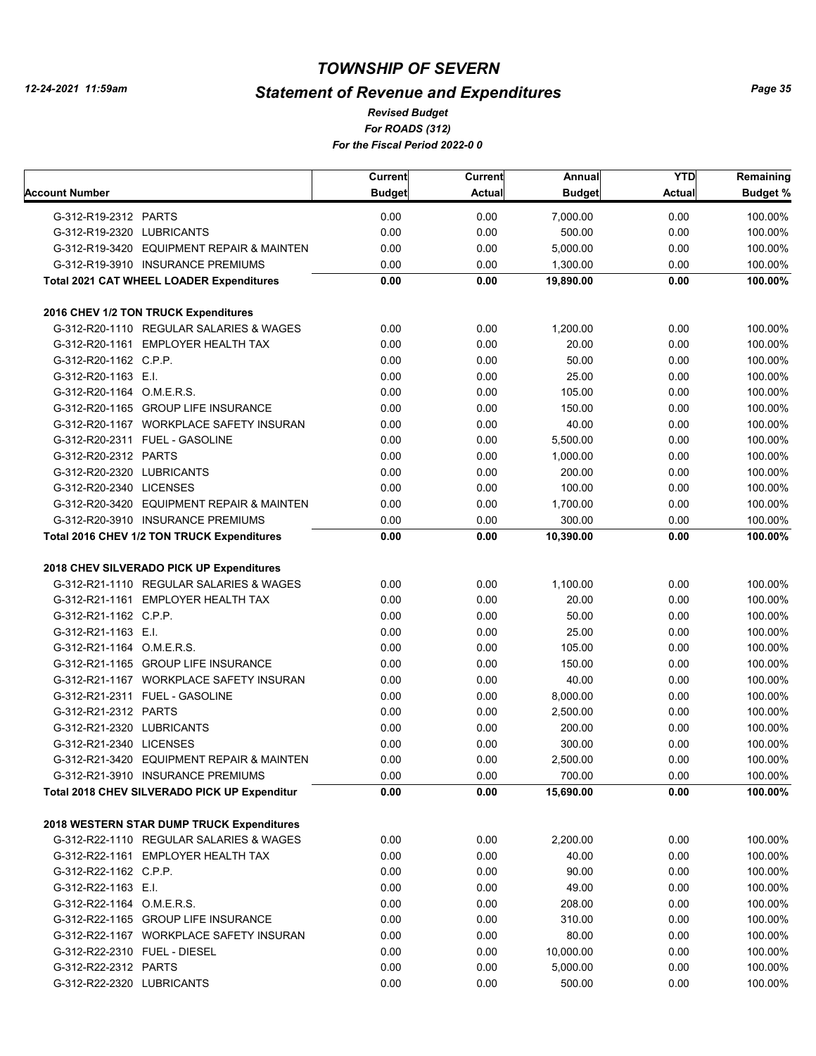# *Statement of Revenue and Expenditures*

*For ROADS (312) For the Fiscal Period 2022-0 0 Revised Budget*

|                                                 | Current       | Current       | Annual        | <b>YTD</b>    | Remaining |
|-------------------------------------------------|---------------|---------------|---------------|---------------|-----------|
| Account Number                                  | <b>Budget</b> | <b>Actual</b> | <b>Budget</b> | <b>Actual</b> | Budget %  |
| G-312-R19-2312 PARTS                            | 0.00          | 0.00          | 7,000.00      | 0.00          | 100.00%   |
| G-312-R19-2320 LUBRICANTS                       | 0.00          | 0.00          | 500.00        | 0.00          | 100.00%   |
| G-312-R19-3420 EQUIPMENT REPAIR & MAINTEN       | 0.00          | 0.00          | 5,000.00      | 0.00          | 100.00%   |
| G-312-R19-3910 INSURANCE PREMIUMS               | 0.00          | 0.00          | 1,300.00      | 0.00          | 100.00%   |
| <b>Total 2021 CAT WHEEL LOADER Expenditures</b> | 0.00          | 0.00          | 19,890.00     | 0.00          | 100.00%   |
| 2016 CHEV 1/2 TON TRUCK Expenditures            |               |               |               |               |           |
| G-312-R20-1110 REGULAR SALARIES & WAGES         | 0.00          | 0.00          | 1,200.00      | 0.00          | 100.00%   |
| G-312-R20-1161 EMPLOYER HEALTH TAX              | 0.00          | 0.00          | 20.00         | 0.00          | 100.00%   |
| G-312-R20-1162 C.P.P.                           | 0.00          | 0.00          | 50.00         | 0.00          | 100.00%   |
| G-312-R20-1163 E.I.                             | 0.00          | 0.00          | 25.00         | 0.00          | 100.00%   |
| G-312-R20-1164 O.M.E.R.S.                       | 0.00          | 0.00          | 105.00        | 0.00          | 100.00%   |
| G-312-R20-1165 GROUP LIFE INSURANCE             | 0.00          | 0.00          | 150.00        | 0.00          | 100.00%   |
| G-312-R20-1167 WORKPLACE SAFETY INSURAN         | 0.00          | 0.00          | 40.00         | 0.00          | 100.00%   |
| G-312-R20-2311 FUEL - GASOLINE                  | 0.00          | 0.00          | 5,500.00      | 0.00          | 100.00%   |
| G-312-R20-2312 PARTS                            | 0.00          |               | 1,000.00      | 0.00          | 100.00%   |
|                                                 |               | 0.00          |               |               |           |
| G-312-R20-2320 LUBRICANTS                       | 0.00          | 0.00          | 200.00        | 0.00          | 100.00%   |
| G-312-R20-2340 LICENSES                         | 0.00          | 0.00          | 100.00        | 0.00          | 100.00%   |
| G-312-R20-3420 EQUIPMENT REPAIR & MAINTEN       | 0.00          | 0.00          | 1,700.00      | 0.00          | 100.00%   |
| G-312-R20-3910 INSURANCE PREMIUMS               | 0.00          | 0.00          | 300.00        | 0.00          | 100.00%   |
| Total 2016 CHEV 1/2 TON TRUCK Expenditures      | 0.00          | 0.00          | 10,390.00     | 0.00          | 100.00%   |
| 2018 CHEV SILVERADO PICK UP Expenditures        |               |               |               |               |           |
| G-312-R21-1110 REGULAR SALARIES & WAGES         | 0.00          | 0.00          | 1,100.00      | 0.00          | 100.00%   |
| G-312-R21-1161 EMPLOYER HEALTH TAX              | 0.00          | 0.00          | 20.00         | 0.00          | 100.00%   |
| G-312-R21-1162 C.P.P.                           | 0.00          | 0.00          | 50.00         | 0.00          | 100.00%   |
| G-312-R21-1163 E.I.                             | 0.00          | 0.00          | 25.00         | 0.00          | 100.00%   |
| G-312-R21-1164 O.M.E.R.S.                       | 0.00          | 0.00          | 105.00        | 0.00          | 100.00%   |
| G-312-R21-1165 GROUP LIFE INSURANCE             | 0.00          | 0.00          | 150.00        | 0.00          | 100.00%   |
| G-312-R21-1167 WORKPLACE SAFETY INSURAN         | 0.00          | 0.00          | 40.00         | 0.00          | 100.00%   |
| G-312-R21-2311 FUEL - GASOLINE                  | 0.00          | 0.00          | 8,000.00      | 0.00          | 100.00%   |
| G-312-R21-2312 PARTS                            | 0.00          | 0.00          | 2,500.00      | 0.00          | 100.00%   |
| G-312-R21-2320 LUBRICANTS                       | 0.00          | 0.00          | 200.00        | 0.00          | 100.00%   |
| G-312-R21-2340 LICENSES                         | 0.00          | 0.00          | 300.00        | 0.00          | 100.00%   |
| G-312-R21-3420 EQUIPMENT REPAIR & MAINTEN       | 0.00          | 0.00          | 2,500.00      | 0.00          | 100.00%   |
| G-312-R21-3910 INSURANCE PREMIUMS               | 0.00          | 0.00          | 700.00        | 0.00          | 100.00%   |
| Total 2018 CHEV SILVERADO PICK UP Expenditur    | 0.00          | 0.00          | 15,690.00     | 0.00          | 100.00%   |
|                                                 |               |               |               |               |           |
| 2018 WESTERN STAR DUMP TRUCK Expenditures       |               |               |               |               |           |
| G-312-R22-1110 REGULAR SALARIES & WAGES         | 0.00          | 0.00          | 2,200.00      | 0.00          | 100.00%   |
| G-312-R22-1161 EMPLOYER HEALTH TAX              | 0.00          | 0.00          | 40.00         | 0.00          | 100.00%   |
| G-312-R22-1162 C.P.P.                           | 0.00          | 0.00          | 90.00         | 0.00          | 100.00%   |
| G-312-R22-1163 E.I.                             | 0.00          | 0.00          | 49.00         | 0.00          | 100.00%   |
| G-312-R22-1164 O.M.E.R.S.                       | 0.00          | 0.00          | 208.00        | 0.00          | 100.00%   |
| G-312-R22-1165 GROUP LIFE INSURANCE             | 0.00          | 0.00          | 310.00        | 0.00          | 100.00%   |
| G-312-R22-1167 WORKPLACE SAFETY INSURAN         | 0.00          | 0.00          | 80.00         | 0.00          | 100.00%   |
| G-312-R22-2310 FUEL - DIESEL                    | 0.00          | 0.00          | 10,000.00     | 0.00          | 100.00%   |
| G-312-R22-2312 PARTS                            | 0.00          | 0.00          | 5,000.00      | 0.00          | 100.00%   |
| G-312-R22-2320 LUBRICANTS                       | 0.00          | 0.00          | 500.00        | 0.00          | 100.00%   |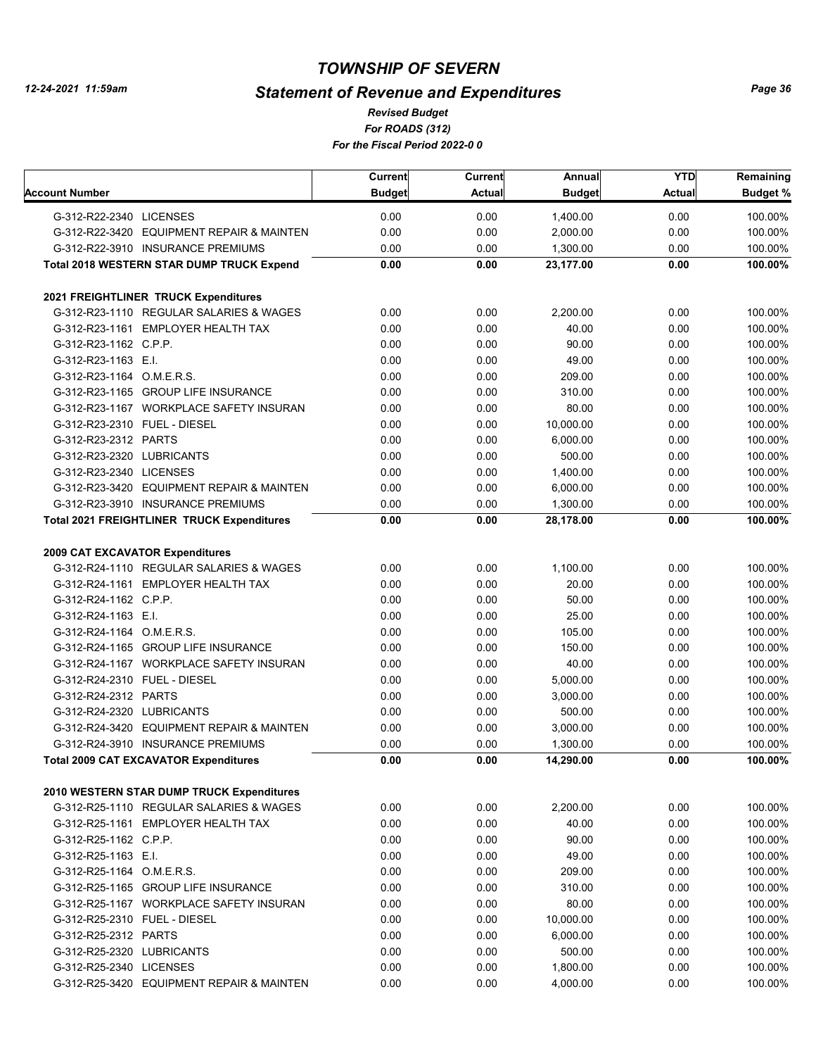# *Statement of Revenue and Expenditures*

*For ROADS (312) For the Fiscal Period 2022-0 0 Revised Budget*

|                                 |                                                   | <b>Current</b> | <b>Current</b> | Annual        | <b>YTD</b>    | Remaining |
|---------------------------------|---------------------------------------------------|----------------|----------------|---------------|---------------|-----------|
| Account Number                  |                                                   | <b>Budget</b>  | <b>Actual</b>  | <b>Budget</b> | <b>Actual</b> | Budget %  |
| G-312-R22-2340 LICENSES         |                                                   | 0.00           | 0.00           | 1,400.00      | 0.00          | 100.00%   |
|                                 | G-312-R22-3420 EQUIPMENT REPAIR & MAINTEN         | 0.00           | 0.00           | 2,000.00      | 0.00          | 100.00%   |
|                                 | G-312-R22-3910 INSURANCE PREMIUMS                 | 0.00           | 0.00           | 1,300.00      | 0.00          | 100.00%   |
|                                 | <b>Total 2018 WESTERN STAR DUMP TRUCK Expend</b>  | 0.00           | 0.00           | 23,177.00     | 0.00          | 100.00%   |
|                                 | 2021 FREIGHTLINER TRUCK Expenditures              |                |                |               |               |           |
|                                 | G-312-R23-1110 REGULAR SALARIES & WAGES           | 0.00           | 0.00           | 2,200.00      | 0.00          | 100.00%   |
|                                 | G-312-R23-1161 EMPLOYER HEALTH TAX                | 0.00           | 0.00           | 40.00         | 0.00          | 100.00%   |
| G-312-R23-1162 C.P.P.           |                                                   | 0.00           | 0.00           | 90.00         | 0.00          | 100.00%   |
| G-312-R23-1163 E.I.             |                                                   | 0.00           | 0.00           | 49.00         | 0.00          | 100.00%   |
| G-312-R23-1164 O.M.E.R.S.       |                                                   | 0.00           | 0.00           | 209.00        | 0.00          | 100.00%   |
|                                 | G-312-R23-1165 GROUP LIFE INSURANCE               | 0.00           | 0.00           | 310.00        | 0.00          | 100.00%   |
|                                 | G-312-R23-1167 WORKPLACE SAFETY INSURAN           | 0.00           | 0.00           | 80.00         | 0.00          | 100.00%   |
| G-312-R23-2310 FUEL - DIESEL    |                                                   | 0.00           | 0.00           | 10,000.00     | 0.00          | 100.00%   |
| G-312-R23-2312 PARTS            |                                                   | 0.00           | 0.00           | 6,000.00      | 0.00          | 100.00%   |
| G-312-R23-2320 LUBRICANTS       |                                                   | 0.00           | 0.00           | 500.00        | 0.00          | 100.00%   |
| G-312-R23-2340 LICENSES         |                                                   | 0.00           | 0.00           | 1,400.00      | 0.00          | 100.00%   |
|                                 | G-312-R23-3420 EQUIPMENT REPAIR & MAINTEN         | 0.00           | 0.00           | 6,000.00      | 0.00          | 100.00%   |
|                                 | G-312-R23-3910 INSURANCE PREMIUMS                 | 0.00           | 0.00           | 1,300.00      | 0.00          | 100.00%   |
|                                 | <b>Total 2021 FREIGHTLINER TRUCK Expenditures</b> | 0.00           | 0.00           | 28,178.00     | 0.00          | 100.00%   |
| 2009 CAT EXCAVATOR Expenditures |                                                   |                |                |               |               |           |
|                                 | G-312-R24-1110 REGULAR SALARIES & WAGES           | 0.00           | 0.00           | 1,100.00      | 0.00          | 100.00%   |
|                                 | G-312-R24-1161 EMPLOYER HEALTH TAX                | 0.00           | 0.00           | 20.00         | 0.00          | 100.00%   |
| G-312-R24-1162 C.P.P.           |                                                   | 0.00           | 0.00           | 50.00         | 0.00          | 100.00%   |
| G-312-R24-1163 E.I.             |                                                   | 0.00           | 0.00           | 25.00         | 0.00          | 100.00%   |
| G-312-R24-1164 O.M.E.R.S.       |                                                   | 0.00           | 0.00           | 105.00        | 0.00          | 100.00%   |
|                                 | G-312-R24-1165 GROUP LIFE INSURANCE               | 0.00           | 0.00           | 150.00        | 0.00          | 100.00%   |
|                                 | G-312-R24-1167 WORKPLACE SAFETY INSURAN           | 0.00           | 0.00           | 40.00         | 0.00          | 100.00%   |
| G-312-R24-2310 FUEL - DIESEL    |                                                   | 0.00           | 0.00           | 5,000.00      | 0.00          | 100.00%   |
| G-312-R24-2312 PARTS            |                                                   | 0.00           | 0.00           | 3,000.00      | 0.00          | 100.00%   |
| G-312-R24-2320 LUBRICANTS       |                                                   | 0.00           | 0.00           | 500.00        | 0.00          | 100.00%   |
|                                 | G-312-R24-3420 EQUIPMENT REPAIR & MAINTEN         | 0.00           | 0.00           | 3,000.00      | 0.00          | 100.00%   |
|                                 | G-312-R24-3910 INSURANCE PREMIUMS                 | 0.00           | 0.00           | 1,300.00      | 0.00          | 100.00%   |
|                                 | <b>Total 2009 CAT EXCAVATOR Expenditures</b>      | 0.00           | 0.00           | 14,290.00     | 0.00          | 100.00%   |
|                                 | 2010 WESTERN STAR DUMP TRUCK Expenditures         |                |                |               |               |           |
|                                 | G-312-R25-1110 REGULAR SALARIES & WAGES           | 0.00           | 0.00           | 2,200.00      | 0.00          | 100.00%   |
|                                 | G-312-R25-1161 EMPLOYER HEALTH TAX                | 0.00           | 0.00           | 40.00         | 0.00          | 100.00%   |
| G-312-R25-1162 C.P.P.           |                                                   | 0.00           | 0.00           | 90.00         | 0.00          | 100.00%   |
| G-312-R25-1163 E.I.             |                                                   | 0.00           | 0.00           | 49.00         | 0.00          | 100.00%   |
| G-312-R25-1164 O.M.E.R.S.       |                                                   | 0.00           | 0.00           | 209.00        | 0.00          | 100.00%   |
|                                 | G-312-R25-1165 GROUP LIFE INSURANCE               | 0.00           | 0.00           | 310.00        | 0.00          | 100.00%   |
|                                 | G-312-R25-1167 WORKPLACE SAFETY INSURAN           | 0.00           | 0.00           | 80.00         | 0.00          | 100.00%   |
| G-312-R25-2310 FUEL - DIESEL    |                                                   | 0.00           | 0.00           | 10,000.00     | 0.00          | 100.00%   |
| G-312-R25-2312 PARTS            |                                                   | 0.00           | 0.00           | 6,000.00      | 0.00          | 100.00%   |
| G-312-R25-2320 LUBRICANTS       |                                                   | 0.00           | 0.00           | 500.00        | 0.00          | 100.00%   |
| G-312-R25-2340 LICENSES         |                                                   | 0.00           | 0.00           | 1,800.00      | 0.00          | 100.00%   |
|                                 | G-312-R25-3420 EQUIPMENT REPAIR & MAINTEN         | 0.00           | 0.00           | 4,000.00      | 0.00          | 100.00%   |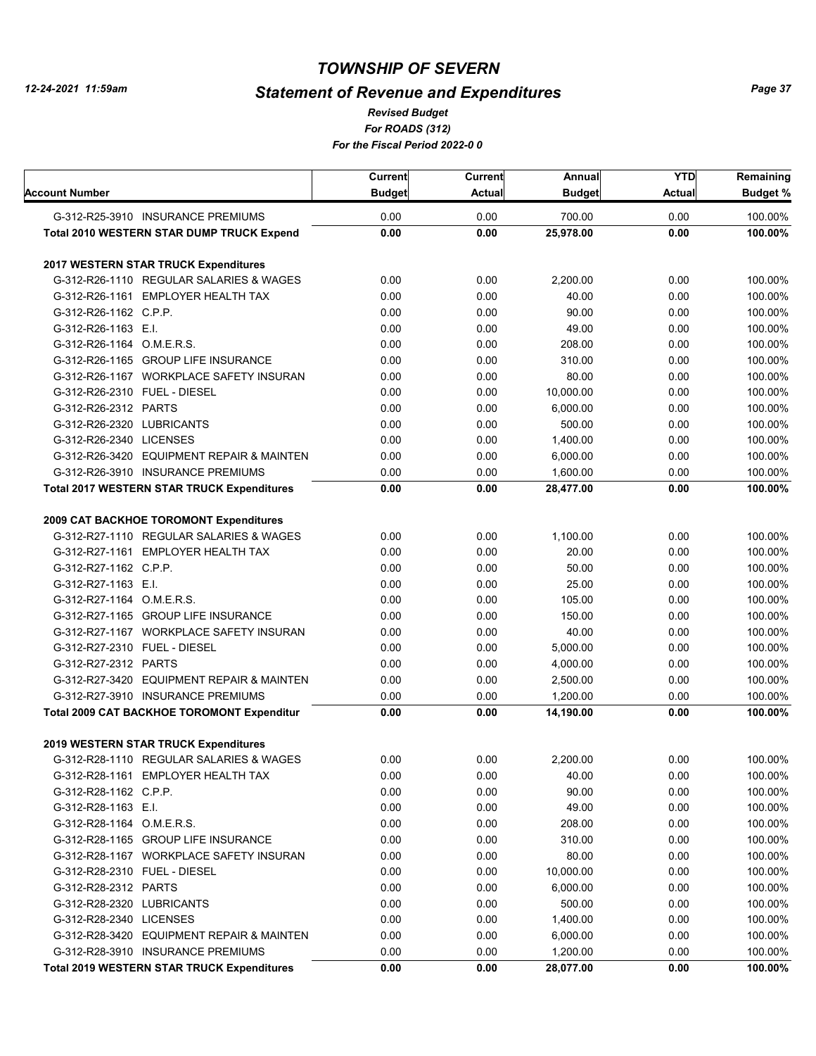# *Statement of Revenue and Expenditures*

*For ROADS (312) For the Fiscal Period 2022-0 0 Revised Budget*

| Account Number                                    | Current<br><b>Budget</b> | <b>Current</b><br><b>Actual</b> | Annual<br><b>Budget</b> | <b>YTD</b><br><b>Actual</b> | Remaining<br><b>Budget %</b> |
|---------------------------------------------------|--------------------------|---------------------------------|-------------------------|-----------------------------|------------------------------|
| G-312-R25-3910 INSURANCE PREMIUMS                 | 0.00                     | 0.00                            | 700.00                  | 0.00                        | 100.00%                      |
| <b>Total 2010 WESTERN STAR DUMP TRUCK Expend</b>  | 0.00                     | 0.00                            | 25,978.00               | 0.00                        | 100.00%                      |
|                                                   |                          |                                 |                         |                             |                              |
| <b>2017 WESTERN STAR TRUCK Expenditures</b>       |                          |                                 |                         |                             |                              |
| G-312-R26-1110 REGULAR SALARIES & WAGES           | 0.00                     | 0.00                            | 2,200.00                | 0.00                        | 100.00%                      |
| G-312-R26-1161 EMPLOYER HEALTH TAX                | 0.00                     | 0.00                            | 40.00                   | 0.00                        | 100.00%                      |
| G-312-R26-1162 C.P.P.                             | 0.00                     | 0.00                            | 90.00                   | 0.00                        | 100.00%                      |
| G-312-R26-1163 E.I.                               | 0.00                     | 0.00                            | 49.00                   | 0.00                        | 100.00%                      |
| G-312-R26-1164 O.M.E.R.S.                         | 0.00                     | 0.00                            | 208.00                  | 0.00                        | 100.00%                      |
| G-312-R26-1165 GROUP LIFE INSURANCE               | 0.00                     | 0.00                            | 310.00                  | 0.00                        | 100.00%                      |
| G-312-R26-1167 WORKPLACE SAFETY INSURAN           | 0.00                     | 0.00                            | 80.00                   | 0.00                        | 100.00%                      |
| G-312-R26-2310 FUEL - DIESEL                      | 0.00                     | 0.00                            | 10,000.00               | 0.00                        | 100.00%                      |
| G-312-R26-2312 PARTS                              | 0.00                     | 0.00                            | 6,000.00                | 0.00                        | 100.00%                      |
| G-312-R26-2320 LUBRICANTS                         | 0.00                     | 0.00                            | 500.00                  | 0.00                        | 100.00%                      |
| G-312-R26-2340 LICENSES                           | 0.00                     | 0.00                            | 1,400.00                | 0.00                        | 100.00%                      |
| G-312-R26-3420 EQUIPMENT REPAIR & MAINTEN         | 0.00                     | 0.00                            | 6,000.00                | 0.00                        | 100.00%                      |
| G-312-R26-3910 INSURANCE PREMIUMS                 | 0.00                     | 0.00                            | 1,600.00                | 0.00                        | 100.00%                      |
| <b>Total 2017 WESTERN STAR TRUCK Expenditures</b> | 0.00                     | 0.00                            | 28,477.00               | 0.00                        | 100.00%                      |
|                                                   |                          |                                 |                         |                             |                              |
| 2009 CAT BACKHOE TOROMONT Expenditures            |                          |                                 |                         |                             |                              |
| G-312-R27-1110 REGULAR SALARIES & WAGES           | 0.00                     | 0.00                            | 1,100.00                | 0.00                        | 100.00%                      |
| G-312-R27-1161 EMPLOYER HEALTH TAX                | 0.00                     | 0.00                            | 20.00                   | 0.00                        | 100.00%                      |
| G-312-R27-1162 C.P.P.                             | 0.00                     | 0.00                            | 50.00                   | 0.00                        | 100.00%                      |
| G-312-R27-1163 E.I.                               | 0.00                     | 0.00                            | 25.00                   | 0.00                        | 100.00%                      |
| G-312-R27-1164 O.M.E.R.S.                         | 0.00                     | 0.00                            | 105.00                  | 0.00                        | 100.00%                      |
| G-312-R27-1165 GROUP LIFE INSURANCE               | 0.00                     | 0.00                            | 150.00                  | 0.00                        | 100.00%                      |
| G-312-R27-1167 WORKPLACE SAFETY INSURAN           | 0.00                     | 0.00                            | 40.00                   | 0.00                        | 100.00%                      |
| G-312-R27-2310 FUEL - DIESEL                      | 0.00                     | 0.00                            | 5,000.00                | 0.00                        | 100.00%                      |
| G-312-R27-2312 PARTS                              | 0.00                     | 0.00                            | 4,000.00                | 0.00                        | 100.00%                      |
| G-312-R27-3420 EQUIPMENT REPAIR & MAINTEN         | 0.00                     | 0.00                            | 2,500.00                | 0.00                        | 100.00%                      |
| G-312-R27-3910 INSURANCE PREMIUMS                 | 0.00                     | 0.00                            | 1,200.00                | 0.00                        | 100.00%                      |
| <b>Total 2009 CAT BACKHOE TOROMONT Expenditur</b> | 0.00                     | 0.00                            | 14,190.00               | 0.00                        | 100.00%                      |
|                                                   |                          |                                 |                         |                             |                              |
| 2019 WESTERN STAR TRUCK Expenditures              |                          |                                 |                         |                             |                              |
| G-312-R28-1110 REGULAR SALARIES & WAGES           | 0.00                     | 0.00                            | 2,200.00                | 0.00                        | 100.00%                      |
| G-312-R28-1161 EMPLOYER HEALTH TAX                | 0.00                     | 0.00                            | 40.00                   | 0.00                        | 100.00%                      |
| G-312-R28-1162 C.P.P.                             | 0.00                     | 0.00                            | 90.00                   | 0.00                        | 100.00%                      |
| G-312-R28-1163 E.I.                               | 0.00                     | 0.00                            | 49.00                   | 0.00                        | 100.00%                      |
| G-312-R28-1164 O.M.E.R.S.                         | 0.00                     | 0.00                            | 208.00                  | 0.00                        | 100.00%                      |
| G-312-R28-1165 GROUP LIFE INSURANCE               | 0.00                     | 0.00                            | 310.00                  | 0.00                        | 100.00%                      |
| G-312-R28-1167 WORKPLACE SAFETY INSURAN           | 0.00                     | 0.00                            | 80.00                   | 0.00                        | 100.00%                      |
| G-312-R28-2310 FUEL - DIESEL                      | 0.00                     | 0.00                            | 10,000.00               | 0.00                        | 100.00%                      |
| G-312-R28-2312 PARTS                              | 0.00                     | 0.00                            | 6,000.00                | 0.00                        | 100.00%                      |
| G-312-R28-2320 LUBRICANTS                         | 0.00                     | 0.00                            | 500.00                  | 0.00                        | 100.00%                      |
| G-312-R28-2340 LICENSES                           | 0.00                     | 0.00                            | 1,400.00                | 0.00                        | 100.00%                      |
| G-312-R28-3420 EQUIPMENT REPAIR & MAINTEN         | 0.00                     | 0.00                            | 6,000.00                | 0.00                        | 100.00%                      |
| G-312-R28-3910 INSURANCE PREMIUMS                 | 0.00                     | 0.00                            | 1,200.00                | 0.00                        | 100.00%                      |
| <b>Total 2019 WESTERN STAR TRUCK Expenditures</b> | 0.00                     | 0.00                            | 28,077.00               | 0.00                        | 100.00%                      |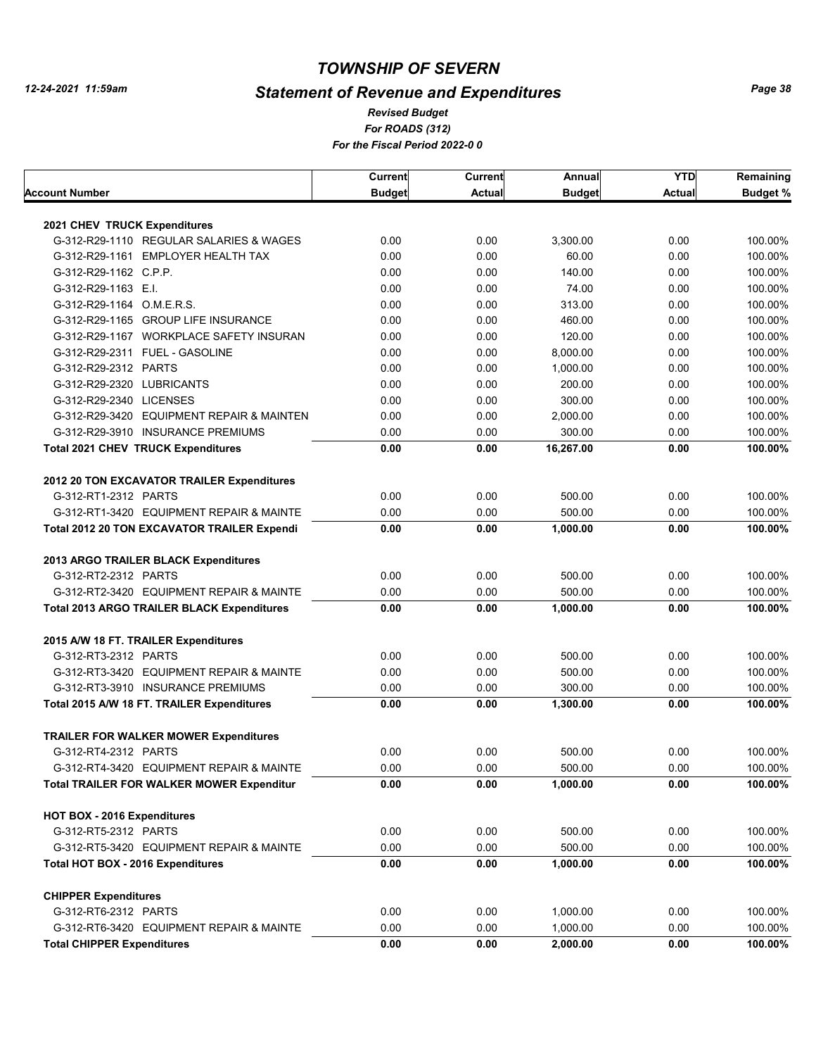# *Statement of Revenue and Expenditures*

*For ROADS (312) For the Fiscal Period 2022-0 0 Revised Budget*

|                                                   | Current       | Current       | Annual        | <b>YTD</b> | Remaining       |
|---------------------------------------------------|---------------|---------------|---------------|------------|-----------------|
| Account Number                                    | <b>Budget</b> | <b>Actual</b> | <b>Budget</b> | Actual     | <b>Budget %</b> |
|                                                   |               |               |               |            |                 |
| 2021 CHEV TRUCK Expenditures                      |               |               |               |            |                 |
| G-312-R29-1110 REGULAR SALARIES & WAGES           | 0.00          | 0.00          | 3,300.00      | 0.00       | 100.00%         |
| G-312-R29-1161 EMPLOYER HEALTH TAX                | 0.00          | 0.00          | 60.00         | 0.00       | 100.00%         |
| G-312-R29-1162 C.P.P.                             | 0.00          | 0.00          | 140.00        | 0.00       | 100.00%         |
| G-312-R29-1163 E.I.                               | 0.00          | 0.00          | 74.00         | 0.00       | 100.00%         |
| G-312-R29-1164 O.M.E.R.S.                         | 0.00          | 0.00          | 313.00        | 0.00       | 100.00%         |
| G-312-R29-1165 GROUP LIFE INSURANCE               | 0.00          | 0.00          | 460.00        | 0.00       | 100.00%         |
| G-312-R29-1167 WORKPLACE SAFETY INSURAN           | 0.00          | 0.00          | 120.00        | 0.00       | 100.00%         |
| G-312-R29-2311 FUEL - GASOLINE                    | 0.00          | 0.00          | 8,000.00      | 0.00       | 100.00%         |
| G-312-R29-2312 PARTS                              | 0.00          | 0.00          | 1,000.00      | 0.00       | 100.00%         |
| G-312-R29-2320 LUBRICANTS                         | 0.00          | 0.00          | 200.00        | 0.00       | 100.00%         |
| G-312-R29-2340 LICENSES                           | 0.00          | 0.00          | 300.00        | 0.00       | 100.00%         |
| G-312-R29-3420 EQUIPMENT REPAIR & MAINTEN         | 0.00          | 0.00          | 2,000.00      | 0.00       | 100.00%         |
| G-312-R29-3910 INSURANCE PREMIUMS                 | 0.00          | 0.00          | 300.00        | 0.00       | 100.00%         |
| <b>Total 2021 CHEV TRUCK Expenditures</b>         | 0.00          | 0.00          | 16,267.00     | 0.00       | 100.00%         |
| 2012 20 TON EXCAVATOR TRAILER Expenditures        |               |               |               |            |                 |
| G-312-RT1-2312 PARTS                              | 0.00          | 0.00          | 500.00        | 0.00       | 100.00%         |
| G-312-RT1-3420 EQUIPMENT REPAIR & MAINTE          | 0.00          | 0.00          | 500.00        | 0.00       | 100.00%         |
| Total 2012 20 TON EXCAVATOR TRAILER Expendi       | 0.00          | 0.00          | 1,000.00      | 0.00       | 100.00%         |
|                                                   |               |               |               |            |                 |
| 2013 ARGO TRAILER BLACK Expenditures              |               |               |               |            |                 |
| G-312-RT2-2312 PARTS                              | 0.00          | 0.00          | 500.00        | 0.00       | 100.00%         |
| G-312-RT2-3420 EQUIPMENT REPAIR & MAINTE          | 0.00          | 0.00          | 500.00        | 0.00       | 100.00%         |
| <b>Total 2013 ARGO TRAILER BLACK Expenditures</b> | 0.00          | 0.00          | 1,000.00      | 0.00       | 100.00%         |
| 2015 A/W 18 FT. TRAILER Expenditures              |               |               |               |            |                 |
| G-312-RT3-2312 PARTS                              | 0.00          | 0.00          | 500.00        | 0.00       | 100.00%         |
| G-312-RT3-3420 EQUIPMENT REPAIR & MAINTE          | 0.00          | 0.00          | 500.00        | 0.00       | 100.00%         |
| G-312-RT3-3910 INSURANCE PREMIUMS                 | 0.00          | 0.00          | 300.00        | 0.00       | 100.00%         |
| Total 2015 A/W 18 FT. TRAILER Expenditures        | 0.00          | 0.00          | 1,300.00      | 0.00       | 100.00%         |
| <b>TRAILER FOR WALKER MOWER Expenditures</b>      |               |               |               |            |                 |
| G-312-RT4-2312 PARTS                              | 0.00          | 0.00          | 500.00        | 0.00       | 100.00%         |
| G-312-RT4-3420 EQUIPMENT REPAIR & MAINTE          | 0.00          | 0.00          | 500.00        | 0.00       | 100.00%         |
| <b>Total TRAILER FOR WALKER MOWER Expenditur</b>  | 0.00          | 0.00          | 1.000.00      | 0.00       | 100.00%         |
| HOT BOX - 2016 Expenditures                       |               |               |               |            |                 |
| G-312-RT5-2312 PARTS                              | 0.00          | 0.00          | 500.00        | 0.00       | 100.00%         |
|                                                   |               |               |               |            |                 |
| G-312-RT5-3420 EQUIPMENT REPAIR & MAINTE          | 0.00          | 0.00          | 500.00        | 0.00       | 100.00%         |
| Total HOT BOX - 2016 Expenditures                 | 0.00          | 0.00          | 1,000.00      | 0.00       | 100.00%         |
| <b>CHIPPER Expenditures</b>                       |               |               |               |            |                 |
| G-312-RT6-2312 PARTS                              | 0.00          | 0.00          | 1,000.00      | 0.00       | 100.00%         |
| G-312-RT6-3420 EQUIPMENT REPAIR & MAINTE          | 0.00          | 0.00          | 1,000.00      | 0.00       | 100.00%         |
| <b>Total CHIPPER Expenditures</b>                 | 0.00          | 0.00          | 2,000.00      | 0.00       | 100.00%         |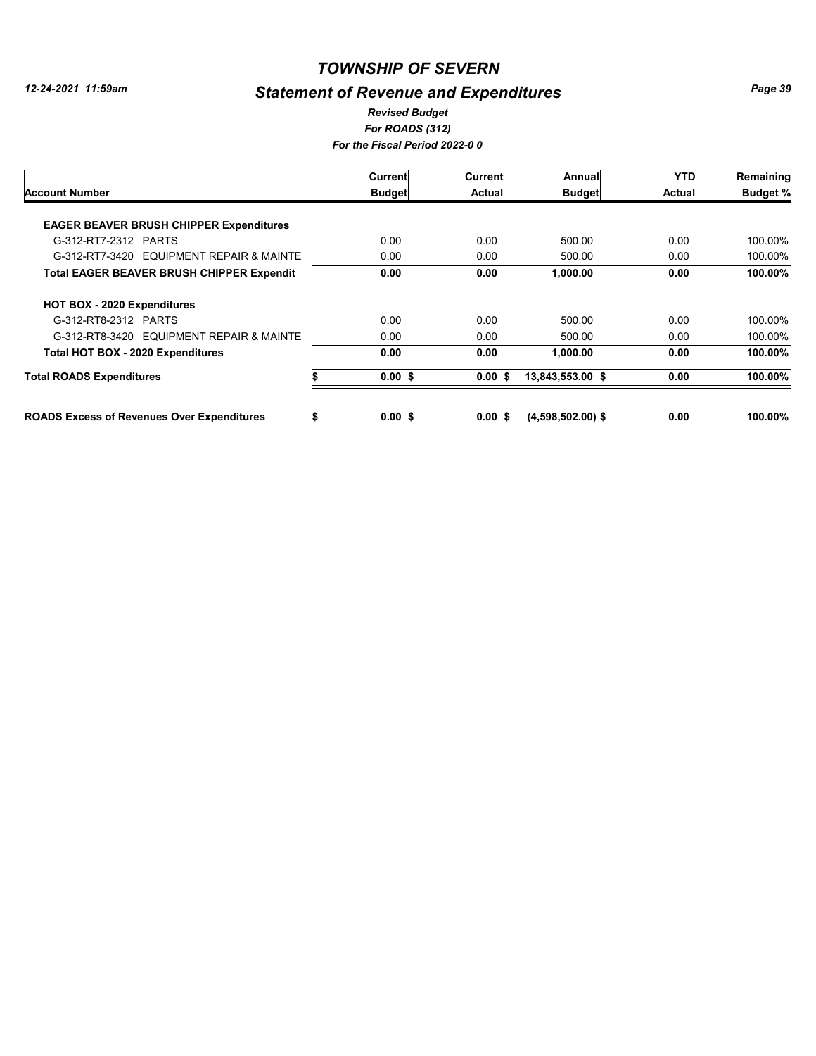# *Statement of Revenue and Expenditures*

#### *For ROADS (312) For the Fiscal Period 2022-0 0 Revised Budget*

|                                                   | Current         | Current   | Annual              | <b>YTD</b>    | Remaining       |
|---------------------------------------------------|-----------------|-----------|---------------------|---------------|-----------------|
| <b>Account Number</b>                             | <b>Budget</b>   | Actual    | <b>Budget</b>       | <b>Actual</b> | <b>Budget %</b> |
|                                                   |                 |           |                     |               |                 |
| <b>EAGER BEAVER BRUSH CHIPPER Expenditures</b>    |                 |           |                     |               |                 |
| G-312-RT7-2312 PARTS                              | 0.00            | 0.00      | 500.00              | 0.00          | 100.00%         |
| G-312-RT7-3420 EQUIPMENT REPAIR & MAINTE          | 0.00            | 0.00      | 500.00              | 0.00          | 100.00%         |
| <b>Total EAGER BEAVER BRUSH CHIPPER Expendit</b>  | 0.00            | 0.00      | 1,000.00            | 0.00          | 100.00%         |
| HOT BOX - 2020 Expenditures                       |                 |           |                     |               |                 |
| G-312-RT8-2312 PARTS                              | 0.00            | 0.00      | 500.00              | 0.00          | 100.00%         |
| G-312-RT8-3420 EQUIPMENT REPAIR & MAINTE          | 0.00            | 0.00      | 500.00              | 0.00          | 100.00%         |
| Total HOT BOX - 2020 Expenditures                 | 0.00            | 0.00      | 1,000.00            | 0.00          | 100.00%         |
| <b>Total ROADS Expenditures</b>                   | $0.00$ \$       | 0.00S     | 13,843,553.00 \$    | 0.00          | 100.00%         |
| <b>ROADS Excess of Revenues Over Expenditures</b> | \$<br>$0.00$ \$ | $0.00$ \$ | $(4,598,502.00)$ \$ | 0.00          | 100.00%         |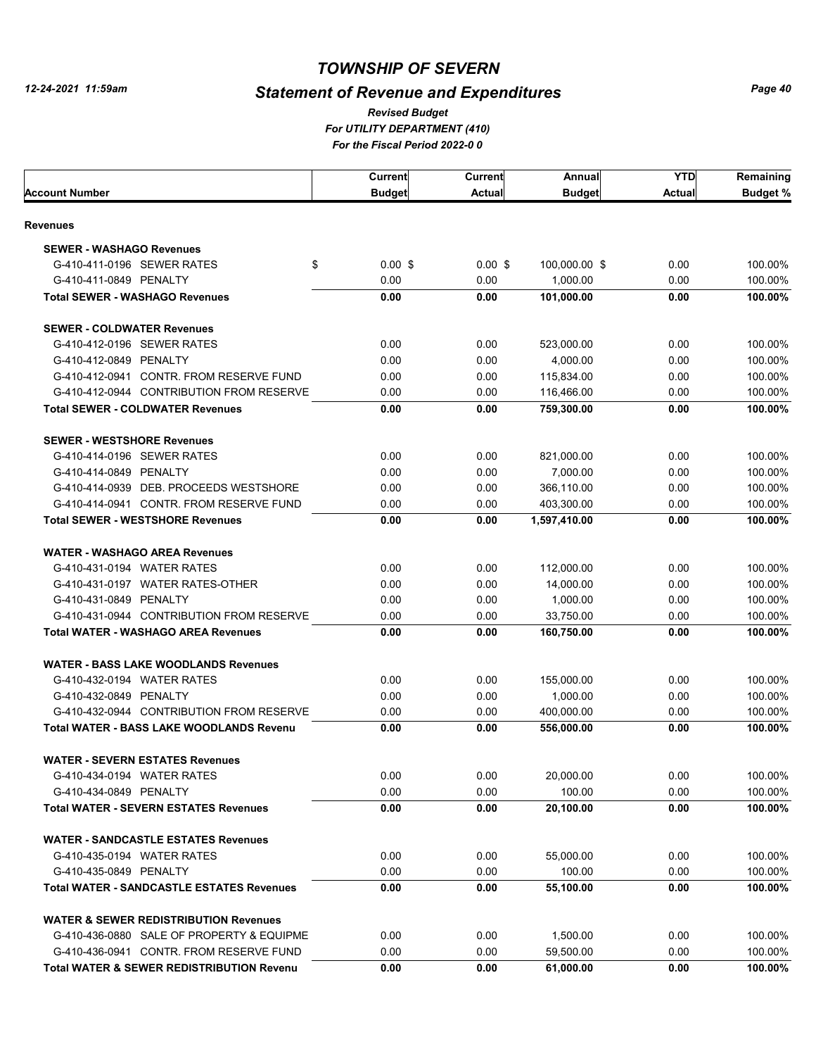# *Statement of Revenue and Expenditures*

*For UTILITY DEPARTMENT (410) For the Fiscal Period 2022-0 0 Revised Budget*

|                                                      | <b>Current</b> | <b>Current</b> | Annual        | <b>YTD</b>    | Remaining       |
|------------------------------------------------------|----------------|----------------|---------------|---------------|-----------------|
| Account Number                                       | <b>Budget</b>  | Actual         | <b>Budget</b> | <b>Actual</b> | <b>Budget %</b> |
| Revenues                                             |                |                |               |               |                 |
| <b>SEWER - WASHAGO Revenues</b>                      |                |                |               |               |                 |
| G-410-411-0196 SEWER RATES<br>\$                     | $0.00$ \$      | $0.00$ \$      | 100,000.00 \$ | 0.00          | 100.00%         |
| G-410-411-0849 PENALTY                               | 0.00           | 0.00           | 1,000.00      | 0.00          | 100.00%         |
| <b>Total SEWER - WASHAGO Revenues</b>                | 0.00           | 0.00           | 101,000.00    | 0.00          | 100.00%         |
| <b>SEWER - COLDWATER Revenues</b>                    |                |                |               |               |                 |
| G-410-412-0196 SEWER RATES                           | 0.00           | 0.00           | 523,000.00    | 0.00          | 100.00%         |
| G-410-412-0849 PENALTY                               | 0.00           | 0.00           | 4,000.00      | 0.00          | 100.00%         |
| G-410-412-0941 CONTR. FROM RESERVE FUND              | 0.00           | 0.00           | 115,834.00    | 0.00          | 100.00%         |
| G-410-412-0944 CONTRIBUTION FROM RESERVE             | 0.00           | 0.00           | 116,466.00    | 0.00          | 100.00%         |
| <b>Total SEWER - COLDWATER Revenues</b>              | 0.00           | 0.00           | 759,300.00    | 0.00          | 100.00%         |
| <b>SEWER - WESTSHORE Revenues</b>                    |                |                |               |               |                 |
| G-410-414-0196 SEWER RATES                           | 0.00           | 0.00           | 821,000.00    | 0.00          | 100.00%         |
| G-410-414-0849 PENALTY                               | 0.00           | 0.00           | 7,000.00      | 0.00          | 100.00%         |
| G-410-414-0939 DEB. PROCEEDS WESTSHORE               | 0.00           | 0.00           | 366,110.00    | 0.00          | 100.00%         |
| G-410-414-0941 CONTR, FROM RESERVE FUND              | 0.00           | 0.00           | 403,300.00    | 0.00          | 100.00%         |
| <b>Total SEWER - WESTSHORE Revenues</b>              | 0.00           | 0.00           | 1,597,410.00  | 0.00          | 100.00%         |
| <b>WATER - WASHAGO AREA Revenues</b>                 |                |                |               |               |                 |
| G-410-431-0194 WATER RATES                           | 0.00           | 0.00           | 112,000.00    | 0.00          | 100.00%         |
| G-410-431-0197 WATER RATES-OTHER                     | 0.00           | 0.00           | 14,000.00     | 0.00          | 100.00%         |
| G-410-431-0849 PENALTY                               | 0.00           | 0.00           | 1,000.00      | 0.00          | 100.00%         |
| G-410-431-0944 CONTRIBUTION FROM RESERVE             | 0.00           | 0.00           | 33,750.00     | 0.00          | 100.00%         |
| <b>Total WATER - WASHAGO AREA Revenues</b>           | 0.00           | 0.00           | 160,750.00    | 0.00          | 100.00%         |
| <b>WATER - BASS LAKE WOODLANDS Revenues</b>          |                |                |               |               |                 |
| G-410-432-0194 WATER RATES                           | 0.00           | 0.00           | 155,000.00    | 0.00          | 100.00%         |
| G-410-432-0849 PENALTY                               | 0.00           | 0.00           | 1,000.00      | 0.00          | 100.00%         |
| G-410-432-0944 CONTRIBUTION FROM RESERVE             | 0.00           | 0.00           | 400,000.00    | 0.00          | 100.00%         |
| <b>Total WATER - BASS LAKE WOODLANDS Revenu</b>      | 0.00           | 0.00           | 556,000.00    | 0.00          | 100.00%         |
| <b>WATER - SEVERN ESTATES Revenues</b>               |                |                |               |               |                 |
| G-410-434-0194 WATER RATES                           | 0.00           | 0.00           | 20,000.00     | 0.00          | 100.00%         |
| G-410-434-0849 PENALTY                               | 0.00           | 0.00           | 100.00        | 0.00          | 100.00%         |
| <b>Total WATER - SEVERN ESTATES Revenues</b>         | 0.00           | 0.00           | 20,100.00     | 0.00          | 100.00%         |
| <b>WATER - SANDCASTLE ESTATES Revenues</b>           |                |                |               |               |                 |
| G-410-435-0194 WATER RATES                           | 0.00           | 0.00           | 55,000.00     | 0.00          | 100.00%         |
| G-410-435-0849 PENALTY                               | 0.00           | 0.00           | 100.00        | 0.00          | 100.00%         |
| <b>Total WATER - SANDCASTLE ESTATES Revenues</b>     | 0.00           | 0.00           | 55,100.00     | 0.00          | 100.00%         |
| <b>WATER &amp; SEWER REDISTRIBUTION Revenues</b>     |                |                |               |               |                 |
| G-410-436-0880 SALE OF PROPERTY & EQUIPME            | 0.00           | 0.00           | 1,500.00      | 0.00          | 100.00%         |
| G-410-436-0941 CONTR. FROM RESERVE FUND              | 0.00           | 0.00           | 59,500.00     | 0.00          | 100.00%         |
| <b>Total WATER &amp; SEWER REDISTRIBUTION Revenu</b> | 0.00           | 0.00           | 61,000.00     | 0.00          | 100.00%         |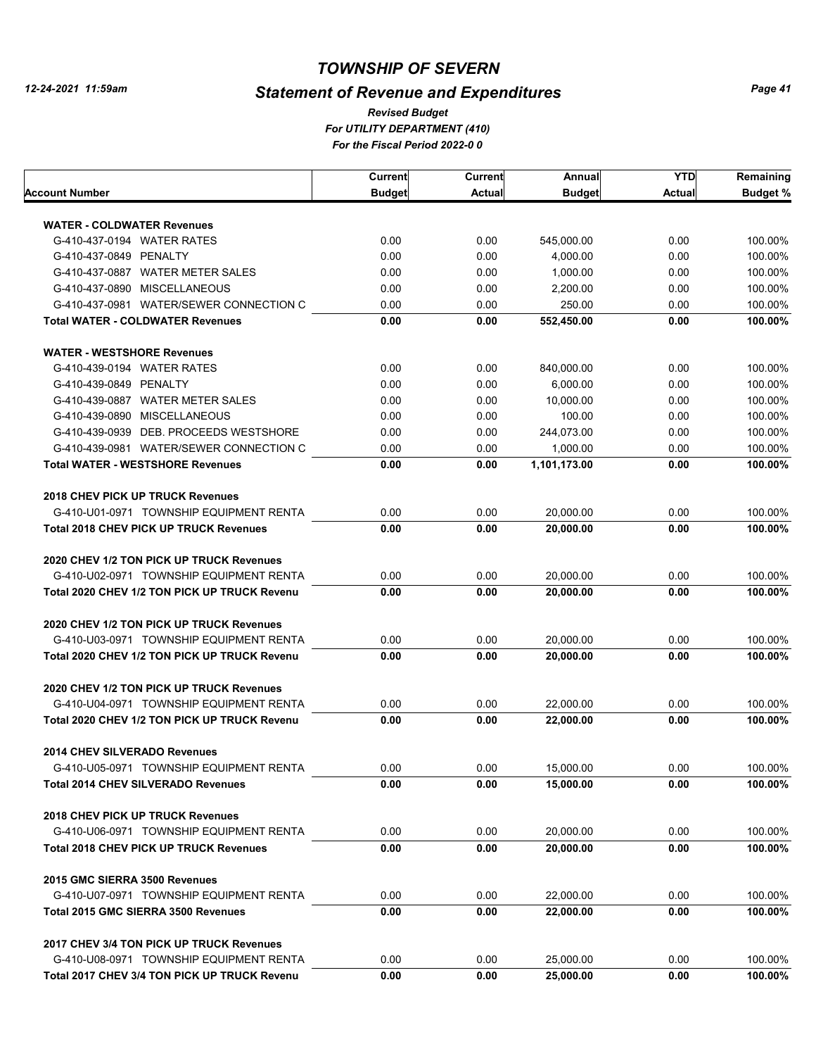# *Statement of Revenue and Expenditures*

*For UTILITY DEPARTMENT (410) For the Fiscal Period 2022-0 0 Revised Budget*

|                                                                                | Current       | Current | Annual        | YTD    | Remaining       |
|--------------------------------------------------------------------------------|---------------|---------|---------------|--------|-----------------|
| Account Number                                                                 | <b>Budget</b> | Actual  | <b>Budget</b> | Actual | <b>Budget %</b> |
|                                                                                |               |         |               |        |                 |
| <b>WATER - COLDWATER Revenues</b><br>G-410-437-0194 WATER RATES                | 0.00          | 0.00    | 545,000.00    | 0.00   | 100.00%         |
|                                                                                |               |         |               |        |                 |
| G-410-437-0849 PENALTY                                                         | 0.00          | 0.00    | 4,000.00      | 0.00   | 100.00%         |
| G-410-437-0887 WATER METER SALES                                               | 0.00          | 0.00    | 1,000.00      | 0.00   | 100.00%         |
| G-410-437-0890 MISCELLANEOUS                                                   | 0.00          | 0.00    | 2,200.00      | 0.00   | 100.00%         |
| G-410-437-0981 WATER/SEWER CONNECTION C                                        | 0.00          | 0.00    | 250.00        | 0.00   | 100.00%         |
| <b>Total WATER - COLDWATER Revenues</b>                                        | 0.00          | 0.00    | 552,450.00    | 0.00   | 100.00%         |
| <b>WATER - WESTSHORE Revenues</b>                                              |               |         |               |        |                 |
| G-410-439-0194 WATER RATES                                                     | 0.00          | 0.00    | 840,000.00    | 0.00   | 100.00%         |
| G-410-439-0849 PENALTY                                                         | 0.00          | 0.00    | 6,000.00      | 0.00   | 100.00%         |
| G-410-439-0887 WATER METER SALES                                               | 0.00          | 0.00    | 10,000.00     | 0.00   | 100.00%         |
| G-410-439-0890 MISCELLANEOUS                                                   | 0.00          | 0.00    | 100.00        | 0.00   | 100.00%         |
| G-410-439-0939 DEB. PROCEEDS WESTSHORE                                         | 0.00          | 0.00    | 244,073.00    | 0.00   | 100.00%         |
| G-410-439-0981 WATER/SEWER CONNECTION C                                        | 0.00          | 0.00    | 1.000.00      | 0.00   | 100.00%         |
| <b>Total WATER - WESTSHORE Revenues</b>                                        | 0.00          | 0.00    | 1,101,173.00  | 0.00   | 100.00%         |
|                                                                                |               |         |               |        |                 |
| <b>2018 CHEV PICK UP TRUCK Revenues</b>                                        |               |         |               |        |                 |
| G-410-U01-0971 TOWNSHIP EQUIPMENT RENTA                                        | 0.00          | 0.00    | 20,000.00     | 0.00   | 100.00%         |
| <b>Total 2018 CHEV PICK UP TRUCK Revenues</b>                                  | 0.00          | 0.00    | 20,000.00     | 0.00   | 100.00%         |
| 2020 CHEV 1/2 TON PICK UP TRUCK Revenues                                       |               |         |               |        |                 |
| G-410-U02-0971 TOWNSHIP EQUIPMENT RENTA                                        | 0.00          | 0.00    | 20,000.00     | 0.00   | 100.00%         |
| Total 2020 CHEV 1/2 TON PICK UP TRUCK Revenu                                   | 0.00          | 0.00    | 20,000.00     | 0.00   | 100.00%         |
|                                                                                |               |         |               |        |                 |
| 2020 CHEV 1/2 TON PICK UP TRUCK Revenues                                       |               |         |               |        |                 |
| G-410-U03-0971 TOWNSHIP EQUIPMENT RENTA                                        | 0.00          | 0.00    | 20,000.00     | 0.00   | 100.00%         |
| Total 2020 CHEV 1/2 TON PICK UP TRUCK Revenu                                   | 0.00          | 0.00    | 20,000.00     | 0.00   | 100.00%         |
| 2020 CHEV 1/2 TON PICK UP TRUCK Revenues                                       |               |         |               |        |                 |
| G-410-U04-0971 TOWNSHIP EQUIPMENT RENTA                                        | 0.00          | 0.00    | 22,000.00     | 0.00   | 100.00%         |
| Total 2020 CHEV 1/2 TON PICK UP TRUCK Revenu                                   | 0.00          | 0.00    | 22,000.00     | 0.00   | 100.00%         |
|                                                                                |               |         |               |        |                 |
| <b>2014 CHEV SILVERADO Revenues</b><br>G-410-U05-0971 TOWNSHIP EQUIPMENT RENTA |               |         |               |        |                 |
|                                                                                | 0.00          | 0.00    | 15,000.00     | 0.00   | 100.00%         |
| <b>Total 2014 CHEV SILVERADO Revenues</b>                                      | 0.00          | 0.00    | 15,000.00     | 0.00   | 100.00%         |
| <b>2018 CHEV PICK UP TRUCK Revenues</b>                                        |               |         |               |        |                 |
| G-410-U06-0971 TOWNSHIP EQUIPMENT RENTA                                        | 0.00          | 0.00    | 20,000.00     | 0.00   | 100.00%         |
| <b>Total 2018 CHEV PICK UP TRUCK Revenues</b>                                  | 0.00          | 0.00    | 20,000.00     | 0.00   | 100.00%         |
| 2015 GMC SIERRA 3500 Revenues                                                  |               |         |               |        |                 |
| G-410-U07-0971 TOWNSHIP EQUIPMENT RENTA                                        | 0.00          | 0.00    | 22.000.00     | 0.00   | 100.00%         |
| Total 2015 GMC SIERRA 3500 Revenues                                            | 0.00          | 0.00    | 22.000.00     | 0.00   | 100.00%         |
|                                                                                |               |         |               |        |                 |
| 2017 CHEV 3/4 TON PICK UP TRUCK Revenues                                       |               |         |               |        |                 |
| G-410-U08-0971 TOWNSHIP EQUIPMENT RENTA                                        | 0.00          | 0.00    | 25,000.00     | 0.00   | 100.00%         |
| Total 2017 CHEV 3/4 TON PICK UP TRUCK Revenu                                   | 0.00          | 0.00    | 25,000.00     | 0.00   | 100.00%         |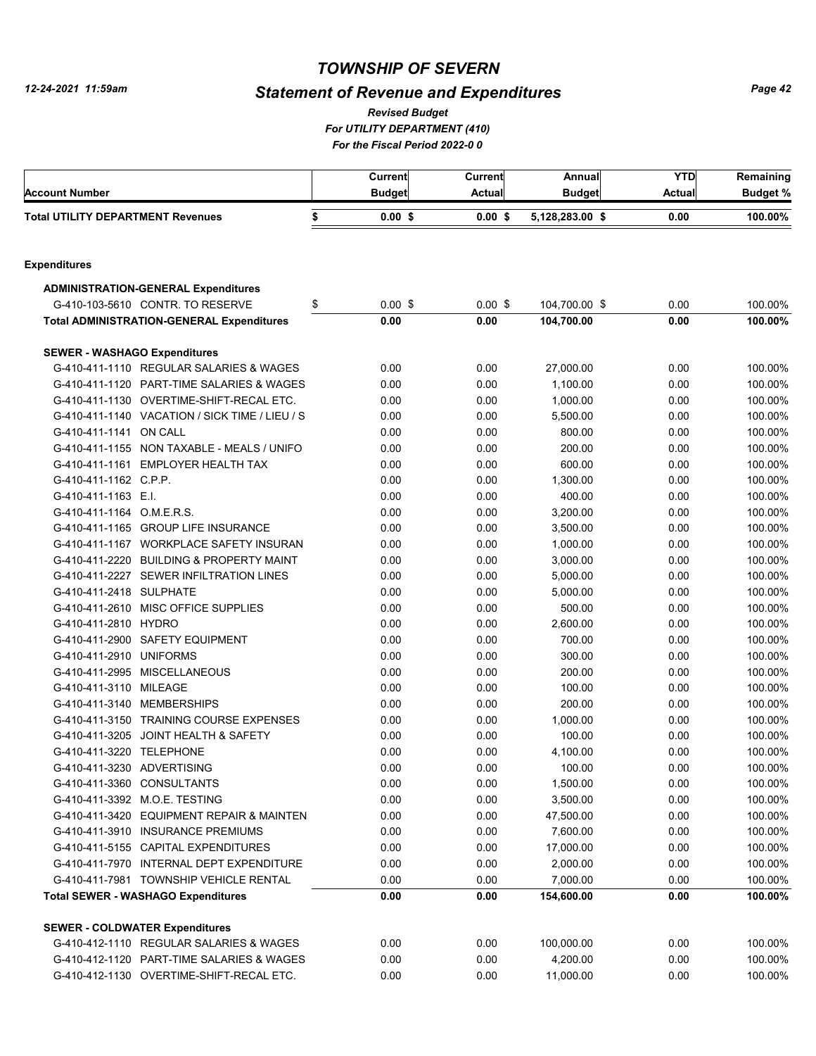# *Statement of Revenue and Expenditures*

*For UTILITY DEPARTMENT (410) Revised Budget*

*For the Fiscal Period 2022-0 0*

|                                          |                                                                                     | Current         | Current      | Annual                 | <b>YTD</b>   | Remaining          |
|------------------------------------------|-------------------------------------------------------------------------------------|-----------------|--------------|------------------------|--------------|--------------------|
| <b>Account Number</b>                    |                                                                                     | <b>Budget</b>   | Actual       | <b>Budget</b>          | Actual       | <b>Budget %</b>    |
| <b>Total UTILITY DEPARTMENT Revenues</b> |                                                                                     | \$<br>$0.00$ \$ | $0.00$ \$    | 5,128,283.00 \$        | 0.00         | 100.00%            |
|                                          |                                                                                     |                 |              |                        |              |                    |
| <b>Expenditures</b>                      |                                                                                     |                 |              |                        |              |                    |
|                                          | <b>ADMINISTRATION-GENERAL Expenditures</b>                                          |                 |              |                        |              |                    |
|                                          | G-410-103-5610 CONTR. TO RESERVE                                                    | \$<br>$0.00$ \$ | $0.00$ \$    | 104,700.00 \$          | 0.00         | 100.00%            |
|                                          | <b>Total ADMINISTRATION-GENERAL Expenditures</b>                                    | 0.00            | 0.00         | 104,700.00             | 0.00         | 100.00%            |
| <b>SEWER - WASHAGO Expenditures</b>      |                                                                                     |                 |              |                        |              |                    |
|                                          | G-410-411-1110 REGULAR SALARIES & WAGES                                             | 0.00            | 0.00         | 27,000.00              | 0.00         | 100.00%            |
|                                          | G-410-411-1120 PART-TIME SALARIES & WAGES                                           | 0.00            | 0.00         | 1,100.00               | 0.00         | 100.00%            |
|                                          | G-410-411-1130 OVERTIME-SHIFT-RECAL ETC.                                            | 0.00            | 0.00         | 1,000.00               | 0.00         | 100.00%            |
|                                          | G-410-411-1140 VACATION / SICK TIME / LIEU / S                                      | 0.00            | 0.00         | 5,500.00               | 0.00         | 100.00%            |
| G-410-411-1141 ON CALL                   |                                                                                     | 0.00            | 0.00         | 800.00                 | 0.00         | 100.00%            |
|                                          | G-410-411-1155 NON TAXABLE - MEALS / UNIFO                                          | 0.00            | 0.00         | 200.00                 | 0.00         | 100.00%            |
|                                          | G-410-411-1161 EMPLOYER HEALTH TAX                                                  | 0.00            | 0.00         | 600.00                 | 0.00         | 100.00%            |
| G-410-411-1162 C.P.P.                    |                                                                                     | 0.00            | 0.00         | 1,300.00               | 0.00         | 100.00%            |
| G-410-411-1163 E.I.                      |                                                                                     | 0.00            | 0.00         | 400.00                 | 0.00         | 100.00%            |
| G-410-411-1164 O.M.E.R.S.                |                                                                                     | 0.00            | 0.00         | 3,200.00               | 0.00         | 100.00%            |
|                                          | G-410-411-1165 GROUP LIFE INSURANCE                                                 | 0.00            | 0.00         | 3,500.00               | 0.00         | 100.00%            |
|                                          | G-410-411-1167 WORKPLACE SAFETY INSURAN                                             | 0.00            | 0.00         | 1,000.00               | 0.00         | 100.00%            |
|                                          | G-410-411-2220 BUILDING & PROPERTY MAINT                                            | 0.00            | 0.00         | 3,000.00               | 0.00         | 100.00%            |
|                                          | G-410-411-2227 SEWER INFILTRATION LINES                                             | 0.00            | 0.00         | 5,000.00               | 0.00         | 100.00%            |
| G-410-411-2418 SULPHATE                  |                                                                                     | 0.00            | 0.00         | 5,000.00               | 0.00         | 100.00%            |
|                                          | G-410-411-2610 MISC OFFICE SUPPLIES                                                 | 0.00            | 0.00         | 500.00                 | 0.00         | 100.00%            |
| G-410-411-2810 HYDRO                     |                                                                                     | 0.00            | 0.00         | 2,600.00               | 0.00         | 100.00%            |
|                                          | G-410-411-2900 SAFETY EQUIPMENT                                                     | 0.00            | 0.00         | 700.00                 | 0.00         | 100.00%            |
| G-410-411-2910 UNIFORMS                  |                                                                                     | 0.00            | 0.00         | 300.00                 | 0.00         | 100.00%            |
|                                          | G-410-411-2995 MISCELLANEOUS                                                        | 0.00            | 0.00         | 200.00                 | 0.00         | 100.00%            |
| G-410-411-3110 MILEAGE                   |                                                                                     | 0.00            | 0.00         | 100.00                 | 0.00         | 100.00%            |
|                                          | G-410-411-3140 MEMBERSHIPS                                                          | 0.00            | 0.00         | 200.00                 | 0.00         | 100.00%            |
|                                          | G-410-411-3150 TRAINING COURSE EXPENSES                                             | 0.00            | 0.00         | 1,000.00               | 0.00         | 100.00%            |
|                                          | G-410-411-3205 JOINT HEALTH & SAFETY                                                | 0.00            | 0.00         | 100.00                 | 0.00         | 100.00%            |
| G-410-411-3220 TELEPHONE                 |                                                                                     |                 | 0.00         |                        | 0.00         | 100.00%            |
| G-410-411-3230 ADVERTISING               |                                                                                     | 0.00<br>0.00    | 0.00         | 4,100.00<br>100.00     | 0.00         | 100.00%            |
|                                          | G-410-411-3360 CONSULTANTS                                                          | 0.00            | 0.00         | 1,500.00               | 0.00         | 100.00%            |
|                                          | G-410-411-3392 M.O.E. TESTING                                                       | 0.00            | 0.00         | 3,500.00               | 0.00         | 100.00%            |
|                                          |                                                                                     |                 |              |                        |              |                    |
|                                          | G-410-411-3420 EQUIPMENT REPAIR & MAINTEN                                           | 0.00            | 0.00         | 47,500.00              | 0.00         | 100.00%            |
|                                          | G-410-411-3910 INSURANCE PREMIUMS                                                   | 0.00            | 0.00         | 7,600.00               | 0.00         | 100.00%            |
|                                          | G-410-411-5155 CAPITAL EXPENDITURES                                                 | 0.00            | 0.00         | 17,000.00              | 0.00         | 100.00%            |
|                                          | G-410-411-7970 INTERNAL DEPT EXPENDITURE                                            | 0.00            | 0.00         | 2,000.00               | 0.00         | 100.00%            |
|                                          | G-410-411-7981 TOWNSHIP VEHICLE RENTAL<br><b>Total SEWER - WASHAGO Expenditures</b> | 0.00<br>0.00    | 0.00<br>0.00 | 7,000.00<br>154,600.00 | 0.00<br>0.00 | 100.00%<br>100.00% |
|                                          |                                                                                     |                 |              |                        |              |                    |
|                                          | <b>SEWER - COLDWATER Expenditures</b>                                               |                 |              |                        |              |                    |
|                                          | G-410-412-1110 REGULAR SALARIES & WAGES                                             | 0.00            | 0.00         | 100,000.00             | 0.00         | 100.00%            |
|                                          | G-410-412-1120 PART-TIME SALARIES & WAGES                                           | 0.00            | 0.00         | 4,200.00               | 0.00         | 100.00%            |
|                                          | G-410-412-1130 OVERTIME-SHIFT-RECAL ETC.                                            | 0.00            | 0.00         | 11,000.00              | 0.00         | 100.00%            |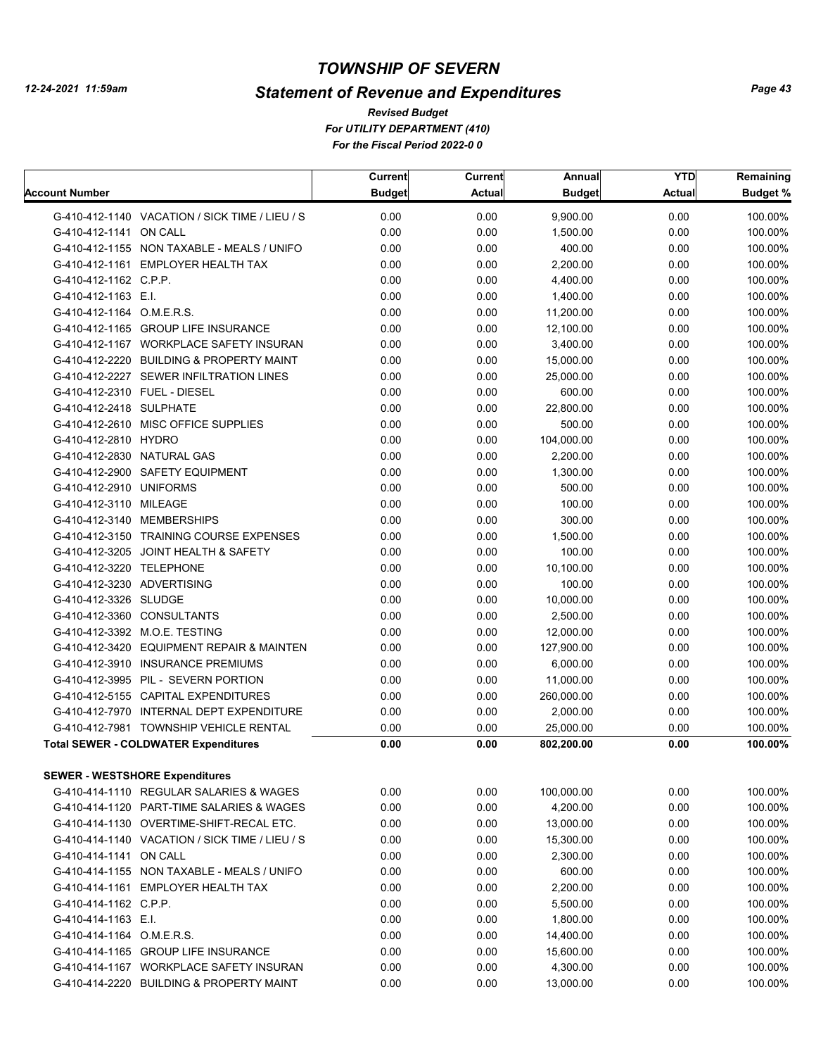# *Statement of Revenue and Expenditures*

|                              |                                                | Current       | <b>Current</b> | Annual        | <b>YTD</b> | Remaining       |
|------------------------------|------------------------------------------------|---------------|----------------|---------------|------------|-----------------|
| <b>Account Number</b>        |                                                | <b>Budget</b> | <b>Actual</b>  | <b>Budget</b> | Actual     | <b>Budget %</b> |
|                              | G-410-412-1140 VACATION / SICK TIME / LIEU / S | 0.00          | 0.00           | 9,900.00      | 0.00       | 100.00%         |
| G-410-412-1141 ON CALL       |                                                | 0.00          | 0.00           | 1,500.00      | 0.00       | 100.00%         |
|                              | G-410-412-1155 NON TAXABLE - MEALS / UNIFO     | 0.00          | 0.00           | 400.00        | 0.00       | 100.00%         |
|                              | G-410-412-1161 EMPLOYER HEALTH TAX             | 0.00          | 0.00           | 2,200.00      | 0.00       | 100.00%         |
| G-410-412-1162 C.P.P.        |                                                | 0.00          | 0.00           | 4,400.00      | 0.00       | 100.00%         |
| G-410-412-1163 E.I.          |                                                | 0.00          | 0.00           | 1,400.00      | 0.00       | 100.00%         |
| G-410-412-1164 O.M.E.R.S.    |                                                | 0.00          | 0.00           | 11,200.00     | 0.00       | 100.00%         |
|                              | G-410-412-1165 GROUP LIFE INSURANCE            | 0.00          | 0.00           | 12,100.00     | 0.00       | 100.00%         |
|                              | G-410-412-1167 WORKPLACE SAFETY INSURAN        | 0.00          | 0.00           | 3,400.00      | 0.00       | 100.00%         |
|                              | G-410-412-2220 BUILDING & PROPERTY MAINT       | 0.00          | 0.00           | 15,000.00     | 0.00       | 100.00%         |
|                              | G-410-412-2227 SEWER INFILTRATION LINES        | 0.00          | 0.00           | 25,000.00     | 0.00       | 100.00%         |
| G-410-412-2310 FUEL - DIESEL |                                                | 0.00          | 0.00           | 600.00        | 0.00       | 100.00%         |
| G-410-412-2418 SULPHATE      |                                                | 0.00          | 0.00           | 22,800.00     | 0.00       | 100.00%         |
|                              | G-410-412-2610 MISC OFFICE SUPPLIES            | 0.00          | 0.00           | 500.00        | 0.00       | 100.00%         |
| G-410-412-2810 HYDRO         |                                                | 0.00          | 0.00           | 104,000.00    | 0.00       | 100.00%         |
| G-410-412-2830 NATURAL GAS   |                                                | 0.00          | 0.00           | 2,200.00      | 0.00       | 100.00%         |
|                              | G-410-412-2900 SAFETY EQUIPMENT                | 0.00          | 0.00           | 1,300.00      | 0.00       | 100.00%         |
| G-410-412-2910 UNIFORMS      |                                                | 0.00          | 0.00           | 500.00        | 0.00       | 100.00%         |
| G-410-412-3110 MILEAGE       |                                                | 0.00          | 0.00           | 100.00        | 0.00       | 100.00%         |
|                              | G-410-412-3140 MEMBERSHIPS                     | 0.00          | 0.00           | 300.00        | 0.00       | 100.00%         |
|                              | G-410-412-3150 TRAINING COURSE EXPENSES        | 0.00          | 0.00           | 1,500.00      | 0.00       | 100.00%         |
|                              | G-410-412-3205 JOINT HEALTH & SAFETY           | 0.00          | 0.00           | 100.00        | 0.00       | 100.00%         |
| G-410-412-3220 TELEPHONE     |                                                | 0.00          | 0.00           | 10,100.00     | 0.00       | 100.00%         |
| G-410-412-3230 ADVERTISING   |                                                | 0.00          | 0.00           | 100.00        | 0.00       | 100.00%         |
| G-410-412-3326 SLUDGE        |                                                | 0.00          | 0.00           | 10,000.00     | 0.00       | 100.00%         |
|                              | G-410-412-3360 CONSULTANTS                     | 0.00          | 0.00           | 2,500.00      | 0.00       | 100.00%         |
|                              | G-410-412-3392 M.O.E. TESTING                  | 0.00          | 0.00           | 12,000.00     | 0.00       | 100.00%         |
|                              | G-410-412-3420 EQUIPMENT REPAIR & MAINTEN      | 0.00          | 0.00           | 127,900.00    | 0.00       | 100.00%         |
|                              | G-410-412-3910 INSURANCE PREMIUMS              | 0.00          | 0.00           | 6,000.00      | 0.00       | 100.00%         |
|                              | G-410-412-3995 PIL - SEVERN PORTION            | 0.00          | 0.00           | 11,000.00     | 0.00       | 100.00%         |
|                              | G-410-412-5155 CAPITAL EXPENDITURES            | 0.00          | 0.00           | 260,000.00    | 0.00       | 100.00%         |
|                              | G-410-412-7970 INTERNAL DEPT EXPENDITURE       | 0.00          | 0.00           | 2,000.00      | 0.00       | 100.00%         |
|                              | G-410-412-7981 TOWNSHIP VEHICLE RENTAL         | 0.00          | 0.00           | 25,000.00     | 0.00       | 100.00%         |
|                              | <b>Total SEWER - COLDWATER Expenditures</b>    | 0.00          | 0.00           | 802,200.00    | 0.00       | 100.00%         |
|                              |                                                |               |                |               |            |                 |
|                              | <b>SEWER - WESTSHORE Expenditures</b>          |               |                |               |            |                 |
|                              | G-410-414-1110 REGULAR SALARIES & WAGES        | 0.00          | 0.00           | 100,000.00    | 0.00       | 100.00%         |
|                              | G-410-414-1120 PART-TIME SALARIES & WAGES      | 0.00          | 0.00           | 4,200.00      | 0.00       | 100.00%         |
|                              | G-410-414-1130 OVERTIME-SHIFT-RECAL ETC.       | 0.00          | 0.00           | 13,000.00     | 0.00       | 100.00%         |
|                              | G-410-414-1140 VACATION / SICK TIME / LIEU / S | 0.00          | 0.00           | 15,300.00     | 0.00       | 100.00%         |
| G-410-414-1141 ON CALL       |                                                | 0.00          | 0.00           | 2,300.00      | 0.00       | 100.00%         |
|                              | G-410-414-1155 NON TAXABLE - MEALS / UNIFO     | 0.00          | 0.00           | 600.00        | 0.00       | 100.00%         |
|                              | G-410-414-1161 EMPLOYER HEALTH TAX             | 0.00          | 0.00           | 2,200.00      | 0.00       | 100.00%         |
| G-410-414-1162 C.P.P.        |                                                | 0.00          | 0.00           | 5,500.00      | 0.00       | 100.00%         |
| G-410-414-1163 E.I.          |                                                | 0.00          | 0.00           | 1,800.00      | 0.00       | 100.00%         |
| G-410-414-1164 O.M.E.R.S.    |                                                | 0.00          | 0.00           | 14,400.00     | 0.00       | 100.00%         |
|                              | G-410-414-1165 GROUP LIFE INSURANCE            | 0.00          | 0.00           | 15,600.00     | 0.00       | 100.00%         |
|                              | G-410-414-1167 WORKPLACE SAFETY INSURAN        | 0.00          | 0.00           | 4,300.00      | 0.00       | 100.00%         |
|                              | G-410-414-2220 BUILDING & PROPERTY MAINT       | 0.00          | 0.00           | 13,000.00     | 0.00       | 100.00%         |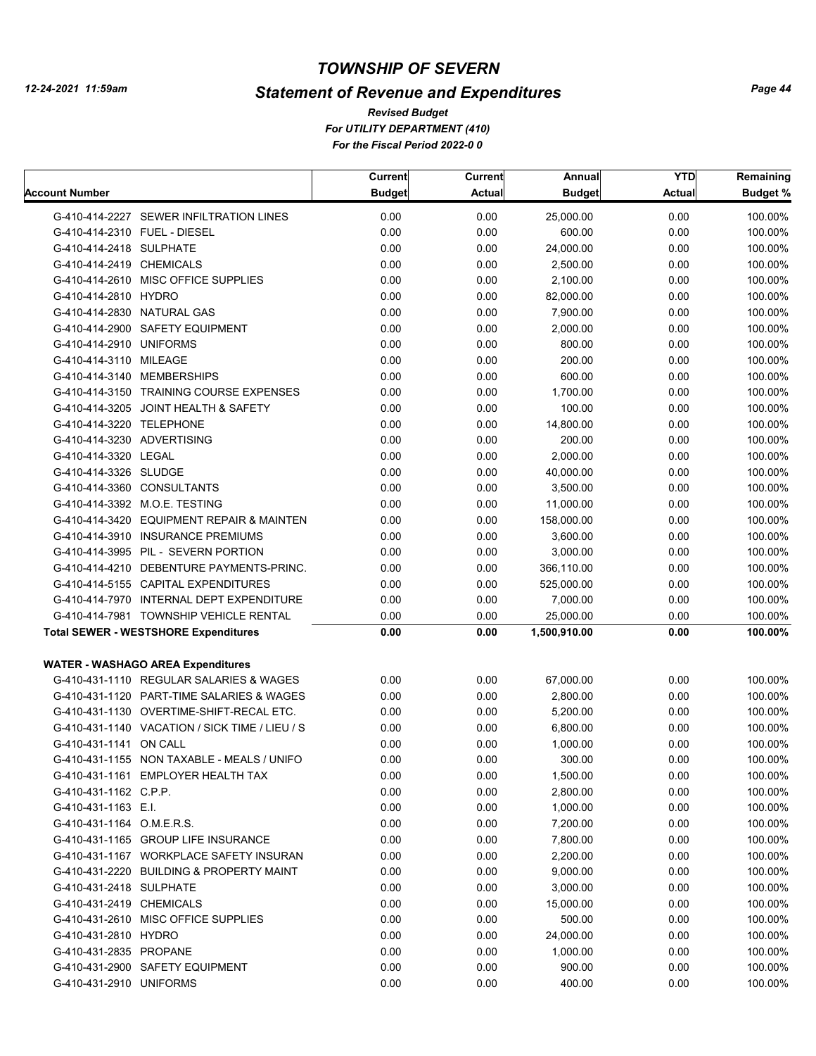# *Statement of Revenue and Expenditures*

*For UTILITY DEPARTMENT (410) For the Fiscal Period 2022-0 0 Revised Budget*

|                            |                                                | Current       | Current       | Annual        | <b>YTD</b>    | Remaining       |
|----------------------------|------------------------------------------------|---------------|---------------|---------------|---------------|-----------------|
| <b>Account Number</b>      |                                                | <b>Budget</b> | <b>Actual</b> | <b>Budget</b> | <b>Actual</b> | <b>Budget %</b> |
|                            | G-410-414-2227 SEWER INFILTRATION LINES        | 0.00          | 0.00          | 25,000.00     | 0.00          | 100.00%         |
|                            | G-410-414-2310 FUEL - DIESEL                   | 0.00          | 0.00          | 600.00        | 0.00          | 100.00%         |
| G-410-414-2418 SULPHATE    |                                                | 0.00          | 0.00          | 24,000.00     | 0.00          | 100.00%         |
| G-410-414-2419 CHEMICALS   |                                                | 0.00          | 0.00          | 2,500.00      | 0.00          | 100.00%         |
|                            | G-410-414-2610 MISC OFFICE SUPPLIES            | 0.00          | 0.00          | 2,100.00      | 0.00          | 100.00%         |
| G-410-414-2810 HYDRO       |                                                | 0.00          | 0.00          | 82,000.00     | 0.00          | 100.00%         |
|                            | G-410-414-2830 NATURAL GAS                     | 0.00          | 0.00          | 7,900.00      | 0.00          | 100.00%         |
|                            | G-410-414-2900 SAFETY EQUIPMENT                | 0.00          | 0.00          | 2,000.00      | 0.00          | 100.00%         |
| G-410-414-2910 UNIFORMS    |                                                | 0.00          | 0.00          | 800.00        | 0.00          | 100.00%         |
| G-410-414-3110 MILEAGE     |                                                | 0.00          | 0.00          | 200.00        | 0.00          | 100.00%         |
|                            | G-410-414-3140 MEMBERSHIPS                     | 0.00          | 0.00          | 600.00        | 0.00          | 100.00%         |
|                            | G-410-414-3150 TRAINING COURSE EXPENSES        | 0.00          | 0.00          | 1,700.00      | 0.00          | 100.00%         |
|                            | G-410-414-3205 JOINT HEALTH & SAFETY           | 0.00          | 0.00          | 100.00        | 0.00          | 100.00%         |
| G-410-414-3220 TELEPHONE   |                                                | 0.00          | 0.00          | 14,800.00     | 0.00          | 100.00%         |
| G-410-414-3230 ADVERTISING |                                                | 0.00          | 0.00          | 200.00        | 0.00          | 100.00%         |
| G-410-414-3320 LEGAL       |                                                | 0.00          | 0.00          | 2,000.00      | 0.00          | 100.00%         |
| G-410-414-3326 SLUDGE      |                                                | 0.00          | 0.00          | 40,000.00     | 0.00          | 100.00%         |
|                            | G-410-414-3360 CONSULTANTS                     | 0.00          | 0.00          | 3,500.00      | 0.00          | 100.00%         |
|                            | G-410-414-3392 M.O.E. TESTING                  | 0.00          | 0.00          | 11,000.00     | 0.00          | 100.00%         |
|                            | G-410-414-3420 EQUIPMENT REPAIR & MAINTEN      | 0.00          | 0.00          | 158,000.00    | 0.00          | 100.00%         |
|                            | G-410-414-3910 INSURANCE PREMIUMS              | 0.00          | 0.00          | 3,600.00      | 0.00          | 100.00%         |
|                            | G-410-414-3995 PIL - SEVERN PORTION            | 0.00          | 0.00          | 3,000.00      | 0.00          | 100.00%         |
|                            | G-410-414-4210 DEBENTURE PAYMENTS-PRINC.       | 0.00          | 0.00          | 366,110.00    | 0.00          | 100.00%         |
|                            | G-410-414-5155 CAPITAL EXPENDITURES            | 0.00          | 0.00          | 525,000.00    | 0.00          | 100.00%         |
|                            | G-410-414-7970 INTERNAL DEPT EXPENDITURE       | 0.00          | 0.00          | 7,000.00      | 0.00          | 100.00%         |
|                            | G-410-414-7981 TOWNSHIP VEHICLE RENTAL         | 0.00          | 0.00          | 25,000.00     | 0.00          | 100.00%         |
|                            | <b>Total SEWER - WESTSHORE Expenditures</b>    | 0.00          | 0.00          | 1,500,910.00  | 0.00          | 100.00%         |
|                            |                                                |               |               |               |               |                 |
|                            | <b>WATER - WASHAGO AREA Expenditures</b>       |               |               |               |               |                 |
|                            | G-410-431-1110 REGULAR SALARIES & WAGES        | 0.00          | 0.00          | 67,000.00     | 0.00          | 100.00%         |
|                            | G-410-431-1120 PART-TIME SALARIES & WAGES      | 0.00          | 0.00          | 2,800.00      | 0.00          | 100.00%         |
|                            | G-410-431-1130 OVERTIME-SHIFT-RECAL ETC.       | 0.00          | 0.00          | 5,200.00      | 0.00          | 100.00%         |
|                            | G-410-431-1140 VACATION / SICK TIME / LIEU / S | 0.00          | 0.00          | 6,800.00      | 0.00          | 100.00%         |
| G-410-431-1141 ON CALL     |                                                | 0.00          | 0.00          | 1,000.00      | 0.00          | 100.00%         |
|                            | G-410-431-1155 NON TAXABLE - MEALS / UNIFO     | 0.00          | 0.00          | 300.00        | 0.00          | 100.00%         |
|                            | G-410-431-1161 EMPLOYER HEALTH TAX             | 0.00          | 0.00          | 1,500.00      | 0.00          | 100.00%         |
| G-410-431-1162 C.P.P.      |                                                | 0.00          | 0.00          | 2,800.00      | 0.00          | 100.00%         |
| G-410-431-1163 E.I.        |                                                | 0.00          | 0.00          | 1,000.00      | 0.00          | 100.00%         |
| G-410-431-1164 O.M.E.R.S.  |                                                | 0.00          | 0.00          | 7,200.00      | 0.00          | 100.00%         |
|                            | G-410-431-1165 GROUP LIFE INSURANCE            | 0.00          | 0.00          | 7,800.00      | 0.00          | 100.00%         |
|                            | G-410-431-1167 WORKPLACE SAFETY INSURAN        | 0.00          | 0.00          | 2,200.00      | 0.00          | 100.00%         |
|                            | G-410-431-2220 BUILDING & PROPERTY MAINT       | 0.00          | 0.00          | 9,000.00      | 0.00          | 100.00%         |
| G-410-431-2418 SULPHATE    |                                                | 0.00          | 0.00          | 3,000.00      | 0.00          | 100.00%         |
| G-410-431-2419 CHEMICALS   |                                                | 0.00          | 0.00          | 15,000.00     | 0.00          | 100.00%         |
|                            | G-410-431-2610 MISC OFFICE SUPPLIES            | 0.00          | 0.00          | 500.00        | 0.00          | 100.00%         |
| G-410-431-2810 HYDRO       |                                                | 0.00          | 0.00          | 24,000.00     | 0.00          | 100.00%         |
| G-410-431-2835 PROPANE     |                                                | 0.00          | 0.00          | 1,000.00      | 0.00          | 100.00%         |
|                            | G-410-431-2900 SAFETY EQUIPMENT                | 0.00          | 0.00          | 900.00        | 0.00          | 100.00%         |
| G-410-431-2910 UNIFORMS    |                                                | 0.00          | 0.00          | 400.00        | 0.00          | 100.00%         |
|                            |                                                |               |               |               |               |                 |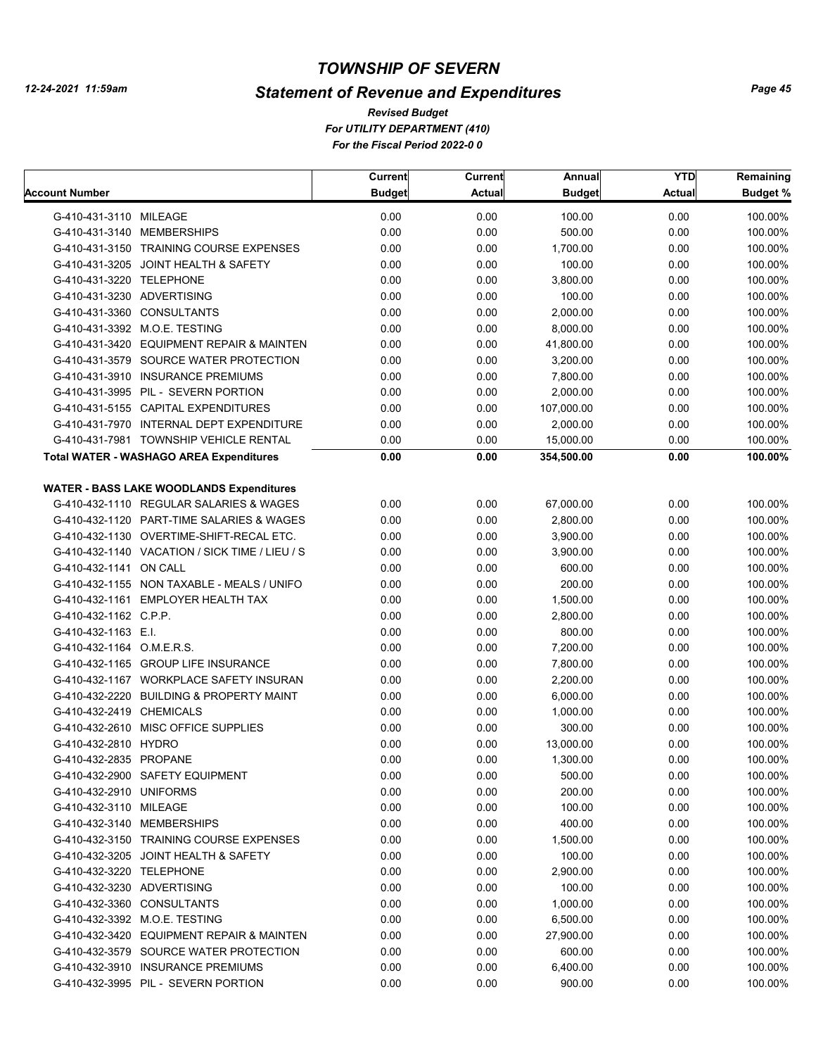# *Statement of Revenue and Expenditures*

*For UTILITY DEPARTMENT (410) For the Fiscal Period 2022-0 0 Revised Budget*

| Current                                                | Current | Annual        | <b>YTD</b>    | Remaining |
|--------------------------------------------------------|---------|---------------|---------------|-----------|
| Account Number<br><b>Budget</b>                        | Actual  | <b>Budget</b> | <b>Actual</b> | Budget %  |
| 0.00<br>G-410-431-3110 MILEAGE                         | 0.00    | 100.00        | 0.00          | 100.00%   |
| G-410-431-3140 MEMBERSHIPS<br>0.00                     | 0.00    | 500.00        | 0.00          | 100.00%   |
| G-410-431-3150 TRAINING COURSE EXPENSES<br>0.00        | 0.00    | 1,700.00      | 0.00          | 100.00%   |
| 0.00<br>G-410-431-3205 JOINT HEALTH & SAFETY           | 0.00    | 100.00        | 0.00          | 100.00%   |
| 0.00<br>G-410-431-3220 TELEPHONE                       | 0.00    | 3,800.00      | 0.00          | 100.00%   |
| G-410-431-3230 ADVERTISING<br>0.00                     | 0.00    | 100.00        | 0.00          | 100.00%   |
| G-410-431-3360 CONSULTANTS<br>0.00                     | 0.00    | 2,000.00      | 0.00          | 100.00%   |
| G-410-431-3392 M.O.E. TESTING<br>0.00                  | 0.00    | 8,000.00      | 0.00          | 100.00%   |
| 0.00<br>G-410-431-3420 EQUIPMENT REPAIR & MAINTEN      | 0.00    | 41,800.00     | 0.00          | 100.00%   |
| G-410-431-3579 SOURCE WATER PROTECTION<br>0.00         | 0.00    | 3,200.00      | 0.00          | 100.00%   |
| 0.00<br>G-410-431-3910 INSURANCE PREMIUMS              | 0.00    | 7,800.00      | 0.00          | 100.00%   |
| 0.00<br>G-410-431-3995 PIL - SEVERN PORTION            | 0.00    | 2,000.00      | 0.00          | 100.00%   |
| 0.00<br>G-410-431-5155 CAPITAL EXPENDITURES            | 0.00    | 107,000.00    | 0.00          | 100.00%   |
| 0.00<br>G-410-431-7970 INTERNAL DEPT EXPENDITURE       | 0.00    | 2,000.00      | 0.00          | 100.00%   |
| 0.00<br>G-410-431-7981 TOWNSHIP VEHICLE RENTAL         | 0.00    | 15,000.00     | 0.00          | 100.00%   |
| 0.00<br><b>Total WATER - WASHAGO AREA Expenditures</b> | 0.00    | 354,500.00    | 0.00          | 100.00%   |
|                                                        |         |               |               |           |
| <b>WATER - BASS LAKE WOODLANDS Expenditures</b>        |         |               |               |           |
| G-410-432-1110 REGULAR SALARIES & WAGES<br>0.00        | 0.00    | 67,000.00     | 0.00          | 100.00%   |
| 0.00<br>G-410-432-1120 PART-TIME SALARIES & WAGES      | 0.00    | 2,800.00      | 0.00          | 100.00%   |
| 0.00<br>G-410-432-1130 OVERTIME-SHIFT-RECAL ETC.       | 0.00    | 3,900.00      | 0.00          | 100.00%   |
| G-410-432-1140 VACATION / SICK TIME / LIEU / S<br>0.00 | 0.00    | 3,900.00      | 0.00          | 100.00%   |
| 0.00<br>G-410-432-1141 ON CALL                         | 0.00    | 600.00        | 0.00          | 100.00%   |
| G-410-432-1155 NON TAXABLE - MEALS / UNIFO<br>0.00     | 0.00    | 200.00        | 0.00          | 100.00%   |
| G-410-432-1161 EMPLOYER HEALTH TAX<br>0.00             | 0.00    | 1,500.00      | 0.00          | 100.00%   |
| G-410-432-1162 C.P.P.<br>0.00                          | 0.00    | 2,800.00      | 0.00          | 100.00%   |
| G-410-432-1163 E.I.<br>0.00                            | 0.00    | 800.00        | 0.00          | 100.00%   |
| 0.00<br>G-410-432-1164 O.M.E.R.S.                      | 0.00    | 7,200.00      | 0.00          | 100.00%   |
| 0.00<br>G-410-432-1165 GROUP LIFE INSURANCE            | 0.00    | 7,800.00      | 0.00          | 100.00%   |
| 0.00<br>G-410-432-1167 WORKPLACE SAFETY INSURAN        | 0.00    | 2,200.00      | 0.00          | 100.00%   |
| 0.00<br>G-410-432-2220 BUILDING & PROPERTY MAINT       | 0.00    | 6,000.00      | 0.00          | 100.00%   |
| 0.00<br>G-410-432-2419 CHEMICALS                       | 0.00    | 1,000.00      | 0.00          | 100.00%   |
| G-410-432-2610 MISC OFFICE SUPPLIES<br>0.00            | 0.00    | 300.00        | 0.00          | 100.00%   |
| 0.00<br>G-410-432-2810 HYDRO                           | 0.00    | 13,000.00     | 0.00          | 100.00%   |
| 0.00<br>G-410-432-2835 PROPANE                         | 0.00    | 1,300.00      | 0.00          | 100.00%   |
| 0.00<br>G-410-432-2900 SAFETY EQUIPMENT                | 0.00    | 500.00        | 0.00          | 100.00%   |
| 0.00<br>G-410-432-2910 UNIFORMS                        | 0.00    | 200.00        | 0.00          | 100.00%   |
| 0.00<br>G-410-432-3110 MILEAGE                         | 0.00    | 100.00        | 0.00          | 100.00%   |
| G-410-432-3140 MEMBERSHIPS<br>0.00                     | 0.00    | 400.00        | 0.00          | 100.00%   |
| G-410-432-3150 TRAINING COURSE EXPENSES<br>0.00        | 0.00    | 1,500.00      | 0.00          | 100.00%   |
| G-410-432-3205 JOINT HEALTH & SAFETY<br>0.00           | 0.00    | 100.00        | 0.00          | 100.00%   |
| G-410-432-3220 TELEPHONE<br>0.00                       | 0.00    | 2,900.00      | 0.00          | 100.00%   |
| G-410-432-3230 ADVERTISING<br>0.00                     | 0.00    | 100.00        | 0.00          | 100.00%   |
| G-410-432-3360 CONSULTANTS<br>0.00                     | 0.00    | 1,000.00      | 0.00          | 100.00%   |
| G-410-432-3392 M.O.E. TESTING<br>0.00                  | 0.00    | 6,500.00      | 0.00          | 100.00%   |
| G-410-432-3420 EQUIPMENT REPAIR & MAINTEN<br>0.00      | 0.00    | 27,900.00     | 0.00          | 100.00%   |
| G-410-432-3579 SOURCE WATER PROTECTION<br>0.00         | 0.00    | 600.00        | 0.00          | 100.00%   |
| G-410-432-3910 INSURANCE PREMIUMS<br>0.00              | 0.00    | 6,400.00      | 0.00          | 100.00%   |
| G-410-432-3995 PIL - SEVERN PORTION<br>0.00            | 0.00    | 900.00        | 0.00          | 100.00%   |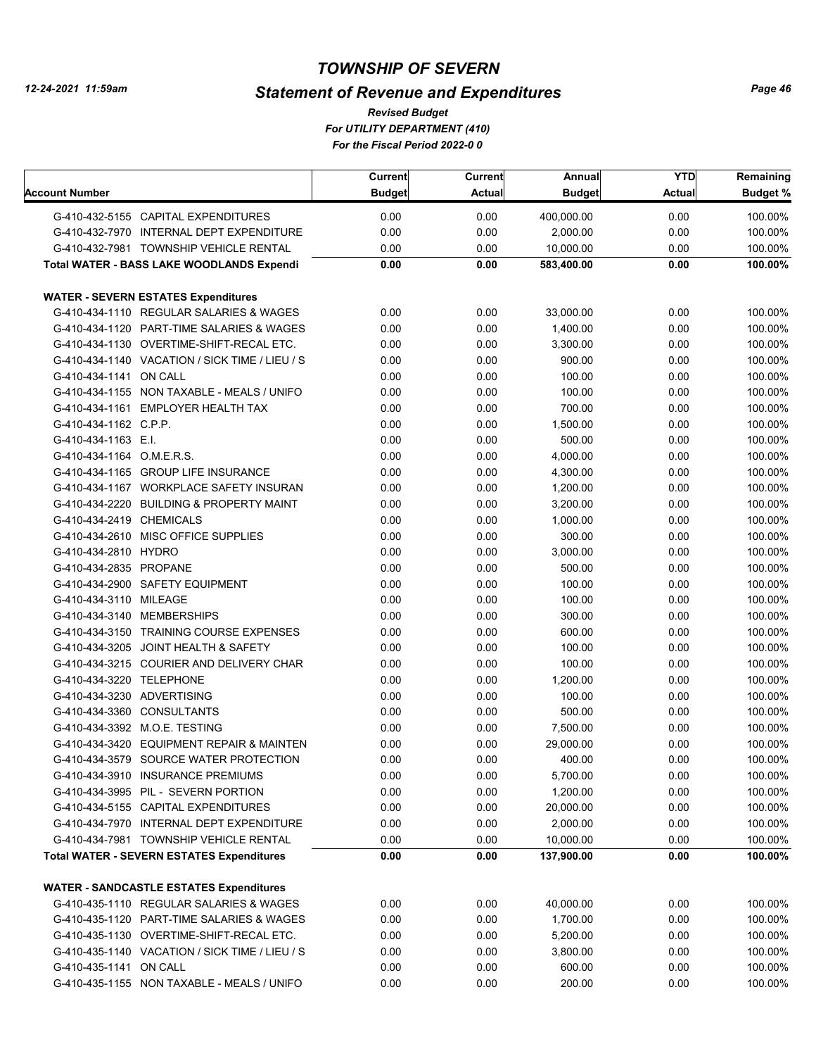# *Statement of Revenue and Expenditures*

|                            |                                                  | Current       | Current       | Annual        | <b>YTD</b>    | Remaining       |
|----------------------------|--------------------------------------------------|---------------|---------------|---------------|---------------|-----------------|
| <b>Account Number</b>      |                                                  | <b>Budget</b> | <b>Actual</b> | <b>Budget</b> | <b>Actual</b> | <b>Budget %</b> |
|                            | G-410-432-5155 CAPITAL EXPENDITURES              | 0.00          | 0.00          | 400,000.00    | 0.00          | 100.00%         |
|                            | G-410-432-7970 INTERNAL DEPT EXPENDITURE         | 0.00          | 0.00          | 2,000.00      | 0.00          | 100.00%         |
|                            | G-410-432-7981 TOWNSHIP VEHICLE RENTAL           | 0.00          | 0.00          | 10,000.00     | 0.00          | 100.00%         |
|                            | <b>Total WATER - BASS LAKE WOODLANDS Expendi</b> | 0.00          | 0.00          | 583,400.00    | 0.00          | 100.00%         |
|                            |                                                  |               |               |               |               |                 |
|                            | <b>WATER - SEVERN ESTATES Expenditures</b>       |               |               |               |               |                 |
|                            | G-410-434-1110 REGULAR SALARIES & WAGES          | 0.00          | 0.00          | 33,000.00     | 0.00          | 100.00%         |
|                            | G-410-434-1120 PART-TIME SALARIES & WAGES        | 0.00          | 0.00          | 1,400.00      | 0.00          | 100.00%         |
|                            | G-410-434-1130 OVERTIME-SHIFT-RECAL ETC.         | 0.00          | 0.00          | 3,300.00      | 0.00          | 100.00%         |
|                            | G-410-434-1140 VACATION / SICK TIME / LIEU / S   | 0.00          | 0.00          | 900.00        | 0.00          | 100.00%         |
| G-410-434-1141 ON CALL     |                                                  | 0.00          | 0.00          | 100.00        | 0.00          | 100.00%         |
|                            | G-410-434-1155 NON TAXABLE - MEALS / UNIFO       | 0.00          | 0.00          | 100.00        | 0.00          | 100.00%         |
|                            | G-410-434-1161 EMPLOYER HEALTH TAX               | 0.00          | 0.00          | 700.00        | 0.00          | 100.00%         |
| G-410-434-1162 C.P.P.      |                                                  | 0.00          | 0.00          | 1,500.00      | 0.00          | 100.00%         |
| G-410-434-1163 E.I.        |                                                  | 0.00          | 0.00          | 500.00        | 0.00          | 100.00%         |
| G-410-434-1164 O.M.E.R.S.  |                                                  | 0.00          | 0.00          | 4,000.00      | 0.00          | 100.00%         |
|                            | G-410-434-1165 GROUP LIFE INSURANCE              | 0.00          | 0.00          | 4,300.00      | 0.00          | 100.00%         |
|                            | G-410-434-1167 WORKPLACE SAFETY INSURAN          | 0.00          | 0.00          | 1,200.00      | 0.00          | 100.00%         |
|                            | G-410-434-2220 BUILDING & PROPERTY MAINT         | 0.00          | 0.00          | 3,200.00      | 0.00          | 100.00%         |
| G-410-434-2419 CHEMICALS   |                                                  | 0.00          | 0.00          | 1,000.00      | 0.00          | 100.00%         |
|                            | G-410-434-2610 MISC OFFICE SUPPLIES              | 0.00          | 0.00          | 300.00        | 0.00          | 100.00%         |
| G-410-434-2810 HYDRO       |                                                  | 0.00          | 0.00          | 3,000.00      | 0.00          | 100.00%         |
| G-410-434-2835 PROPANE     |                                                  | 0.00          | 0.00          | 500.00        | 0.00          | 100.00%         |
|                            | G-410-434-2900 SAFETY EQUIPMENT                  | 0.00          | 0.00          | 100.00        | 0.00          | 100.00%         |
| G-410-434-3110 MILEAGE     |                                                  | 0.00          | 0.00          | 100.00        | 0.00          | 100.00%         |
|                            | G-410-434-3140 MEMBERSHIPS                       | 0.00          | 0.00          | 300.00        | 0.00          | 100.00%         |
|                            | G-410-434-3150 TRAINING COURSE EXPENSES          | 0.00          | 0.00          | 600.00        | 0.00          | 100.00%         |
|                            | G-410-434-3205 JOINT HEALTH & SAFETY             | 0.00          | 0.00          | 100.00        | 0.00          | 100.00%         |
|                            | G-410-434-3215 COURIER AND DELIVERY CHAR         | 0.00          | 0.00          | 100.00        | 0.00          | 100.00%         |
| G-410-434-3220 TELEPHONE   |                                                  | 0.00          | 0.00          | 1,200.00      | 0.00          | 100.00%         |
| G-410-434-3230 ADVERTISING |                                                  | 0.00          | 0.00          | 100.00        | 0.00          | 100.00%         |
|                            | G-410-434-3360 CONSULTANTS                       | 0.00          | 0.00          | 500.00        | 0.00          | 100.00%         |
|                            | G-410-434-3392 M.O.E. TESTING                    | 0.00          | 0.00          | 7,500.00      | 0.00          | 100.00%         |
|                            | G-410-434-3420 EQUIPMENT REPAIR & MAINTEN        | 0.00          | 0.00          | 29,000.00     | 0.00          | 100.00%         |
|                            | G-410-434-3579 SOURCE WATER PROTECTION           | 0.00          | 0.00          | 400.00        | 0.00          | 100.00%         |
|                            | G-410-434-3910 INSURANCE PREMIUMS                | 0.00          | 0.00          | 5,700.00      | 0.00          | 100.00%         |
|                            | G-410-434-3995 PIL - SEVERN PORTION              | 0.00          | 0.00          | 1,200.00      | 0.00          | 100.00%         |
|                            | G-410-434-5155 CAPITAL EXPENDITURES              | 0.00          | 0.00          | 20,000.00     | 0.00          | 100.00%         |
|                            | G-410-434-7970 INTERNAL DEPT EXPENDITURE         | 0.00          | 0.00          | 2,000.00      | 0.00          | 100.00%         |
|                            | G-410-434-7981 TOWNSHIP VEHICLE RENTAL           | 0.00          | 0.00          | 10,000.00     | 0.00          | 100.00%         |
|                            |                                                  |               |               |               |               |                 |
|                            | <b>Total WATER - SEVERN ESTATES Expenditures</b> | 0.00          | 0.00          | 137,900.00    | 0.00          | 100.00%         |
|                            | <b>WATER - SANDCASTLE ESTATES Expenditures</b>   |               |               |               |               |                 |
|                            | G-410-435-1110 REGULAR SALARIES & WAGES          | 0.00          | 0.00          | 40,000.00     | 0.00          | 100.00%         |
|                            | G-410-435-1120 PART-TIME SALARIES & WAGES        | 0.00          | 0.00          | 1,700.00      | 0.00          | 100.00%         |
|                            | G-410-435-1130 OVERTIME-SHIFT-RECAL ETC.         | 0.00          | 0.00          | 5,200.00      | 0.00          | 100.00%         |
|                            | G-410-435-1140 VACATION / SICK TIME / LIEU / S   | 0.00          | 0.00          | 3,800.00      | 0.00          | 100.00%         |
| G-410-435-1141 ON CALL     |                                                  | 0.00          | 0.00          | 600.00        | 0.00          | 100.00%         |
|                            | G-410-435-1155 NON TAXABLE - MEALS / UNIFO       | 0.00          | 0.00          | 200.00        | 0.00          | 100.00%         |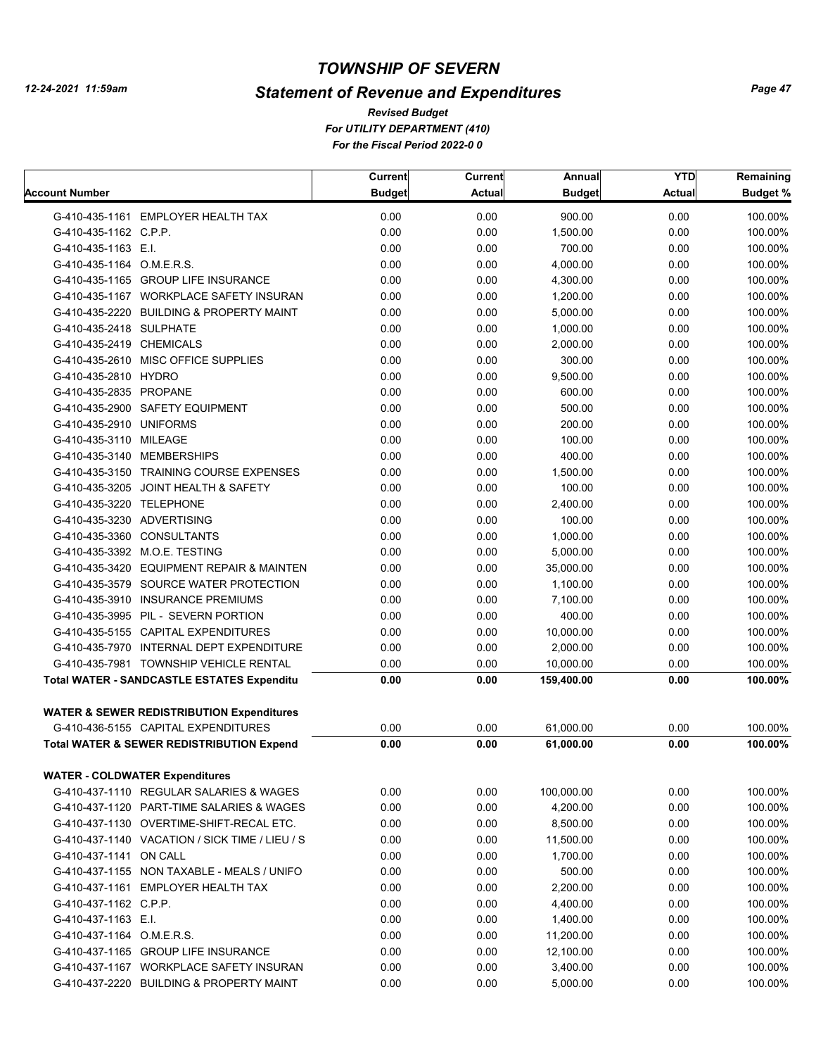# *Statement of Revenue and Expenditures*

|                                       |                                                      | Current       | <b>Current</b> | Annual               | <b>YTD</b>    | Remaining       |
|---------------------------------------|------------------------------------------------------|---------------|----------------|----------------------|---------------|-----------------|
| <b>Account Number</b>                 |                                                      | <b>Budget</b> | <b>Actual</b>  | <b>Budget</b>        | <b>Actual</b> | <b>Budget %</b> |
|                                       | G-410-435-1161 EMPLOYER HEALTH TAX                   | 0.00          | 0.00           | 900.00               | 0.00          | 100.00%         |
| G-410-435-1162 C.P.P.                 |                                                      | 0.00          | 0.00           | 1,500.00             | 0.00          | 100.00%         |
| G-410-435-1163 E.I.                   |                                                      | 0.00          | 0.00           | 700.00               | 0.00          | 100.00%         |
| G-410-435-1164 O.M.E.R.S.             |                                                      | 0.00          | 0.00           | 4,000.00             | 0.00          | 100.00%         |
|                                       | G-410-435-1165 GROUP LIFE INSURANCE                  | 0.00          | 0.00           | 4,300.00             | 0.00          | 100.00%         |
|                                       | G-410-435-1167 WORKPLACE SAFETY INSURAN              | 0.00          | 0.00           | 1,200.00             | 0.00          | 100.00%         |
|                                       | G-410-435-2220 BUILDING & PROPERTY MAINT             | 0.00          | 0.00           | 5.000.00             | 0.00          | 100.00%         |
| G-410-435-2418 SULPHATE               |                                                      | 0.00          | 0.00           | 1,000.00             | 0.00          | 100.00%         |
| G-410-435-2419 CHEMICALS              |                                                      | 0.00          | 0.00           | 2,000.00             | 0.00          | 100.00%         |
|                                       | G-410-435-2610 MISC OFFICE SUPPLIES                  | 0.00          | 0.00           | 300.00               | 0.00          | 100.00%         |
| G-410-435-2810 HYDRO                  |                                                      | 0.00          | 0.00           | 9,500.00             | 0.00          | 100.00%         |
| G-410-435-2835 PROPANE                |                                                      | 0.00          | 0.00           | 600.00               | 0.00          | 100.00%         |
|                                       | G-410-435-2900 SAFETY EQUIPMENT                      | 0.00          | 0.00           | 500.00               | 0.00          | 100.00%         |
| G-410-435-2910 UNIFORMS               |                                                      | 0.00          | 0.00           | 200.00               | 0.00          | 100.00%         |
| G-410-435-3110 MILEAGE                |                                                      | 0.00          | 0.00           | 100.00               | 0.00          | 100.00%         |
| G-410-435-3140 MEMBERSHIPS            |                                                      | 0.00          | 0.00           | 400.00               | 0.00          | 100.00%         |
|                                       | G-410-435-3150 TRAINING COURSE EXPENSES              | 0.00          | 0.00           | 1,500.00             | 0.00          | 100.00%         |
|                                       | G-410-435-3205 JOINT HEALTH & SAFETY                 | 0.00          | 0.00           | 100.00               | 0.00          | 100.00%         |
| G-410-435-3220 TELEPHONE              |                                                      | 0.00          | 0.00           | 2,400.00             | 0.00          | 100.00%         |
| G-410-435-3230 ADVERTISING            |                                                      | 0.00          | 0.00           | 100.00               | 0.00          | 100.00%         |
| G-410-435-3360 CONSULTANTS            |                                                      | 0.00          | 0.00           | 1,000.00             | 0.00          | 100.00%         |
|                                       | G-410-435-3392 M.O.E. TESTING                        | 0.00          | 0.00           | 5,000.00             | 0.00          | 100.00%         |
|                                       | G-410-435-3420 EQUIPMENT REPAIR & MAINTEN            | 0.00          | 0.00           | 35,000.00            | 0.00          | 100.00%         |
|                                       | G-410-435-3579 SOURCE WATER PROTECTION               | 0.00          | 0.00           | 1,100.00             | 0.00          | 100.00%         |
|                                       | G-410-435-3910 INSURANCE PREMIUMS                    | 0.00          | 0.00           | 7,100.00             | 0.00          | 100.00%         |
|                                       | G-410-435-3995 PIL - SEVERN PORTION                  | 0.00          | 0.00           | 400.00               | 0.00          | 100.00%         |
|                                       | G-410-435-5155 CAPITAL EXPENDITURES                  | 0.00          | 0.00           | 10,000.00            | 0.00          | 100.00%         |
|                                       | G-410-435-7970 INTERNAL DEPT EXPENDITURE             | 0.00          | 0.00           | 2,000.00             | 0.00          | 100.00%         |
|                                       | G-410-435-7981 TOWNSHIP VEHICLE RENTAL               | 0.00          | 0.00           | 10,000.00            | 0.00          | 100.00%         |
|                                       | <b>Total WATER - SANDCASTLE ESTATES Expenditu</b>    | 0.00          | 0.00           | 159,400.00           | 0.00          | 100.00%         |
|                                       |                                                      |               |                |                      |               |                 |
|                                       | <b>WATER &amp; SEWER REDISTRIBUTION Expenditures</b> |               |                |                      |               |                 |
|                                       | G-410-436-5155 CAPITAL EXPENDITURES                  | 0.00          | 0.00           | 61,000.00            | 0.00          | 100.00%         |
|                                       | <b>Total WATER &amp; SEWER REDISTRIBUTION Expend</b> | 0.00          | 0.00           | 61,000.00            | 0.00          | 100.00%         |
|                                       |                                                      |               |                |                      |               |                 |
| <b>WATER - COLDWATER Expenditures</b> | G-410-437-1110 REGULAR SALARIES & WAGES              | 0.00          | 0.00           | 100,000.00           | 0.00          | 100.00%         |
|                                       | G-410-437-1120 PART-TIME SALARIES & WAGES            | 0.00          | 0.00           | 4,200.00             | 0.00          | 100.00%         |
|                                       | G-410-437-1130 OVERTIME-SHIFT-RECAL ETC.             | 0.00          | 0.00           | 8,500.00             | 0.00          | 100.00%         |
|                                       | G-410-437-1140 VACATION / SICK TIME / LIEU / S       | 0.00          | 0.00           | 11,500.00            | 0.00          | 100.00%         |
| G-410-437-1141 ON CALL                |                                                      | 0.00          | 0.00           | 1,700.00             | 0.00          | 100.00%         |
|                                       | G-410-437-1155 NON TAXABLE - MEALS / UNIFO           | 0.00          | 0.00           | 500.00               | 0.00          | 100.00%         |
|                                       | G-410-437-1161 EMPLOYER HEALTH TAX                   | 0.00          | 0.00           | 2,200.00             | 0.00          | 100.00%         |
| G-410-437-1162 C.P.P.                 |                                                      |               |                |                      |               | 100.00%         |
|                                       |                                                      | 0.00          | 0.00           | 4,400.00<br>1,400.00 | 0.00          | 100.00%         |
| G-410-437-1163 E.I.                   |                                                      | 0.00          | 0.00           |                      | 0.00          | 100.00%         |
| G-410-437-1164 O.M.E.R.S.             |                                                      | 0.00          | 0.00           | 11,200.00            | 0.00          |                 |
|                                       | G-410-437-1165 GROUP LIFE INSURANCE                  | 0.00          | 0.00           | 12,100.00            | 0.00          | 100.00%         |
|                                       | G-410-437-1167 WORKPLACE SAFETY INSURAN              | 0.00          | 0.00           | 3,400.00             | 0.00          | 100.00%         |
|                                       | G-410-437-2220 BUILDING & PROPERTY MAINT             | 0.00          | 0.00           | 5,000.00             | 0.00          | 100.00%         |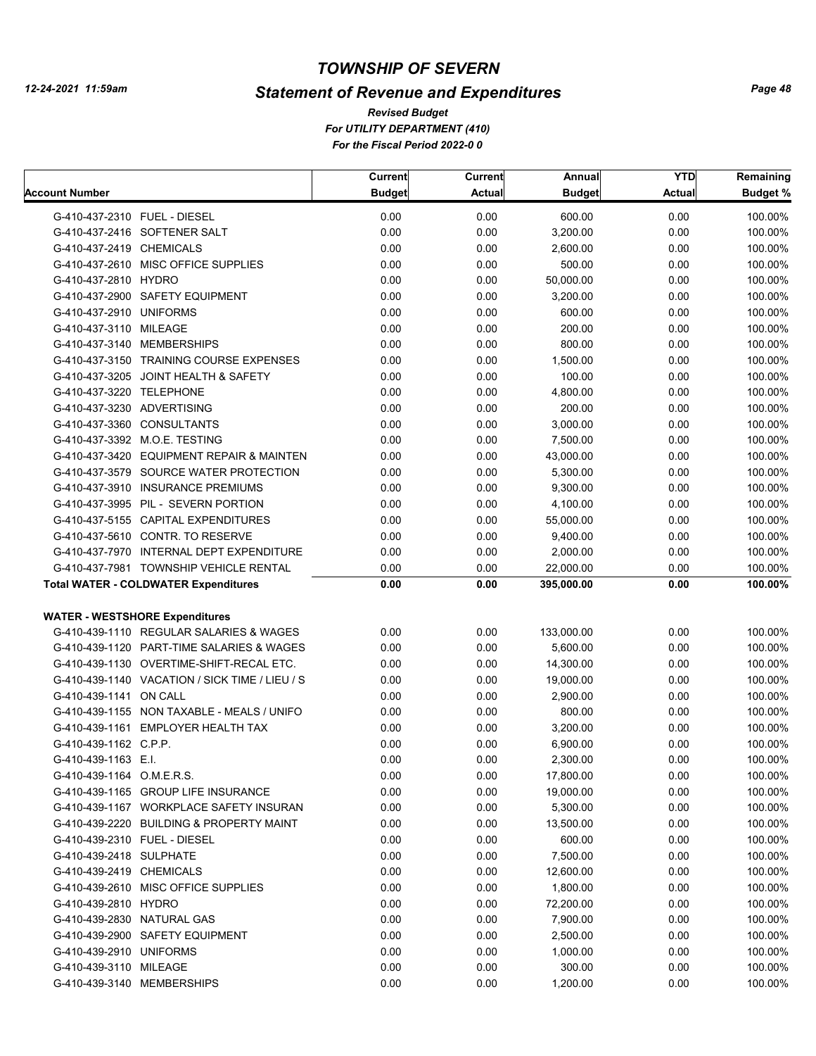# *Statement of Revenue and Expenditures*

|                                                | Current       | Current       | Annual        | <b>YTD</b> | Remaining |
|------------------------------------------------|---------------|---------------|---------------|------------|-----------|
| Account Number                                 | <b>Budget</b> | <b>Actual</b> | <b>Budget</b> | Actual     | Budget %  |
| G-410-437-2310 FUEL - DIESEL                   | 0.00          | 0.00          | 600.00        | 0.00       | 100.00%   |
| G-410-437-2416 SOFTENER SALT                   | 0.00          | 0.00          | 3,200.00      | 0.00       | 100.00%   |
| G-410-437-2419 CHEMICALS                       | 0.00          | 0.00          | 2,600.00      | 0.00       | 100.00%   |
| G-410-437-2610 MISC OFFICE SUPPLIES            | 0.00          | 0.00          | 500.00        | 0.00       | 100.00%   |
| G-410-437-2810 HYDRO                           | 0.00          | 0.00          | 50,000.00     | 0.00       | 100.00%   |
| G-410-437-2900 SAFETY EQUIPMENT                | 0.00          | 0.00          | 3,200.00      | 0.00       | 100.00%   |
| G-410-437-2910 UNIFORMS                        | 0.00          | 0.00          | 600.00        | 0.00       | 100.00%   |
| G-410-437-3110 MILEAGE                         | 0.00          | 0.00          | 200.00        | 0.00       | 100.00%   |
| G-410-437-3140 MEMBERSHIPS                     | 0.00          | 0.00          | 800.00        | 0.00       | 100.00%   |
| G-410-437-3150 TRAINING COURSE EXPENSES        | 0.00          | 0.00          | 1,500.00      | 0.00       | 100.00%   |
| G-410-437-3205 JOINT HEALTH & SAFETY           | 0.00          | 0.00          | 100.00        | 0.00       | 100.00%   |
| G-410-437-3220 TELEPHONE                       | 0.00          | 0.00          | 4,800.00      | 0.00       | 100.00%   |
| G-410-437-3230 ADVERTISING                     | 0.00          | 0.00          | 200.00        | 0.00       | 100.00%   |
| G-410-437-3360 CONSULTANTS                     | 0.00          | 0.00          | 3,000.00      | 0.00       | 100.00%   |
| G-410-437-3392 M.O.E. TESTING                  | 0.00          | 0.00          | 7,500.00      | 0.00       | 100.00%   |
| G-410-437-3420 EQUIPMENT REPAIR & MAINTEN      | 0.00          | 0.00          | 43,000.00     | 0.00       | 100.00%   |
| G-410-437-3579 SOURCE WATER PROTECTION         | 0.00          | 0.00          | 5,300.00      | 0.00       | 100.00%   |
| G-410-437-3910 INSURANCE PREMIUMS              | 0.00          | 0.00          | 9,300.00      | 0.00       | 100.00%   |
| G-410-437-3995 PIL - SEVERN PORTION            | 0.00          | 0.00          | 4,100.00      | 0.00       | 100.00%   |
| G-410-437-5155 CAPITAL EXPENDITURES            | 0.00          | 0.00          | 55,000.00     | 0.00       | 100.00%   |
| G-410-437-5610 CONTR. TO RESERVE               | 0.00          | 0.00          | 9,400.00      | 0.00       | 100.00%   |
| G-410-437-7970 INTERNAL DEPT EXPENDITURE       | 0.00          | 0.00          | 2,000.00      | 0.00       | 100.00%   |
| G-410-437-7981 TOWNSHIP VEHICLE RENTAL         | 0.00          | 0.00          | 22,000.00     | 0.00       | 100.00%   |
| <b>Total WATER - COLDWATER Expenditures</b>    | 0.00          | 0.00          | 395,000.00    | 0.00       | 100.00%   |
|                                                |               |               |               |            |           |
| <b>WATER - WESTSHORE Expenditures</b>          |               |               |               |            |           |
| G-410-439-1110 REGULAR SALARIES & WAGES        | 0.00          | 0.00          | 133,000.00    | 0.00       | 100.00%   |
| G-410-439-1120 PART-TIME SALARIES & WAGES      | 0.00          | 0.00          | 5,600.00      | 0.00       | 100.00%   |
| G-410-439-1130 OVERTIME-SHIFT-RECAL ETC.       | 0.00          | 0.00          | 14,300.00     | 0.00       | 100.00%   |
| G-410-439-1140 VACATION / SICK TIME / LIEU / S | 0.00          | 0.00          | 19,000.00     | 0.00       | 100.00%   |
| G-410-439-1141 ON CALL                         | 0.00          | 0.00          | 2,900.00      | 0.00       | 100.00%   |
| G-410-439-1155 NON TAXABLE - MEALS / UNIFO     | 0.00          | 0.00          | 800.00        | 0.00       | 100.00%   |
| G-410-439-1161 EMPLOYER HEALTH TAX             | 0.00          | 0.00          | 3,200.00      | 0.00       | 100.00%   |
| G-410-439-1162 C.P.P.                          | 0.00          | 0.00          | 6,900.00      | 0.00       | 100.00%   |
| G-410-439-1163 E.I.                            | 0.00          | 0.00          | 2,300.00      | 0.00       | 100.00%   |
| G-410-439-1164 O.M.E.R.S.                      | 0.00          | 0.00          | 17,800.00     | 0.00       | 100.00%   |
| G-410-439-1165 GROUP LIFE INSURANCE            | 0.00          | 0.00          | 19,000.00     | 0.00       | 100.00%   |
| G-410-439-1167 WORKPLACE SAFETY INSURAN        | 0.00          | 0.00          | 5,300.00      | 0.00       | 100.00%   |
| G-410-439-2220 BUILDING & PROPERTY MAINT       | 0.00          | 0.00          | 13,500.00     | 0.00       | 100.00%   |
| G-410-439-2310 FUEL - DIESEL                   | 0.00          | 0.00          | 600.00        | 0.00       | 100.00%   |
| G-410-439-2418 SULPHATE                        | 0.00          | 0.00          | 7,500.00      | 0.00       | 100.00%   |
| G-410-439-2419 CHEMICALS                       | 0.00          | 0.00          | 12,600.00     | 0.00       | 100.00%   |
| G-410-439-2610 MISC OFFICE SUPPLIES            | 0.00          | 0.00          | 1,800.00      | 0.00       | 100.00%   |
| G-410-439-2810 HYDRO                           | 0.00          | 0.00          | 72,200.00     | 0.00       | 100.00%   |
| G-410-439-2830 NATURAL GAS                     | 0.00          | 0.00          | 7,900.00      | 0.00       | 100.00%   |
| G-410-439-2900 SAFETY EQUIPMENT                | 0.00          | 0.00          | 2,500.00      | 0.00       | 100.00%   |
| G-410-439-2910 UNIFORMS                        | 0.00          | 0.00          | 1,000.00      | 0.00       | 100.00%   |
| G-410-439-3110 MILEAGE                         | 0.00          | 0.00          | 300.00        | 0.00       | 100.00%   |
| G-410-439-3140 MEMBERSHIPS                     | 0.00          | 0.00          | 1,200.00      | 0.00       | 100.00%   |
|                                                |               |               |               |            |           |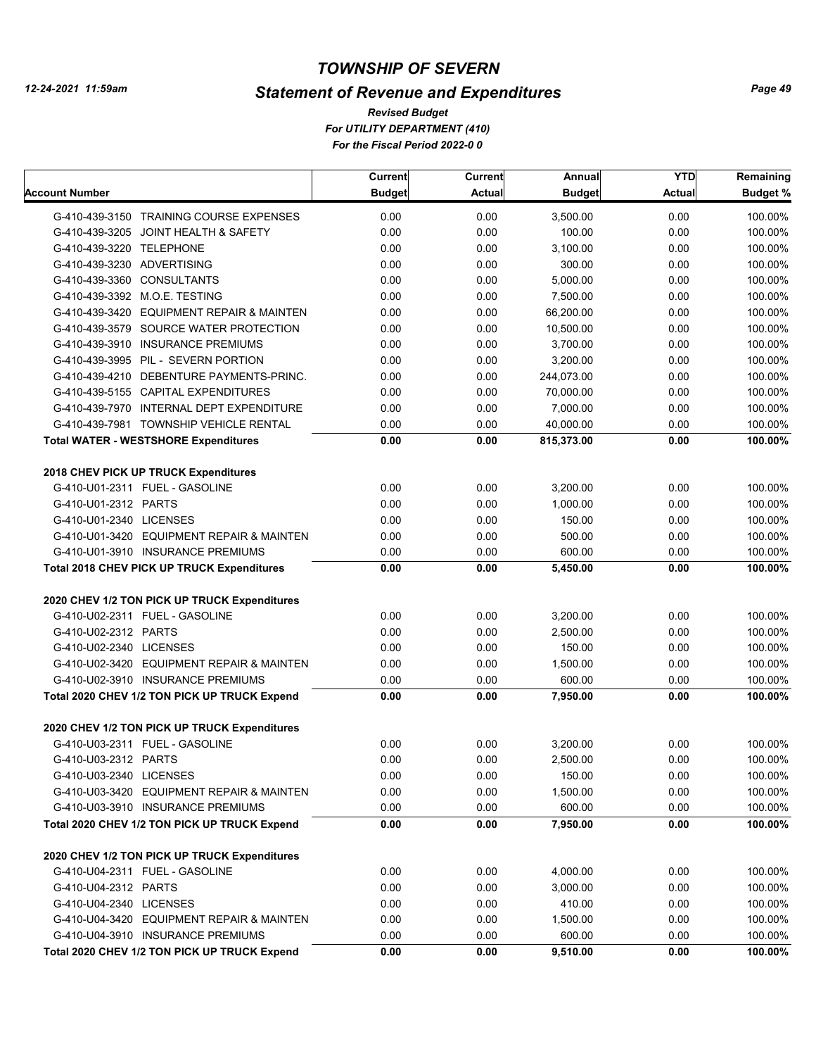# *Statement of Revenue and Expenditures*

*For UTILITY DEPARTMENT (410) For the Fiscal Period 2022-0 0 Revised Budget*

|                            |                                              | Current       | <b>Current</b> | Annual        | <b>YTD</b> | Remaining |
|----------------------------|----------------------------------------------|---------------|----------------|---------------|------------|-----------|
| Account Number             |                                              | <b>Budget</b> | <b>Actual</b>  | <b>Budget</b> | Actual     | Budget %  |
|                            | G-410-439-3150 TRAINING COURSE EXPENSES      | 0.00          | 0.00           | 3,500.00      | 0.00       | 100.00%   |
|                            | G-410-439-3205 JOINT HEALTH & SAFETY         | 0.00          | 0.00           | 100.00        | 0.00       | 100.00%   |
| G-410-439-3220 TELEPHONE   |                                              | 0.00          | 0.00           | 3,100.00      | 0.00       | 100.00%   |
| G-410-439-3230 ADVERTISING |                                              | 0.00          | 0.00           | 300.00        | 0.00       | 100.00%   |
| G-410-439-3360 CONSULTANTS |                                              | 0.00          | 0.00           | 5,000.00      | 0.00       | 100.00%   |
|                            | G-410-439-3392 M.O.E. TESTING                | 0.00          | 0.00           | 7,500.00      | 0.00       | 100.00%   |
|                            | G-410-439-3420 EQUIPMENT REPAIR & MAINTEN    | 0.00          | 0.00           | 66,200.00     | 0.00       | 100.00%   |
|                            | G-410-439-3579 SOURCE WATER PROTECTION       | 0.00          | 0.00           | 10,500.00     | 0.00       | 100.00%   |
|                            | G-410-439-3910 INSURANCE PREMIUMS            | 0.00          | 0.00           | 3,700.00      | 0.00       | 100.00%   |
|                            | G-410-439-3995 PIL - SEVERN PORTION          | 0.00          | 0.00           | 3,200.00      | 0.00       | 100.00%   |
|                            | G-410-439-4210 DEBENTURE PAYMENTS-PRINC.     | 0.00          | 0.00           | 244,073.00    | 0.00       | 100.00%   |
|                            | G-410-439-5155 CAPITAL EXPENDITURES          | 0.00          | 0.00           | 70,000.00     | 0.00       | 100.00%   |
|                            | G-410-439-7970 INTERNAL DEPT EXPENDITURE     | 0.00          | 0.00           | 7,000.00      | 0.00       | 100.00%   |
|                            | G-410-439-7981 TOWNSHIP VEHICLE RENTAL       | 0.00          | 0.00           | 40,000.00     | 0.00       | 100.00%   |
|                            | <b>Total WATER - WESTSHORE Expenditures</b>  | 0.00          | 0.00           | 815,373.00    | 0.00       | 100.00%   |
|                            | 2018 CHEV PICK UP TRUCK Expenditures         |               |                |               |            |           |
|                            | G-410-U01-2311 FUEL - GASOLINE               | 0.00          | 0.00           | 3,200.00      | 0.00       | 100.00%   |
| G-410-U01-2312 PARTS       |                                              | 0.00          | 0.00           | 1.000.00      | 0.00       | 100.00%   |
| G-410-U01-2340 LICENSES    |                                              | 0.00          | 0.00           | 150.00        | 0.00       | 100.00%   |
|                            | G-410-U01-3420 EQUIPMENT REPAIR & MAINTEN    | 0.00          | 0.00           | 500.00        | 0.00       | 100.00%   |
|                            | G-410-U01-3910 INSURANCE PREMIUMS            | 0.00          | 0.00           | 600.00        | 0.00       | 100.00%   |
|                            | Total 2018 CHEV PICK UP TRUCK Expenditures   | 0.00          | 0.00           | 5,450.00      | 0.00       | 100.00%   |
|                            |                                              |               |                |               |            |           |
|                            | 2020 CHEV 1/2 TON PICK UP TRUCK Expenditures |               |                |               |            |           |
|                            | G-410-U02-2311 FUEL - GASOLINE               | 0.00          | 0.00           | 3,200.00      | 0.00       | 100.00%   |
| G-410-U02-2312 PARTS       |                                              | 0.00          | 0.00           | 2,500.00      | 0.00       | 100.00%   |
| G-410-U02-2340 LICENSES    |                                              | 0.00          | 0.00           | 150.00        | 0.00       | 100.00%   |
|                            | G-410-U02-3420 EQUIPMENT REPAIR & MAINTEN    | 0.00          | 0.00           | 1,500.00      | 0.00       | 100.00%   |
|                            | G-410-U02-3910 INSURANCE PREMIUMS            | 0.00          | 0.00           | 600.00        | 0.00       | 100.00%   |
|                            | Total 2020 CHEV 1/2 TON PICK UP TRUCK Expend | 0.00          | 0.00           | 7,950.00      | 0.00       | 100.00%   |
|                            | 2020 CHEV 1/2 TON PICK UP TRUCK Expenditures |               |                |               |            |           |
|                            | G-410-U03-2311 FUEL - GASOLINE               | 0.00          | 0.00           | 3,200.00      | 0.00       | 100.00%   |
| G-410-U03-2312 PARTS       |                                              | 0.00          | 0.00           | 2,500.00      | 0.00       | 100.00%   |
| G-410-U03-2340 LICENSES    |                                              | 0.00          | 0.00           | 150.00        | 0.00       | 100.00%   |
|                            | G-410-U03-3420 EQUIPMENT REPAIR & MAINTEN    | 0.00          | 0.00           | 1,500.00      | 0.00       | 100.00%   |
|                            | G-410-U03-3910 INSURANCE PREMIUMS            | 0.00          | 0.00           | 600.00        | 0.00       | 100.00%   |
|                            | Total 2020 CHEV 1/2 TON PICK UP TRUCK Expend | 0.00          | 0.00           | 7,950.00      | 0.00       | 100.00%   |
|                            | 2020 CHEV 1/2 TON PICK UP TRUCK Expenditures |               |                |               |            |           |
|                            | G-410-U04-2311 FUEL - GASOLINE               | 0.00          | 0.00           | 4,000.00      | 0.00       | 100.00%   |
| G-410-U04-2312 PARTS       |                                              | 0.00          | 0.00           | 3,000.00      | 0.00       | 100.00%   |
| G-410-U04-2340 LICENSES    |                                              | 0.00          | 0.00           | 410.00        | 0.00       | 100.00%   |
|                            | G-410-U04-3420 EQUIPMENT REPAIR & MAINTEN    | 0.00          | 0.00           | 1,500.00      | 0.00       | 100.00%   |
|                            | G-410-U04-3910 INSURANCE PREMIUMS            | 0.00          | 0.00           | 600.00        | 0.00       | 100.00%   |
|                            | Total 2020 CHEV 1/2 TON PICK UP TRUCK Expend | 0.00          | 0.00           | 9,510.00      | 0.00       | 100.00%   |
|                            |                                              |               |                |               |            |           |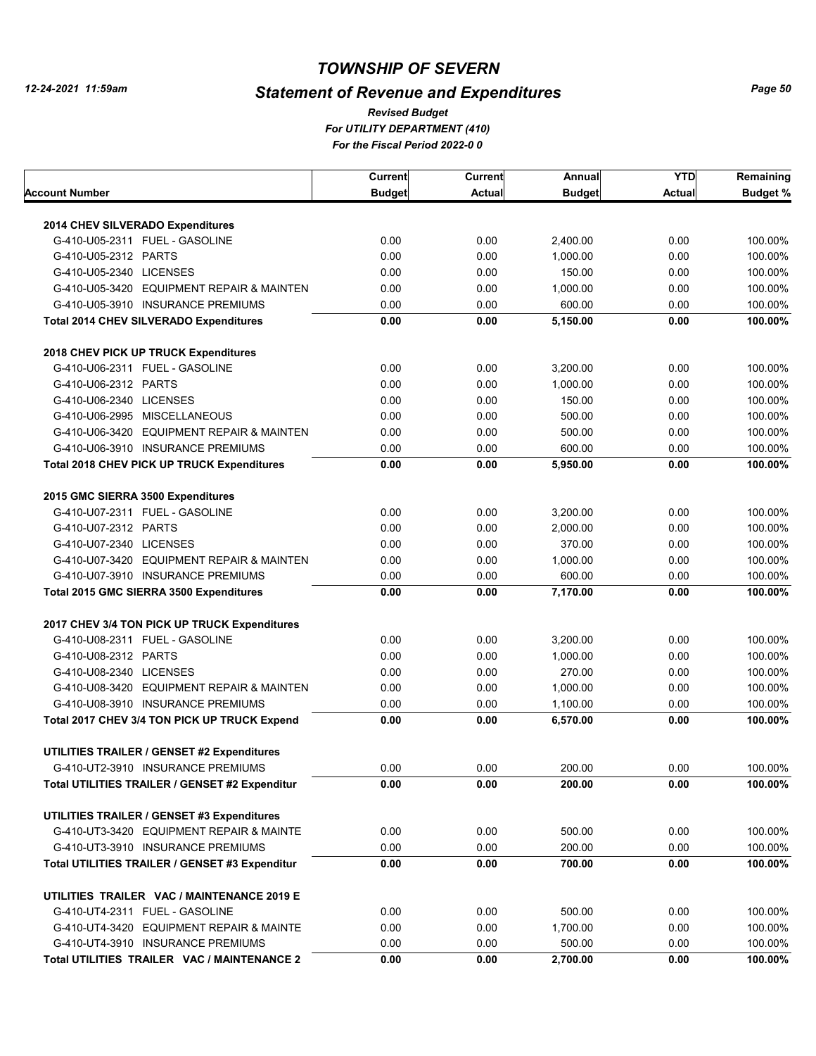# *Statement of Revenue and Expenditures*

*For UTILITY DEPARTMENT (410) For the Fiscal Period 2022-0 0 Revised Budget*

|                                                                                   | <b>Current</b> | Current      | Annual               | <b>YTD</b>    | Remaining          |
|-----------------------------------------------------------------------------------|----------------|--------------|----------------------|---------------|--------------------|
| Account Number                                                                    | <b>Budget</b>  | Actual       | <b>Budget</b>        | <b>Actual</b> | <b>Budget %</b>    |
| 2014 CHEV SILVERADO Expenditures                                                  |                |              |                      |               |                    |
| G-410-U05-2311 FUEL - GASOLINE                                                    | 0.00           | 0.00         | 2,400.00             | 0.00          | 100.00%            |
| G-410-U05-2312 PARTS                                                              | 0.00           | 0.00         | 1,000.00             | 0.00          | 100.00%            |
| G-410-U05-2340 LICENSES                                                           | 0.00           | 0.00         | 150.00               | 0.00          | 100.00%            |
| G-410-U05-3420 EQUIPMENT REPAIR & MAINTEN                                         | 0.00           | 0.00         | 1,000.00             | 0.00          | 100.00%            |
| G-410-U05-3910 INSURANCE PREMIUMS                                                 | 0.00           | 0.00         | 600.00               | 0.00          | 100.00%            |
| <b>Total 2014 CHEV SILVERADO Expenditures</b>                                     | 0.00           | 0.00         | 5,150.00             | 0.00          | 100.00%            |
|                                                                                   |                |              |                      |               |                    |
| 2018 CHEV PICK UP TRUCK Expenditures                                              |                |              |                      |               |                    |
| G-410-U06-2311 FUEL - GASOLINE                                                    | 0.00           | 0.00         | 3,200.00             | 0.00          | 100.00%            |
| G-410-U06-2312 PARTS                                                              | 0.00           | 0.00         | 1,000.00             | 0.00          | 100.00%            |
| G-410-U06-2340 LICENSES                                                           | 0.00           | 0.00         | 150.00               | 0.00          | 100.00%            |
| G-410-U06-2995 MISCELLANEOUS                                                      | 0.00           | 0.00         | 500.00               | 0.00          | 100.00%            |
| G-410-U06-3420 EQUIPMENT REPAIR & MAINTEN                                         | 0.00           | 0.00         | 500.00               | 0.00          | 100.00%            |
| G-410-U06-3910 INSURANCE PREMIUMS                                                 | 0.00           | 0.00         | 600.00               | 0.00          | 100.00%            |
| <b>Total 2018 CHEV PICK UP TRUCK Expenditures</b>                                 | 0.00           | 0.00         | 5,950.00             | 0.00          | 100.00%            |
| 2015 GMC SIERRA 3500 Expenditures                                                 |                |              |                      |               |                    |
| G-410-U07-2311 FUEL - GASOLINE                                                    | 0.00           | 0.00         | 3,200.00             | 0.00          | 100.00%            |
| G-410-U07-2312 PARTS                                                              | 0.00           | 0.00         | 2,000.00             | 0.00          | 100.00%            |
| G-410-U07-2340 LICENSES                                                           | 0.00           | 0.00         | 370.00               | 0.00          | 100.00%            |
| G-410-U07-3420 EQUIPMENT REPAIR & MAINTEN                                         | 0.00           | 0.00         | 1,000.00             | 0.00          | 100.00%            |
| G-410-U07-3910 INSURANCE PREMIUMS                                                 | 0.00           | 0.00         | 600.00               | 0.00          | 100.00%            |
| Total 2015 GMC SIERRA 3500 Expenditures                                           | 0.00           | 0.00         | 7,170.00             | 0.00          | 100.00%            |
| 2017 CHEV 3/4 TON PICK UP TRUCK Expenditures                                      |                |              |                      |               |                    |
| G-410-U08-2311 FUEL - GASOLINE                                                    | 0.00           | 0.00         | 3,200.00             | 0.00          | 100.00%            |
| G-410-U08-2312 PARTS                                                              | 0.00           | 0.00         | 1,000.00             | 0.00          | 100.00%            |
| G-410-U08-2340 LICENSES                                                           | 0.00           | 0.00         | 270.00               | 0.00          | 100.00%            |
| G-410-U08-3420 EQUIPMENT REPAIR & MAINTEN                                         |                |              |                      |               |                    |
|                                                                                   | 0.00<br>0.00   | 0.00<br>0.00 | 1,000.00             | 0.00<br>0.00  | 100.00%            |
| G-410-U08-3910 INSURANCE PREMIUMS<br>Total 2017 CHEV 3/4 TON PICK UP TRUCK Expend | 0.00           | 0.00         | 1,100.00<br>6,570.00 | 0.00          | 100.00%<br>100.00% |
|                                                                                   |                |              |                      |               |                    |
| UTILITIES TRAILER / GENSET #2 Expenditures                                        |                |              |                      |               |                    |
| G-410-UT2-3910 INSURANCE PREMIUMS                                                 | 0.00           | 0.00         | 200.00               | 0.00          | 100.00%            |
| Total UTILITIES TRAILER / GENSET #2 Expenditur                                    | 0.00           | 0.00         | 200.00               | 0.00          | 100.00%            |
| <b>UTILITIES TRAILER / GENSET #3 Expenditures</b>                                 |                |              |                      |               |                    |
| G-410-UT3-3420 EQUIPMENT REPAIR & MAINTE                                          | 0.00           | 0.00         | 500.00               | 0.00          | 100.00%            |
| G-410-UT3-3910 INSURANCE PREMIUMS                                                 | 0.00           | 0.00         | 200.00               | 0.00          | 100.00%            |
| Total UTILITIES TRAILER / GENSET #3 Expenditur                                    | 0.00           | 0.00         | 700.00               | 0.00          | 100.00%            |
| UTILITIES TRAILER VAC / MAINTENANCE 2019 E                                        |                |              |                      |               |                    |
| G-410-UT4-2311 FUEL - GASOLINE                                                    | 0.00           | 0.00         | 500.00               | 0.00          | 100.00%            |
| G-410-UT4-3420 EQUIPMENT REPAIR & MAINTE                                          | 0.00           | 0.00         | 1,700.00             | 0.00          | 100.00%            |
| G-410-UT4-3910 INSURANCE PREMIUMS                                                 | 0.00           | 0.00         | 500.00               | 0.00          | 100.00%            |
| Total UTILITIES TRAILER VAC / MAINTENANCE 2                                       | 0.00           | 0.00         | 2,700.00             | 0.00          | 100.00%            |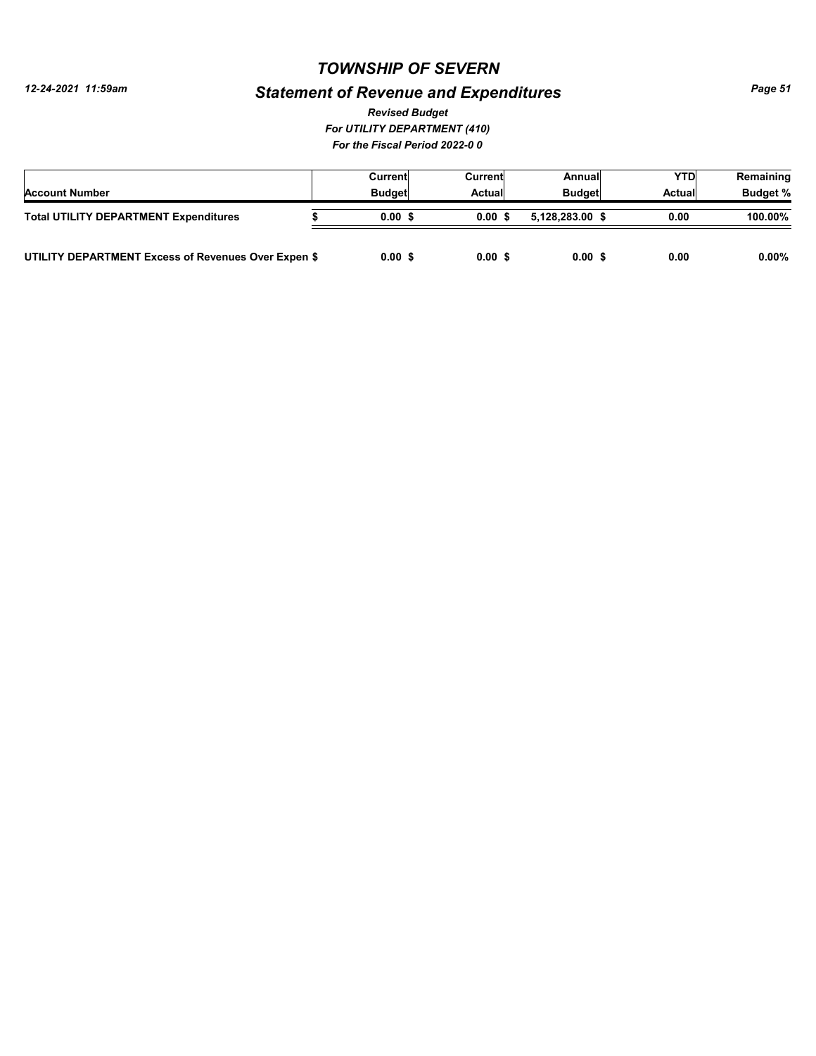*12-24-2021 11:59am*

# *Statement of Revenue and Expenditures*

*For UTILITY DEPARTMENT (410) For the Fiscal Period 2022-0 0 Revised Budget*

|                                                     | Current       | Current | Annuall         | YTD    | Remaining       |
|-----------------------------------------------------|---------------|---------|-----------------|--------|-----------------|
| <b>Account Number</b>                               | <b>Budget</b> | Actual  | <b>Budget</b>   | Actual | <b>Budget %</b> |
| <b>Total UTILITY DEPARTMENT Expenditures</b>        | 0.00S         | 0.00S   | 5.128.283.00 \$ | 0.00   | 100.00%         |
| UTILITY DEPARTMENT Excess of Revenues Over Expen \$ | 0.00S         | 0.00S   | 0.00S           | 0.00   | $0.00\%$        |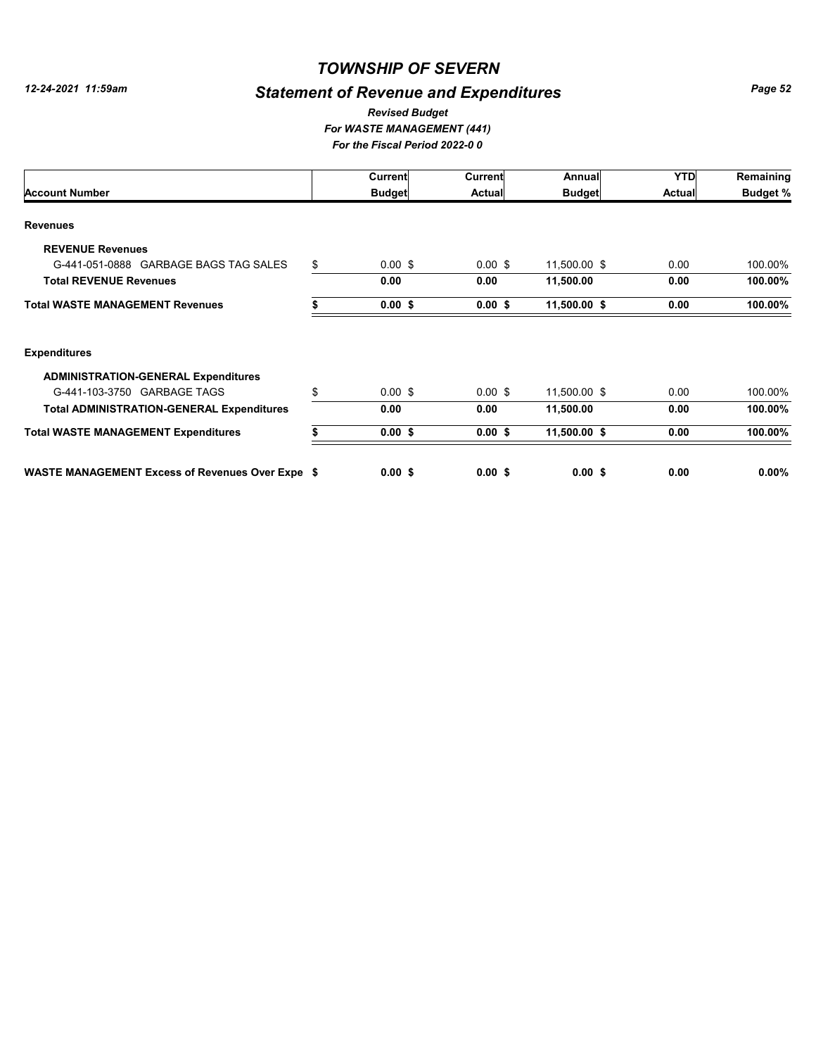# *Statement of Revenue and Expenditures*

#### *For WASTE MANAGEMENT (441) For the Fiscal Period 2022-0 0 Revised Budget*

|                                                         | Current         | <b>Current</b> | Annual        | <b>YTD</b>    | Remaining       |
|---------------------------------------------------------|-----------------|----------------|---------------|---------------|-----------------|
| <b>Account Number</b>                                   | <b>Budget</b>   | <b>Actual</b>  | <b>Budget</b> | <b>Actual</b> | <b>Budget %</b> |
| <b>Revenues</b>                                         |                 |                |               |               |                 |
| <b>REVENUE Revenues</b>                                 |                 |                |               |               |                 |
| G-441-051-0888 GARBAGE BAGS TAG SALES                   | \$<br>$0.00$ \$ | $0.00$ \$      | 11,500.00 \$  | 0.00          | 100.00%         |
| <b>Total REVENUE Revenues</b>                           | 0.00            | 0.00           | 11,500.00     | 0.00          | 100.00%         |
| <b>Total WASTE MANAGEMENT Revenues</b>                  | $0.00$ \$       | $0.00$ \$      | 11,500.00 \$  | 0.00          | 100.00%         |
| <b>Expenditures</b>                                     |                 |                |               |               |                 |
| <b>ADMINISTRATION-GENERAL Expenditures</b>              |                 |                |               |               |                 |
| G-441-103-3750 GARBAGE TAGS                             | \$<br>$0.00$ \$ | $0.00$ \$      | 11,500.00 \$  | 0.00          | 100.00%         |
| <b>Total ADMINISTRATION-GENERAL Expenditures</b>        | 0.00            | 0.00           | 11,500.00     | 0.00          | 100.00%         |
| <b>Total WASTE MANAGEMENT Expenditures</b>              | $0.00$ \$       | $0.00$ \$      | 11,500.00 \$  | 0.00          | 100.00%         |
| <b>WASTE MANAGEMENT Excess of Revenues Over Expe \$</b> | $0.00$ \$       | $0.00$ \$      | $0.00$ \$     | 0.00          | $0.00\%$        |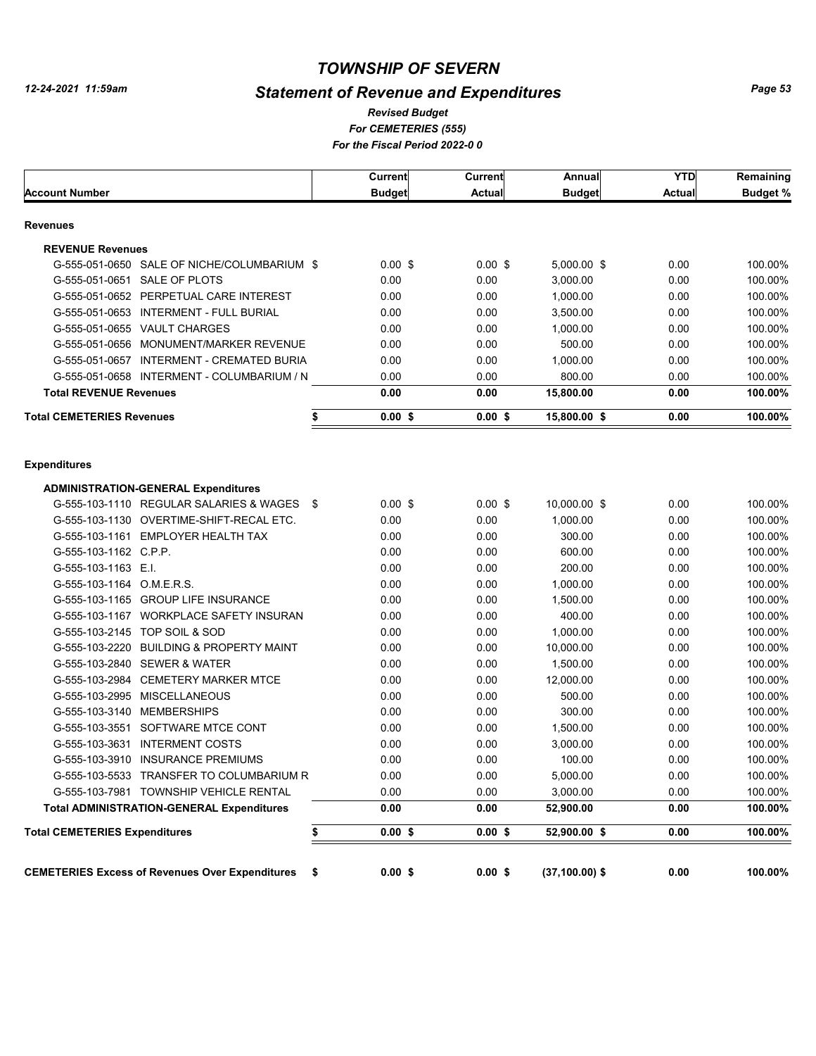# *Statement of Revenue and Expenditures*

#### *For CEMETERIES (555) For the Fiscal Period 2022-0 0 Revised Budget*

|                                                                                          | Current       | <b>Current</b> | Annual            | <b>YTD</b>    | Remaining       |
|------------------------------------------------------------------------------------------|---------------|----------------|-------------------|---------------|-----------------|
| <b>Account Number</b>                                                                    | <b>Budget</b> | <b>Actual</b>  | <b>Budget</b>     | <b>Actual</b> | <b>Budget %</b> |
| Revenues                                                                                 |               |                |                   |               |                 |
| <b>REVENUE Revenues</b>                                                                  |               |                |                   |               |                 |
| G-555-051-0650 SALE OF NICHE/COLUMBARIUM \$                                              | $0.00$ \$     | $0.00$ \$      | 5,000.00 \$       | 0.00          | 100.00%         |
| G-555-051-0651 SALE OF PLOTS                                                             | 0.00          | 0.00           | 3,000.00          | 0.00          | 100.00%         |
| G-555-051-0652 PERPETUAL CARE INTEREST                                                   | 0.00          | 0.00           | 1,000.00          | 0.00          | 100.00%         |
| G-555-051-0653 INTERMENT - FULL BURIAL                                                   | 0.00          | 0.00           | 3,500.00          | 0.00          | 100.00%         |
| G-555-051-0655 VAULT CHARGES                                                             | 0.00          | 0.00           | 1,000.00          | 0.00          | 100.00%         |
| G-555-051-0656 MONUMENT/MARKER REVENUE                                                   | 0.00          | 0.00           | 500.00            | 0.00          | 100.00%         |
| G-555-051-0657 INTERMENT - CREMATED BURIA                                                | 0.00          | 0.00           | 1,000.00          | 0.00          | 100.00%         |
| G-555-051-0658 INTERMENT - COLUMBARIUM / N                                               | 0.00          | 0.00           | 800.00            | 0.00          | 100.00%         |
| <b>Total REVENUE Revenues</b>                                                            | 0.00          | 0.00           | 15,800.00         | 0.00          | 100.00%         |
| <b>Total CEMETERIES Revenues</b><br>\$                                                   | 0.00S         | 0.00S          | 15,800.00 \$      | 0.00          | 100.00%         |
| <b>Expenditures</b>                                                                      |               |                |                   |               |                 |
|                                                                                          |               |                |                   |               |                 |
| <b>ADMINISTRATION-GENERAL Expenditures</b><br>G-555-103-1110 REGULAR SALARIES & WAGES \$ | $0.00$ \$     | $0.00$ \$      | 10,000.00 \$      | 0.00          | 100.00%         |
| G-555-103-1130 OVERTIME-SHIFT-RECAL ETC.                                                 | 0.00          | 0.00           | 1,000.00          | 0.00          | 100.00%         |
| G-555-103-1161 EMPLOYER HEALTH TAX                                                       | 0.00          | 0.00           | 300.00            | 0.00          | 100.00%         |
| G-555-103-1162 C.P.P.                                                                    | 0.00          | 0.00           | 600.00            | 0.00          | 100.00%         |
| G-555-103-1163 E.I.                                                                      | 0.00          | 0.00           | 200.00            | 0.00          | 100.00%         |
| G-555-103-1164 O.M.E.R.S.                                                                | 0.00          | 0.00           | 1,000.00          | 0.00          | 100.00%         |
| G-555-103-1165 GROUP LIFE INSURANCE                                                      | 0.00          | 0.00           | 1,500.00          | 0.00          | 100.00%         |
| G-555-103-1167 WORKPLACE SAFETY INSURAN                                                  | 0.00          | 0.00           | 400.00            | 0.00          | 100.00%         |
| G-555-103-2145 TOP SOIL & SOD                                                            | 0.00          | 0.00           | 1,000.00          | 0.00          | 100.00%         |
| G-555-103-2220 BUILDING & PROPERTY MAINT                                                 | 0.00          | 0.00           | 10,000.00         | 0.00          | 100.00%         |
| G-555-103-2840 SEWER & WATER                                                             | 0.00          | 0.00           | 1,500.00          | 0.00          | 100.00%         |
| G-555-103-2984 CEMETERY MARKER MTCE                                                      | 0.00          | 0.00           | 12,000.00         | 0.00          | 100.00%         |
| G-555-103-2995 MISCELLANEOUS                                                             | 0.00          | 0.00           | 500.00            | 0.00          | 100.00%         |
| G-555-103-3140 MEMBERSHIPS                                                               | 0.00          | 0.00           | 300.00            | 0.00          | 100.00%         |
| G-555-103-3551 SOFTWARE MTCE CONT                                                        | 0.00          | 0.00           | 1,500.00          | 0.00          | 100.00%         |
| <b>INTERMENT COSTS</b><br>G-555-103-3631                                                 | 0.00          | 0.00           | 3,000.00          | 0.00          | 100.00%         |
| G-555-103-3910 INSURANCE PREMIUMS                                                        | 0.00          | 0.00           | 100.00            | 0.00          | 100.00%         |
| G-555-103-5533 TRANSFER TO COLUMBARIUM R                                                 | 0.00          | 0.00           | 5,000.00          | 0.00          | 100.00%         |
| G-555-103-7981 TOWNSHIP VEHICLE RENTAL                                                   | 0.00          | 0.00           | 3,000.00          | 0.00          | 100.00%         |
| <b>Total ADMINISTRATION-GENERAL Expenditures</b>                                         | 0.00          | 0.00           | 52,900.00         | 0.00          | 100.00%         |
| <b>Total CEMETERIES Expenditures</b>                                                     | $0.00$ \$     | $0.00$ \$      | 52,900.00 \$      | 0.00          | 100.00%         |
|                                                                                          |               |                |                   |               |                 |
| <b>CEMETERIES Excess of Revenues Over Expenditures</b><br>\$                             | $0.00$ \$     | $0.00$ \$      | $(37, 100.00)$ \$ | 0.00          | 100.00%         |
|                                                                                          |               |                |                   |               |                 |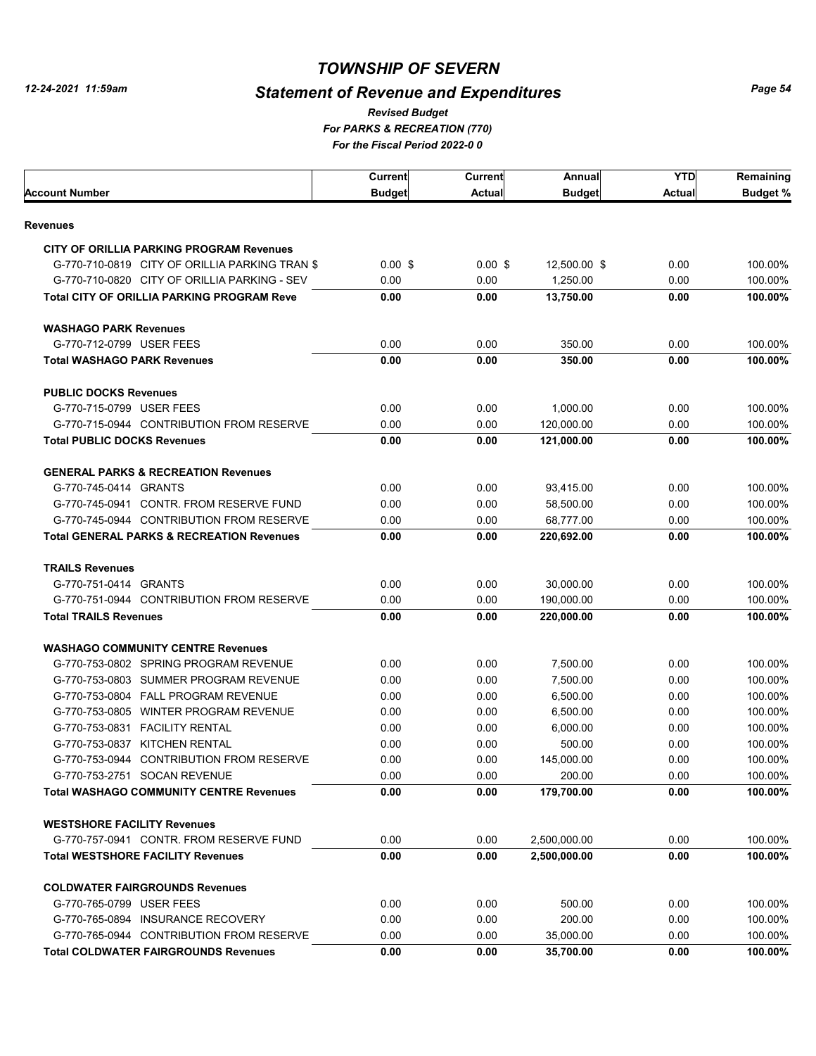# *Statement of Revenue and Expenditures*

*For PARKS & RECREATION (770) For the Fiscal Period 2022-0 0 Revised Budget*

|                                                      | Current       | Current   | Annual        | YTD    | Remaining |
|------------------------------------------------------|---------------|-----------|---------------|--------|-----------|
| Account Number                                       | <b>Budget</b> | Actual    | <b>Budget</b> | Actual | Budget %  |
| Revenues                                             |               |           |               |        |           |
| <b>CITY OF ORILLIA PARKING PROGRAM Revenues</b>      |               |           |               |        |           |
| G-770-710-0819 CITY OF ORILLIA PARKING TRAN \$       | $0.00$ \$     | $0.00$ \$ | 12,500.00 \$  | 0.00   | 100.00%   |
| G-770-710-0820 CITY OF ORILLIA PARKING - SEV         | 0.00          | 0.00      | 1,250.00      | 0.00   | 100.00%   |
| <b>Total CITY OF ORILLIA PARKING PROGRAM Reve</b>    | 0.00          | 0.00      | 13,750.00     | 0.00   | 100.00%   |
| <b>WASHAGO PARK Revenues</b>                         |               |           |               |        |           |
| G-770-712-0799 USER FEES                             | 0.00          | 0.00      | 350.00        | 0.00   | 100.00%   |
| <b>Total WASHAGO PARK Revenues</b>                   | 0.00          | 0.00      | 350.00        | 0.00   | 100.00%   |
| <b>PUBLIC DOCKS Revenues</b>                         |               |           |               |        |           |
| G-770-715-0799 USER FEES                             | 0.00          | 0.00      | 1,000.00      | 0.00   | 100.00%   |
| G-770-715-0944 CONTRIBUTION FROM RESERVE             | 0.00          | 0.00      | 120,000.00    | 0.00   | 100.00%   |
| <b>Total PUBLIC DOCKS Revenues</b>                   | 0.00          | 0.00      | 121.000.00    | 0.00   | 100.00%   |
| <b>GENERAL PARKS &amp; RECREATION Revenues</b>       |               |           |               |        |           |
| G-770-745-0414 GRANTS                                | 0.00          | 0.00      | 93,415.00     | 0.00   | 100.00%   |
| G-770-745-0941 CONTR. FROM RESERVE FUND              | 0.00          | 0.00      | 58.500.00     | 0.00   | 100.00%   |
| G-770-745-0944 CONTRIBUTION FROM RESERVE             | 0.00          | 0.00      | 68,777.00     | 0.00   | 100.00%   |
| <b>Total GENERAL PARKS &amp; RECREATION Revenues</b> | 0.00          | 0.00      | 220,692.00    | 0.00   | 100.00%   |
| <b>TRAILS Revenues</b>                               |               |           |               |        |           |
| G-770-751-0414 GRANTS                                | 0.00          | 0.00      | 30,000.00     | 0.00   | 100.00%   |
| G-770-751-0944 CONTRIBUTION FROM RESERVE             | 0.00          | 0.00      | 190,000.00    | 0.00   | 100.00%   |
| <b>Total TRAILS Revenues</b>                         | 0.00          | 0.00      | 220,000.00    | 0.00   | 100.00%   |
| <b>WASHAGO COMMUNITY CENTRE Revenues</b>             |               |           |               |        |           |
| G-770-753-0802 SPRING PROGRAM REVENUE                | 0.00          | 0.00      | 7,500.00      | 0.00   | 100.00%   |
| G-770-753-0803 SUMMER PROGRAM REVENUE                | 0.00          | 0.00      | 7,500.00      | 0.00   | 100.00%   |
| G-770-753-0804 FALL PROGRAM REVENUE                  | 0.00          | 0.00      | 6,500.00      | 0.00   | 100.00%   |
| G-770-753-0805 WINTER PROGRAM REVENUE                | 0.00          | 0.00      | 6,500.00      | 0.00   | 100.00%   |
| G-770-753-0831 FACILITY RENTAL                       | 0.00          | 0.00      | 6,000.00      | 0.00   | 100.00%   |
| G-770-753-0837 KITCHEN RENTAL                        | 0.00          | 0.00      | 500.00        | 0.00   | 100.00%   |
| G-770-753-0944 CONTRIBUTION FROM RESERVE             | 0.00          | 0.00      | 145,000.00    | 0.00   | 100.00%   |
| G-770-753-2751 SOCAN REVENUE                         | 0.00          | 0.00      | 200.00        | 0.00   | 100.00%   |
| <b>Total WASHAGO COMMUNITY CENTRE Revenues</b>       | 0.00          | 0.00      | 179,700.00    | 0.00   | 100.00%   |
| <b>WESTSHORE FACILITY Revenues</b>                   |               |           |               |        |           |
| G-770-757-0941 CONTR. FROM RESERVE FUND              | 0.00          | 0.00      | 2,500,000.00  | 0.00   | 100.00%   |
| <b>Total WESTSHORE FACILITY Revenues</b>             | 0.00          | 0.00      | 2,500,000.00  | 0.00   | 100.00%   |
| <b>COLDWATER FAIRGROUNDS Revenues</b>                |               |           |               |        |           |
| G-770-765-0799 USER FEES                             | 0.00          | 0.00      | 500.00        | 0.00   | 100.00%   |
| G-770-765-0894 INSURANCE RECOVERY                    | 0.00          | 0.00      | 200.00        | 0.00   | 100.00%   |
| G-770-765-0944 CONTRIBUTION FROM RESERVE             | 0.00          | 0.00      | 35,000.00     | 0.00   | 100.00%   |
| <b>Total COLDWATER FAIRGROUNDS Revenues</b>          | 0.00          | 0.00      | 35,700.00     | 0.00   | 100.00%   |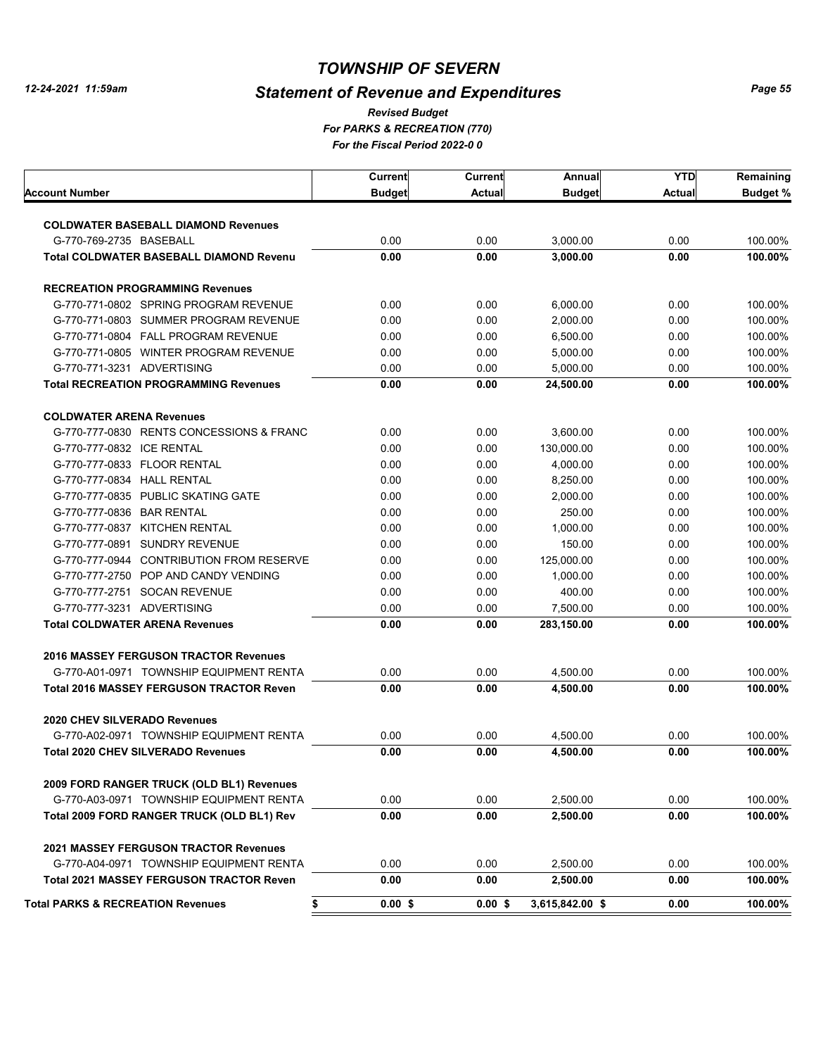# *Statement of Revenue and Expenditures*

*For PARKS & RECREATION (770) For the Fiscal Period 2022-0 0 Revised Budget*

|                                                    | Current       | Current       | Annual          | <b>YTD</b> | Remaining       |
|----------------------------------------------------|---------------|---------------|-----------------|------------|-----------------|
| Account Number                                     | <b>Budget</b> | <b>Actual</b> | <b>Budget</b>   | Actual     | <b>Budget %</b> |
|                                                    |               |               |                 |            |                 |
| <b>COLDWATER BASEBALL DIAMOND Revenues</b>         |               |               |                 |            |                 |
| G-770-769-2735 BASEBALL                            | 0.00          | 0.00          | 3,000.00        | 0.00       | 100.00%         |
| <b>Total COLDWATER BASEBALL DIAMOND Revenu</b>     | 0.00          | 0.00          | 3,000.00        | 0.00       | 100.00%         |
| <b>RECREATION PROGRAMMING Revenues</b>             |               |               |                 |            |                 |
| G-770-771-0802 SPRING PROGRAM REVENUE              | 0.00          | 0.00          | 6,000.00        | 0.00       | 100.00%         |
| G-770-771-0803 SUMMER PROGRAM REVENUE              | 0.00          | 0.00          | 2,000.00        | 0.00       | 100.00%         |
| G-770-771-0804 FALL PROGRAM REVENUE                | 0.00          | 0.00          | 6,500.00        | 0.00       | 100.00%         |
| G-770-771-0805 WINTER PROGRAM REVENUE              | 0.00          | 0.00          | 5,000.00        | 0.00       | 100.00%         |
| G-770-771-3231 ADVERTISING                         | 0.00          | 0.00          | 5,000.00        | 0.00       | 100.00%         |
| <b>Total RECREATION PROGRAMMING Revenues</b>       | 0.00          | 0.00          | 24,500.00       | 0.00       | 100.00%         |
| <b>COLDWATER ARENA Revenues</b>                    |               |               |                 |            |                 |
| G-770-777-0830 RENTS CONCESSIONS & FRANC           | 0.00          | 0.00          | 3,600.00        | 0.00       | 100.00%         |
| G-770-777-0832 ICE RENTAL                          | 0.00          | 0.00          | 130,000.00      | 0.00       | 100.00%         |
| G-770-777-0833 FLOOR RENTAL                        | 0.00          | 0.00          | 4,000.00        | 0.00       | 100.00%         |
| G-770-777-0834 HALL RENTAL                         | 0.00          | 0.00          | 8,250.00        | 0.00       | 100.00%         |
| G-770-777-0835 PUBLIC SKATING GATE                 | 0.00          | 0.00          | 2,000.00        | 0.00       | 100.00%         |
| G-770-777-0836 BAR RENTAL                          | 0.00          | 0.00          | 250.00          | 0.00       | 100.00%         |
| G-770-777-0837 KITCHEN RENTAL                      | 0.00          | 0.00          | 1.000.00        | 0.00       | 100.00%         |
| G-770-777-0891<br><b>SUNDRY REVENUE</b>            | 0.00          | 0.00          | 150.00          | 0.00       | 100.00%         |
| G-770-777-0944 CONTRIBUTION FROM RESERVE           | 0.00          | 0.00          | 125,000.00      | 0.00       | 100.00%         |
| G-770-777-2750 POP AND CANDY VENDING               | 0.00          | 0.00          | 1,000.00        | 0.00       | 100.00%         |
| G-770-777-2751 SOCAN REVENUE                       | 0.00          | 0.00          | 400.00          | 0.00       | 100.00%         |
| G-770-777-3231 ADVERTISING                         | 0.00          | 0.00          | 7,500.00        | 0.00       | 100.00%         |
| <b>Total COLDWATER ARENA Revenues</b>              | 0.00          | 0.00          | 283,150.00      | 0.00       | 100.00%         |
| <b>2016 MASSEY FERGUSON TRACTOR Revenues</b>       |               |               |                 |            |                 |
| G-770-A01-0971 TOWNSHIP EQUIPMENT RENTA            | 0.00          | 0.00          | 4,500.00        | 0.00       | 100.00%         |
| <b>Total 2016 MASSEY FERGUSON TRACTOR Reven</b>    | 0.00          | 0.00          | 4,500.00        | 0.00       | 100.00%         |
| 2020 CHEV SILVERADO Revenues                       |               |               |                 |            |                 |
| G-770-A02-0971 TOWNSHIP EQUIPMENT RENTA            | 0.00          | 0.00          | 4,500.00        | 0.00       | 100.00%         |
| <b>Total 2020 CHEV SILVERADO Revenues</b>          | 0.00          | 0.00          | 4,500.00        | 0.00       | 100.00%         |
| 2009 FORD RANGER TRUCK (OLD BL1) Revenues          |               |               |                 |            |                 |
| G-770-A03-0971 TOWNSHIP EQUIPMENT RENTA            | 0.00          | 0.00          | 2,500.00        | 0.00       | 100.00%         |
| Total 2009 FORD RANGER TRUCK (OLD BL1) Rev         | 0.00          | 0.00          | 2,500.00        | 0.00       | 100.00%         |
| <b>2021 MASSEY FERGUSON TRACTOR Revenues</b>       |               |               |                 |            |                 |
| G-770-A04-0971 TOWNSHIP EQUIPMENT RENTA            | 0.00          | 0.00          | 2,500.00        | 0.00       | 100.00%         |
| <b>Total 2021 MASSEY FERGUSON TRACTOR Reven</b>    | 0.00          | 0.00          | 2,500.00        | 0.00       | 100.00%         |
| \$<br><b>Total PARKS &amp; RECREATION Revenues</b> | $0.00$ \$     | $0.00$ \$     | 3,615,842.00 \$ | 0.00       | 100.00%         |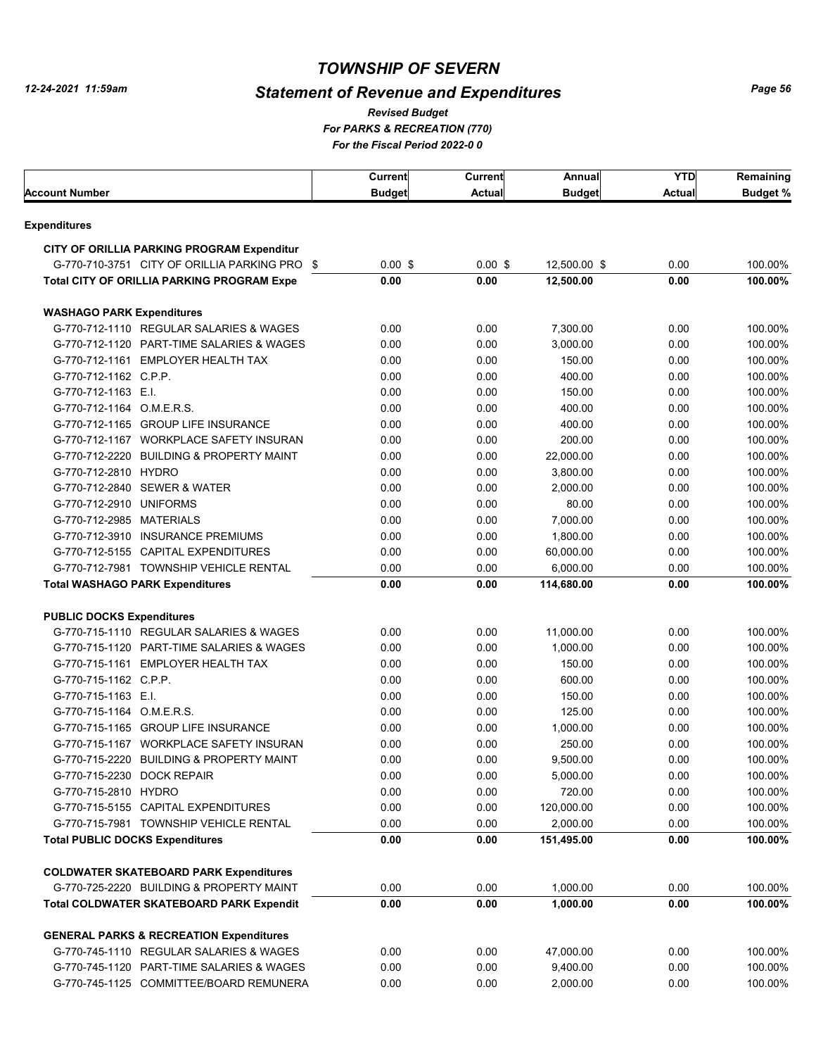# *Statement of Revenue and Expenditures*

*For PARKS & RECREATION (770) For the Fiscal Period 2022-0 0 Revised Budget*

|                                                    | <b>Current</b> | Current   | Annual        | YTD    | Remaining       |
|----------------------------------------------------|----------------|-----------|---------------|--------|-----------------|
| Account Number                                     | <b>Budget</b>  | Actual    | <b>Budget</b> | Actual | <b>Budget %</b> |
| Expenditures                                       |                |           |               |        |                 |
| CITY OF ORILLIA PARKING PROGRAM Expenditur         |                |           |               |        |                 |
| G-770-710-3751 CITY OF ORILLIA PARKING PRO \$      | $0.00$ \$      | $0.00$ \$ | 12,500.00 \$  | 0.00   | 100.00%         |
| <b>Total CITY OF ORILLIA PARKING PROGRAM Expe</b>  | 0.00           | 0.00      | 12,500.00     | 0.00   | 100.00%         |
| <b>WASHAGO PARK Expenditures</b>                   |                |           |               |        |                 |
| G-770-712-1110 REGULAR SALARIES & WAGES            | 0.00           | 0.00      | 7,300.00      | 0.00   | 100.00%         |
| G-770-712-1120 PART-TIME SALARIES & WAGES          | 0.00           | 0.00      | 3,000.00      | 0.00   | 100.00%         |
| G-770-712-1161 EMPLOYER HEALTH TAX                 | 0.00           | 0.00      | 150.00        | 0.00   | 100.00%         |
| G-770-712-1162 C.P.P.                              | 0.00           | 0.00      | 400.00        | 0.00   | 100.00%         |
| G-770-712-1163 E.I.                                | 0.00           | 0.00      | 150.00        | 0.00   | 100.00%         |
| G-770-712-1164 O.M.E.R.S.                          | 0.00           | 0.00      | 400.00        | 0.00   | 100.00%         |
| G-770-712-1165 GROUP LIFE INSURANCE                | 0.00           | 0.00      | 400.00        | 0.00   | 100.00%         |
| G-770-712-1167 WORKPLACE SAFETY INSURAN            | 0.00           | 0.00      | 200.00        | 0.00   | 100.00%         |
| G-770-712-2220 BUILDING & PROPERTY MAINT           | 0.00           | 0.00      | 22,000.00     | 0.00   | 100.00%         |
| G-770-712-2810 HYDRO                               | 0.00           | 0.00      | 3,800.00      | 0.00   | 100.00%         |
| G-770-712-2840 SEWER & WATER                       | 0.00           | 0.00      | 2,000.00      | 0.00   | 100.00%         |
| G-770-712-2910 UNIFORMS                            | 0.00           | 0.00      | 80.00         | 0.00   | 100.00%         |
| G-770-712-2985 MATERIALS                           | 0.00           | 0.00      | 7,000.00      | 0.00   | 100.00%         |
| G-770-712-3910 INSURANCE PREMIUMS                  | 0.00           | 0.00      | 1,800.00      | 0.00   | 100.00%         |
| G-770-712-5155 CAPITAL EXPENDITURES                | 0.00           | 0.00      | 60,000.00     | 0.00   | 100.00%         |
| G-770-712-7981 TOWNSHIP VEHICLE RENTAL             | 0.00           | 0.00      | 6,000.00      | 0.00   | 100.00%         |
| <b>Total WASHAGO PARK Expenditures</b>             | 0.00           | 0.00      | 114,680.00    | 0.00   | 100.00%         |
|                                                    |                |           |               |        |                 |
| <b>PUBLIC DOCKS Expenditures</b>                   |                |           |               |        |                 |
| G-770-715-1110 REGULAR SALARIES & WAGES            | 0.00           | 0.00      | 11,000.00     | 0.00   | 100.00%         |
| G-770-715-1120 PART-TIME SALARIES & WAGES          | 0.00           | 0.00      | 1,000.00      | 0.00   | 100.00%         |
| G-770-715-1161 EMPLOYER HEALTH TAX                 | 0.00           | 0.00      | 150.00        | 0.00   | 100.00%         |
| G-770-715-1162 C.P.P.                              | 0.00           | 0.00      | 600.00        | 0.00   | 100.00%         |
| G-770-715-1163 E.I.                                | 0.00           | 0.00      | 150.00        | 0.00   | 100.00%         |
| G-770-715-1164 O.M.E.R.S.                          | 0.00           | 0.00      | 125.00        | 0.00   | 100.00%         |
| G-770-715-1165 GROUP LIFE INSURANCE                | 0.00           | 0.00      | 1,000.00      | 0.00   | 100.00%         |
| G-770-715-1167 WORKPLACE SAFETY INSURAN            | 0.00           | 0.00      | 250.00        | 0.00   | 100.00%         |
| G-770-715-2220 BUILDING & PROPERTY MAINT           | 0.00           | 0.00      | 9,500.00      | 0.00   | 100.00%         |
| G-770-715-2230 DOCK REPAIR                         | 0.00           | 0.00      | 5,000.00      | 0.00   | 100.00%         |
| G-770-715-2810 HYDRO                               | 0.00           | 0.00      | 720.00        | 0.00   | 100.00%         |
| G-770-715-5155 CAPITAL EXPENDITURES                | 0.00           | 0.00      | 120,000.00    | 0.00   | 100.00%         |
| G-770-715-7981 TOWNSHIP VEHICLE RENTAL             | 0.00           | 0.00      | 2,000.00      | 0.00   | 100.00%         |
| <b>Total PUBLIC DOCKS Expenditures</b>             | 0.00           | 0.00      | 151,495.00    | 0.00   | 100.00%         |
| <b>COLDWATER SKATEBOARD PARK Expenditures</b>      |                |           |               |        |                 |
| G-770-725-2220 BUILDING & PROPERTY MAINT           | 0.00           | 0.00      | 1,000.00      | 0.00   | 100.00%         |
| <b>Total COLDWATER SKATEBOARD PARK Expendit</b>    | 0.00           | 0.00      | 1,000.00      | 0.00   | 100.00%         |
|                                                    |                |           |               |        |                 |
| <b>GENERAL PARKS &amp; RECREATION Expenditures</b> |                |           |               |        |                 |
| G-770-745-1110 REGULAR SALARIES & WAGES            | 0.00           | 0.00      | 47,000.00     | 0.00   | 100.00%         |
| G-770-745-1120 PART-TIME SALARIES & WAGES          | 0.00           | 0.00      | 9,400.00      | 0.00   | 100.00%         |
| G-770-745-1125 COMMITTEE/BOARD REMUNERA            | 0.00           | 0.00      | 2,000.00      | 0.00   | 100.00%         |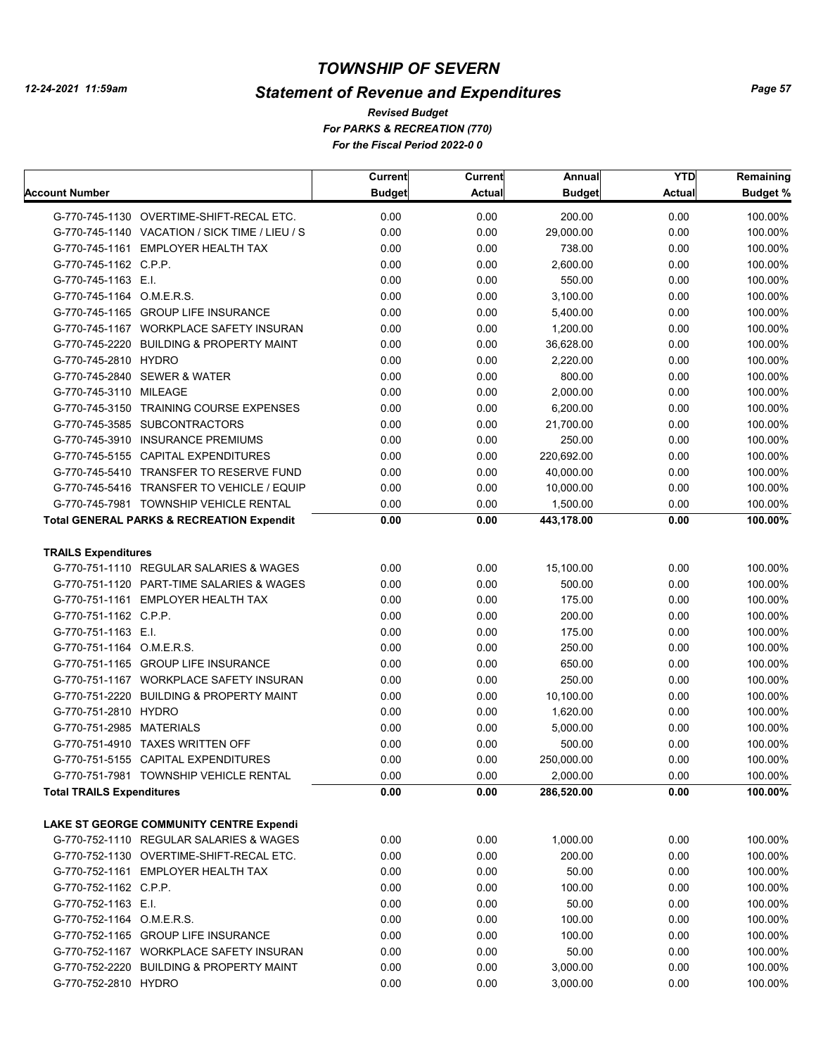# *Statement of Revenue and Expenditures*

*For PARKS & RECREATION (770) For the Fiscal Period 2022-0 0 Revised Budget*

|                                  |                                                      | Current       | <b>Current</b> | Annual        | <b>YTD</b>    | Remaining       |
|----------------------------------|------------------------------------------------------|---------------|----------------|---------------|---------------|-----------------|
| Account Number                   |                                                      | <b>Budget</b> | <b>Actual</b>  | <b>Budget</b> | <b>Actual</b> | <b>Budget %</b> |
|                                  | G-770-745-1130 OVERTIME-SHIFT-RECAL ETC.             | 0.00          | 0.00           | 200.00        | 0.00          | 100.00%         |
|                                  | G-770-745-1140 VACATION / SICK TIME / LIEU / S       | 0.00          | 0.00           | 29,000.00     | 0.00          | 100.00%         |
|                                  | G-770-745-1161 EMPLOYER HEALTH TAX                   | 0.00          | 0.00           | 738.00        | 0.00          | 100.00%         |
| G-770-745-1162 C.P.P.            |                                                      | 0.00          | 0.00           | 2,600.00      | 0.00          | 100.00%         |
| G-770-745-1163 E.I.              |                                                      | 0.00          | 0.00           | 550.00        | 0.00          | 100.00%         |
| G-770-745-1164 O.M.E.R.S.        |                                                      | 0.00          | 0.00           | 3,100.00      | 0.00          | 100.00%         |
|                                  | G-770-745-1165 GROUP LIFE INSURANCE                  | 0.00          | 0.00           | 5,400.00      | 0.00          | 100.00%         |
|                                  | G-770-745-1167 WORKPLACE SAFETY INSURAN              | 0.00          | 0.00           | 1,200.00      | 0.00          | 100.00%         |
|                                  | G-770-745-2220 BUILDING & PROPERTY MAINT             | 0.00          | 0.00           | 36,628.00     | 0.00          | 100.00%         |
| G-770-745-2810 HYDRO             |                                                      | 0.00          | 0.00           | 2,220.00      | 0.00          | 100.00%         |
|                                  | G-770-745-2840 SEWER & WATER                         | 0.00          | 0.00           | 800.00        | 0.00          | 100.00%         |
| G-770-745-3110 MILEAGE           |                                                      | 0.00          | 0.00           | 2,000.00      | 0.00          | 100.00%         |
|                                  | G-770-745-3150 TRAINING COURSE EXPENSES              | 0.00          | 0.00           | 6,200.00      | 0.00          | 100.00%         |
|                                  | G-770-745-3585 SUBCONTRACTORS                        | 0.00          | 0.00           | 21,700.00     | 0.00          | 100.00%         |
|                                  | G-770-745-3910 INSURANCE PREMIUMS                    | 0.00          | 0.00           | 250.00        | 0.00          | 100.00%         |
|                                  | G-770-745-5155 CAPITAL EXPENDITURES                  | 0.00          | 0.00           | 220,692.00    | 0.00          | 100.00%         |
|                                  | G-770-745-5410 TRANSFER TO RESERVE FUND              | 0.00          | 0.00           | 40,000.00     | 0.00          | 100.00%         |
|                                  | G-770-745-5416 TRANSFER TO VEHICLE / EQUIP           | 0.00          | 0.00           | 10,000.00     | 0.00          | 100.00%         |
|                                  | G-770-745-7981 TOWNSHIP VEHICLE RENTAL               | 0.00          | 0.00           | 1,500.00      | 0.00          | 100.00%         |
|                                  | <b>Total GENERAL PARKS &amp; RECREATION Expendit</b> | 0.00          | 0.00           | 443,178.00    | 0.00          | 100.00%         |
|                                  |                                                      |               |                |               |               |                 |
| <b>TRAILS Expenditures</b>       |                                                      |               |                |               |               |                 |
|                                  | G-770-751-1110 REGULAR SALARIES & WAGES              | 0.00          | 0.00           | 15,100.00     | 0.00          | 100.00%         |
|                                  | G-770-751-1120 PART-TIME SALARIES & WAGES            | 0.00          | 0.00           | 500.00        | 0.00          | 100.00%         |
|                                  | G-770-751-1161 EMPLOYER HEALTH TAX                   | 0.00          | 0.00           | 175.00        | 0.00          | 100.00%         |
| G-770-751-1162 C.P.P.            |                                                      | 0.00          | 0.00           | 200.00        | 0.00          | 100.00%         |
| G-770-751-1163 E.I.              |                                                      | 0.00          | 0.00           | 175.00        | 0.00          | 100.00%         |
| G-770-751-1164 O.M.E.R.S.        |                                                      | 0.00          | 0.00           | 250.00        | 0.00          | 100.00%         |
|                                  | G-770-751-1165 GROUP LIFE INSURANCE                  | 0.00          | 0.00           | 650.00        | 0.00          | 100.00%         |
|                                  | G-770-751-1167 WORKPLACE SAFETY INSURAN              | 0.00          | 0.00           | 250.00        | 0.00          | 100.00%         |
|                                  | G-770-751-2220 BUILDING & PROPERTY MAINT             | 0.00          | 0.00           | 10,100.00     | 0.00          | 100.00%         |
| G-770-751-2810 HYDRO             |                                                      | 0.00          | 0.00           | 1,620.00      | 0.00          | 100.00%         |
| G-770-751-2985 MATERIALS         |                                                      | 0.00          | 0.00           | 5,000.00      | 0.00          | 100.00%         |
|                                  | G-770-751-4910 TAXES WRITTEN OFF                     | 0.00          | 0.00           | 500.00        | 0.00          | 100.00%         |
|                                  | G-770-751-5155 CAPITAL EXPENDITURES                  | 0.00          | 0.00           | 250,000.00    | 0.00          | 100.00%         |
|                                  | G-770-751-7981 TOWNSHIP VEHICLE RENTAL               | 0.00          | 0.00           | 2,000.00      | 0.00          | 100.00%         |
| <b>Total TRAILS Expenditures</b> |                                                      | 0.00          | 0.00           | 286,520.00    | 0.00          | 100.00%         |
|                                  |                                                      |               |                |               |               |                 |
|                                  | LAKE ST GEORGE COMMUNITY CENTRE Expendi              |               |                |               |               |                 |
|                                  | G-770-752-1110 REGULAR SALARIES & WAGES              | 0.00          | 0.00           | 1,000.00      | 0.00          | 100.00%         |
|                                  | G-770-752-1130 OVERTIME-SHIFT-RECAL ETC.             | 0.00          | 0.00           | 200.00        | 0.00          | 100.00%         |
|                                  | G-770-752-1161 EMPLOYER HEALTH TAX                   | 0.00          | 0.00           | 50.00         | 0.00          | 100.00%         |
| G-770-752-1162 C.P.P.            |                                                      | 0.00          | 0.00           | 100.00        | 0.00          | 100.00%         |
| G-770-752-1163 E.I.              |                                                      | 0.00          | 0.00           | 50.00         | 0.00          | 100.00%         |
| G-770-752-1164 O.M.E.R.S.        |                                                      | 0.00          | 0.00           | 100.00        | 0.00          | 100.00%         |
|                                  | G-770-752-1165 GROUP LIFE INSURANCE                  | 0.00          | 0.00           | 100.00        | 0.00          | 100.00%         |
|                                  | G-770-752-1167 WORKPLACE SAFETY INSURAN              | 0.00          | 0.00           | 50.00         | 0.00          | 100.00%         |
|                                  | G-770-752-2220 BUILDING & PROPERTY MAINT             | 0.00          | 0.00           | 3,000.00      | 0.00          | 100.00%         |
| G-770-752-2810 HYDRO             |                                                      | 0.00          | 0.00           | 3,000.00      | 0.00          | 100.00%         |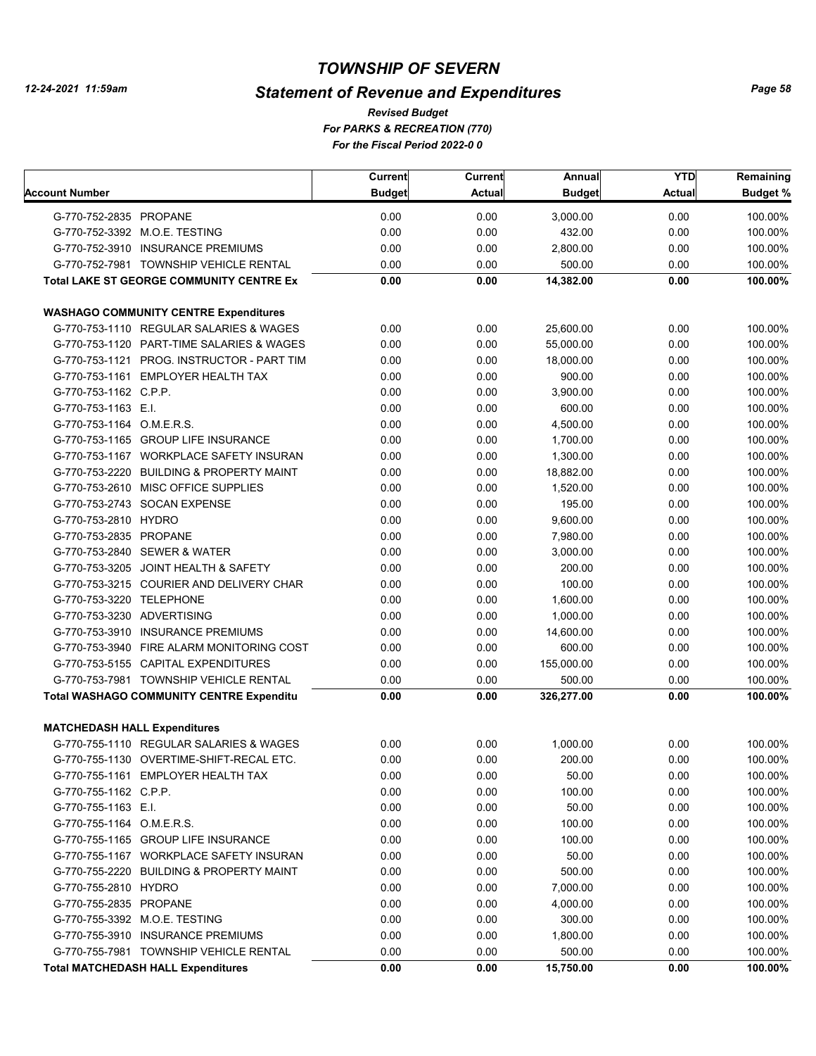# *Statement of Revenue and Expenditures*

*For PARKS & RECREATION (770) For the Fiscal Period 2022-0 0 Revised Budget*

|                                     |                                                 | <b>Current</b> | <b>Current</b> | Annual               | <b>YTD</b>    | Remaining |
|-------------------------------------|-------------------------------------------------|----------------|----------------|----------------------|---------------|-----------|
| Account Number                      |                                                 | <b>Budget</b>  | <b>Actual</b>  | <b>Budget</b>        | <b>Actual</b> | Budget %  |
| G-770-752-2835 PROPANE              |                                                 | 0.00           | 0.00           | 3,000.00             | 0.00          | 100.00%   |
|                                     | G-770-752-3392 M.O.E. TESTING                   | 0.00           | 0.00           | 432.00               | 0.00          | 100.00%   |
|                                     | G-770-752-3910 INSURANCE PREMIUMS               | 0.00           | 0.00           | 2,800.00             | 0.00          | 100.00%   |
|                                     | G-770-752-7981 TOWNSHIP VEHICLE RENTAL          | 0.00           | 0.00           | 500.00               | 0.00          | 100.00%   |
|                                     | <b>Total LAKE ST GEORGE COMMUNITY CENTRE Ex</b> | 0.00           | 0.00           | 14,382.00            | 0.00          | 100.00%   |
|                                     |                                                 |                |                |                      |               |           |
|                                     | <b>WASHAGO COMMUNITY CENTRE Expenditures</b>    |                |                |                      |               |           |
|                                     | G-770-753-1110 REGULAR SALARIES & WAGES         | 0.00           | 0.00           | 25,600.00            | 0.00          | 100.00%   |
|                                     | G-770-753-1120 PART-TIME SALARIES & WAGES       | 0.00           | 0.00           | 55,000.00            | 0.00          | 100.00%   |
|                                     | G-770-753-1121 PROG. INSTRUCTOR - PART TIM      | 0.00           | 0.00           | 18,000.00            | 0.00          | 100.00%   |
|                                     | G-770-753-1161 EMPLOYER HEALTH TAX              | 0.00           | 0.00           | 900.00               | 0.00          | 100.00%   |
| G-770-753-1162 C.P.P.               |                                                 | 0.00           | 0.00           | 3,900.00             | 0.00          | 100.00%   |
| G-770-753-1163 E.I.                 |                                                 | 0.00           | 0.00           | 600.00               | 0.00          | 100.00%   |
| G-770-753-1164 O.M.E.R.S.           |                                                 | 0.00           | 0.00           | 4,500.00             | 0.00          | 100.00%   |
|                                     | G-770-753-1165 GROUP LIFE INSURANCE             | 0.00           | 0.00           | 1,700.00             | 0.00          | 100.00%   |
|                                     | G-770-753-1167 WORKPLACE SAFETY INSURAN         | 0.00           | 0.00           | 1,300.00             | 0.00          | 100.00%   |
|                                     | G-770-753-2220 BUILDING & PROPERTY MAINT        | 0.00           | 0.00           | 18,882.00            | 0.00          | 100.00%   |
|                                     | G-770-753-2610 MISC OFFICE SUPPLIES             | 0.00           | 0.00           | 1,520.00             | 0.00          | 100.00%   |
|                                     | G-770-753-2743 SOCAN EXPENSE                    | 0.00           | 0.00           | 195.00               | 0.00          | 100.00%   |
| G-770-753-2810 HYDRO                |                                                 | 0.00           | 0.00           | 9,600.00             | 0.00          | 100.00%   |
| G-770-753-2835 PROPANE              |                                                 | 0.00           | 0.00           | 7,980.00             | 0.00          | 100.00%   |
|                                     | G-770-753-2840 SEWER & WATER                    | 0.00           | 0.00           | 3,000.00             | 0.00          | 100.00%   |
|                                     | G-770-753-3205 JOINT HEALTH & SAFETY            | 0.00           | 0.00           | 200.00               | 0.00          | 100.00%   |
|                                     | G-770-753-3215 COURIER AND DELIVERY CHAR        | 0.00           | 0.00           | 100.00               | 0.00          | 100.00%   |
| G-770-753-3220 TELEPHONE            |                                                 | 0.00           | 0.00           | 1,600.00             | 0.00          | 100.00%   |
| G-770-753-3230 ADVERTISING          |                                                 | 0.00           | 0.00           | 1,000.00             | 0.00          | 100.00%   |
|                                     | G-770-753-3910 INSURANCE PREMIUMS               | 0.00           | 0.00           | 14,600.00            | 0.00          | 100.00%   |
|                                     | G-770-753-3940 FIRE ALARM MONITORING COST       | 0.00           | 0.00           | 600.00               | 0.00          | 100.00%   |
|                                     | G-770-753-5155 CAPITAL EXPENDITURES             | 0.00           | 0.00           | 155,000.00           | 0.00          | 100.00%   |
|                                     | G-770-753-7981 TOWNSHIP VEHICLE RENTAL          | 0.00           | 0.00           | 500.00               | 0.00          | 100.00%   |
|                                     | <b>Total WASHAGO COMMUNITY CENTRE Expenditu</b> | 0.00           | 0.00           | 326,277.00           | 0.00          | 100.00%   |
| <b>MATCHEDASH HALL Expenditures</b> |                                                 |                |                |                      |               |           |
|                                     | G-770-755-1110 REGULAR SALARIES & WAGES         | 0.00           | 0.00           | 1,000.00             | 0.00          | 100.00%   |
|                                     | G-770-755-1130 OVERTIME-SHIFT-RECAL ETC.        | 0.00           | 0.00           | 200.00               | 0.00          | 100.00%   |
|                                     | G-770-755-1161 EMPLOYER HEALTH TAX              | 0.00           | 0.00           | 50.00                | 0.00          | 100.00%   |
| G-770-755-1162 C.P.P.               |                                                 | 0.00           | 0.00           | 100.00               | 0.00          | 100.00%   |
| G-770-755-1163 E.I.                 |                                                 | 0.00           | 0.00           | 50.00                | 0.00          | 100.00%   |
| G-770-755-1164 O.M.E.R.S.           |                                                 | 0.00           | 0.00           | 100.00               | 0.00          | 100.00%   |
|                                     | G-770-755-1165 GROUP LIFE INSURANCE             | 0.00           | 0.00           | 100.00               | 0.00          | 100.00%   |
|                                     | G-770-755-1167 WORKPLACE SAFETY INSURAN         | 0.00           | 0.00           | 50.00                | 0.00          | 100.00%   |
|                                     | G-770-755-2220 BUILDING & PROPERTY MAINT        | 0.00           | 0.00           | 500.00               | 0.00          | 100.00%   |
|                                     |                                                 |                |                |                      |               |           |
| G-770-755-2810 HYDRO                |                                                 | 0.00           | 0.00           | 7,000.00<br>4,000.00 | 0.00          | 100.00%   |
| G-770-755-2835 PROPANE              |                                                 | 0.00           | 0.00           |                      | 0.00          | 100.00%   |
|                                     | G-770-755-3392 M.O.E. TESTING                   | 0.00           | 0.00           | 300.00               | 0.00          | 100.00%   |
|                                     | G-770-755-3910 INSURANCE PREMIUMS               | 0.00           | 0.00           | 1,800.00             | 0.00          | 100.00%   |
|                                     | G-770-755-7981 TOWNSHIP VEHICLE RENTAL          | 0.00           | 0.00           | 500.00               | 0.00          | 100.00%   |
|                                     | <b>Total MATCHEDASH HALL Expenditures</b>       | 0.00           | 0.00           | 15,750.00            | 0.00          | 100.00%   |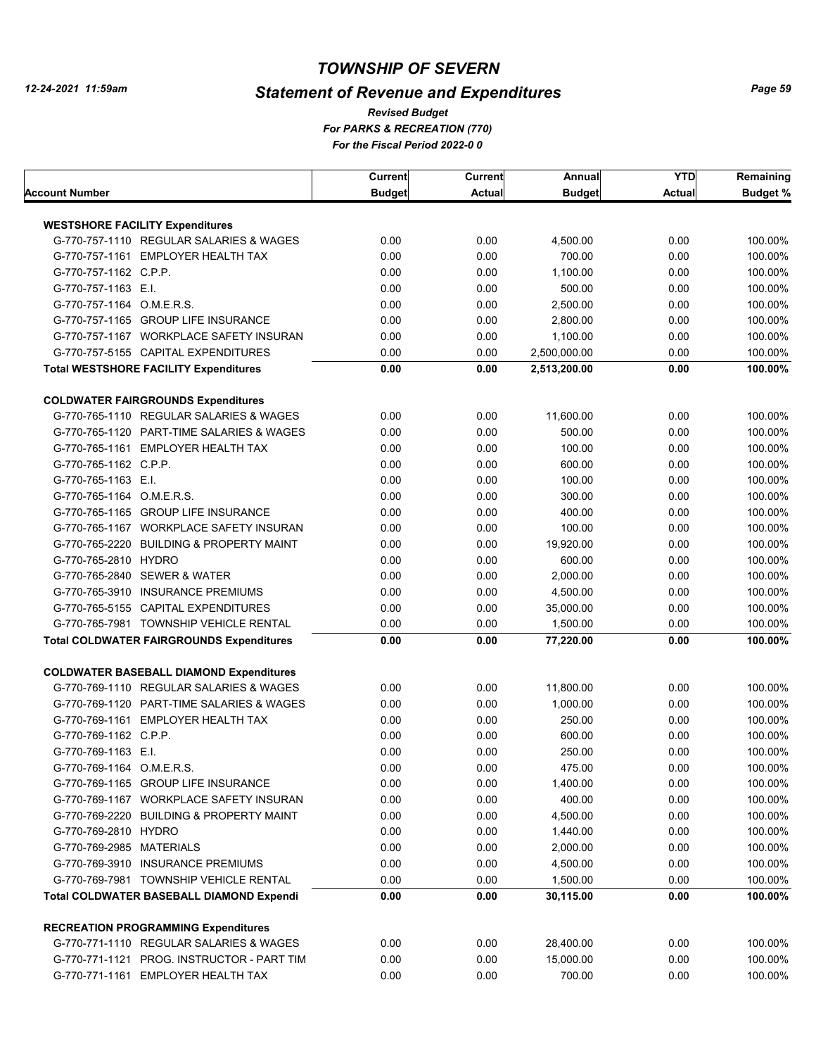# *Statement of Revenue and Expenditures*

*For PARKS & RECREATION (770) For the Fiscal Period 2022-0 0 Revised Budget*

|                                                                                   | Current       | Current       | Annual        | <b>YTD</b>    | Remaining       |
|-----------------------------------------------------------------------------------|---------------|---------------|---------------|---------------|-----------------|
| Account Number                                                                    | <b>Budget</b> | <b>Actual</b> | <b>Budget</b> | <b>Actual</b> | <b>Budget %</b> |
|                                                                                   |               |               |               |               |                 |
| <b>WESTSHORE FACILITY Expenditures</b><br>G-770-757-1110 REGULAR SALARIES & WAGES | 0.00          | 0.00          | 4,500.00      | 0.00          | 100.00%         |
| G-770-757-1161 EMPLOYER HEALTH TAX                                                | 0.00          | 0.00          | 700.00        | 0.00          | 100.00%         |
|                                                                                   | 0.00          | 0.00          |               | 0.00          |                 |
| G-770-757-1162 C.P.P.                                                             |               |               | 1,100.00      |               | 100.00%         |
| G-770-757-1163 E.I.                                                               | 0.00          | 0.00          | 500.00        | 0.00          | 100.00%         |
| G-770-757-1164 O.M.E.R.S.                                                         | 0.00          | 0.00          | 2,500.00      | 0.00          | 100.00%         |
| G-770-757-1165 GROUP LIFE INSURANCE                                               | 0.00          | 0.00          | 2,800.00      | 0.00          | 100.00%         |
| G-770-757-1167 WORKPLACE SAFETY INSURAN                                           | 0.00          | 0.00          | 1,100.00      | 0.00          | 100.00%         |
| G-770-757-5155 CAPITAL EXPENDITURES                                               | 0.00          | 0.00          | 2,500,000.00  | 0.00          | 100.00%         |
| <b>Total WESTSHORE FACILITY Expenditures</b>                                      | 0.00          | 0.00          | 2,513,200.00  | 0.00          | 100.00%         |
| <b>COLDWATER FAIRGROUNDS Expenditures</b>                                         |               |               |               |               |                 |
| G-770-765-1110 REGULAR SALARIES & WAGES                                           | 0.00          | 0.00          | 11,600.00     | 0.00          | 100.00%         |
| G-770-765-1120 PART-TIME SALARIES & WAGES                                         | 0.00          | 0.00          | 500.00        | 0.00          | 100.00%         |
| G-770-765-1161 EMPLOYER HEALTH TAX                                                | 0.00          | 0.00          | 100.00        | 0.00          | 100.00%         |
| G-770-765-1162 C.P.P.                                                             | 0.00          | 0.00          | 600.00        | 0.00          | 100.00%         |
| G-770-765-1163 E.I.                                                               | 0.00          | 0.00          | 100.00        | 0.00          | 100.00%         |
| G-770-765-1164 O.M.E.R.S.                                                         | 0.00          | 0.00          | 300.00        | 0.00          | 100.00%         |
| G-770-765-1165 GROUP LIFE INSURANCE                                               | 0.00          | 0.00          | 400.00        | 0.00          | 100.00%         |
| G-770-765-1167 WORKPLACE SAFETY INSURAN                                           | 0.00          | 0.00          | 100.00        | 0.00          | 100.00%         |
| G-770-765-2220 BUILDING & PROPERTY MAINT                                          | 0.00          | 0.00          | 19,920.00     | 0.00          | 100.00%         |
| G-770-765-2810 HYDRO                                                              | 0.00          | 0.00          | 600.00        | 0.00          | 100.00%         |
| G-770-765-2840 SEWER & WATER                                                      | 0.00          | 0.00          | 2,000.00      | 0.00          | 100.00%         |
| G-770-765-3910 INSURANCE PREMIUMS                                                 | 0.00          | 0.00          | 4,500.00      | 0.00          | 100.00%         |
| G-770-765-5155 CAPITAL EXPENDITURES                                               | 0.00          | 0.00          | 35,000.00     | 0.00          | 100.00%         |
| G-770-765-7981 TOWNSHIP VEHICLE RENTAL                                            | 0.00          | 0.00          | 1,500.00      | 0.00          | 100.00%         |
| <b>Total COLDWATER FAIRGROUNDS Expenditures</b>                                   | 0.00          | 0.00          | 77,220.00     | 0.00          | 100.00%         |
|                                                                                   |               |               |               |               |                 |
| <b>COLDWATER BASEBALL DIAMOND Expenditures</b>                                    |               |               |               |               |                 |
| G-770-769-1110 REGULAR SALARIES & WAGES                                           | 0.00          | 0.00          | 11,800.00     | 0.00          | 100.00%         |
| G-770-769-1120 PART-TIME SALARIES & WAGES                                         | 0.00          | 0.00          | 1,000.00      | 0.00          | 100.00%         |
| G-770-769-1161 EMPLOYER HEALTH TAX                                                | 0.00          | 0.00          | 250.00        | 0.00          | 100.00%         |
| G-770-769-1162 C.P.P.                                                             | 0.00          | 0.00          | 600.00        | 0.00          | 100.00%         |
| G-770-769-1163 E.I.                                                               | 0.00          | 0.00          | 250.00        | 0.00          | 100.00%         |
| G-770-769-1164 O.M.E.R.S.                                                         | 0.00          | 0.00          | 475.00        | 0.00          | 100.00%         |
| G-770-769-1165 GROUP LIFE INSURANCE                                               | 0.00          | 0.00          | 1,400.00      | 0.00          | 100.00%         |
| G-770-769-1167 WORKPLACE SAFETY INSURAN                                           | 0.00          | 0.00          | 400.00        | 0.00          | 100.00%         |
| G-770-769-2220 BUILDING & PROPERTY MAINT                                          | 0.00          | 0.00          | 4,500.00      | 0.00          | 100.00%         |
| G-770-769-2810 HYDRO                                                              | 0.00          | 0.00          | 1,440.00      | 0.00          | 100.00%         |
| G-770-769-2985 MATERIALS                                                          | 0.00          | 0.00          | 2,000.00      | 0.00          | 100.00%         |
| G-770-769-3910 INSURANCE PREMIUMS                                                 | 0.00          | 0.00          | 4,500.00      | 0.00          | 100.00%         |
| G-770-769-7981 TOWNSHIP VEHICLE RENTAL                                            | 0.00          | 0.00          | 1,500.00      | 0.00          | 100.00%         |
| <b>Total COLDWATER BASEBALL DIAMOND Expendi</b>                                   | 0.00          | 0.00          | 30,115.00     | 0.00          | 100.00%         |
| <b>RECREATION PROGRAMMING Expenditures</b>                                        |               |               |               |               |                 |
| G-770-771-1110 REGULAR SALARIES & WAGES                                           | 0.00          | 0.00          | 28,400.00     | 0.00          | 100.00%         |
| G-770-771-1121 PROG. INSTRUCTOR - PART TIM                                        | 0.00          | 0.00          | 15,000.00     | 0.00          | 100.00%         |
| G-770-771-1161 EMPLOYER HEALTH TAX                                                | 0.00          | 0.00          | 700.00        | 0.00          | 100.00%         |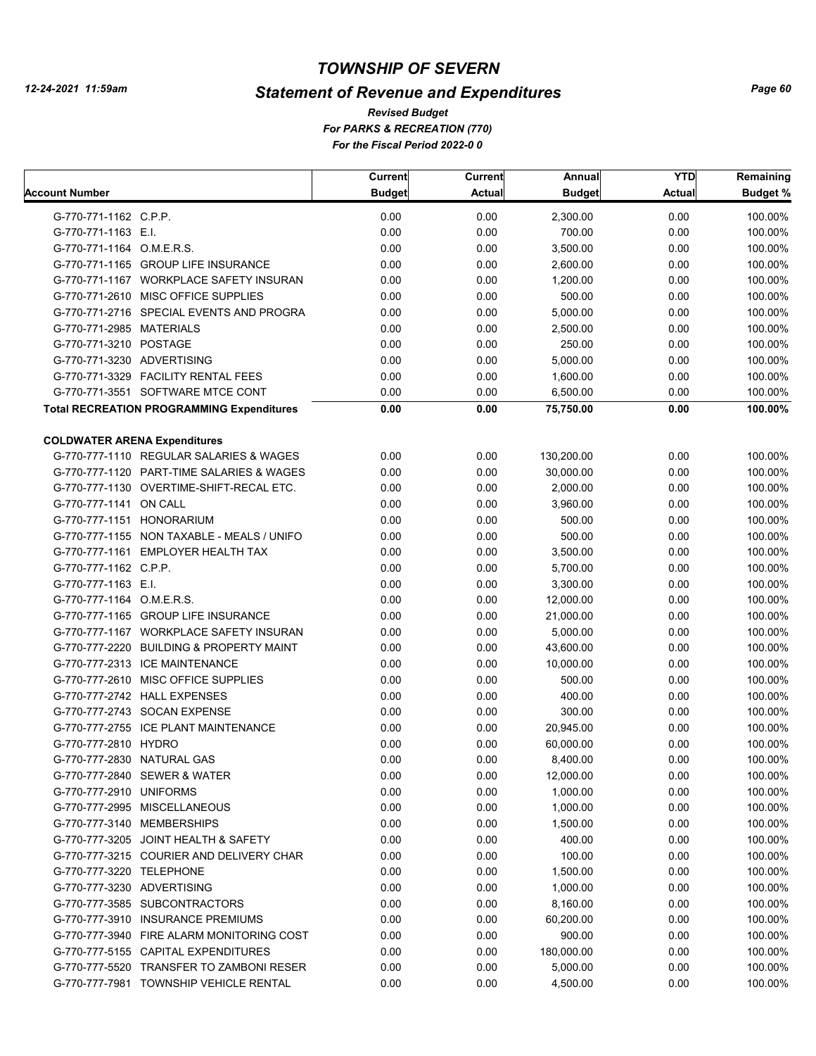# *Statement of Revenue and Expenditures*

*For PARKS & RECREATION (770) For the Fiscal Period 2022-0 0 Revised Budget*

| <b>Actual</b><br><b>Budget</b><br><b>Budget %</b><br><b>Budget</b><br><b>Actual</b><br>0.00<br>0.00<br>0.00<br>100.00%<br>G-770-771-1162 C.P.P.<br>2,300.00<br>0.00<br>0.00<br>700.00<br>0.00<br>G-770-771-1163 E.I.<br>100.00%<br>G-770-771-1164 O.M.E.R.S.<br>0.00<br>0.00<br>0.00<br>100.00%<br>3,500.00<br>0.00<br>0.00<br>0.00<br>100.00%<br>G-770-771-1165 GROUP LIFE INSURANCE<br>2,600.00<br>0.00<br>0.00<br>0.00<br>100.00%<br>G-770-771-1167 WORKPLACE SAFETY INSURAN<br>1,200.00<br>G-770-771-2610 MISC OFFICE SUPPLIES<br>0.00<br>0.00<br>500.00<br>0.00<br>100.00%<br>G-770-771-2716 SPECIAL EVENTS AND PROGRA<br>0.00<br>0.00<br>0.00<br>100.00%<br>5,000.00<br>G-770-771-2985 MATERIALS<br>0.00<br>0.00<br>0.00<br>100.00%<br>2,500.00<br>G-770-771-3210 POSTAGE<br>0.00<br>0.00<br>250.00<br>0.00<br>100.00%<br>G-770-771-3230 ADVERTISING<br>0.00<br>0.00<br>5,000.00<br>0.00<br>100.00%<br>0.00<br>G-770-771-3329 FACILITY RENTAL FEES<br>0.00<br>1,600.00<br>0.00<br>100.00%<br>0.00<br>G-770-771-3551 SOFTWARE MTCE CONT<br>0.00<br>6,500.00<br>0.00<br>100.00%<br><b>Total RECREATION PROGRAMMING Expenditures</b><br>0.00<br>0.00<br>0.00<br>100.00%<br>75,750.00<br><b>COLDWATER ARENA Expenditures</b><br>0.00<br>0.00<br>100.00%<br>G-770-777-1110 REGULAR SALARIES & WAGES<br>0.00<br>130,200.00<br>G-770-777-1120 PART-TIME SALARIES & WAGES<br>0.00<br>0.00<br>0.00<br>30,000.00<br>100.00%<br>0.00<br>0.00<br>0.00<br>G-770-777-1130 OVERTIME-SHIFT-RECAL ETC.<br>2,000.00<br>100.00%<br>0.00<br>0.00<br>G-770-777-1141 ON CALL<br>0.00<br>3,960.00<br>100.00%<br>0.00<br>500.00<br>0.00<br>G-770-777-1151 HONORARIUM<br>0.00<br>100.00%<br>G-770-777-1155 NON TAXABLE - MEALS / UNIFO<br>0.00<br>500.00<br>0.00<br>0.00<br>100.00%<br>G-770-777-1161 EMPLOYER HEALTH TAX<br>0.00<br>0.00<br>0.00<br>3,500.00<br>100.00%<br>0.00<br>0.00<br>G-770-777-1162 C.P.P.<br>0.00<br>5,700.00<br>100.00%<br>0.00<br>0.00<br>G-770-777-1163 E.I.<br>0.00<br>3,300.00<br>100.00%<br>0.00<br>0.00<br>G-770-777-1164 O.M.E.R.S.<br>0.00<br>12,000.00<br>100.00%<br>0.00<br>0.00<br>G-770-777-1165 GROUP LIFE INSURANCE<br>0.00<br>21,000.00<br>100.00%<br>0.00<br>0.00<br>G-770-777-1167 WORKPLACE SAFETY INSURAN<br>0.00<br>5,000.00<br>100.00%<br>0.00<br>0.00<br>G-770-777-2220 BUILDING & PROPERTY MAINT<br>0.00<br>43,600.00<br>100.00%<br>0.00<br>0.00<br>G-770-777-2313 ICE MAINTENANCE<br>0.00<br>10,000.00<br>100.00%<br>0.00<br>G-770-777-2610 MISC OFFICE SUPPLIES<br>0.00<br>500.00<br>0.00<br>100.00%<br>0.00<br>G-770-777-2742 HALL EXPENSES<br>0.00<br>400.00<br>0.00<br>100.00%<br>0.00<br>300.00<br>G-770-777-2743 SOCAN EXPENSE<br>0.00<br>0.00<br>100.00%<br>0.00<br>G-770-777-2755 ICE PLANT MAINTENANCE<br>0.00<br>20,945.00<br>0.00<br>100.00%<br>G-770-777-2810 HYDRO<br>0.00<br>0.00<br>0.00<br>100.00%<br>60,000.00<br>G-770-777-2830 NATURAL GAS<br>0.00<br>0.00<br>8,400.00<br>0.00<br>100.00%<br>G-770-777-2840 SEWER & WATER<br>0.00<br>0.00<br>12,000.00<br>0.00<br>100.00%<br>0.00<br>0.00<br>0.00<br>G-770-777-2910 UNIFORMS<br>1,000.00<br>100.00%<br>0.00<br>0.00<br>0.00<br>G-770-777-2995 MISCELLANEOUS<br>1,000.00<br>100.00%<br>0.00<br>G-770-777-3140 MEMBERSHIPS<br>0.00<br>0.00<br>1,500.00<br>100.00%<br>0.00<br>G-770-777-3205 JOINT HEALTH & SAFETY<br>0.00<br>0.00<br>400.00<br>100.00%<br>100.00<br>0.00<br>G-770-777-3215 COURIER AND DELIVERY CHAR<br>0.00<br>0.00<br>100.00%<br>G-770-777-3220 TELEPHONE<br>0.00<br>0.00<br>0.00<br>1,500.00<br>100.00%<br>G-770-777-3230 ADVERTISING<br>0.00<br>0.00<br>0.00<br>1,000.00<br>100.00%<br>0.00<br>G-770-777-3585 SUBCONTRACTORS<br>0.00<br>0.00<br>8,160.00<br>100.00%<br>0.00<br>G-770-777-3910 INSURANCE PREMIUMS<br>0.00<br>0.00<br>60,200.00<br>100.00%<br>900.00<br>0.00<br>G-770-777-3940 FIRE ALARM MONITORING COST<br>0.00<br>0.00<br>100.00%<br>0.00<br>G-770-777-5155 CAPITAL EXPENDITURES<br>0.00<br>0.00<br>180,000.00<br>100.00%<br>G-770-777-5520 TRANSFER TO ZAMBONI RESER<br>0.00<br>0.00<br>5,000.00<br>0.00<br>100.00%<br>0.00<br>G-770-777-7981 TOWNSHIP VEHICLE RENTAL<br>0.00<br>4,500.00<br>0.00<br>100.00% |                | Current | Current | Annual | <b>YTD</b> | Remaining |
|---------------------------------------------------------------------------------------------------------------------------------------------------------------------------------------------------------------------------------------------------------------------------------------------------------------------------------------------------------------------------------------------------------------------------------------------------------------------------------------------------------------------------------------------------------------------------------------------------------------------------------------------------------------------------------------------------------------------------------------------------------------------------------------------------------------------------------------------------------------------------------------------------------------------------------------------------------------------------------------------------------------------------------------------------------------------------------------------------------------------------------------------------------------------------------------------------------------------------------------------------------------------------------------------------------------------------------------------------------------------------------------------------------------------------------------------------------------------------------------------------------------------------------------------------------------------------------------------------------------------------------------------------------------------------------------------------------------------------------------------------------------------------------------------------------------------------------------------------------------------------------------------------------------------------------------------------------------------------------------------------------------------------------------------------------------------------------------------------------------------------------------------------------------------------------------------------------------------------------------------------------------------------------------------------------------------------------------------------------------------------------------------------------------------------------------------------------------------------------------------------------------------------------------------------------------------------------------------------------------------------------------------------------------------------------------------------------------------------------------------------------------------------------------------------------------------------------------------------------------------------------------------------------------------------------------------------------------------------------------------------------------------------------------------------------------------------------------------------------------------------------------------------------------------------------------------------------------------------------------------------------------------------------------------------------------------------------------------------------------------------------------------------------------------------------------------------------------------------------------------------------------------------------------------------------------------------------------------------------------------------------------------------------------------------------------------------------------------------------------------------------------------------------------------------------------------------------------------------------------------------------------------------------------------------------------------------------------------------------------------------------------------------------------------------------------------------------------------------------------------------------------------------|----------------|---------|---------|--------|------------|-----------|
|                                                                                                                                                                                                                                                                                                                                                                                                                                                                                                                                                                                                                                                                                                                                                                                                                                                                                                                                                                                                                                                                                                                                                                                                                                                                                                                                                                                                                                                                                                                                                                                                                                                                                                                                                                                                                                                                                                                                                                                                                                                                                                                                                                                                                                                                                                                                                                                                                                                                                                                                                                                                                                                                                                                                                                                                                                                                                                                                                                                                                                                                                                                                                                                                                                                                                                                                                                                                                                                                                                                                                                                                                                                                                                                                                                                                                                                                                                                                                                                                                                                                                                                                                   | Account Number |         |         |        |            |           |
|                                                                                                                                                                                                                                                                                                                                                                                                                                                                                                                                                                                                                                                                                                                                                                                                                                                                                                                                                                                                                                                                                                                                                                                                                                                                                                                                                                                                                                                                                                                                                                                                                                                                                                                                                                                                                                                                                                                                                                                                                                                                                                                                                                                                                                                                                                                                                                                                                                                                                                                                                                                                                                                                                                                                                                                                                                                                                                                                                                                                                                                                                                                                                                                                                                                                                                                                                                                                                                                                                                                                                                                                                                                                                                                                                                                                                                                                                                                                                                                                                                                                                                                                                   |                |         |         |        |            |           |
|                                                                                                                                                                                                                                                                                                                                                                                                                                                                                                                                                                                                                                                                                                                                                                                                                                                                                                                                                                                                                                                                                                                                                                                                                                                                                                                                                                                                                                                                                                                                                                                                                                                                                                                                                                                                                                                                                                                                                                                                                                                                                                                                                                                                                                                                                                                                                                                                                                                                                                                                                                                                                                                                                                                                                                                                                                                                                                                                                                                                                                                                                                                                                                                                                                                                                                                                                                                                                                                                                                                                                                                                                                                                                                                                                                                                                                                                                                                                                                                                                                                                                                                                                   |                |         |         |        |            |           |
|                                                                                                                                                                                                                                                                                                                                                                                                                                                                                                                                                                                                                                                                                                                                                                                                                                                                                                                                                                                                                                                                                                                                                                                                                                                                                                                                                                                                                                                                                                                                                                                                                                                                                                                                                                                                                                                                                                                                                                                                                                                                                                                                                                                                                                                                                                                                                                                                                                                                                                                                                                                                                                                                                                                                                                                                                                                                                                                                                                                                                                                                                                                                                                                                                                                                                                                                                                                                                                                                                                                                                                                                                                                                                                                                                                                                                                                                                                                                                                                                                                                                                                                                                   |                |         |         |        |            |           |
|                                                                                                                                                                                                                                                                                                                                                                                                                                                                                                                                                                                                                                                                                                                                                                                                                                                                                                                                                                                                                                                                                                                                                                                                                                                                                                                                                                                                                                                                                                                                                                                                                                                                                                                                                                                                                                                                                                                                                                                                                                                                                                                                                                                                                                                                                                                                                                                                                                                                                                                                                                                                                                                                                                                                                                                                                                                                                                                                                                                                                                                                                                                                                                                                                                                                                                                                                                                                                                                                                                                                                                                                                                                                                                                                                                                                                                                                                                                                                                                                                                                                                                                                                   |                |         |         |        |            |           |
|                                                                                                                                                                                                                                                                                                                                                                                                                                                                                                                                                                                                                                                                                                                                                                                                                                                                                                                                                                                                                                                                                                                                                                                                                                                                                                                                                                                                                                                                                                                                                                                                                                                                                                                                                                                                                                                                                                                                                                                                                                                                                                                                                                                                                                                                                                                                                                                                                                                                                                                                                                                                                                                                                                                                                                                                                                                                                                                                                                                                                                                                                                                                                                                                                                                                                                                                                                                                                                                                                                                                                                                                                                                                                                                                                                                                                                                                                                                                                                                                                                                                                                                                                   |                |         |         |        |            |           |
|                                                                                                                                                                                                                                                                                                                                                                                                                                                                                                                                                                                                                                                                                                                                                                                                                                                                                                                                                                                                                                                                                                                                                                                                                                                                                                                                                                                                                                                                                                                                                                                                                                                                                                                                                                                                                                                                                                                                                                                                                                                                                                                                                                                                                                                                                                                                                                                                                                                                                                                                                                                                                                                                                                                                                                                                                                                                                                                                                                                                                                                                                                                                                                                                                                                                                                                                                                                                                                                                                                                                                                                                                                                                                                                                                                                                                                                                                                                                                                                                                                                                                                                                                   |                |         |         |        |            |           |
|                                                                                                                                                                                                                                                                                                                                                                                                                                                                                                                                                                                                                                                                                                                                                                                                                                                                                                                                                                                                                                                                                                                                                                                                                                                                                                                                                                                                                                                                                                                                                                                                                                                                                                                                                                                                                                                                                                                                                                                                                                                                                                                                                                                                                                                                                                                                                                                                                                                                                                                                                                                                                                                                                                                                                                                                                                                                                                                                                                                                                                                                                                                                                                                                                                                                                                                                                                                                                                                                                                                                                                                                                                                                                                                                                                                                                                                                                                                                                                                                                                                                                                                                                   |                |         |         |        |            |           |
|                                                                                                                                                                                                                                                                                                                                                                                                                                                                                                                                                                                                                                                                                                                                                                                                                                                                                                                                                                                                                                                                                                                                                                                                                                                                                                                                                                                                                                                                                                                                                                                                                                                                                                                                                                                                                                                                                                                                                                                                                                                                                                                                                                                                                                                                                                                                                                                                                                                                                                                                                                                                                                                                                                                                                                                                                                                                                                                                                                                                                                                                                                                                                                                                                                                                                                                                                                                                                                                                                                                                                                                                                                                                                                                                                                                                                                                                                                                                                                                                                                                                                                                                                   |                |         |         |        |            |           |
|                                                                                                                                                                                                                                                                                                                                                                                                                                                                                                                                                                                                                                                                                                                                                                                                                                                                                                                                                                                                                                                                                                                                                                                                                                                                                                                                                                                                                                                                                                                                                                                                                                                                                                                                                                                                                                                                                                                                                                                                                                                                                                                                                                                                                                                                                                                                                                                                                                                                                                                                                                                                                                                                                                                                                                                                                                                                                                                                                                                                                                                                                                                                                                                                                                                                                                                                                                                                                                                                                                                                                                                                                                                                                                                                                                                                                                                                                                                                                                                                                                                                                                                                                   |                |         |         |        |            |           |
|                                                                                                                                                                                                                                                                                                                                                                                                                                                                                                                                                                                                                                                                                                                                                                                                                                                                                                                                                                                                                                                                                                                                                                                                                                                                                                                                                                                                                                                                                                                                                                                                                                                                                                                                                                                                                                                                                                                                                                                                                                                                                                                                                                                                                                                                                                                                                                                                                                                                                                                                                                                                                                                                                                                                                                                                                                                                                                                                                                                                                                                                                                                                                                                                                                                                                                                                                                                                                                                                                                                                                                                                                                                                                                                                                                                                                                                                                                                                                                                                                                                                                                                                                   |                |         |         |        |            |           |
|                                                                                                                                                                                                                                                                                                                                                                                                                                                                                                                                                                                                                                                                                                                                                                                                                                                                                                                                                                                                                                                                                                                                                                                                                                                                                                                                                                                                                                                                                                                                                                                                                                                                                                                                                                                                                                                                                                                                                                                                                                                                                                                                                                                                                                                                                                                                                                                                                                                                                                                                                                                                                                                                                                                                                                                                                                                                                                                                                                                                                                                                                                                                                                                                                                                                                                                                                                                                                                                                                                                                                                                                                                                                                                                                                                                                                                                                                                                                                                                                                                                                                                                                                   |                |         |         |        |            |           |
|                                                                                                                                                                                                                                                                                                                                                                                                                                                                                                                                                                                                                                                                                                                                                                                                                                                                                                                                                                                                                                                                                                                                                                                                                                                                                                                                                                                                                                                                                                                                                                                                                                                                                                                                                                                                                                                                                                                                                                                                                                                                                                                                                                                                                                                                                                                                                                                                                                                                                                                                                                                                                                                                                                                                                                                                                                                                                                                                                                                                                                                                                                                                                                                                                                                                                                                                                                                                                                                                                                                                                                                                                                                                                                                                                                                                                                                                                                                                                                                                                                                                                                                                                   |                |         |         |        |            |           |
|                                                                                                                                                                                                                                                                                                                                                                                                                                                                                                                                                                                                                                                                                                                                                                                                                                                                                                                                                                                                                                                                                                                                                                                                                                                                                                                                                                                                                                                                                                                                                                                                                                                                                                                                                                                                                                                                                                                                                                                                                                                                                                                                                                                                                                                                                                                                                                                                                                                                                                                                                                                                                                                                                                                                                                                                                                                                                                                                                                                                                                                                                                                                                                                                                                                                                                                                                                                                                                                                                                                                                                                                                                                                                                                                                                                                                                                                                                                                                                                                                                                                                                                                                   |                |         |         |        |            |           |
|                                                                                                                                                                                                                                                                                                                                                                                                                                                                                                                                                                                                                                                                                                                                                                                                                                                                                                                                                                                                                                                                                                                                                                                                                                                                                                                                                                                                                                                                                                                                                                                                                                                                                                                                                                                                                                                                                                                                                                                                                                                                                                                                                                                                                                                                                                                                                                                                                                                                                                                                                                                                                                                                                                                                                                                                                                                                                                                                                                                                                                                                                                                                                                                                                                                                                                                                                                                                                                                                                                                                                                                                                                                                                                                                                                                                                                                                                                                                                                                                                                                                                                                                                   |                |         |         |        |            |           |
|                                                                                                                                                                                                                                                                                                                                                                                                                                                                                                                                                                                                                                                                                                                                                                                                                                                                                                                                                                                                                                                                                                                                                                                                                                                                                                                                                                                                                                                                                                                                                                                                                                                                                                                                                                                                                                                                                                                                                                                                                                                                                                                                                                                                                                                                                                                                                                                                                                                                                                                                                                                                                                                                                                                                                                                                                                                                                                                                                                                                                                                                                                                                                                                                                                                                                                                                                                                                                                                                                                                                                                                                                                                                                                                                                                                                                                                                                                                                                                                                                                                                                                                                                   |                |         |         |        |            |           |
|                                                                                                                                                                                                                                                                                                                                                                                                                                                                                                                                                                                                                                                                                                                                                                                                                                                                                                                                                                                                                                                                                                                                                                                                                                                                                                                                                                                                                                                                                                                                                                                                                                                                                                                                                                                                                                                                                                                                                                                                                                                                                                                                                                                                                                                                                                                                                                                                                                                                                                                                                                                                                                                                                                                                                                                                                                                                                                                                                                                                                                                                                                                                                                                                                                                                                                                                                                                                                                                                                                                                                                                                                                                                                                                                                                                                                                                                                                                                                                                                                                                                                                                                                   |                |         |         |        |            |           |
|                                                                                                                                                                                                                                                                                                                                                                                                                                                                                                                                                                                                                                                                                                                                                                                                                                                                                                                                                                                                                                                                                                                                                                                                                                                                                                                                                                                                                                                                                                                                                                                                                                                                                                                                                                                                                                                                                                                                                                                                                                                                                                                                                                                                                                                                                                                                                                                                                                                                                                                                                                                                                                                                                                                                                                                                                                                                                                                                                                                                                                                                                                                                                                                                                                                                                                                                                                                                                                                                                                                                                                                                                                                                                                                                                                                                                                                                                                                                                                                                                                                                                                                                                   |                |         |         |        |            |           |
|                                                                                                                                                                                                                                                                                                                                                                                                                                                                                                                                                                                                                                                                                                                                                                                                                                                                                                                                                                                                                                                                                                                                                                                                                                                                                                                                                                                                                                                                                                                                                                                                                                                                                                                                                                                                                                                                                                                                                                                                                                                                                                                                                                                                                                                                                                                                                                                                                                                                                                                                                                                                                                                                                                                                                                                                                                                                                                                                                                                                                                                                                                                                                                                                                                                                                                                                                                                                                                                                                                                                                                                                                                                                                                                                                                                                                                                                                                                                                                                                                                                                                                                                                   |                |         |         |        |            |           |
|                                                                                                                                                                                                                                                                                                                                                                                                                                                                                                                                                                                                                                                                                                                                                                                                                                                                                                                                                                                                                                                                                                                                                                                                                                                                                                                                                                                                                                                                                                                                                                                                                                                                                                                                                                                                                                                                                                                                                                                                                                                                                                                                                                                                                                                                                                                                                                                                                                                                                                                                                                                                                                                                                                                                                                                                                                                                                                                                                                                                                                                                                                                                                                                                                                                                                                                                                                                                                                                                                                                                                                                                                                                                                                                                                                                                                                                                                                                                                                                                                                                                                                                                                   |                |         |         |        |            |           |
|                                                                                                                                                                                                                                                                                                                                                                                                                                                                                                                                                                                                                                                                                                                                                                                                                                                                                                                                                                                                                                                                                                                                                                                                                                                                                                                                                                                                                                                                                                                                                                                                                                                                                                                                                                                                                                                                                                                                                                                                                                                                                                                                                                                                                                                                                                                                                                                                                                                                                                                                                                                                                                                                                                                                                                                                                                                                                                                                                                                                                                                                                                                                                                                                                                                                                                                                                                                                                                                                                                                                                                                                                                                                                                                                                                                                                                                                                                                                                                                                                                                                                                                                                   |                |         |         |        |            |           |
|                                                                                                                                                                                                                                                                                                                                                                                                                                                                                                                                                                                                                                                                                                                                                                                                                                                                                                                                                                                                                                                                                                                                                                                                                                                                                                                                                                                                                                                                                                                                                                                                                                                                                                                                                                                                                                                                                                                                                                                                                                                                                                                                                                                                                                                                                                                                                                                                                                                                                                                                                                                                                                                                                                                                                                                                                                                                                                                                                                                                                                                                                                                                                                                                                                                                                                                                                                                                                                                                                                                                                                                                                                                                                                                                                                                                                                                                                                                                                                                                                                                                                                                                                   |                |         |         |        |            |           |
|                                                                                                                                                                                                                                                                                                                                                                                                                                                                                                                                                                                                                                                                                                                                                                                                                                                                                                                                                                                                                                                                                                                                                                                                                                                                                                                                                                                                                                                                                                                                                                                                                                                                                                                                                                                                                                                                                                                                                                                                                                                                                                                                                                                                                                                                                                                                                                                                                                                                                                                                                                                                                                                                                                                                                                                                                                                                                                                                                                                                                                                                                                                                                                                                                                                                                                                                                                                                                                                                                                                                                                                                                                                                                                                                                                                                                                                                                                                                                                                                                                                                                                                                                   |                |         |         |        |            |           |
|                                                                                                                                                                                                                                                                                                                                                                                                                                                                                                                                                                                                                                                                                                                                                                                                                                                                                                                                                                                                                                                                                                                                                                                                                                                                                                                                                                                                                                                                                                                                                                                                                                                                                                                                                                                                                                                                                                                                                                                                                                                                                                                                                                                                                                                                                                                                                                                                                                                                                                                                                                                                                                                                                                                                                                                                                                                                                                                                                                                                                                                                                                                                                                                                                                                                                                                                                                                                                                                                                                                                                                                                                                                                                                                                                                                                                                                                                                                                                                                                                                                                                                                                                   |                |         |         |        |            |           |
|                                                                                                                                                                                                                                                                                                                                                                                                                                                                                                                                                                                                                                                                                                                                                                                                                                                                                                                                                                                                                                                                                                                                                                                                                                                                                                                                                                                                                                                                                                                                                                                                                                                                                                                                                                                                                                                                                                                                                                                                                                                                                                                                                                                                                                                                                                                                                                                                                                                                                                                                                                                                                                                                                                                                                                                                                                                                                                                                                                                                                                                                                                                                                                                                                                                                                                                                                                                                                                                                                                                                                                                                                                                                                                                                                                                                                                                                                                                                                                                                                                                                                                                                                   |                |         |         |        |            |           |
|                                                                                                                                                                                                                                                                                                                                                                                                                                                                                                                                                                                                                                                                                                                                                                                                                                                                                                                                                                                                                                                                                                                                                                                                                                                                                                                                                                                                                                                                                                                                                                                                                                                                                                                                                                                                                                                                                                                                                                                                                                                                                                                                                                                                                                                                                                                                                                                                                                                                                                                                                                                                                                                                                                                                                                                                                                                                                                                                                                                                                                                                                                                                                                                                                                                                                                                                                                                                                                                                                                                                                                                                                                                                                                                                                                                                                                                                                                                                                                                                                                                                                                                                                   |                |         |         |        |            |           |
|                                                                                                                                                                                                                                                                                                                                                                                                                                                                                                                                                                                                                                                                                                                                                                                                                                                                                                                                                                                                                                                                                                                                                                                                                                                                                                                                                                                                                                                                                                                                                                                                                                                                                                                                                                                                                                                                                                                                                                                                                                                                                                                                                                                                                                                                                                                                                                                                                                                                                                                                                                                                                                                                                                                                                                                                                                                                                                                                                                                                                                                                                                                                                                                                                                                                                                                                                                                                                                                                                                                                                                                                                                                                                                                                                                                                                                                                                                                                                                                                                                                                                                                                                   |                |         |         |        |            |           |
|                                                                                                                                                                                                                                                                                                                                                                                                                                                                                                                                                                                                                                                                                                                                                                                                                                                                                                                                                                                                                                                                                                                                                                                                                                                                                                                                                                                                                                                                                                                                                                                                                                                                                                                                                                                                                                                                                                                                                                                                                                                                                                                                                                                                                                                                                                                                                                                                                                                                                                                                                                                                                                                                                                                                                                                                                                                                                                                                                                                                                                                                                                                                                                                                                                                                                                                                                                                                                                                                                                                                                                                                                                                                                                                                                                                                                                                                                                                                                                                                                                                                                                                                                   |                |         |         |        |            |           |
|                                                                                                                                                                                                                                                                                                                                                                                                                                                                                                                                                                                                                                                                                                                                                                                                                                                                                                                                                                                                                                                                                                                                                                                                                                                                                                                                                                                                                                                                                                                                                                                                                                                                                                                                                                                                                                                                                                                                                                                                                                                                                                                                                                                                                                                                                                                                                                                                                                                                                                                                                                                                                                                                                                                                                                                                                                                                                                                                                                                                                                                                                                                                                                                                                                                                                                                                                                                                                                                                                                                                                                                                                                                                                                                                                                                                                                                                                                                                                                                                                                                                                                                                                   |                |         |         |        |            |           |
|                                                                                                                                                                                                                                                                                                                                                                                                                                                                                                                                                                                                                                                                                                                                                                                                                                                                                                                                                                                                                                                                                                                                                                                                                                                                                                                                                                                                                                                                                                                                                                                                                                                                                                                                                                                                                                                                                                                                                                                                                                                                                                                                                                                                                                                                                                                                                                                                                                                                                                                                                                                                                                                                                                                                                                                                                                                                                                                                                                                                                                                                                                                                                                                                                                                                                                                                                                                                                                                                                                                                                                                                                                                                                                                                                                                                                                                                                                                                                                                                                                                                                                                                                   |                |         |         |        |            |           |
|                                                                                                                                                                                                                                                                                                                                                                                                                                                                                                                                                                                                                                                                                                                                                                                                                                                                                                                                                                                                                                                                                                                                                                                                                                                                                                                                                                                                                                                                                                                                                                                                                                                                                                                                                                                                                                                                                                                                                                                                                                                                                                                                                                                                                                                                                                                                                                                                                                                                                                                                                                                                                                                                                                                                                                                                                                                                                                                                                                                                                                                                                                                                                                                                                                                                                                                                                                                                                                                                                                                                                                                                                                                                                                                                                                                                                                                                                                                                                                                                                                                                                                                                                   |                |         |         |        |            |           |
|                                                                                                                                                                                                                                                                                                                                                                                                                                                                                                                                                                                                                                                                                                                                                                                                                                                                                                                                                                                                                                                                                                                                                                                                                                                                                                                                                                                                                                                                                                                                                                                                                                                                                                                                                                                                                                                                                                                                                                                                                                                                                                                                                                                                                                                                                                                                                                                                                                                                                                                                                                                                                                                                                                                                                                                                                                                                                                                                                                                                                                                                                                                                                                                                                                                                                                                                                                                                                                                                                                                                                                                                                                                                                                                                                                                                                                                                                                                                                                                                                                                                                                                                                   |                |         |         |        |            |           |
|                                                                                                                                                                                                                                                                                                                                                                                                                                                                                                                                                                                                                                                                                                                                                                                                                                                                                                                                                                                                                                                                                                                                                                                                                                                                                                                                                                                                                                                                                                                                                                                                                                                                                                                                                                                                                                                                                                                                                                                                                                                                                                                                                                                                                                                                                                                                                                                                                                                                                                                                                                                                                                                                                                                                                                                                                                                                                                                                                                                                                                                                                                                                                                                                                                                                                                                                                                                                                                                                                                                                                                                                                                                                                                                                                                                                                                                                                                                                                                                                                                                                                                                                                   |                |         |         |        |            |           |
|                                                                                                                                                                                                                                                                                                                                                                                                                                                                                                                                                                                                                                                                                                                                                                                                                                                                                                                                                                                                                                                                                                                                                                                                                                                                                                                                                                                                                                                                                                                                                                                                                                                                                                                                                                                                                                                                                                                                                                                                                                                                                                                                                                                                                                                                                                                                                                                                                                                                                                                                                                                                                                                                                                                                                                                                                                                                                                                                                                                                                                                                                                                                                                                                                                                                                                                                                                                                                                                                                                                                                                                                                                                                                                                                                                                                                                                                                                                                                                                                                                                                                                                                                   |                |         |         |        |            |           |
|                                                                                                                                                                                                                                                                                                                                                                                                                                                                                                                                                                                                                                                                                                                                                                                                                                                                                                                                                                                                                                                                                                                                                                                                                                                                                                                                                                                                                                                                                                                                                                                                                                                                                                                                                                                                                                                                                                                                                                                                                                                                                                                                                                                                                                                                                                                                                                                                                                                                                                                                                                                                                                                                                                                                                                                                                                                                                                                                                                                                                                                                                                                                                                                                                                                                                                                                                                                                                                                                                                                                                                                                                                                                                                                                                                                                                                                                                                                                                                                                                                                                                                                                                   |                |         |         |        |            |           |
|                                                                                                                                                                                                                                                                                                                                                                                                                                                                                                                                                                                                                                                                                                                                                                                                                                                                                                                                                                                                                                                                                                                                                                                                                                                                                                                                                                                                                                                                                                                                                                                                                                                                                                                                                                                                                                                                                                                                                                                                                                                                                                                                                                                                                                                                                                                                                                                                                                                                                                                                                                                                                                                                                                                                                                                                                                                                                                                                                                                                                                                                                                                                                                                                                                                                                                                                                                                                                                                                                                                                                                                                                                                                                                                                                                                                                                                                                                                                                                                                                                                                                                                                                   |                |         |         |        |            |           |
|                                                                                                                                                                                                                                                                                                                                                                                                                                                                                                                                                                                                                                                                                                                                                                                                                                                                                                                                                                                                                                                                                                                                                                                                                                                                                                                                                                                                                                                                                                                                                                                                                                                                                                                                                                                                                                                                                                                                                                                                                                                                                                                                                                                                                                                                                                                                                                                                                                                                                                                                                                                                                                                                                                                                                                                                                                                                                                                                                                                                                                                                                                                                                                                                                                                                                                                                                                                                                                                                                                                                                                                                                                                                                                                                                                                                                                                                                                                                                                                                                                                                                                                                                   |                |         |         |        |            |           |
|                                                                                                                                                                                                                                                                                                                                                                                                                                                                                                                                                                                                                                                                                                                                                                                                                                                                                                                                                                                                                                                                                                                                                                                                                                                                                                                                                                                                                                                                                                                                                                                                                                                                                                                                                                                                                                                                                                                                                                                                                                                                                                                                                                                                                                                                                                                                                                                                                                                                                                                                                                                                                                                                                                                                                                                                                                                                                                                                                                                                                                                                                                                                                                                                                                                                                                                                                                                                                                                                                                                                                                                                                                                                                                                                                                                                                                                                                                                                                                                                                                                                                                                                                   |                |         |         |        |            |           |
|                                                                                                                                                                                                                                                                                                                                                                                                                                                                                                                                                                                                                                                                                                                                                                                                                                                                                                                                                                                                                                                                                                                                                                                                                                                                                                                                                                                                                                                                                                                                                                                                                                                                                                                                                                                                                                                                                                                                                                                                                                                                                                                                                                                                                                                                                                                                                                                                                                                                                                                                                                                                                                                                                                                                                                                                                                                                                                                                                                                                                                                                                                                                                                                                                                                                                                                                                                                                                                                                                                                                                                                                                                                                                                                                                                                                                                                                                                                                                                                                                                                                                                                                                   |                |         |         |        |            |           |
|                                                                                                                                                                                                                                                                                                                                                                                                                                                                                                                                                                                                                                                                                                                                                                                                                                                                                                                                                                                                                                                                                                                                                                                                                                                                                                                                                                                                                                                                                                                                                                                                                                                                                                                                                                                                                                                                                                                                                                                                                                                                                                                                                                                                                                                                                                                                                                                                                                                                                                                                                                                                                                                                                                                                                                                                                                                                                                                                                                                                                                                                                                                                                                                                                                                                                                                                                                                                                                                                                                                                                                                                                                                                                                                                                                                                                                                                                                                                                                                                                                                                                                                                                   |                |         |         |        |            |           |
|                                                                                                                                                                                                                                                                                                                                                                                                                                                                                                                                                                                                                                                                                                                                                                                                                                                                                                                                                                                                                                                                                                                                                                                                                                                                                                                                                                                                                                                                                                                                                                                                                                                                                                                                                                                                                                                                                                                                                                                                                                                                                                                                                                                                                                                                                                                                                                                                                                                                                                                                                                                                                                                                                                                                                                                                                                                                                                                                                                                                                                                                                                                                                                                                                                                                                                                                                                                                                                                                                                                                                                                                                                                                                                                                                                                                                                                                                                                                                                                                                                                                                                                                                   |                |         |         |        |            |           |
|                                                                                                                                                                                                                                                                                                                                                                                                                                                                                                                                                                                                                                                                                                                                                                                                                                                                                                                                                                                                                                                                                                                                                                                                                                                                                                                                                                                                                                                                                                                                                                                                                                                                                                                                                                                                                                                                                                                                                                                                                                                                                                                                                                                                                                                                                                                                                                                                                                                                                                                                                                                                                                                                                                                                                                                                                                                                                                                                                                                                                                                                                                                                                                                                                                                                                                                                                                                                                                                                                                                                                                                                                                                                                                                                                                                                                                                                                                                                                                                                                                                                                                                                                   |                |         |         |        |            |           |
|                                                                                                                                                                                                                                                                                                                                                                                                                                                                                                                                                                                                                                                                                                                                                                                                                                                                                                                                                                                                                                                                                                                                                                                                                                                                                                                                                                                                                                                                                                                                                                                                                                                                                                                                                                                                                                                                                                                                                                                                                                                                                                                                                                                                                                                                                                                                                                                                                                                                                                                                                                                                                                                                                                                                                                                                                                                                                                                                                                                                                                                                                                                                                                                                                                                                                                                                                                                                                                                                                                                                                                                                                                                                                                                                                                                                                                                                                                                                                                                                                                                                                                                                                   |                |         |         |        |            |           |
|                                                                                                                                                                                                                                                                                                                                                                                                                                                                                                                                                                                                                                                                                                                                                                                                                                                                                                                                                                                                                                                                                                                                                                                                                                                                                                                                                                                                                                                                                                                                                                                                                                                                                                                                                                                                                                                                                                                                                                                                                                                                                                                                                                                                                                                                                                                                                                                                                                                                                                                                                                                                                                                                                                                                                                                                                                                                                                                                                                                                                                                                                                                                                                                                                                                                                                                                                                                                                                                                                                                                                                                                                                                                                                                                                                                                                                                                                                                                                                                                                                                                                                                                                   |                |         |         |        |            |           |
|                                                                                                                                                                                                                                                                                                                                                                                                                                                                                                                                                                                                                                                                                                                                                                                                                                                                                                                                                                                                                                                                                                                                                                                                                                                                                                                                                                                                                                                                                                                                                                                                                                                                                                                                                                                                                                                                                                                                                                                                                                                                                                                                                                                                                                                                                                                                                                                                                                                                                                                                                                                                                                                                                                                                                                                                                                                                                                                                                                                                                                                                                                                                                                                                                                                                                                                                                                                                                                                                                                                                                                                                                                                                                                                                                                                                                                                                                                                                                                                                                                                                                                                                                   |                |         |         |        |            |           |
|                                                                                                                                                                                                                                                                                                                                                                                                                                                                                                                                                                                                                                                                                                                                                                                                                                                                                                                                                                                                                                                                                                                                                                                                                                                                                                                                                                                                                                                                                                                                                                                                                                                                                                                                                                                                                                                                                                                                                                                                                                                                                                                                                                                                                                                                                                                                                                                                                                                                                                                                                                                                                                                                                                                                                                                                                                                                                                                                                                                                                                                                                                                                                                                                                                                                                                                                                                                                                                                                                                                                                                                                                                                                                                                                                                                                                                                                                                                                                                                                                                                                                                                                                   |                |         |         |        |            |           |
|                                                                                                                                                                                                                                                                                                                                                                                                                                                                                                                                                                                                                                                                                                                                                                                                                                                                                                                                                                                                                                                                                                                                                                                                                                                                                                                                                                                                                                                                                                                                                                                                                                                                                                                                                                                                                                                                                                                                                                                                                                                                                                                                                                                                                                                                                                                                                                                                                                                                                                                                                                                                                                                                                                                                                                                                                                                                                                                                                                                                                                                                                                                                                                                                                                                                                                                                                                                                                                                                                                                                                                                                                                                                                                                                                                                                                                                                                                                                                                                                                                                                                                                                                   |                |         |         |        |            |           |
|                                                                                                                                                                                                                                                                                                                                                                                                                                                                                                                                                                                                                                                                                                                                                                                                                                                                                                                                                                                                                                                                                                                                                                                                                                                                                                                                                                                                                                                                                                                                                                                                                                                                                                                                                                                                                                                                                                                                                                                                                                                                                                                                                                                                                                                                                                                                                                                                                                                                                                                                                                                                                                                                                                                                                                                                                                                                                                                                                                                                                                                                                                                                                                                                                                                                                                                                                                                                                                                                                                                                                                                                                                                                                                                                                                                                                                                                                                                                                                                                                                                                                                                                                   |                |         |         |        |            |           |
|                                                                                                                                                                                                                                                                                                                                                                                                                                                                                                                                                                                                                                                                                                                                                                                                                                                                                                                                                                                                                                                                                                                                                                                                                                                                                                                                                                                                                                                                                                                                                                                                                                                                                                                                                                                                                                                                                                                                                                                                                                                                                                                                                                                                                                                                                                                                                                                                                                                                                                                                                                                                                                                                                                                                                                                                                                                                                                                                                                                                                                                                                                                                                                                                                                                                                                                                                                                                                                                                                                                                                                                                                                                                                                                                                                                                                                                                                                                                                                                                                                                                                                                                                   |                |         |         |        |            |           |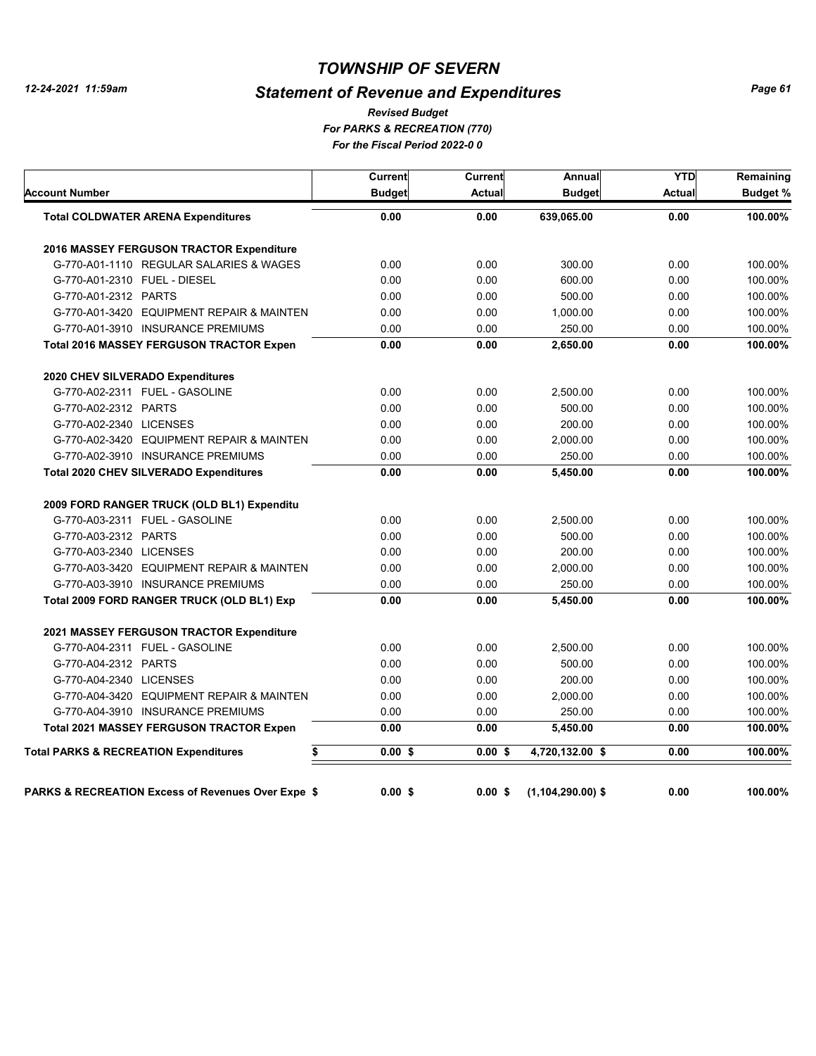# *Statement of Revenue and Expenditures*

*For PARKS & RECREATION (770) For the Fiscal Period 2022-0 0 Revised Budget*

| Current<br><b>Budget</b>                                                                                                                                                                                                                          | <b>Current</b><br>Actual | Annual<br><b>Budget</b> | <b>YTD</b><br><b>Actual</b> | Remaining<br><b>Budget %</b> |
|---------------------------------------------------------------------------------------------------------------------------------------------------------------------------------------------------------------------------------------------------|--------------------------|-------------------------|-----------------------------|------------------------------|
| 0.00                                                                                                                                                                                                                                              | 0.00                     | 639,065.00              | 0.00                        | 100.00%                      |
|                                                                                                                                                                                                                                                   |                          |                         |                             |                              |
| 0.00                                                                                                                                                                                                                                              | 0.00                     | 300.00                  | 0.00                        | 100.00%                      |
| 0.00                                                                                                                                                                                                                                              | 0.00                     | 600.00                  | 0.00                        | 100.00%                      |
| 0.00                                                                                                                                                                                                                                              | 0.00                     | 500.00                  | 0.00                        | 100.00%                      |
| 0.00                                                                                                                                                                                                                                              | 0.00                     | 1,000.00                | 0.00                        | 100.00%                      |
| 0.00                                                                                                                                                                                                                                              | 0.00                     | 250.00                  | 0.00                        | 100.00%                      |
| 0.00                                                                                                                                                                                                                                              | 0.00                     | 2,650.00                | 0.00                        | 100.00%                      |
|                                                                                                                                                                                                                                                   |                          |                         |                             |                              |
| 0.00                                                                                                                                                                                                                                              | 0.00                     | 2,500.00                | 0.00                        | 100.00%                      |
| 0.00                                                                                                                                                                                                                                              | 0.00                     | 500.00                  | 0.00                        | 100.00%                      |
| 0.00                                                                                                                                                                                                                                              | 0.00                     | 200.00                  | 0.00                        | 100.00%                      |
| 0.00                                                                                                                                                                                                                                              | 0.00                     | 2,000.00                | 0.00                        | 100.00%                      |
| 0.00                                                                                                                                                                                                                                              | 0.00                     | 250.00                  | 0.00                        | 100.00%                      |
| 0.00                                                                                                                                                                                                                                              | 0.00                     | 5.450.00                | 0.00                        | 100.00%                      |
|                                                                                                                                                                                                                                                   |                          |                         |                             |                              |
| 0.00                                                                                                                                                                                                                                              | 0.00                     | 2,500.00                | 0.00                        | 100.00%                      |
| 0.00                                                                                                                                                                                                                                              | 0.00                     | 500.00                  | 0.00                        | 100.00%                      |
| 0.00                                                                                                                                                                                                                                              | 0.00                     | 200.00                  | 0.00                        | 100.00%                      |
| 0.00                                                                                                                                                                                                                                              | 0.00                     | 2.000.00                | 0.00                        | 100.00%                      |
| 0.00                                                                                                                                                                                                                                              | 0.00                     | 250.00                  | 0.00                        | 100.00%                      |
| 0.00                                                                                                                                                                                                                                              | 0.00                     | 5,450.00                | 0.00                        | 100.00%                      |
|                                                                                                                                                                                                                                                   |                          |                         |                             |                              |
| 0.00                                                                                                                                                                                                                                              | 0.00                     | 2.500.00                | 0.00                        | 100.00%                      |
| 0.00                                                                                                                                                                                                                                              | 0.00                     | 500.00                  | 0.00                        | 100.00%                      |
| 0.00                                                                                                                                                                                                                                              | 0.00                     | 200.00                  | 0.00                        | 100.00%                      |
| 0.00                                                                                                                                                                                                                                              | 0.00                     | 2,000.00                | 0.00                        | 100.00%                      |
| 0.00                                                                                                                                                                                                                                              | 0.00                     | 250.00                  | 0.00                        | 100.00%                      |
| 0.00                                                                                                                                                                                                                                              | 0.00                     | 5,450.00                | 0.00                        | 100.00%                      |
| \$<br>$0.00$ \$                                                                                                                                                                                                                                   | $0.00$ \$                | 4,720,132.00 \$         | 0.00                        | 100.00%                      |
|                                                                                                                                                                                                                                                   | 0.00S                    |                         | 0.00                        | 100.00%                      |
| G-770-A01-3420 EQUIPMENT REPAIR & MAINTEN<br>G-770-A02-3420 EQUIPMENT REPAIR & MAINTEN<br>G-770-A03-3420 EQUIPMENT REPAIR & MAINTEN<br>G-770-A04-3420 EQUIPMENT REPAIR & MAINTEN<br><b>PARKS &amp; RECREATION Excess of Revenues Over Expe \$</b> | $0.00$ \$                |                         | $(1,104,290.00)$ \$         |                              |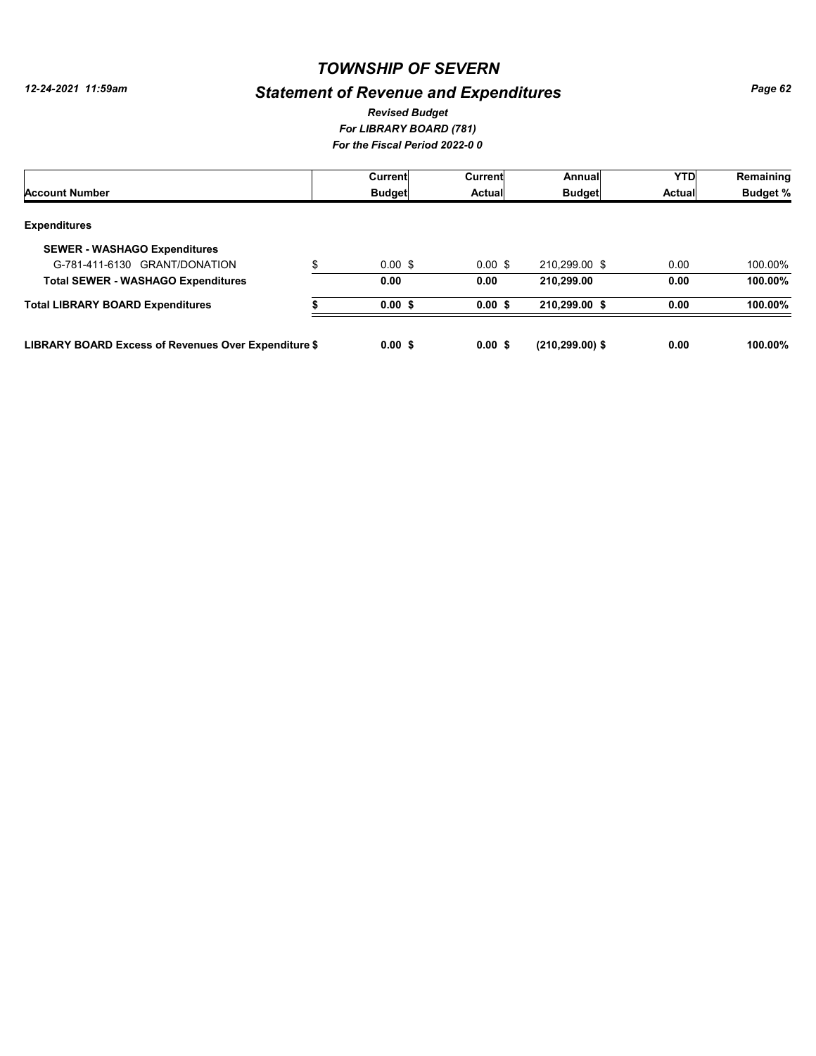# *Statement of Revenue and Expenditures*

#### *For LIBRARY BOARD (781) For the Fiscal Period 2022-0 0 Revised Budget*

|                                                      | Current            | <b>Current</b> | Annual            | YTD           | Remaining       |
|------------------------------------------------------|--------------------|----------------|-------------------|---------------|-----------------|
| <b>Account Number</b>                                | <b>Budget</b>      | Actual         | <b>Budget</b>     | <b>Actual</b> | <b>Budget %</b> |
| <b>Expenditures</b>                                  |                    |                |                   |               |                 |
| <b>SEWER - WASHAGO Expenditures</b>                  |                    |                |                   |               |                 |
| G-781-411-6130 GRANT/DONATION<br>\$                  | $0.00 \text{ }$ \$ | $0.00$ \$      | 210,299.00 \$     | 0.00          | 100.00%         |
| <b>Total SEWER - WASHAGO Expenditures</b>            | 0.00               | 0.00           | 210.299.00        | 0.00          | 100.00%         |
| <b>Total LIBRARY BOARD Expenditures</b>              | 0.00S              | 0.00S          | 210,299.00 \$     | 0.00          | 100.00%         |
| LIBRARY BOARD Excess of Revenues Over Expenditure \$ | 0.00S              | 0.00S          | $(210.299.00)$ \$ | 0.00          | 100.00%         |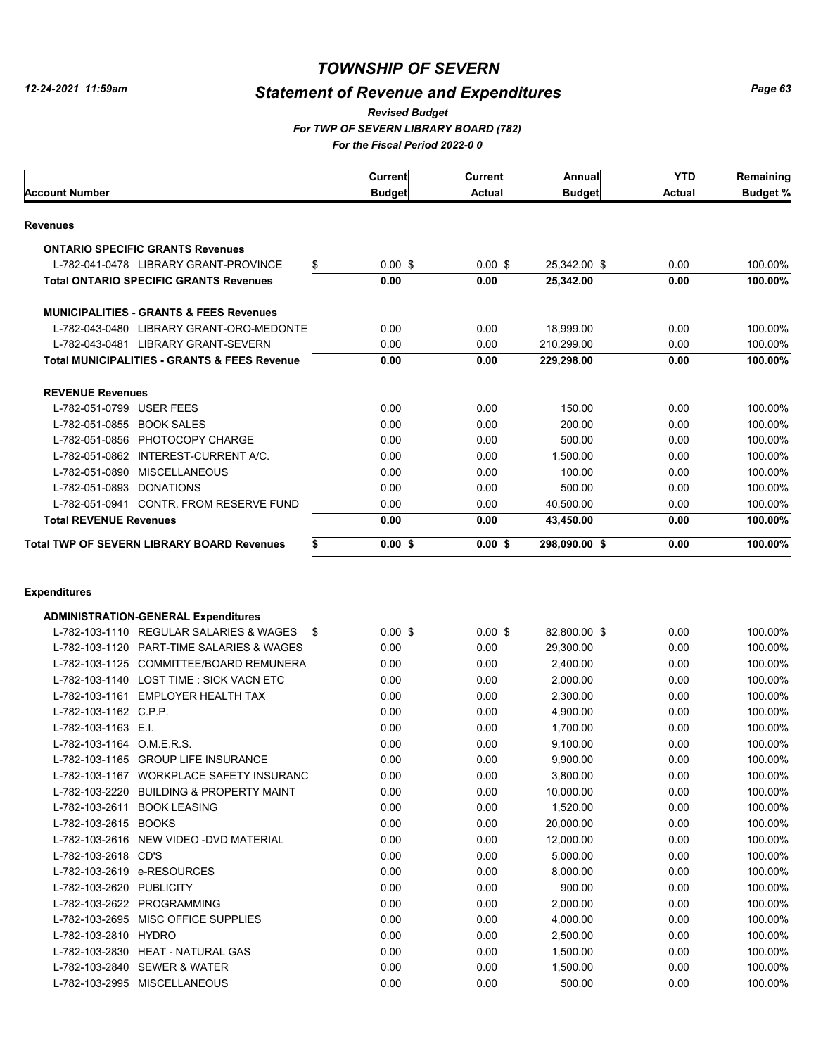$\Gamma$ 

### *TOWNSHIP OF SEVERN*

# *Statement of Revenue and Expenditures*

*For TWP OF SEVERN LIBRARY BOARD (782) For the Fiscal Period 2022-0 0 Revised Budget*

| Account Number                                          | <b>Current</b><br><b>Budget</b> | Current<br><b>Actual</b> | Annual<br><b>Budget</b> | <b>YTD</b><br>Actual | Remaining<br><b>Budget %</b> |
|---------------------------------------------------------|---------------------------------|--------------------------|-------------------------|----------------------|------------------------------|
| Revenues                                                |                                 |                          |                         |                      |                              |
| <b>ONTARIO SPECIFIC GRANTS Revenues</b>                 |                                 |                          |                         |                      |                              |
| L-782-041-0478 LIBRARY GRANT-PROVINCE<br>\$             | $0.00$ \$                       | $0.00$ \$                | 25,342.00 \$            | 0.00                 | 100.00%                      |
| <b>Total ONTARIO SPECIFIC GRANTS Revenues</b>           | 0.00                            | 0.00                     | 25,342.00               | 0.00                 | 100.00%                      |
|                                                         |                                 |                          |                         |                      |                              |
| <b>MUNICIPALITIES - GRANTS &amp; FEES Revenues</b>      |                                 |                          |                         |                      |                              |
| L-782-043-0480 LIBRARY GRANT-ORO-MEDONTE                | 0.00                            | 0.00                     | 18,999.00               | 0.00                 | 100.00%                      |
| L-782-043-0481 LIBRARY GRANT-SEVERN                     | 0.00                            | 0.00                     | 210,299.00              | 0.00                 | 100.00%                      |
| <b>Total MUNICIPALITIES - GRANTS &amp; FEES Revenue</b> | 0.00                            | 0.00                     | 229,298.00              | 0.00                 | 100.00%                      |
| <b>REVENUE Revenues</b>                                 |                                 |                          |                         |                      |                              |
| L-782-051-0799 USER FEES                                | 0.00                            | 0.00                     | 150.00                  | 0.00                 | 100.00%                      |
| L-782-051-0855 BOOK SALES                               | 0.00                            | 0.00                     | 200.00                  | 0.00                 | 100.00%                      |
| L-782-051-0856 PHOTOCOPY CHARGE                         | 0.00                            | 0.00                     | 500.00                  | 0.00                 | 100.00%                      |
| L-782-051-0862 INTEREST-CURRENT A/C.                    | 0.00                            | 0.00                     | 1,500.00                | 0.00                 | 100.00%                      |
| L-782-051-0890 MISCELLANEOUS                            | 0.00                            | 0.00                     | 100.00                  | 0.00                 | 100.00%                      |
| L-782-051-0893 DONATIONS                                | 0.00                            | 0.00                     | 500.00                  | 0.00                 | 100.00%                      |
| L-782-051-0941 CONTR. FROM RESERVE FUND                 | 0.00                            | 0.00                     | 40,500.00               | 0.00                 | 100.00%                      |
| <b>Total REVENUE Revenues</b>                           | 0.00                            | 0.00                     | 43,450.00               | 0.00                 | 100.00%                      |
| Total TWP OF SEVERN LIBRARY BOARD Revenues              | $0.00$ \$                       | $0.00$ \$                | 298,090.00 \$           | 0.00                 | 100.00%                      |
| \$                                                      |                                 |                          |                         |                      |                              |
| Expenditures                                            |                                 |                          |                         |                      |                              |
| <b>ADMINISTRATION-GENERAL Expenditures</b>              | $0.00$ \$                       |                          |                         | 0.00                 |                              |
| L-782-103-1110 REGULAR SALARIES & WAGES<br>-\$          |                                 | $0.00$ \$                | 82,800.00 \$            |                      | 100.00%                      |
| L-782-103-1120 PART-TIME SALARIES & WAGES               | 0.00                            | 0.00                     | 29,300.00               | 0.00                 | 100.00%                      |
| L-782-103-1125 COMMITTEE/BOARD REMUNERA                 | 0.00                            | 0.00                     | 2,400.00                | 0.00                 | 100.00%                      |
| L-782-103-1140 LOST TIME: SICK VACN ETC                 | 0.00                            | 0.00                     | 2,000.00                | 0.00                 | 100.00%                      |
| L-782-103-1161 EMPLOYER HEALTH TAX                      | 0.00                            | 0.00                     | 2,300.00                | 0.00                 | 100.00%                      |
| L-782-103-1162 C.P.P.                                   | 0.00                            | 0.00                     | 4,900.00                | 0.00                 | 100.00%                      |
| L-782-103-1163 E.I.                                     | 0.00                            | 0.00                     | 1,700.00                | 0.00                 | 100.00%                      |
| L-782-103-1164 O.M.E.R.S.                               | 0.00                            | 0.00                     | 9,100.00                | 0.00                 | 100.00%                      |
| L-782-103-1165 GROUP LIFE INSURANCE                     | 0.00                            | 0.00                     | 9,900.00                | 0.00                 | 100.00%                      |
| L-782-103-1167 WORKPLACE SAFETY INSURANC                | 0.00                            | 0.00                     | 3,800.00                | 0.00                 | 100.00%                      |
| L-782-103-2220 BUILDING & PROPERTY MAINT                | 0.00                            | 0.00                     | 10,000.00               | 0.00                 | 100.00%                      |
| L-782-103-2611 BOOK LEASING                             | 0.00                            | 0.00                     | 1,520.00                | 0.00                 | 100.00%                      |
| L-782-103-2615 BOOKS                                    | 0.00                            | 0.00                     | 20,000.00               | 0.00                 | 100.00%                      |
| L-782-103-2616 NEW VIDEO -DVD MATERIAL                  | 0.00                            | 0.00                     | 12,000.00               | 0.00                 | 100.00%                      |
| L-782-103-2618 CD'S                                     | 0.00                            | 0.00                     | 5,000.00                | 0.00                 | 100.00%                      |
| L-782-103-2619 e-RESOURCES                              | 0.00                            | 0.00                     | 8,000.00                | 0.00                 | 100.00%                      |
| L-782-103-2620 PUBLICITY                                | 0.00                            | 0.00                     | 900.00                  | 0.00                 | 100.00%                      |
| L-782-103-2622 PROGRAMMING                              | 0.00                            | 0.00                     | 2,000.00                | 0.00                 | 100.00%                      |
| L-782-103-2695 MISC OFFICE SUPPLIES                     | 0.00                            | 0.00                     | 4,000.00                | 0.00                 | 100.00%                      |
| L-782-103-2810 HYDRO                                    | 0.00                            | 0.00                     | 2,500.00                | 0.00                 | 100.00%                      |
| L-782-103-2830 HEAT - NATURAL GAS                       | 0.00                            | 0.00                     | 1,500.00                | 0.00                 | 100.00%                      |
| L-782-103-2840 SEWER & WATER                            | 0.00                            | 0.00                     | 1,500.00                | 0.00                 | 100.00%                      |
| L-782-103-2995 MISCELLANEOUS                            | 0.00                            | 0.00                     | 500.00                  | 0.00                 | 100.00%                      |
|                                                         |                                 |                          |                         |                      |                              |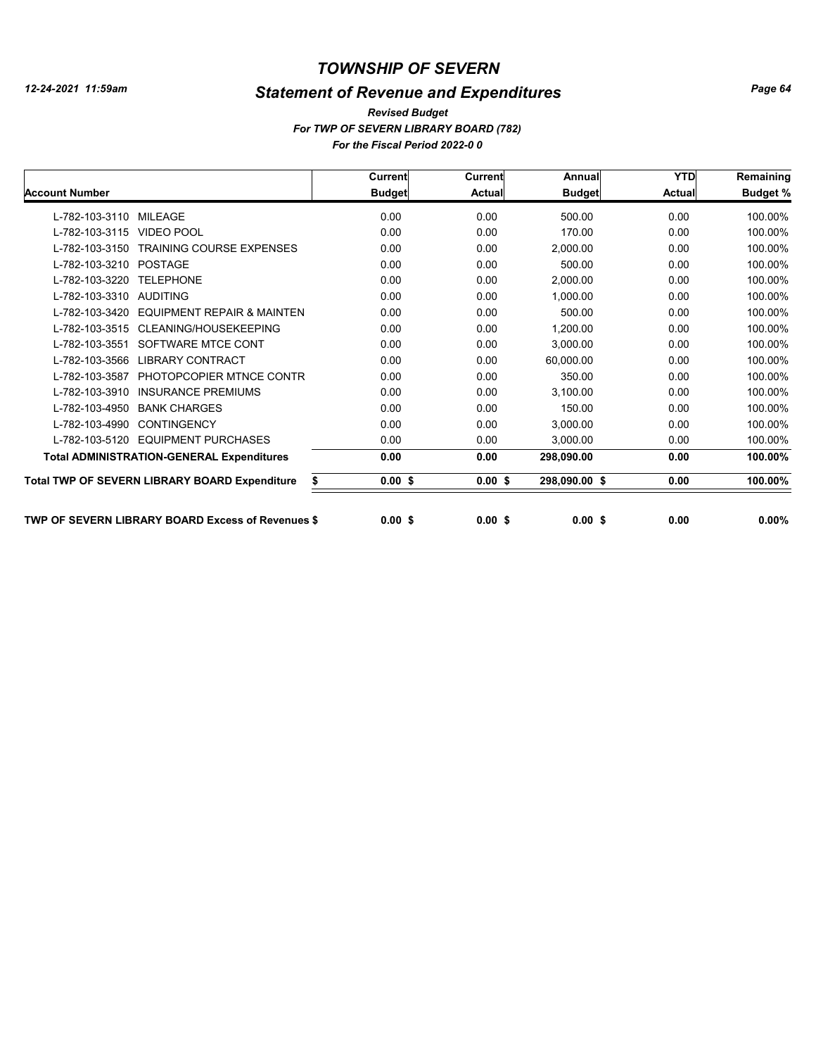# *Statement of Revenue and Expenditures*

*For TWP OF SEVERN LIBRARY BOARD (782) For the Fiscal Period 2022-0 0 Revised Budget*

|                                                           | <b>Current</b> | Current       | Annual        | <b>YTD</b>    | Remaining       |
|-----------------------------------------------------------|----------------|---------------|---------------|---------------|-----------------|
| <b>Account Number</b>                                     | <b>Budget</b>  | <b>Actual</b> | <b>Budget</b> | <b>Actual</b> | <b>Budget %</b> |
| L-782-103-3110 MILEAGE                                    | 0.00           | 0.00          | 500.00        | 0.00          | 100.00%         |
| <b>VIDEO POOL</b><br>L-782-103-3115                       | 0.00           | 0.00          | 170.00        | 0.00          | 100.00%         |
| L-782-103-3150<br><b>TRAINING COURSE EXPENSES</b>         | 0.00           | 0.00          | 2,000.00      | 0.00          | 100.00%         |
| POSTAGE<br>L-782-103-3210                                 | 0.00           | 0.00          | 500.00        | 0.00          | 100.00%         |
| <b>TELEPHONE</b><br>L-782-103-3220                        | 0.00           | 0.00          | 2,000.00      | 0.00          | 100.00%         |
| L-782-103-3310<br><b>AUDITING</b>                         | 0.00           | 0.00          | 1,000.00      | 0.00          | 100.00%         |
| L-782-103-3420<br><b>EQUIPMENT REPAIR &amp; MAINTEN</b>   | 0.00           | 0.00          | 500.00        | 0.00          | 100.00%         |
| CLEANING/HOUSEKEEPING<br>L-782-103-3515                   | 0.00           | 0.00          | 1,200.00      | 0.00          | 100.00%         |
| SOFTWARE MTCE CONT<br>L-782-103-3551                      | 0.00           | 0.00          | 3,000.00      | 0.00          | 100.00%         |
| <b>LIBRARY CONTRACT</b><br>L-782-103-3566                 | 0.00           | 0.00          | 60,000.00     | 0.00          | 100.00%         |
| PHOTOPCOPIER MTNCE CONTR<br>L-782-103-3587                | 0.00           | 0.00          | 350.00        | 0.00          | 100.00%         |
| <b>INSURANCE PREMIUMS</b><br>L-782-103-3910               | 0.00           | 0.00          | 3,100.00      | 0.00          | 100.00%         |
| L-782-103-4950<br><b>BANK CHARGES</b>                     | 0.00           | 0.00          | 150.00        | 0.00          | 100.00%         |
| <b>CONTINGENCY</b><br>L-782-103-4990                      | 0.00           | 0.00          | 3,000.00      | 0.00          | 100.00%         |
| <b>EQUIPMENT PURCHASES</b><br>L-782-103-5120              | 0.00           | 0.00          | 3,000.00      | 0.00          | 100.00%         |
| <b>Total ADMINISTRATION-GENERAL Expenditures</b>          | 0.00           | 0.00          | 298,090.00    | 0.00          | 100.00%         |
| <b>Total TWP OF SEVERN LIBRARY BOARD Expenditure</b><br>s | $0.00$ \$      | $0.00$ \$     | 298,090.00 \$ | 0.00          | 100.00%         |
| <b>TWP OF SEVERN LIBRARY BOARD Excess of Revenues \$</b>  | $0.00$ \$      | $0.00$ \$     | $0.00$ \$     | 0.00          | $0.00\%$        |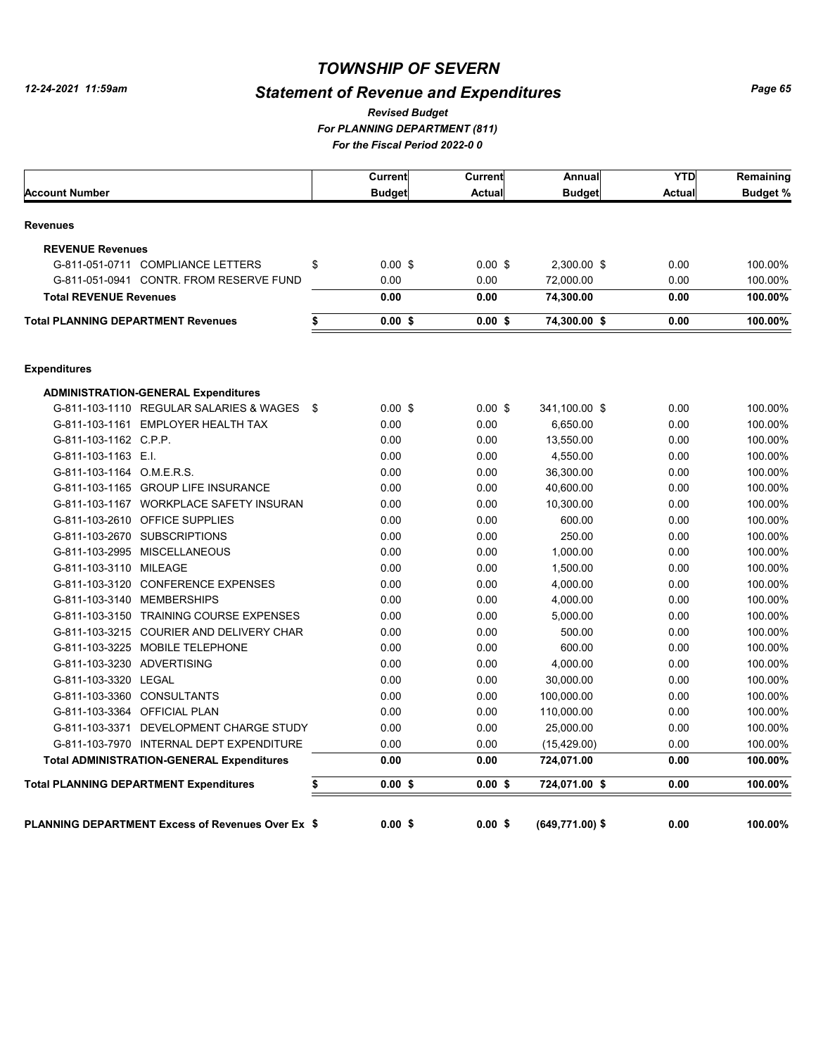# *Statement of Revenue and Expenditures*

*For PLANNING DEPARTMENT (811) For the Fiscal Period 2022-0 0 Revised Budget*

|                                               |                                                          | Current         | <b>Current</b> | Annual          | <b>YTD</b> | Remaining       |
|-----------------------------------------------|----------------------------------------------------------|-----------------|----------------|-----------------|------------|-----------------|
| <b>Account Number</b>                         |                                                          | <b>Budget</b>   | <b>Actual</b>  | <b>Budget</b>   | Actual     | <b>Budget %</b> |
| <b>Revenues</b>                               |                                                          |                 |                |                 |            |                 |
| <b>REVENUE Revenues</b>                       |                                                          |                 |                |                 |            |                 |
|                                               | G-811-051-0711 COMPLIANCE LETTERS                        | \$<br>$0.00$ \$ | $0.00$ \$      | 2,300.00 \$     | 0.00       | 100.00%         |
|                                               | G-811-051-0941 CONTR, FROM RESERVE FUND                  | 0.00            | 0.00           | 72,000.00       | 0.00       | 100.00%         |
| <b>Total REVENUE Revenues</b>                 |                                                          | 0.00            | 0.00           | 74,300.00       | 0.00       | 100.00%         |
| <b>Total PLANNING DEPARTMENT Revenues</b>     |                                                          | \$<br>$0.00$ \$ | 0.00S          | 74,300.00 \$    | 0.00       | 100.00%         |
| <b>Expenditures</b>                           |                                                          |                 |                |                 |            |                 |
|                                               | <b>ADMINISTRATION-GENERAL Expenditures</b>               |                 |                |                 |            |                 |
|                                               | G-811-103-1110 REGULAR SALARIES & WAGES \$               | $0.00$ \$       | $0.00$ \$      | 341,100.00 \$   | 0.00       | 100.00%         |
|                                               | G-811-103-1161 EMPLOYER HEALTH TAX                       | 0.00            | 0.00           | 6,650.00        | 0.00       | 100.00%         |
| G-811-103-1162 C.P.P.                         |                                                          | 0.00            | 0.00           | 13,550.00       | 0.00       | 100.00%         |
| G-811-103-1163 E.I.                           |                                                          | 0.00            | 0.00           | 4,550.00        | 0.00       | 100.00%         |
| G-811-103-1164 O.M.E.R.S.                     |                                                          | 0.00            | 0.00           | 36,300.00       | 0.00       | 100.00%         |
|                                               | G-811-103-1165 GROUP LIFE INSURANCE                      | 0.00            | 0.00           | 40,600.00       | 0.00       | 100.00%         |
|                                               | G-811-103-1167 WORKPLACE SAFETY INSURAN                  | 0.00            | 0.00           | 10,300.00       | 0.00       | 100.00%         |
| G-811-103-2610 OFFICE SUPPLIES                |                                                          | 0.00            | 0.00           | 600.00          | 0.00       | 100.00%         |
| G-811-103-2670 SUBSCRIPTIONS                  |                                                          | 0.00            | 0.00           | 250.00          | 0.00       | 100.00%         |
| G-811-103-2995 MISCELLANEOUS                  |                                                          | 0.00            | 0.00           | 1,000.00        | 0.00       | 100.00%         |
| G-811-103-3110 MILEAGE                        |                                                          | 0.00            | 0.00           | 1,500.00        | 0.00       | 100.00%         |
|                                               | G-811-103-3120 CONFERENCE EXPENSES                       | 0.00            | 0.00           | 4,000.00        | 0.00       | 100.00%         |
| G-811-103-3140 MEMBERSHIPS                    |                                                          | 0.00            | 0.00           | 4,000.00        | 0.00       | 100.00%         |
|                                               | G-811-103-3150 TRAINING COURSE EXPENSES                  | 0.00            | 0.00           | 5,000.00        | 0.00       | 100.00%         |
|                                               | G-811-103-3215 COURIER AND DELIVERY CHAR                 | 0.00            | 0.00           | 500.00          | 0.00       | 100.00%         |
| G-811-103-3225 MOBILE TELEPHONE               |                                                          | 0.00            | 0.00           | 600.00          | 0.00       | 100.00%         |
| G-811-103-3230 ADVERTISING                    |                                                          | 0.00            | 0.00           | 4,000.00        | 0.00       | 100.00%         |
| G-811-103-3320 LEGAL                          |                                                          | 0.00            | 0.00           | 30,000.00       | 0.00       | 100.00%         |
| G-811-103-3360 CONSULTANTS                    |                                                          | 0.00            | 0.00           | 100,000.00      | 0.00       | 100.00%         |
| G-811-103-3364 OFFICIAL PLAN                  |                                                          | 0.00            | 0.00           | 110,000.00      | 0.00       | 100.00%         |
|                                               | G-811-103-3371 DEVELOPMENT CHARGE STUDY                  | 0.00            | 0.00           | 25,000.00       | 0.00       | 100.00%         |
|                                               | G-811-103-7970 INTERNAL DEPT EXPENDITURE                 | 0.00            | 0.00           | (15, 429.00)    | 0.00       | 100.00%         |
|                                               | <b>Total ADMINISTRATION-GENERAL Expenditures</b>         | 0.00            | 0.00           | 724,071.00      | 0.00       | 100.00%         |
| <b>Total PLANNING DEPARTMENT Expenditures</b> |                                                          | \$<br>$0.00$ \$ | 0.00S          | 724,071.00 \$   | 0.00       | 100.00%         |
|                                               | <b>PLANNING DEPARTMENT Excess of Revenues Over Ex \$</b> | $0.00$ \$       | 0.00S          | (649,771.00) \$ | 0.00       | 100.00%         |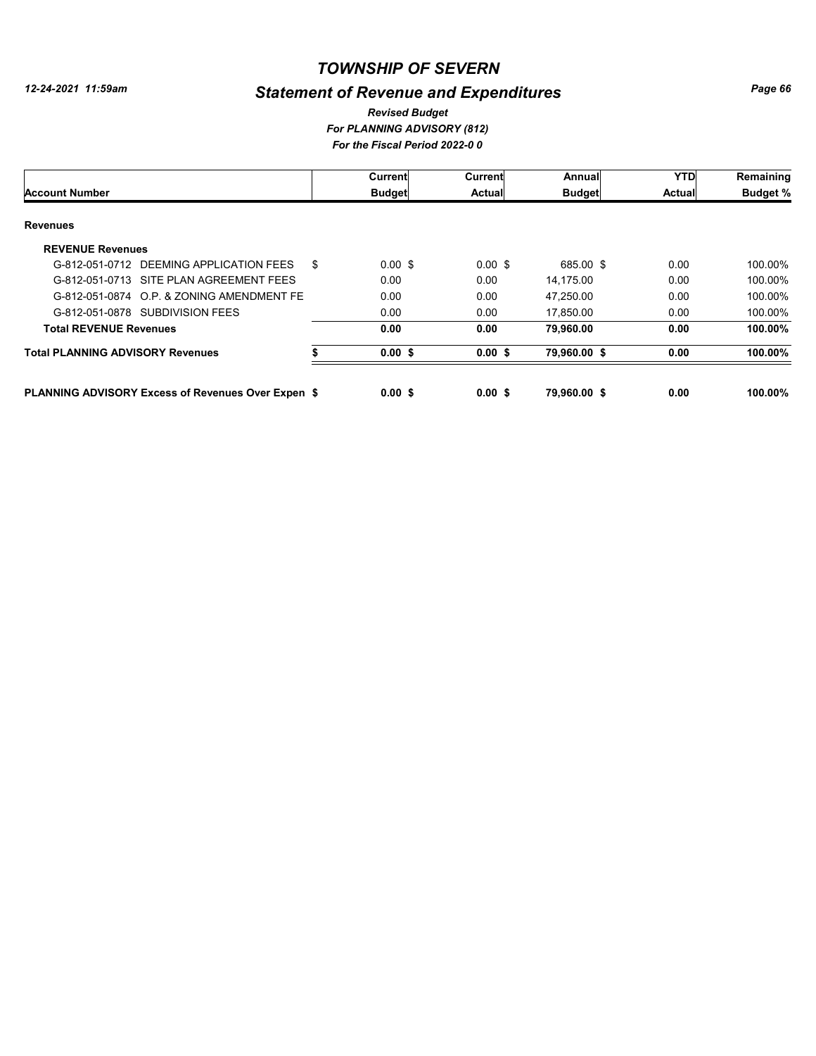# *Statement of Revenue and Expenditures*

#### *For PLANNING ADVISORY (812) For the Fiscal Period 2022-0 0 Revised Budget*

|                                                           |    | Current            | Current            | Annual        | <b>YTD</b>    | Remaining       |
|-----------------------------------------------------------|----|--------------------|--------------------|---------------|---------------|-----------------|
| <b>Account Number</b>                                     |    | <b>Budget</b>      | <b>Actual</b>      | <b>Budget</b> | <b>Actual</b> | <b>Budget %</b> |
| <b>Revenues</b>                                           |    |                    |                    |               |               |                 |
| <b>REVENUE Revenues</b>                                   |    |                    |                    |               |               |                 |
| G-812-051-0712 DEEMING APPLICATION FEES                   | \$ | $0.00 \text{ }$ \$ | $0.00 \text{ }$ \$ | 685.00 \$     | 0.00          | 100.00%         |
| G-812-051-0713 SITE PLAN AGREEMENT FEES                   |    | 0.00               | 0.00               | 14,175.00     | 0.00          | 100.00%         |
| G-812-051-0874 O.P. & ZONING AMENDMENT FE                 |    | 0.00               | 0.00               | 47.250.00     | 0.00          | 100.00%         |
| G-812-051-0878 SUBDIVISION FEES                           |    | 0.00               | 0.00               | 17,850.00     | 0.00          | 100.00%         |
| <b>Total REVENUE Revenues</b>                             |    | 0.00               | 0.00               | 79.960.00     | 0.00          | 100.00%         |
| <b>Total PLANNING ADVISORY Revenues</b>                   |    | $0.00$ \$          | 0.00S              | 79,960.00 \$  | 0.00          | 100.00%         |
| <b>PLANNING ADVISORY Excess of Revenues Over Expen \$</b> |    | 0.00S              | 0.00S              | 79.960.00 \$  | 0.00          | 100.00%         |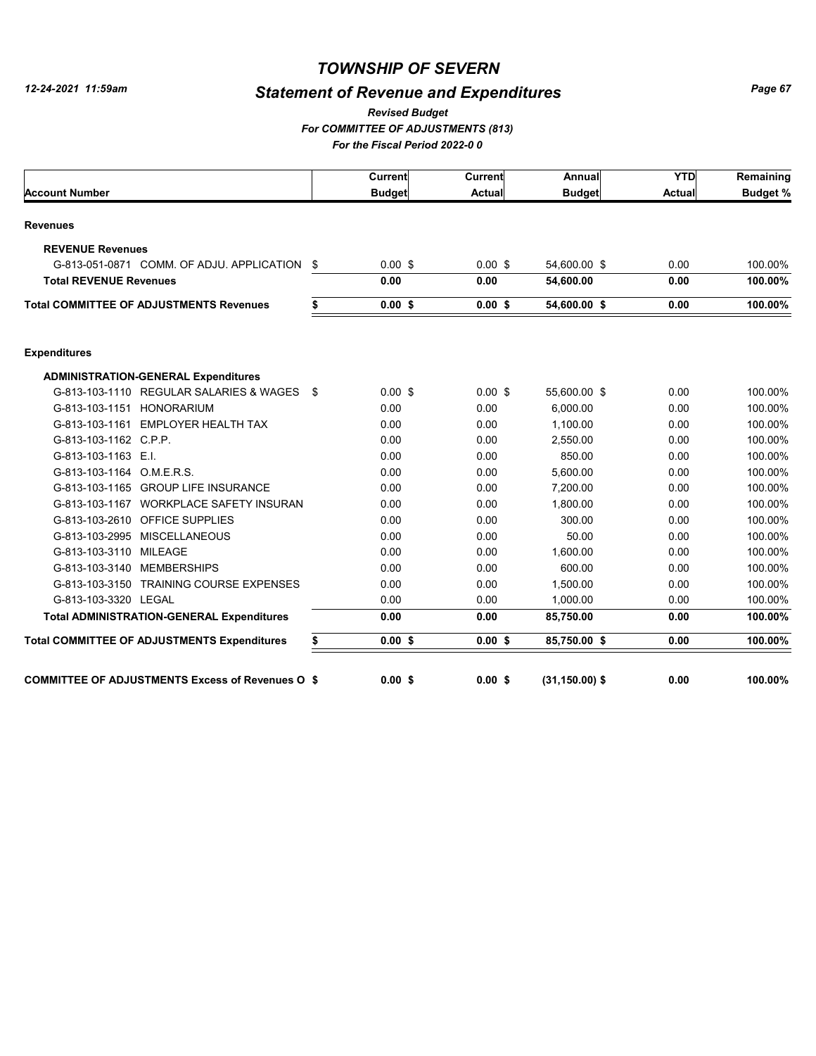# *Statement of Revenue and Expenditures*

*For COMMITTEE OF ADJUSTMENTS (813) For the Fiscal Period 2022-0 0 Revised Budget*

|                                                         |     | <b>Current</b> | Current       | Annual            | <b>YTD</b>    | Remaining       |
|---------------------------------------------------------|-----|----------------|---------------|-------------------|---------------|-----------------|
| <b>Account Number</b>                                   |     | <b>Budget</b>  | <b>Actual</b> | <b>Budget</b>     | <b>Actual</b> | <b>Budget %</b> |
| <b>Revenues</b>                                         |     |                |               |                   |               |                 |
| <b>REVENUE Revenues</b>                                 |     |                |               |                   |               |                 |
| G-813-051-0871 COMM. OF ADJU. APPLICATION               | \$  | $0.00$ \$      | $0.00$ \$     | 54,600.00 \$      | 0.00          | 100.00%         |
| <b>Total REVENUE Revenues</b>                           |     | 0.00           | 0.00          | 54,600.00         | 0.00          | 100.00%         |
| <b>Total COMMITTEE OF ADJUSTMENTS Revenues</b>          | \$  | $0.00$ \$      | 0.00S         | 54,600.00 \$      | 0.00          | 100.00%         |
| <b>Expenditures</b>                                     |     |                |               |                   |               |                 |
| <b>ADMINISTRATION-GENERAL Expenditures</b>              |     |                |               |                   |               |                 |
| G-813-103-1110 REGULAR SALARIES & WAGES                 | -\$ | $0.00$ \$      | $0.00$ \$     | 55,600.00 \$      | 0.00          | 100.00%         |
| G-813-103-1151 HONORARIUM                               |     | 0.00           | 0.00          | 6.000.00          | 0.00          | 100.00%         |
| G-813-103-1161 EMPLOYER HEALTH TAX                      |     | 0.00           | 0.00          | 1,100.00          | 0.00          | 100.00%         |
| G-813-103-1162 C.P.P.                                   |     | 0.00           | 0.00          | 2,550.00          | 0.00          | 100.00%         |
| G-813-103-1163 E.I.                                     |     | 0.00           | 0.00          | 850.00            | 0.00          | 100.00%         |
| G-813-103-1164 O.M.E.R.S.                               |     | 0.00           | 0.00          | 5,600.00          | 0.00          | 100.00%         |
| G-813-103-1165 GROUP LIFE INSURANCE                     |     | 0.00           | 0.00          | 7,200.00          | 0.00          | 100.00%         |
| G-813-103-1167 WORKPLACE SAFETY INSURAN                 |     | 0.00           | 0.00          | 1,800.00          | 0.00          | 100.00%         |
| G-813-103-2610 OFFICE SUPPLIES                          |     | 0.00           | 0.00          | 300.00            | 0.00          | 100.00%         |
| G-813-103-2995 MISCELLANEOUS                            |     | 0.00           | 0.00          | 50.00             | 0.00          | 100.00%         |
| G-813-103-3110 MILEAGE                                  |     | 0.00           | 0.00          | 1.600.00          | 0.00          | 100.00%         |
| G-813-103-3140 MEMBERSHIPS                              |     | 0.00           | 0.00          | 600.00            | 0.00          | 100.00%         |
| G-813-103-3150 TRAINING COURSE EXPENSES                 |     | 0.00           | 0.00          | 1,500.00          | 0.00          | 100.00%         |
| G-813-103-3320 LEGAL                                    |     | 0.00           | 0.00          | 1,000.00          | 0.00          | 100.00%         |
| <b>Total ADMINISTRATION-GENERAL Expenditures</b>        |     | 0.00           | 0.00          | 85,750.00         | 0.00          | 100.00%         |
| <b>Total COMMITTEE OF ADJUSTMENTS Expenditures</b>      | \$  | 0.00S          | $0.00$ \$     | 85,750.00 \$      | 0.00          | 100.00%         |
| <b>COMMITTEE OF ADJUSTMENTS Excess of Revenues O \$</b> |     | 0.00S          | 0.00S         | $(31, 150.00)$ \$ | 0.00          | 100.00%         |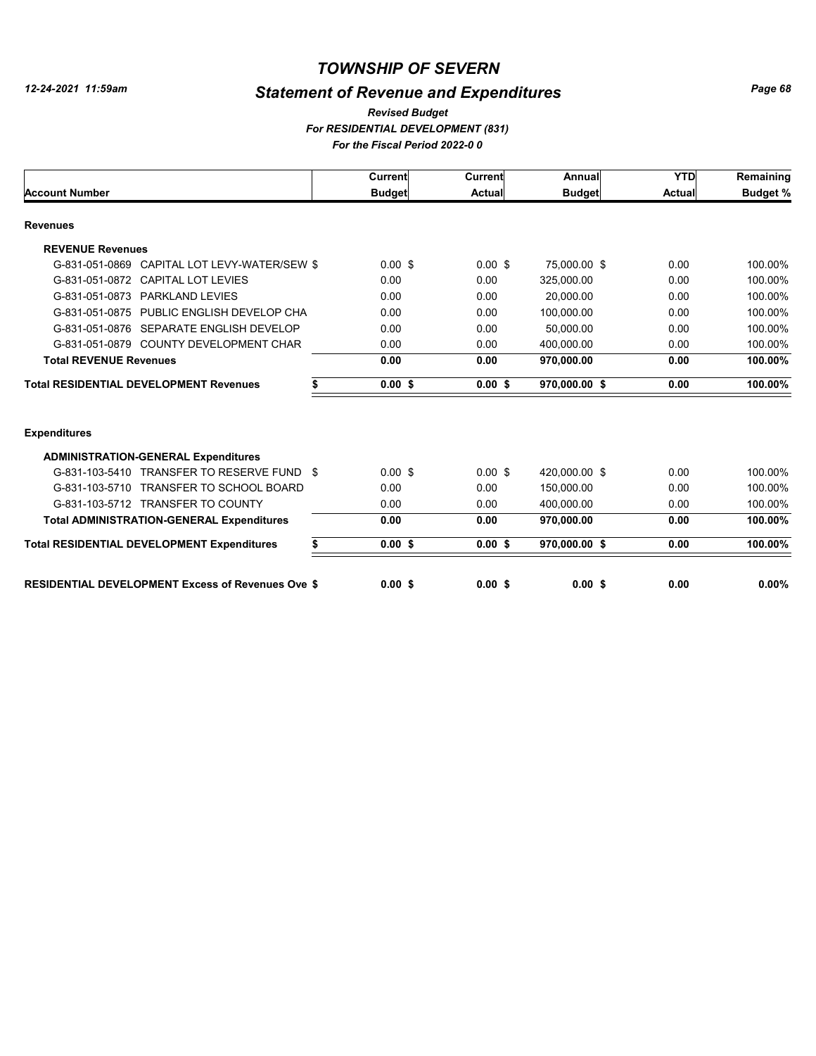# *Statement of Revenue and Expenditures*

*For RESIDENTIAL DEVELOPMENT (831) For the Fiscal Period 2022-0 0 Revised Budget*

|                                                          |    | Current            | <b>Current</b> | Annual        | <b>YTD</b> | Remaining       |
|----------------------------------------------------------|----|--------------------|----------------|---------------|------------|-----------------|
| <b>Account Number</b>                                    |    | <b>Budget</b>      | Actual         | <b>Budget</b> | Actual     | <b>Budget %</b> |
| <b>Revenues</b>                                          |    |                    |                |               |            |                 |
| <b>REVENUE Revenues</b>                                  |    |                    |                |               |            |                 |
| CAPITAL LOT LEVY-WATER/SEW \$<br>G-831-051-0869          |    | $0.00 \text{ }$ \$ | $0.00$ \$      | 75,000.00 \$  | 0.00       | 100.00%         |
| <b>CAPITAL LOT LEVIES</b><br>G-831-051-0872              |    | 0.00               | 0.00           | 325,000.00    | 0.00       | 100.00%         |
| G-831-051-0873 PARKLAND LEVIES                           |    | 0.00               | 0.00           | 20.000.00     | 0.00       | 100.00%         |
| G-831-051-0875 PUBLIC ENGLISH DEVELOP CHA                |    | 0.00               | 0.00           | 100,000.00    | 0.00       | 100.00%         |
| G-831-051-0876 SEPARATE ENGLISH DEVELOP                  |    | 0.00               | 0.00           | 50.000.00     | 0.00       | 100.00%         |
| G-831-051-0879 COUNTY DEVELOPMENT CHAR                   |    | 0.00               | 0.00           | 400.000.00    | 0.00       | 100.00%         |
| <b>Total REVENUE Revenues</b>                            |    | 0.00               | 0.00           | 970,000.00    | 0.00       | 100.00%         |
| <b>Total RESIDENTIAL DEVELOPMENT Revenues</b>            | S  | 0.00S              | $0.00$ \$      | 970,000.00 \$ | 0.00       | 100.00%         |
| <b>Expenditures</b>                                      |    |                    |                |               |            |                 |
| <b>ADMINISTRATION-GENERAL Expenditures</b>               |    |                    |                |               |            |                 |
| G-831-103-5410 TRANSFER TO RESERVE FUND \$               |    | $0.00$ \$          | $0.00$ \$      | 420.000.00 \$ | 0.00       | 100.00%         |
| G-831-103-5710 TRANSFER TO SCHOOL BOARD                  |    | 0.00               | 0.00           | 150.000.00    | 0.00       | 100.00%         |
| G-831-103-5712 TRANSFER TO COUNTY                        |    | 0.00               | 0.00           | 400.000.00    | 0.00       | 100.00%         |
| <b>Total ADMINISTRATION-GENERAL Expenditures</b>         |    | 0.00               | 0.00           | 970,000.00    | 0.00       | 100.00%         |
| <b>Total RESIDENTIAL DEVELOPMENT Expenditures</b>        | \$ | $0.00$ \$          | $0.00$ \$      | 970,000.00 \$ | 0.00       | 100.00%         |
| <b>RESIDENTIAL DEVELOPMENT Excess of Revenues Ove \$</b> |    | 0.00S              | $0.00$ \$      | $0.00$ \$     | 0.00       | $0.00\%$        |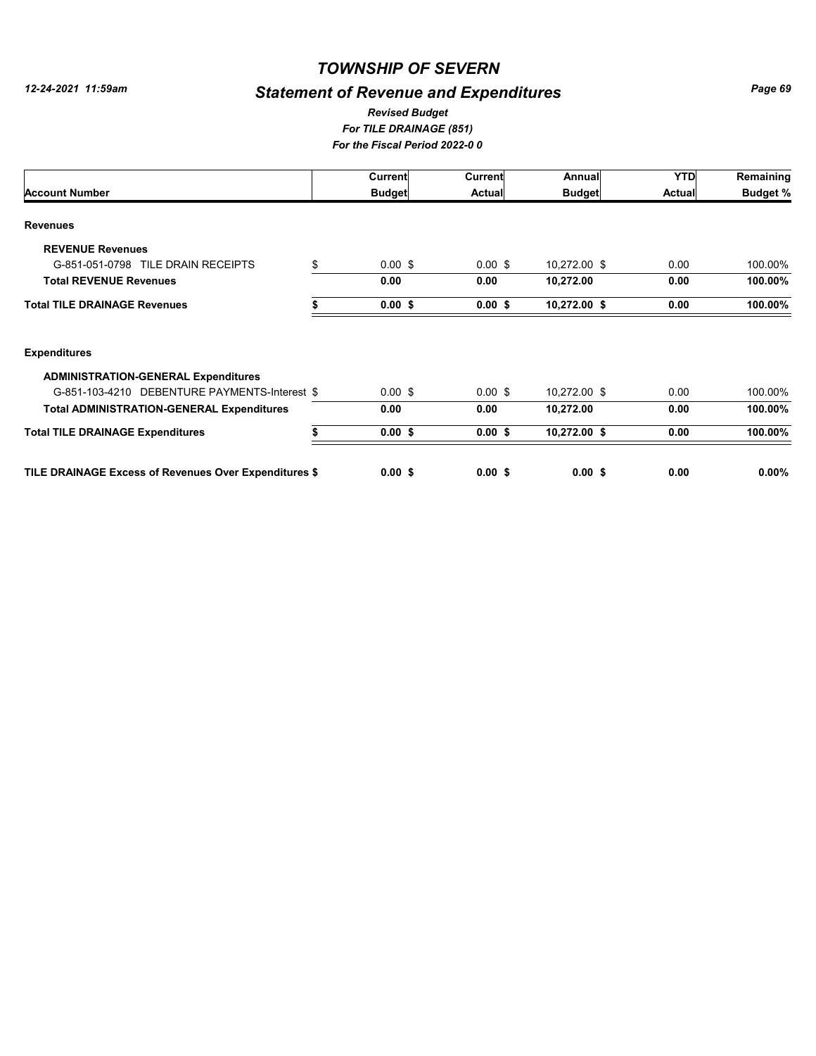# *Statement of Revenue and Expenditures*

#### *For TILE DRAINAGE (851) For the Fiscal Period 2022-0 0 Revised Budget*

|                                                       | Current                  | Current       | Annual        | <b>YTD</b>    | Remaining       |
|-------------------------------------------------------|--------------------------|---------------|---------------|---------------|-----------------|
| <b>Account Number</b>                                 | <b>Budget</b>            | <b>Actual</b> | <b>Budget</b> | <b>Actual</b> | <b>Budget %</b> |
| <b>Revenues</b>                                       |                          |               |               |               |                 |
| <b>REVENUE Revenues</b>                               |                          |               |               |               |                 |
| G-851-051-0798 TILE DRAIN RECEIPTS                    | \$<br>$0.00 \text{ }$ \$ | $0.00$ \$     | 10,272.00 \$  | 0.00          | 100.00%         |
| <b>Total REVENUE Revenues</b>                         | 0.00                     | 0.00          | 10,272.00     | 0.00          | 100.00%         |
| <b>Total TILE DRAINAGE Revenues</b>                   | $0.00$ \$                | $0.00$ \$     | 10,272.00 \$  | 0.00          | 100.00%         |
| <b>Expenditures</b>                                   |                          |               |               |               |                 |
| <b>ADMINISTRATION-GENERAL Expenditures</b>            |                          |               |               |               |                 |
| G-851-103-4210 DEBENTURE PAYMENTS-Interest \$         | $0.00 \text{ }$ \$       | $0.00$ \$     | 10,272.00 \$  | 0.00          | 100.00%         |
| <b>Total ADMINISTRATION-GENERAL Expenditures</b>      | 0.00                     | 0.00          | 10,272.00     | 0.00          | 100.00%         |
| <b>Total TILE DRAINAGE Expenditures</b>               | $0.00$ \$                | $0.00$ \$     | 10,272.00 \$  | 0.00          | 100.00%         |
| TILE DRAINAGE Excess of Revenues Over Expenditures \$ | $0.00$ \$                | $0.00$ \$     | $0.00$ \$     | 0.00          | $0.00\%$        |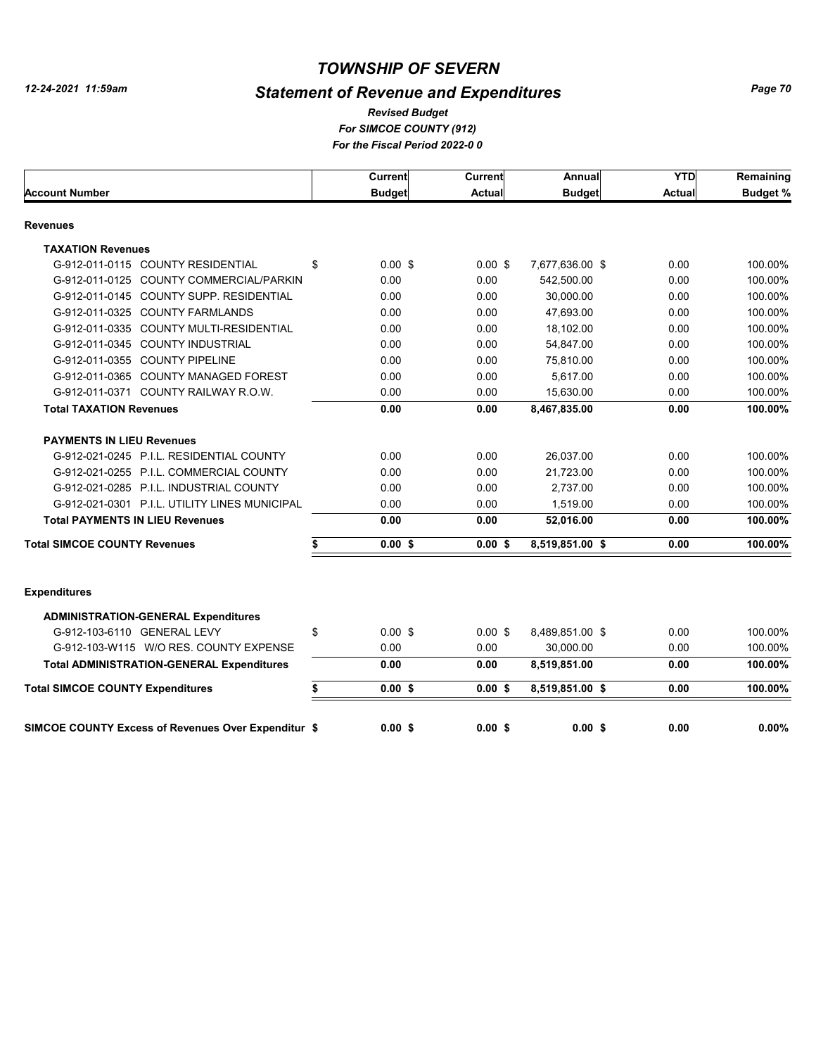# *Statement of Revenue and Expenditures*

*For SIMCOE COUNTY (912) For the Fiscal Period 2022-0 0 Revised Budget*

|                                                     | <b>Current</b>  | Current       | Annual          | <b>YTD</b>    | Remaining       |
|-----------------------------------------------------|-----------------|---------------|-----------------|---------------|-----------------|
| <b>Account Number</b>                               | <b>Budget</b>   | <b>Actual</b> | <b>Budget</b>   | <b>Actual</b> | <b>Budget %</b> |
| <b>Revenues</b>                                     |                 |               |                 |               |                 |
| <b>TAXATION Revenues</b>                            |                 |               |                 |               |                 |
| G-912-011-0115 COUNTY RESIDENTIAL                   | \$<br>$0.00$ \$ | $0.00$ \$     | 7,677,636.00 \$ | 0.00          | 100.00%         |
| G-912-011-0125 COUNTY COMMERCIAL/PARKIN             | 0.00            | 0.00          | 542,500.00      | 0.00          | 100.00%         |
| G-912-011-0145 COUNTY SUPP. RESIDENTIAL             | 0.00            | 0.00          | 30,000.00       | 0.00          | 100.00%         |
| G-912-011-0325 COUNTY FARMLANDS                     | 0.00            | 0.00          | 47,693.00       | 0.00          | 100.00%         |
| G-912-011-0335 COUNTY MULTI-RESIDENTIAL             | 0.00            | 0.00          | 18,102.00       | 0.00          | 100.00%         |
| G-912-011-0345 COUNTY INDUSTRIAL                    | 0.00            | 0.00          | 54,847.00       | 0.00          | 100.00%         |
| G-912-011-0355 COUNTY PIPELINE                      | 0.00            | 0.00          | 75,810.00       | 0.00          | 100.00%         |
| G-912-011-0365 COUNTY MANAGED FOREST                | 0.00            | 0.00          | 5,617.00        | 0.00          | 100.00%         |
| G-912-011-0371 COUNTY RAILWAY R.O.W.                | 0.00            | 0.00          | 15,630.00       | 0.00          | 100.00%         |
| <b>Total TAXATION Revenues</b>                      | 0.00            | 0.00          | 8,467,835.00    | 0.00          | 100.00%         |
| <b>PAYMENTS IN LIEU Revenues</b>                    |                 |               |                 |               |                 |
| G-912-021-0245 P.I.L. RESIDENTIAL COUNTY            | 0.00            | 0.00          | 26,037.00       | 0.00          | 100.00%         |
| G-912-021-0255 P.I.L. COMMERCIAL COUNTY             | 0.00            | 0.00          | 21,723.00       | 0.00          | 100.00%         |
| G-912-021-0285 P.I.L. INDUSTRIAL COUNTY             | 0.00            | 0.00          | 2,737.00        | 0.00          | 100.00%         |
| G-912-021-0301 P.I.L. UTILITY LINES MUNICIPAL       | 0.00            | 0.00          | 1,519.00        | 0.00          | 100.00%         |
| <b>Total PAYMENTS IN LIEU Revenues</b>              | 0.00            | 0.00          | 52,016.00       | 0.00          | 100.00%         |
| <b>Total SIMCOE COUNTY Revenues</b>                 | $0.00$ \$       | 0.00S         | 8,519,851.00 \$ | 0.00          | 100.00%         |
|                                                     |                 |               |                 |               |                 |
| <b>Expenditures</b>                                 |                 |               |                 |               |                 |
| <b>ADMINISTRATION-GENERAL Expenditures</b>          |                 |               |                 |               |                 |
| G-912-103-6110 GENERAL LEVY                         | \$<br>$0.00$ \$ | $0.00$ \$     | 8,489,851.00 \$ | 0.00          | 100.00%         |
| G-912-103-W115 W/O RES, COUNTY EXPENSE              | 0.00            | 0.00          | 30,000.00       | 0.00          | 100.00%         |
| <b>Total ADMINISTRATION-GENERAL Expenditures</b>    | 0.00            | 0.00          | 8,519,851.00    | 0.00          | 100.00%         |
| <b>Total SIMCOE COUNTY Expenditures</b>             | \$<br>0.00S     | 0.00S         | 8,519,851.00 \$ | 0.00          | 100.00%         |
|                                                     |                 |               |                 |               |                 |
| SIMCOE COUNTY Excess of Revenues Over Expenditur \$ | 0.00S           | 0.00S         | 0.00S           | 0.00          | 0.00%           |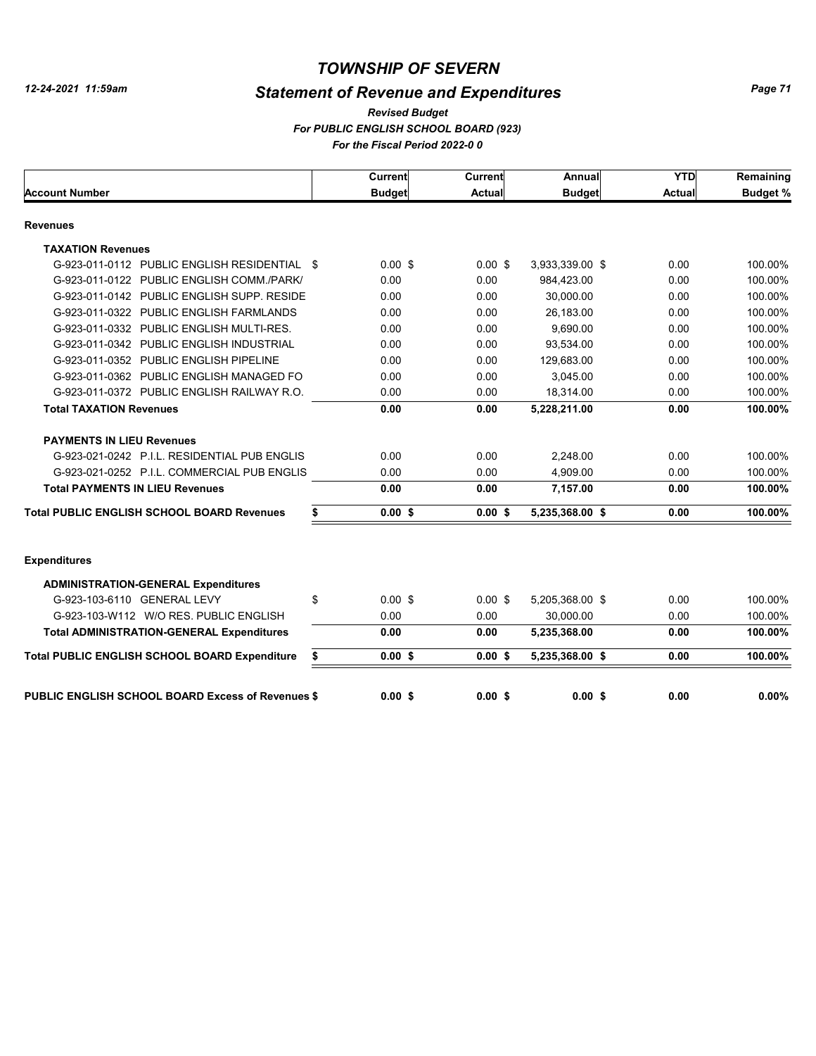# *Statement of Revenue and Expenditures*

*For PUBLIC ENGLISH SCHOOL BOARD (923) For the Fiscal Period 2022-0 0 Revised Budget*

|                                                          | <b>Current</b>  | <b>Current</b> | Annual          | <b>YTD</b>    | Remaining       |
|----------------------------------------------------------|-----------------|----------------|-----------------|---------------|-----------------|
| <b>Account Number</b>                                    | <b>Budget</b>   | <b>Actual</b>  | <b>Budget</b>   | <b>Actual</b> | <b>Budget %</b> |
| <b>Revenues</b>                                          |                 |                |                 |               |                 |
| <b>TAXATION Revenues</b>                                 |                 |                |                 |               |                 |
| G-923-011-0112 PUBLIC ENGLISH RESIDENTIAL \$             | $0.00$ \$       | $0.00$ \$      | 3,933,339.00 \$ | 0.00          | 100.00%         |
| G-923-011-0122 PUBLIC ENGLISH COMM./PARK/                | 0.00            | 0.00           | 984,423.00      | 0.00          | 100.00%         |
| G-923-011-0142 PUBLIC ENGLISH SUPP. RESIDE               | 0.00            | 0.00           | 30,000.00       | 0.00          | 100.00%         |
| G-923-011-0322 PUBLIC ENGLISH FARMLANDS                  | 0.00            | 0.00           | 26,183.00       | 0.00          | 100.00%         |
| G-923-011-0332 PUBLIC ENGLISH MULTI-RES.                 | 0.00            | 0.00           | 9,690.00        | 0.00          | 100.00%         |
| G-923-011-0342 PUBLIC ENGLISH INDUSTRIAL                 | 0.00            | 0.00           | 93,534.00       | 0.00          | 100.00%         |
| G-923-011-0352 PUBLIC ENGLISH PIPELINE                   | 0.00            | 0.00           | 129,683.00      | 0.00          | 100.00%         |
| G-923-011-0362 PUBLIC ENGLISH MANAGED FO                 | 0.00            | 0.00           | 3,045.00        | 0.00          | 100.00%         |
| G-923-011-0372 PUBLIC ENGLISH RAILWAY R.O.               | 0.00            | 0.00           | 18,314.00       | 0.00          | 100.00%         |
| <b>Total TAXATION Revenues</b>                           | 0.00            | 0.00           | 5,228,211.00    | 0.00          | 100.00%         |
| <b>PAYMENTS IN LIEU Revenues</b>                         |                 |                |                 |               |                 |
| G-923-021-0242 P.I.L. RESIDENTIAL PUB ENGLIS             | 0.00            | 0.00           | 2,248.00        | 0.00          | 100.00%         |
| G-923-021-0252 P.I.L. COMMERCIAL PUB ENGLIS              | 0.00            | 0.00           | 4.909.00        | 0.00          | 100.00%         |
| <b>Total PAYMENTS IN LIEU Revenues</b>                   | 0.00            | 0.00           | 7,157.00        | 0.00          | 100.00%         |
| <b>Total PUBLIC ENGLISH SCHOOL BOARD Revenues</b>        | \$<br>$0.00$ \$ | 0.00S          | 5,235,368.00 \$ | 0.00          | 100.00%         |
| <b>Expenditures</b>                                      |                 |                |                 |               |                 |
| <b>ADMINISTRATION-GENERAL Expenditures</b>               |                 |                |                 |               |                 |
| G-923-103-6110 GENERAL LEVY                              | \$<br>$0.00$ \$ | $0.00$ \$      | 5,205,368.00 \$ | 0.00          | 100.00%         |
| G-923-103-W112 W/O RES. PUBLIC ENGLISH                   | 0.00            | 0.00           | 30,000.00       | 0.00          | 100.00%         |
| <b>Total ADMINISTRATION-GENERAL Expenditures</b>         | 0.00            | 0.00           | 5,235,368.00    | 0.00          | 100.00%         |
| Total PUBLIC ENGLISH SCHOOL BOARD Expenditure            | \$<br>0.00S     | 0.00S          | 5,235,368.00 \$ | 0.00          | 100.00%         |
| <b>PUBLIC ENGLISH SCHOOL BOARD Excess of Revenues \$</b> | 0.00S           | 0.00S          | 0.00S           | 0.00          | 0.00%           |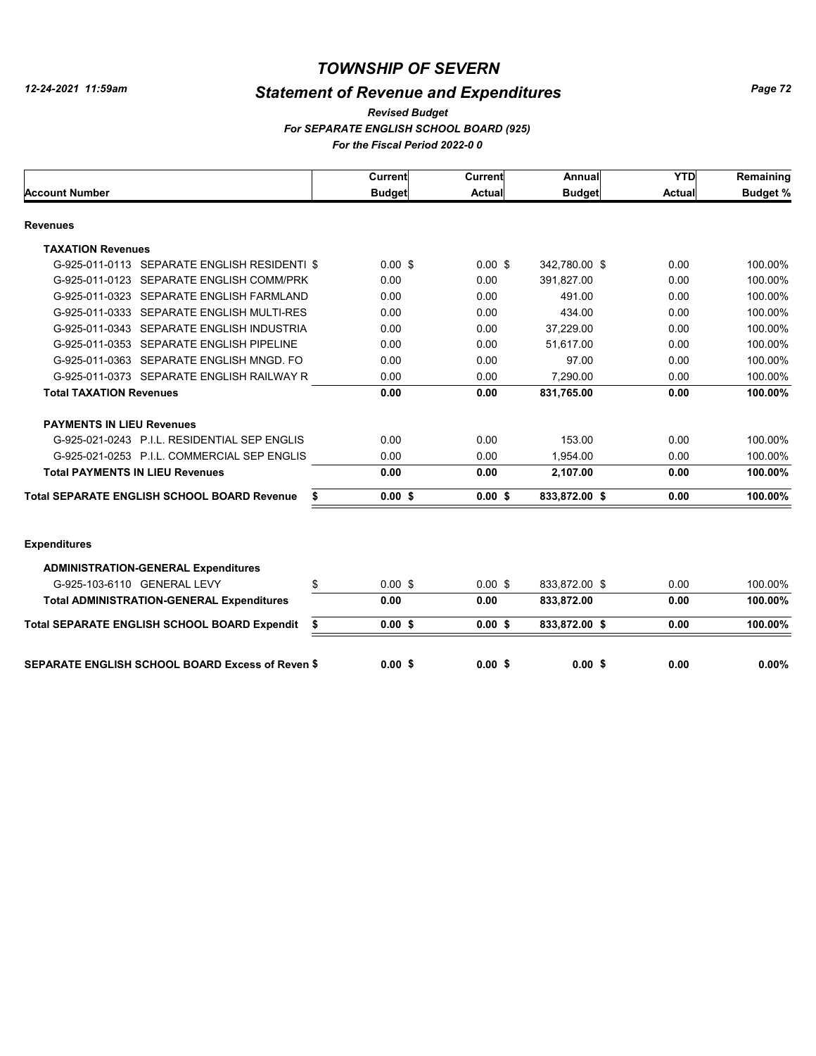# *Statement of Revenue and Expenditures*

#### *For SEPARATE ENGLISH SCHOOL BOARD (925) For the Fiscal Period 2022-0 0 Revised Budget*

|                                                           | Current       | <b>Current</b> | Annual        | <b>YTD</b>    | Remaining       |
|-----------------------------------------------------------|---------------|----------------|---------------|---------------|-----------------|
| <b>Account Number</b>                                     | <b>Budget</b> | <b>Actual</b>  | <b>Budget</b> | <b>Actual</b> | <b>Budget %</b> |
| <b>Revenues</b>                                           |               |                |               |               |                 |
| <b>TAXATION Revenues</b>                                  |               |                |               |               |                 |
| G-925-011-0113 SEPARATE ENGLISH RESIDENTI \$              | $0.00$ \$     | $0.00$ \$      | 342.780.00 \$ | 0.00          | 100.00%         |
| G-925-011-0123 SEPARATE ENGLISH COMM/PRK                  | 0.00          | 0.00           | 391.827.00    | 0.00          | 100.00%         |
| G-925-011-0323 SEPARATE ENGLISH FARMLAND                  | 0.00          | 0.00           | 491.00        | 0.00          | 100.00%         |
| G-925-011-0333 SEPARATE ENGLISH MULTI-RES                 | 0.00          | 0.00           | 434.00        | 0.00          | 100.00%         |
| G-925-011-0343 SEPARATE ENGLISH INDUSTRIA                 | 0.00          | 0.00           | 37.229.00     | 0.00          | 100.00%         |
| G-925-011-0353 SEPARATE ENGLISH PIPELINE                  | 0.00          | 0.00           | 51.617.00     | 0.00          | 100.00%         |
| G-925-011-0363 SEPARATE ENGLISH MNGD. FO                  | 0.00          | 0.00           | 97.00         | 0.00          | 100.00%         |
| G-925-011-0373 SEPARATE ENGLISH RAILWAY R                 | 0.00          | 0.00           | 7.290.00      | 0.00          | 100.00%         |
| <b>Total TAXATION Revenues</b>                            | 0.00          | 0.00           | 831,765.00    | 0.00          | 100.00%         |
| <b>PAYMENTS IN LIEU Revenues</b>                          |               |                |               |               |                 |
| G-925-021-0243 P.I.L. RESIDENTIAL SEP ENGLIS              | 0.00          | 0.00           | 153.00        | 0.00          | 100.00%         |
| G-925-021-0253 P.I.L. COMMERCIAL SEP ENGLIS               | 0.00          | 0.00           | 1.954.00      | 0.00          | 100.00%         |
| <b>Total PAYMENTS IN LIEU Revenues</b>                    | 0.00          | 0.00           | 2,107.00      | 0.00          | 100.00%         |
| <b>Total SEPARATE ENGLISH SCHOOL BOARD Revenue</b><br>\$  | 0.00S         | 0.00S          | 833,872.00 \$ | 0.00          | 100.00%         |
| <b>Expenditures</b>                                       |               |                |               |               |                 |
| <b>ADMINISTRATION-GENERAL Expenditures</b>                |               |                |               |               |                 |
| G-925-103-6110 GENERAL LEVY<br>\$                         | $0.00$ \$     | $0.00$ \$      | 833.872.00 \$ | 0.00          | 100.00%         |
| <b>Total ADMINISTRATION-GENERAL Expenditures</b>          | 0.00          | 0.00           | 833,872.00    | 0.00          | 100.00%         |
| <b>Total SEPARATE ENGLISH SCHOOL BOARD Expendit</b><br>\$ | $0.00$ \$     | $0.00$ \$      | 833,872.00 \$ | 0.00          | 100.00%         |
| <b>SEPARATE ENGLISH SCHOOL BOARD Excess of Reven \$</b>   | 0.00S         | 0.00S          | 0.00S         | 0.00          | $0.00\%$        |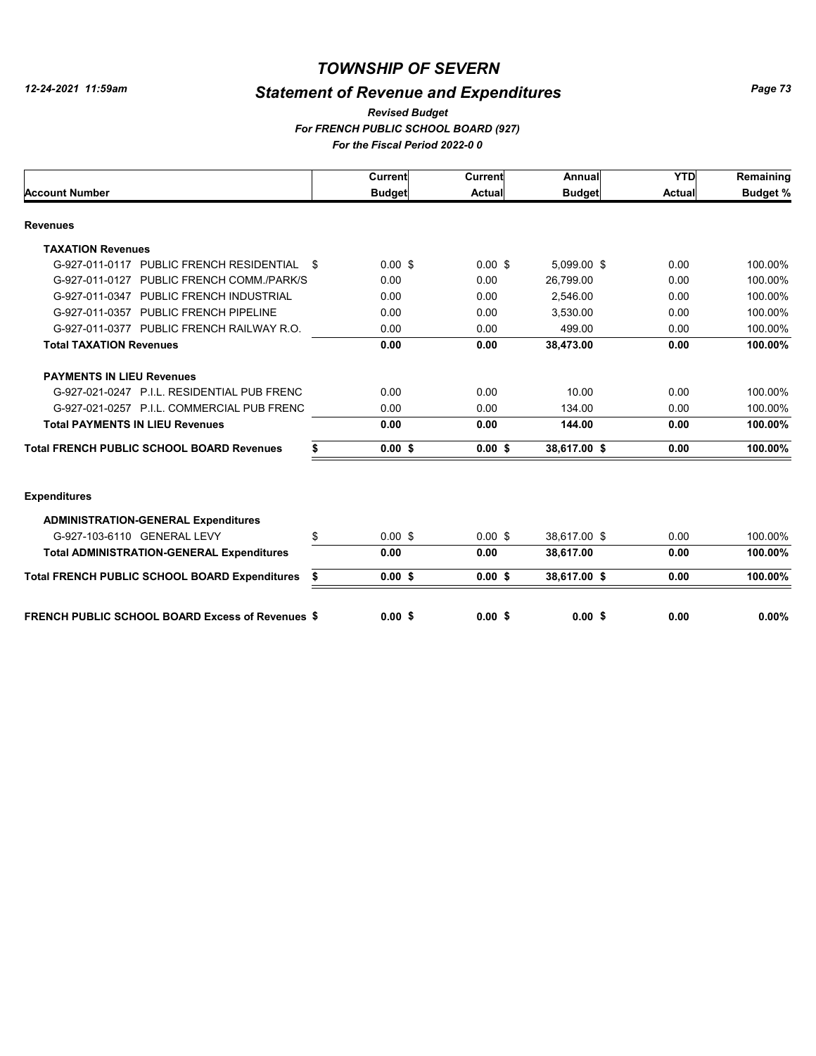### *TOWNSHIP OF SEVERN*

# *Statement of Revenue and Expenditures*

#### *For FRENCH PUBLIC SCHOOL BOARD (927) For the Fiscal Period 2022-0 0 Revised Budget*

|                                                         |      | Current       | Current       | Annual        | <b>YTD</b> | Remaining       |
|---------------------------------------------------------|------|---------------|---------------|---------------|------------|-----------------|
| <b>Account Number</b>                                   |      | <b>Budget</b> | <b>Actual</b> | <b>Budget</b> | Actual     | <b>Budget %</b> |
| <b>Revenues</b>                                         |      |               |               |               |            |                 |
| <b>TAXATION Revenues</b>                                |      |               |               |               |            |                 |
| G-927-011-0117 PUBLIC FRENCH RESIDENTIAL                | - \$ | $0.00$ \$     | $0.00$ \$     | 5,099.00 \$   | 0.00       | 100.00%         |
| G-927-011-0127 PUBLIC FRENCH COMM./PARK/S               |      | 0.00          | 0.00          | 26,799.00     | 0.00       | 100.00%         |
| G-927-011-0347 PUBLIC FRENCH INDUSTRIAL                 |      | 0.00          | 0.00          | 2,546.00      | 0.00       | 100.00%         |
| G-927-011-0357 PUBLIC FRENCH PIPELINE                   |      | 0.00          | 0.00          | 3,530.00      | 0.00       | 100.00%         |
| G-927-011-0377 PUBLIC FRENCH RAILWAY R.O.               |      | 0.00          | 0.00          | 499.00        | 0.00       | 100.00%         |
| <b>Total TAXATION Revenues</b>                          |      | 0.00          | 0.00          | 38,473.00     | 0.00       | 100.00%         |
| <b>PAYMENTS IN LIEU Revenues</b>                        |      |               |               |               |            |                 |
| G-927-021-0247 P.I.L. RESIDENTIAL PUB FRENC             |      | 0.00          | 0.00          | 10.00         | 0.00       | 100.00%         |
| G-927-021-0257 P.I.L. COMMERCIAL PUB FRENC              |      | 0.00          | 0.00          | 134.00        | 0.00       | 100.00%         |
| <b>Total PAYMENTS IN LIEU Revenues</b>                  |      | 0.00          | 0.00          | 144.00        | 0.00       | 100.00%         |
| <b>Total FRENCH PUBLIC SCHOOL BOARD Revenues</b>        | \$   | $0.00$ \$     | 0.00S         | 38,617.00 \$  | 0.00       | 100.00%         |
| <b>Expenditures</b>                                     |      |               |               |               |            |                 |
| <b>ADMINISTRATION-GENERAL Expenditures</b>              |      |               |               |               |            |                 |
| G-927-103-6110 GENERAL LEVY                             | \$   | $0.00$ \$     | $0.00$ \$     | 38,617.00 \$  | 0.00       | 100.00%         |
| <b>Total ADMINISTRATION-GENERAL Expenditures</b>        |      | 0.00          | 0.00          | 38,617.00     | 0.00       | 100.00%         |
| <b>Total FRENCH PUBLIC SCHOOL BOARD Expenditures</b>    | \$   | $0.00$ \$     | 0.00S         | 38,617.00 \$  | 0.00       | 100.00%         |
| <b>FRENCH PUBLIC SCHOOL BOARD Excess of Revenues \$</b> |      | 0.00S         | 0.00S         | 0.00S         | 0.00       | 0.00%           |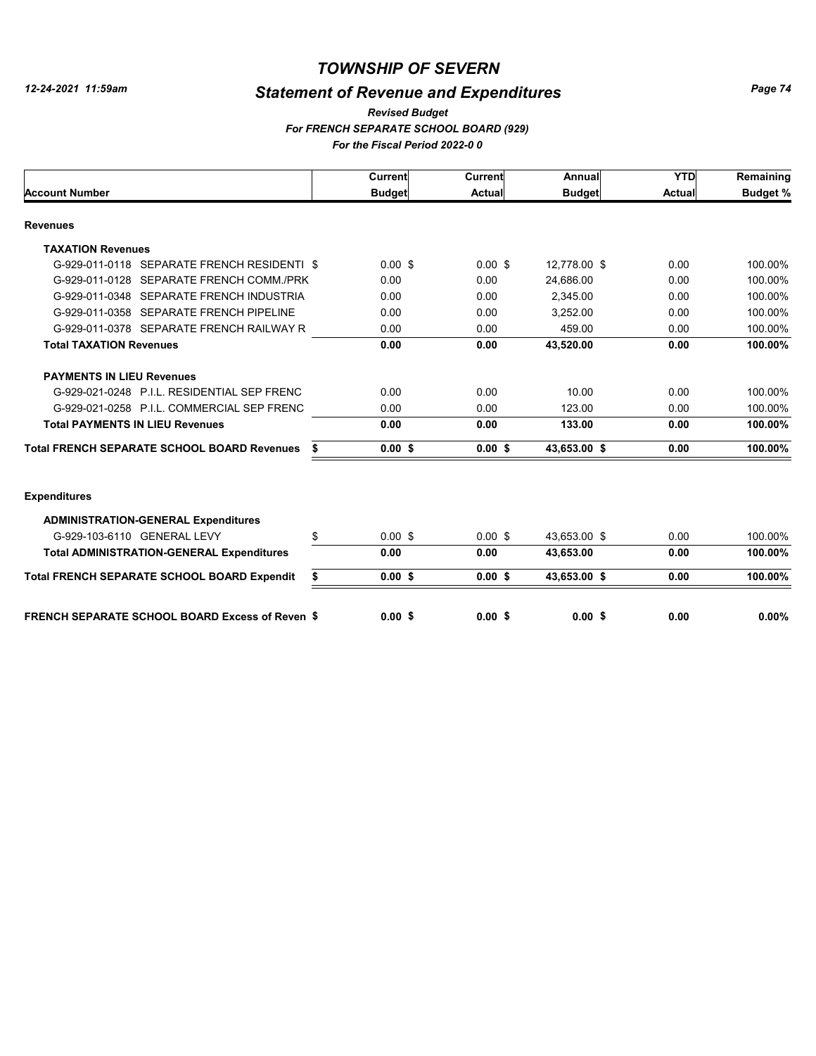### *TOWNSHIP OF SEVERN*

# *Statement of Revenue and Expenditures*

#### *For FRENCH SEPARATE SCHOOL BOARD (929) For the Fiscal Period 2022-0 0 Revised Budget*

|                                                        | Current         | Current       | Annual        | <b>YTD</b>    | Remaining       |
|--------------------------------------------------------|-----------------|---------------|---------------|---------------|-----------------|
| <b>Account Number</b>                                  | <b>Budget</b>   | <b>Actual</b> | <b>Budget</b> | <b>Actual</b> | <b>Budget %</b> |
| <b>Revenues</b>                                        |                 |               |               |               |                 |
| <b>TAXATION Revenues</b>                               |                 |               |               |               |                 |
| G-929-011-0118 SEPARATE FRENCH RESIDENTI \$            | $0.00$ \$       | $0.00$ \$     | 12,778.00 \$  | 0.00          | 100.00%         |
| G-929-011-0128 SEPARATE FRENCH COMM./PRK               | 0.00            | 0.00          | 24.686.00     | 0.00          | 100.00%         |
| G-929-011-0348 SEPARATE FRENCH INDUSTRIA               | 0.00            | 0.00          | 2.345.00      | 0.00          | 100.00%         |
| G-929-011-0358 SEPARATE FRENCH PIPELINE                | 0.00            | 0.00          | 3,252.00      | 0.00          | 100.00%         |
| G-929-011-0378 SEPARATE FRENCH RAILWAY R               | 0.00            | 0.00          | 459.00        | 0.00          | 100.00%         |
| <b>Total TAXATION Revenues</b>                         | 0.00            | 0.00          | 43,520.00     | 0.00          | 100.00%         |
| <b>PAYMENTS IN LIEU Revenues</b>                       |                 |               |               |               |                 |
| G-929-021-0248 P.I.L. RESIDENTIAL SEP FRENC            | 0.00            | 0.00          | 10.00         | 0.00          | 100.00%         |
| G-929-021-0258 P.I.L. COMMERCIAL SEP FRENC             | 0.00            | 0.00          | 123.00        | 0.00          | 100.00%         |
| <b>Total PAYMENTS IN LIEU Revenues</b>                 | 0.00            | 0.00          | 133.00        | 0.00          | 100.00%         |
| <b>Total FRENCH SEPARATE SCHOOL BOARD Revenues</b>     | \$<br>$0.00$ \$ | $0.00$ \$     | 43,653.00 \$  | 0.00          | 100.00%         |
| <b>Expenditures</b>                                    |                 |               |               |               |                 |
| <b>ADMINISTRATION-GENERAL Expenditures</b>             |                 |               |               |               |                 |
| G-929-103-6110 GENERAL LEVY                            | \$<br>$0.00$ \$ | $0.00$ \$     | 43,653.00 \$  | 0.00          | 100.00%         |
| <b>Total ADMINISTRATION-GENERAL Expenditures</b>       | 0.00            | 0.00          | 43,653.00     | 0.00          | 100.00%         |
| <b>Total FRENCH SEPARATE SCHOOL BOARD Expendit</b>     | \$<br>$0.00$ \$ | $0.00$ \$     | 43,653.00 \$  | 0.00          | 100.00%         |
| <b>FRENCH SEPARATE SCHOOL BOARD Excess of Reven \$</b> | 0.00S           | 0.00S         | 0.00S         | 0.00          | $0.00\%$        |